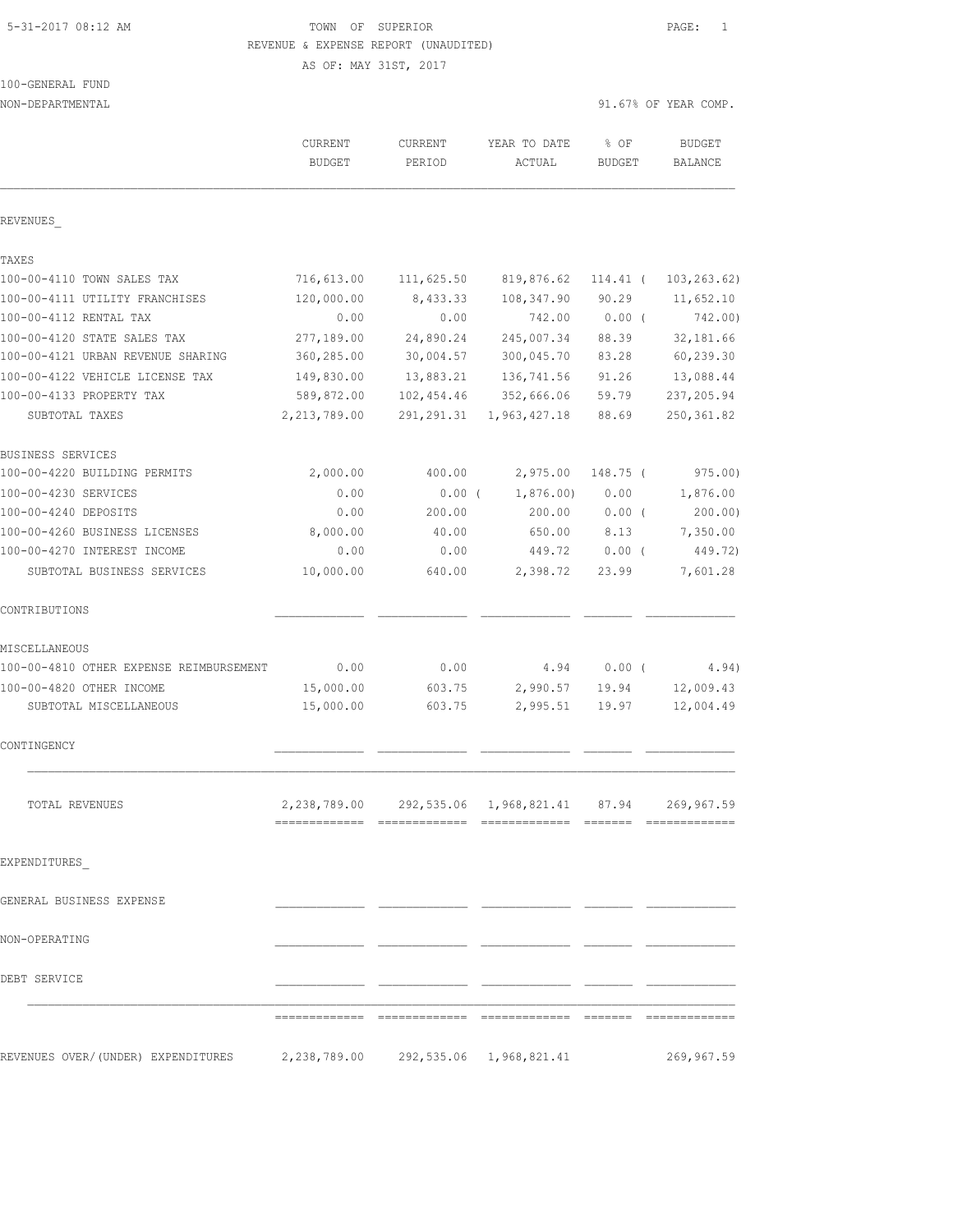# 5-31-2017 08:12 AM TOWN OF SUPERIOR PAGE: 1 REVENUE & EXPENSE REPORT (UNAUDITED)

AS OF: MAY 31ST, 2017

100-GENERAL FUND

| NON-DEPARTMENTAL                                                        |                          |                   |                                                             |                       | 91.67% OF YEAR COMP.            |
|-------------------------------------------------------------------------|--------------------------|-------------------|-------------------------------------------------------------|-----------------------|---------------------------------|
|                                                                         | CURRENT<br><b>BUDGET</b> | CURRENT<br>PERIOD | YEAR TO DATE<br>ACTUAL                                      | % OF<br><b>BUDGET</b> | <b>BUDGET</b><br><b>BALANCE</b> |
| REVENUES                                                                |                          |                   |                                                             |                       |                                 |
|                                                                         |                          |                   |                                                             |                       |                                 |
| TAXES<br>100-00-4110 TOWN SALES TAX                                     |                          |                   | 819,876.62                                                  |                       | 103, 263.62)                    |
| 100-00-4111 UTILITY FRANCHISES                                          | 716,613.00<br>120,000.00 | 111,625.50        |                                                             | 114.41 (              |                                 |
| 100-00-4112 RENTAL TAX                                                  | 0.00                     | 8,433.33<br>0.00  | 108,347.90<br>742.00                                        | 90.29<br>$0.00$ (     | 11,652.10<br>742.00)            |
| 100-00-4120 STATE SALES TAX                                             | 277,189.00               | 24,890.24         | 245,007.34                                                  | 88.39                 | 32, 181.66                      |
| 100-00-4121 URBAN REVENUE SHARING                                       | 360,285.00               | 30,004.57         | 300,045.70                                                  | 83.28                 | 60,239.30                       |
| 100-00-4122 VEHICLE LICENSE TAX                                         | 149,830.00               | 13,883.21         | 136,741.56                                                  | 91.26                 | 13,088.44                       |
| 100-00-4133 PROPERTY TAX                                                | 589,872.00               | 102, 454.46       | 352,666.06                                                  | 59.79                 | 237, 205.94                     |
| SUBTOTAL TAXES                                                          | 2, 213, 789.00           | 291, 291.31       | 1,963,427.18                                                | 88.69                 | 250, 361.82                     |
| BUSINESS SERVICES                                                       |                          |                   |                                                             |                       |                                 |
| 100-00-4220 BUILDING PERMITS                                            | 2,000.00                 | 400.00            | 2,975.00                                                    | 148.75 (              | 975.00)                         |
| 100-00-4230 SERVICES                                                    | 0.00                     | $0.00$ (          | 1,876.00                                                    | 0.00                  | 1,876.00                        |
| 100-00-4240 DEPOSITS                                                    | 0.00                     | 200.00            | 200.00                                                      | $0.00$ (              | 200.00)                         |
| 100-00-4260 BUSINESS LICENSES                                           | 8,000.00                 | 40.00             | 650.00                                                      | 8.13                  | 7,350.00                        |
| 100-00-4270 INTEREST INCOME                                             | 0.00                     | 0.00              | 449.72                                                      | 0.00(                 | 449.72)                         |
| SUBTOTAL BUSINESS SERVICES                                              | 10,000.00                | 640.00            | 2,398.72                                                    | 23.99                 | 7,601.28                        |
| CONTRIBUTIONS                                                           |                          |                   |                                                             |                       |                                 |
| MISCELLANEOUS                                                           |                          |                   |                                                             |                       |                                 |
| 100-00-4810 OTHER EXPENSE REIMBURSEMENT                                 | 0.00                     | 0.00              | 4.94                                                        | $0.00$ (              | 4.94)                           |
| 100-00-4820 OTHER INCOME                                                | 15,000.00                | 603.75            | 2,990.57                                                    | 19.94                 | 12,009.43                       |
| SUBTOTAL MISCELLANEOUS                                                  | 15,000.00                | 603.75            | 2,995.51                                                    | 19.97                 | 12,004.49                       |
| CONTINGENCY                                                             |                          |                   |                                                             |                       |                                 |
| TOTAL REVENUES                                                          |                          |                   | 2, 238, 789.00 292, 535.06 1, 968, 821.41 87.94 269, 967.59 |                       |                                 |
| EXPENDITURES                                                            |                          |                   |                                                             |                       |                                 |
| GENERAL BUSINESS EXPENSE                                                |                          |                   |                                                             |                       |                                 |
| NON-OPERATING                                                           |                          |                   |                                                             |                       |                                 |
| DEBT SERVICE                                                            |                          |                   |                                                             |                       |                                 |
|                                                                         |                          |                   |                                                             |                       |                                 |
| REVENUES OVER/(UNDER) EXPENDITURES 2,238,789.00 292,535.06 1,968,821.41 |                          |                   |                                                             |                       | 269,967.59                      |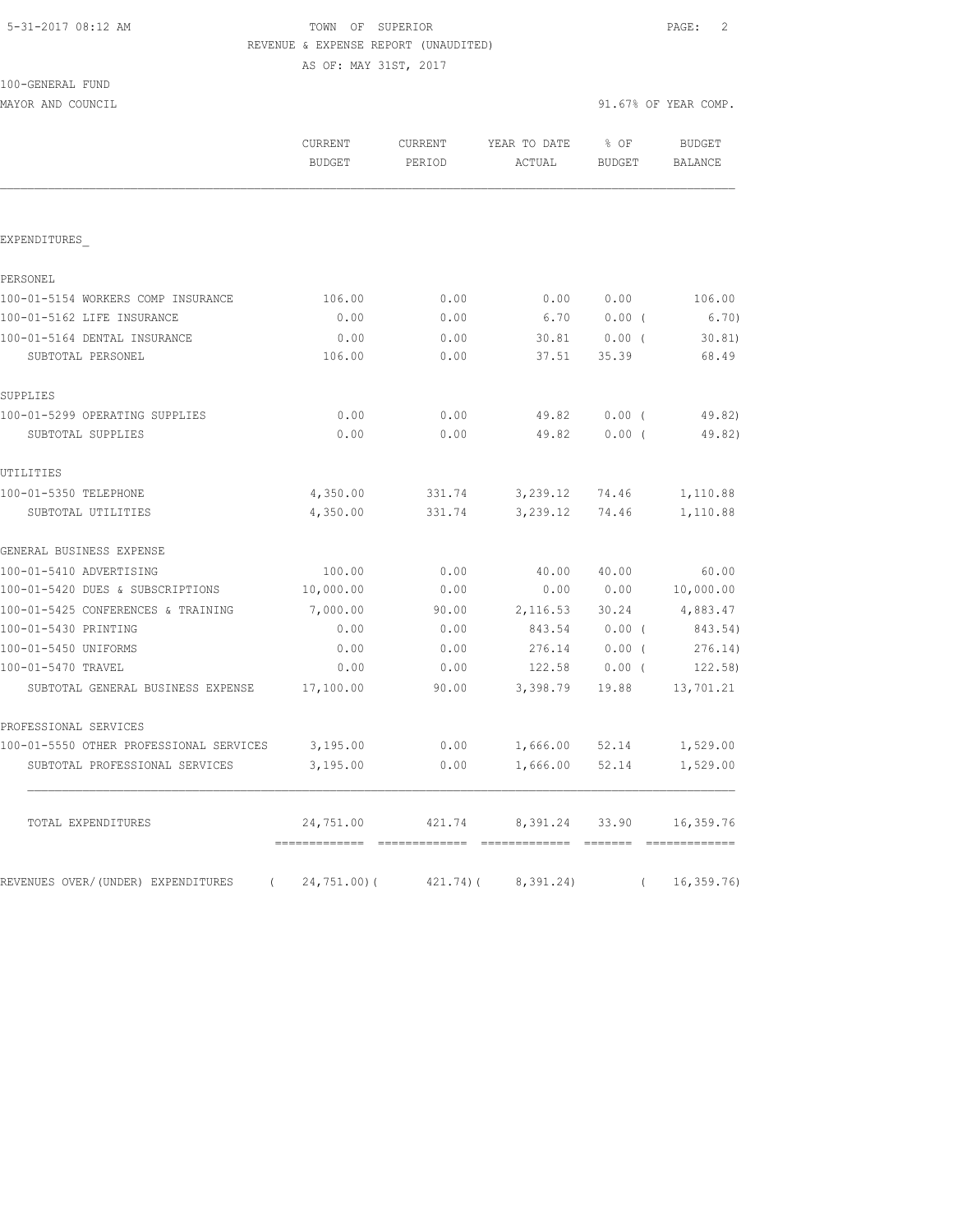# TOWN OF SUPERIOR **Example 2** PAGE: 2 REVENUE & EXPENSE REPORT (UNAUDITED)

AS OF: MAY 31ST, 2017

| 100-GENERAL FUND |  |
|------------------|--|
|                  |  |

MAYOR AND COUNCIL 31.67% OF YEAR COMP.

|                                                  | <b>CURRENT</b><br><b>BUDGET</b> | CURRENT<br>PERIOD | YEAR TO DATE<br>ACTUAL | % OF<br><b>BUDGET</b>                                            | <b>BUDGET</b><br><b>BALANCE</b> |
|--------------------------------------------------|---------------------------------|-------------------|------------------------|------------------------------------------------------------------|---------------------------------|
|                                                  |                                 |                   |                        |                                                                  |                                 |
| EXPENDITURES                                     |                                 |                   |                        |                                                                  |                                 |
| PERSONEL                                         |                                 |                   |                        |                                                                  |                                 |
| 100-01-5154 WORKERS COMP INSURANCE               | 106.00                          | 0.00              | 0.00                   | 0.00                                                             | 106.00                          |
| 100-01-5162 LIFE INSURANCE                       | 0.00                            | 0.00              | 6.70                   | $0.00$ (                                                         | 6.70                            |
| 100-01-5164 DENTAL INSURANCE                     | 0.00                            | 0.00              | 30.81                  | 0.00(                                                            | 30.81                           |
| SUBTOTAL PERSONEL                                | 106.00                          | 0.00              | 37.51                  | 35.39                                                            | 68.49                           |
| SUPPLIES                                         |                                 |                   |                        |                                                                  |                                 |
| 100-01-5299 OPERATING SUPPLIES                   | 0.00                            | 0.00              | 49.82                  | $0.00$ (                                                         | 49.82)                          |
| SUBTOTAL SUPPLIES                                | 0.00                            | 0.00              | 49.82                  | 0.00(                                                            | 49.82)                          |
| UTILITIES                                        |                                 |                   |                        |                                                                  |                                 |
| 100-01-5350 TELEPHONE                            | 4,350.00                        | 331.74            | 3,239.12 74.46         |                                                                  | 1,110.88                        |
| SUBTOTAL UTILITIES                               | 4,350.00                        | 331.74            | 3,239.12               | 74.46                                                            | 1,110.88                        |
| GENERAL BUSINESS EXPENSE                         |                                 |                   |                        |                                                                  |                                 |
| 100-01-5410 ADVERTISING                          | 100.00                          | 0.00              | 40.00                  | 40.00                                                            | 60.00                           |
| 100-01-5420 DUES & SUBSCRIPTIONS                 | 10,000.00                       | 0.00              | 0.00                   | 0.00                                                             | 10,000.00                       |
| 100-01-5425 CONFERENCES & TRAINING               | 7,000.00                        | 90.00             | 2, 116.53 30.24        |                                                                  | 4,883.47                        |
| 100-01-5430 PRINTING                             | 0.00                            | 0.00              | 843.54                 | $0.00$ (                                                         | 843.54)                         |
| 100-01-5450 UNIFORMS                             | 0.00                            | 0.00              | 276.14                 | $0.00$ (                                                         | 276.14)                         |
| 100-01-5470 TRAVEL                               | 0.00                            | 0.00              | 122.58                 | $0.00$ (                                                         | 122.58)                         |
| SUBTOTAL GENERAL BUSINESS EXPENSE                | 17,100.00                       | 90.00             | 3,398.79               | 19.88                                                            | 13,701.21                       |
| PROFESSIONAL SERVICES                            |                                 |                   |                        |                                                                  |                                 |
| 100-01-5550 OTHER PROFESSIONAL SERVICES          | 3,195.00                        | 0.00              |                        | 1,666.00 52.14                                                   | 1,529.00                        |
| SUBTOTAL PROFESSIONAL SERVICES                   | 3,195.00                        | 0.00              | 1,666.00               | 52.14                                                            | 1,529.00                        |
| TOTAL EXPENDITURES                               | 24,751.00                       | 421.74            | 8,391.24 33.90         | $\qquad \qquad \equiv \equiv \equiv \equiv \equiv \equiv \equiv$ | 16,359.76                       |
| REVENUES OVER/(UNDER) EXPENDITURES<br>$\sqrt{2}$ | $24,751.00$ ) (                 | 421.74(           | 8,391.24)              | $\sqrt{2}$                                                       | 16, 359.76                      |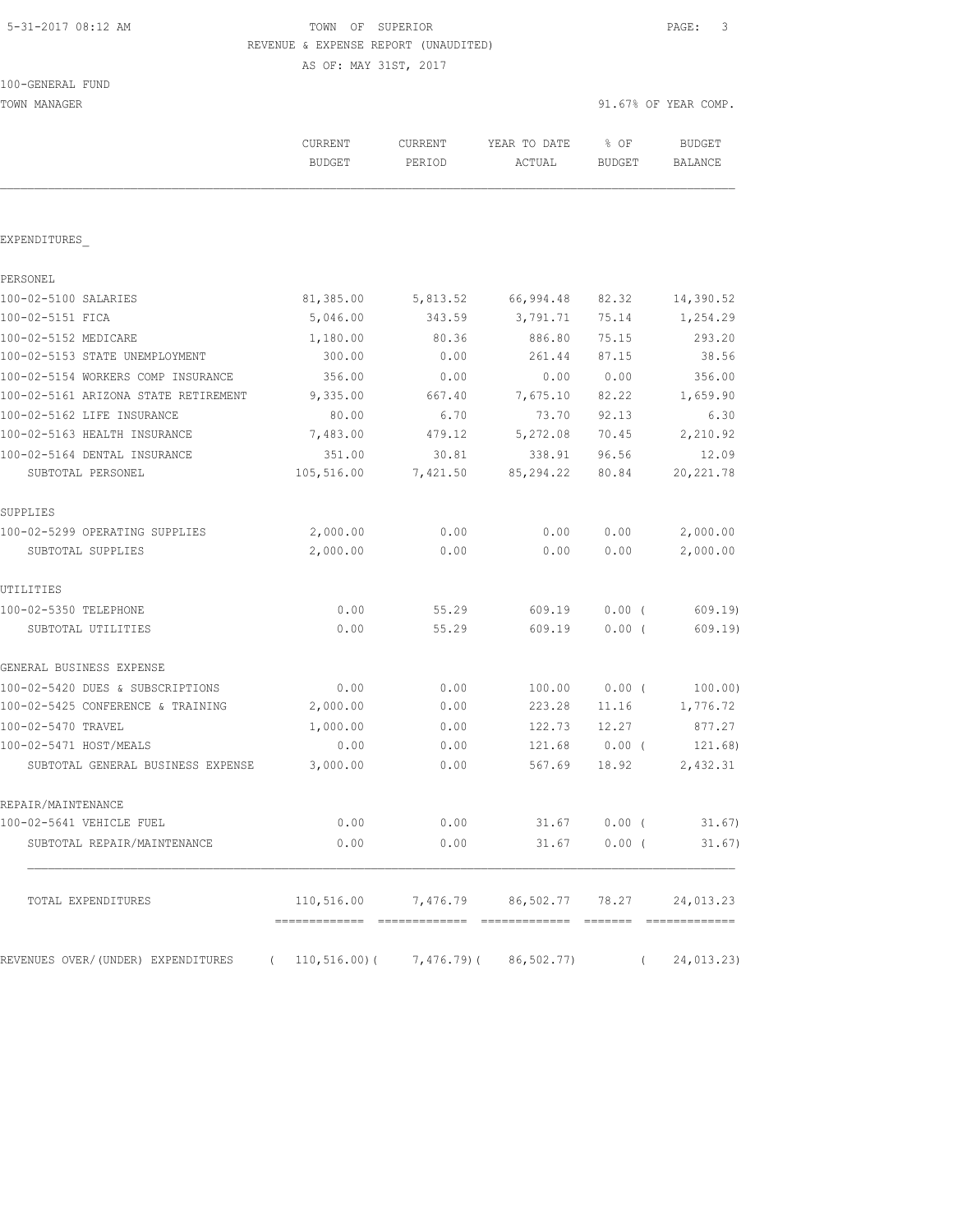# 5-31-2017 08:12 AM TOWN OF SUPERIOR PAGE: 3 REVENUE & EXPENSE REPORT (UNAUDITED)

AS OF: MAY 31ST, 2017

| 100-GENERAL FUND |  |
|------------------|--|
|------------------|--|

| TOWN MANAGER                         |                                 |                   |                                        |                       | 91.67% OF YEAR COMP.            |
|--------------------------------------|---------------------------------|-------------------|----------------------------------------|-----------------------|---------------------------------|
|                                      | <b>CURRENT</b><br><b>BUDGET</b> | CURRENT<br>PERIOD | YEAR TO DATE<br>ACTUAL                 | % OF<br><b>BUDGET</b> | <b>BUDGET</b><br><b>BALANCE</b> |
|                                      |                                 |                   |                                        |                       |                                 |
| EXPENDITURES                         |                                 |                   |                                        |                       |                                 |
| PERSONEL                             |                                 |                   |                                        |                       |                                 |
| 100-02-5100 SALARIES                 | 81,385.00                       | 5,813.52          | 66,994.48                              | 82.32                 | 14,390.52                       |
| 100-02-5151 FICA                     | 5,046.00                        | 343.59            | 3,791.71                               | 75.14                 | 1,254.29                        |
| 100-02-5152 MEDICARE                 | 1,180.00                        | 80.36             | 886.80                                 | 75.15                 | 293.20                          |
| 100-02-5153 STATE UNEMPLOYMENT       | 300.00                          | 0.00              | 261.44                                 | 87.15                 | 38.56                           |
| 100-02-5154 WORKERS COMP INSURANCE   | 356.00                          | 0.00              | 0.00                                   | 0.00                  | 356.00                          |
| 100-02-5161 ARIZONA STATE RETIREMENT | 9,335.00                        | 667.40            | 7,675.10                               | 82.22                 | 1,659.90                        |
| 100-02-5162 LIFE INSURANCE           | 80.00                           | 6.70              | 73.70                                  | 92.13                 | 6.30                            |
| 100-02-5163 HEALTH INSURANCE         | 7,483.00                        | 479.12            | 5,272.08                               | 70.45                 | 2,210.92                        |
| 100-02-5164 DENTAL INSURANCE         | 351.00                          | 30.81             | 338.91                                 | 96.56                 | 12.09                           |
| SUBTOTAL PERSONEL                    | 105,516.00                      | 7,421.50          | 85, 294.22                             | 80.84                 | 20, 221.78                      |
| SUPPLIES                             |                                 |                   |                                        |                       |                                 |
| 100-02-5299 OPERATING SUPPLIES       | 2,000.00                        | 0.00              | 0.00                                   | 0.00                  | 2,000.00                        |
| SUBTOTAL SUPPLIES                    | 2,000.00                        | 0.00              | 0.00                                   | 0.00                  | 2,000.00                        |
| UTILITIES                            |                                 |                   |                                        |                       |                                 |
| 100-02-5350 TELEPHONE                | 0.00                            | 55.29             | 609.19                                 | $0.00$ (              | 609.19                          |
| SUBTOTAL UTILITIES                   | 0.00                            | 55.29             | 609.19                                 | 0.00(                 | 609.19)                         |
| GENERAL BUSINESS EXPENSE             |                                 |                   |                                        |                       |                                 |
| 100-02-5420 DUES & SUBSCRIPTIONS     | 0.00                            | 0.00              | 100.00                                 | $0.00$ (              | 100.00)                         |
| 100-02-5425 CONFERENCE & TRAINING    | 2,000.00                        | 0.00              | 223.28                                 | 11.16                 | 1,776.72                        |
| 100-02-5470 TRAVEL                   | 1,000.00                        | 0.00              | 122.73                                 | 12.27                 | 877.27                          |
| 100-02-5471 HOST/MEALS               | 0.00                            | 0.00              | 121.68                                 | $0.00$ (              | 121.68)                         |
| SUBTOTAL GENERAL BUSINESS EXPENSE    | 3,000.00                        | 0.00              | 567.69                                 | 18.92                 | 2,432.31                        |
| REPAIR/MAINTENANCE                   |                                 |                   |                                        |                       |                                 |
| 100-02-5641 VEHICLE FUEL             | 0.00                            | 0.00              |                                        | $31.67$ 0.00 (        | 31.67)                          |
| SUBTOTAL REPAIR/MAINTENANCE          | 0.00                            | 0.00              | 31.67                                  | $0.00$ (              | 31.67)                          |
| TOTAL EXPENDITURES                   |                                 |                   | $110,516.00$ 7,476.79 86,502.77 78.27  |                       | 24,013.23                       |
| REVENUES OVER/(UNDER) EXPENDITURES   | $\sqrt{2}$                      |                   | $110, 516.00$ ( 7,476.79) ( 86,502.77) | $\left($              | 24,013.23)                      |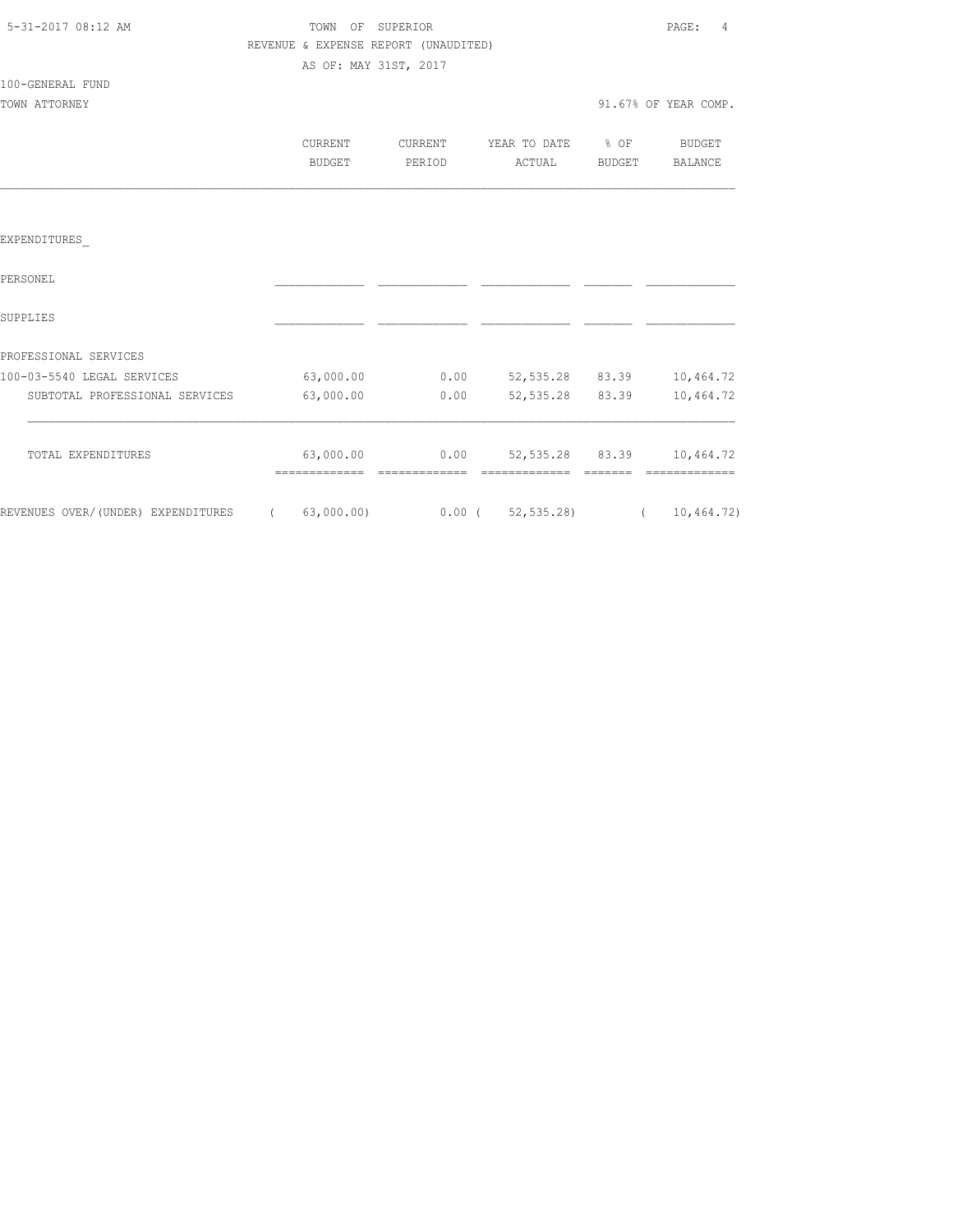| 5-31-2017 08:12 AM |  |
|--------------------|--|
|                    |  |

TOWN OF SUPERIOR **Example 2017** PAGE: 4 REVENUE & EXPENSE REPORT (UNAUDITED) AS OF: MAY 31ST, 2017

# 100-GENERAL FUND

| TOWN ATTORNEY |                   |                   |                             |        | 91.67% OF YEAR COMP. |
|---------------|-------------------|-------------------|-----------------------------|--------|----------------------|
|               | CURRENT<br>BUDGET | CURRENT<br>PERIOD | YEAR TO DATE % OF<br>ACTUAL | BUDGET | BUDGET<br>BALANCE    |
|               |                   |                   |                             |        |                      |

#### EXPENDITURES\_

| PERSONEL                           |            |          |            |       |            |
|------------------------------------|------------|----------|------------|-------|------------|
| SUPPLIES                           |            |          |            |       |            |
| PROFESSIONAL SERVICES              |            |          |            |       |            |
| 100-03-5540 LEGAL SERVICES         | 63,000.00  | 0.00     | 52, 535.28 | 83.39 | 10,464.72  |
| SUBTOTAL PROFESSIONAL SERVICES     | 63,000.00  | 0.00     | 52, 535.28 | 83.39 | 10,464.72  |
| TOTAL EXPENDITURES                 | 63,000.00  | 0.00     | 52, 535.28 | 83.39 | 10,464.72  |
| REVENUES OVER/(UNDER) EXPENDITURES | 63,000.00) | $0.00$ ( | 52, 535.28 |       | 10,464.72) |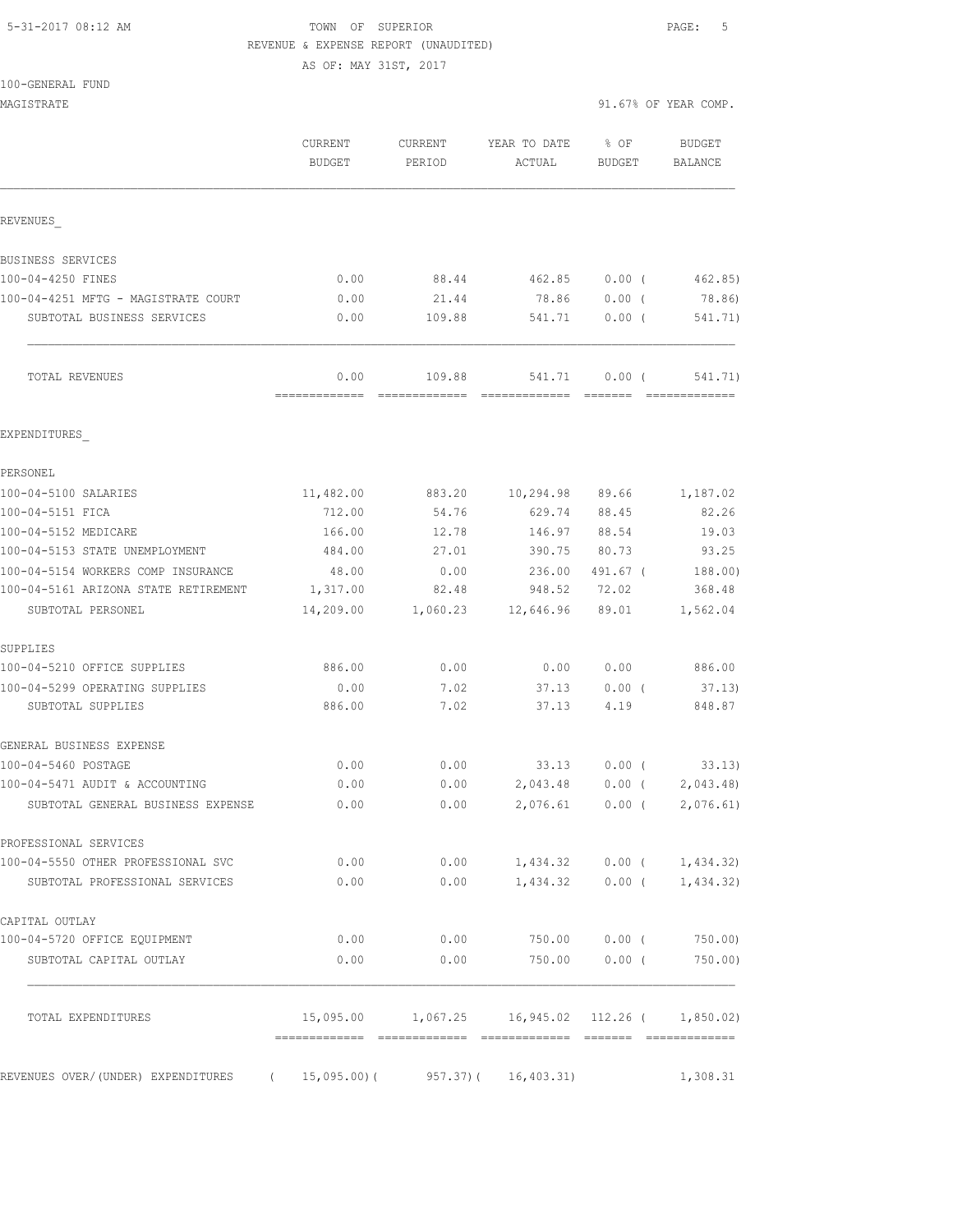#### 5-31-2017 08:12 AM TOWN OF SUPERIOR PAGE: 5 REVENUE & EXPENSE REPORT (UNAUDITED)

AS OF: MAY 31ST, 2017

| MAGISTRATE                                                        |                   |                   |                                                          |                         | 91.67% OF YEAR COMP.        |
|-------------------------------------------------------------------|-------------------|-------------------|----------------------------------------------------------|-------------------------|-----------------------------|
|                                                                   | CURRENT<br>BUDGET | CURRENT<br>PERIOD | YEAR TO DATE<br>ACTUAL                                   | $8$ OF<br><b>BUDGET</b> | BUDGET<br><b>BALANCE</b>    |
| REVENUES                                                          |                   |                   |                                                          |                         |                             |
| BUSINESS SERVICES                                                 |                   |                   |                                                          |                         |                             |
| 100-04-4250 FINES                                                 | 0.00              | 88.44             | 462.85                                                   | 0.00(                   | 462.85)                     |
| 100-04-4251 MFTG - MAGISTRATE COURT                               | 0.00              | 21.44             | 78.86                                                    | 0.00(                   | 78.86)                      |
| SUBTOTAL BUSINESS SERVICES                                        | 0.00              | 109.88            | 541.71                                                   | $0.00$ (                | 541.71)                     |
| TOTAL REVENUES                                                    | 0.00              | 109.88            | 541.71                                                   | $0.00$ (                | 541.71)                     |
| EXPENDITURES                                                      |                   |                   |                                                          |                         |                             |
| PERSONEL                                                          |                   |                   |                                                          |                         |                             |
| 100-04-5100 SALARIES                                              | 11,482.00         | 883.20            | 10,294.98 89.66                                          |                         | 1,187.02                    |
| 100-04-5151 FICA                                                  | 712.00            | 54.76             | 629.74                                                   | 88.45                   | 82.26                       |
| 100-04-5152 MEDICARE                                              | 166.00            | 12.78             | 146.97                                                   | 88.54                   | 19.03                       |
| 100-04-5153 STATE UNEMPLOYMENT                                    | 484.00            | 27.01             | 390.75                                                   | 80.73                   | 93.25                       |
| 100-04-5154 WORKERS COMP INSURANCE                                | 48.00             | 0.00              | 236.00                                                   | 491.67 (                | 188.00)                     |
| 100-04-5161 ARIZONA STATE RETIREMENT                              | 1,317.00          | 82.48             | 948.52                                                   | 72.02                   | 368.48                      |
| SUBTOTAL PERSONEL                                                 | 14,209.00         |                   | 1,060.23 12,646.96                                       | 89.01                   | 1,562.04                    |
| SUPPLIES                                                          |                   |                   |                                                          |                         |                             |
| 100-04-5210 OFFICE SUPPLIES                                       | 886.00            | 0.00              | 0.00                                                     | 0.00                    | 886.00                      |
| 100-04-5299 OPERATING SUPPLIES<br>SUBTOTAL SUPPLIES               | 0.00<br>886.00    | 7.02<br>7.02      | 37.13<br>37.13                                           | $0.00$ (<br>4.19        | 37.13)<br>848.87            |
|                                                                   |                   |                   |                                                          |                         |                             |
| GENERAL BUSINESS EXPENSE                                          |                   |                   |                                                          |                         |                             |
| 100-04-5460 POSTAGE                                               | 0.00              | 0.00              | 33.13                                                    | $0.00$ (                | 33.13)                      |
| 100-04-5471 AUDIT & ACCOUNTING                                    | 0.00              | 0.00              | 2,043.48                                                 | $0.00$ (                | 2,043.48                    |
| SUBTOTAL GENERAL BUSINESS EXPENSE                                 | 0.00              | 0.00              |                                                          |                         | 2,076.61 0.00 ( 2,076.61)   |
| PROFESSIONAL SERVICES                                             |                   |                   |                                                          |                         |                             |
| 100-04-5550 OTHER PROFESSIONAL SVC                                | 0.00              |                   | $0.00$ 1, 434.32 0.00 ( 1, 434.32)                       |                         |                             |
| SUBTOTAL PROFESSIONAL SERVICES                                    | 0.00              | 0.00              |                                                          |                         | $1,434.32$ 0.00 ( 1,434.32) |
| CAPITAL OUTLAY                                                    |                   |                   |                                                          |                         |                             |
| 100-04-5720 OFFICE EQUIPMENT                                      | 0.00              |                   | $0.00$ 750.00 0.00 (                                     |                         | 750.00)                     |
| SUBTOTAL CAPITAL OUTLAY                                           | 0.00              | 0.00              | 750.00                                                   | $0.00$ (                | 750.00)                     |
| TOTAL EXPENDITURES                                                |                   |                   | 15,095.00   1,067.25   16,945.02   112.26   (  1,850.02) |                         |                             |
| REVENUES OVER/(UNDER) EXPENDITURES (15,095.00)(957.37)(16,403.31) |                   |                   |                                                          |                         | 1,308.31                    |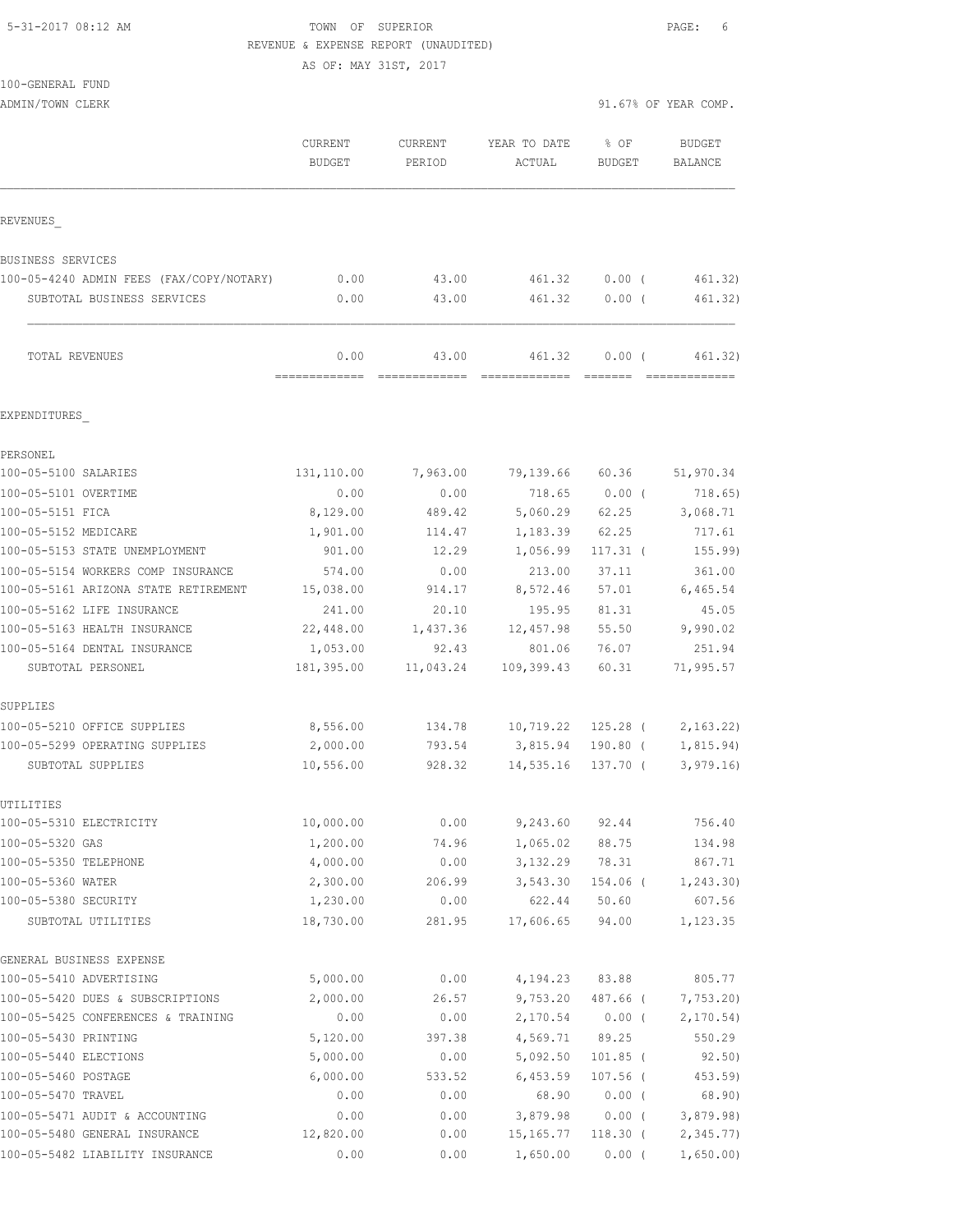#### 5-31-2017 08:12 AM TOWN OF SUPERIOR PAGE: 6 REVENUE & EXPENSE REPORT (UNAUDITED)

AS OF: MAY 31ST, 2017

100-GENERAL FUND

ADMIN/TOWN CLERK 31.67% OF YEAR COMP.

|                                                            | CURRENT<br><b>BUDGET</b> | <b>CURRENT</b><br>PERIOD | YEAR TO DATE<br>ACTUAL | $8$ OF<br><b>BUDGET</b> | <b>BUDGET</b><br><b>BALANCE</b> |
|------------------------------------------------------------|--------------------------|--------------------------|------------------------|-------------------------|---------------------------------|
| REVENUES                                                   |                          |                          |                        |                         |                                 |
| BUSINESS SERVICES                                          |                          |                          |                        |                         |                                 |
| 100-05-4240 ADMIN FEES (FAX/COPY/NOTARY)                   | 0.00                     | 43.00                    | 461.32                 | $0.00$ (                | 461.32)                         |
| SUBTOTAL BUSINESS SERVICES                                 | 0.00                     | 43.00                    | 461.32                 | 0.00(                   | 461.32)                         |
| TOTAL REVENUES                                             | 0.00<br>----------       | 43.00                    | 461.32                 | $0.00$ (                | 461.32)                         |
| EXPENDITURES                                               |                          |                          |                        |                         |                                 |
| PERSONEL                                                   |                          |                          |                        |                         |                                 |
| 100-05-5100 SALARIES                                       | 131,110.00               | 7,963.00                 | 79,139.66              | 60.36                   | 51,970.34                       |
| 100-05-5101 OVERTIME                                       | 0.00                     | 0.00                     | 718.65                 | $0.00$ (                | 718.65)                         |
| 100-05-5151 FICA                                           | 8,129.00                 | 489.42                   | 5,060.29               | 62.25                   | 3,068.71                        |
| 100-05-5152 MEDICARE                                       | 1,901.00                 | 114.47                   | 1,183.39               | 62.25                   | 717.61                          |
| 100-05-5153 STATE UNEMPLOYMENT                             | 901.00                   | 12.29                    | 1,056.99               | $117.31$ $($            | 155.99                          |
| 100-05-5154 WORKERS COMP INSURANCE                         | 574.00                   | 0.00                     | 213.00                 | 37.11                   | 361.00                          |
| 100-05-5161 ARIZONA STATE RETIREMENT                       | 15,038.00                | 914.17                   | 8,572.46               | 57.01                   | 6,465.54                        |
| 100-05-5162 LIFE INSURANCE<br>100-05-5163 HEALTH INSURANCE | 241.00                   | 20.10                    | 195.95                 | 81.31<br>55.50          | 45.05                           |
| 100-05-5164 DENTAL INSURANCE                               | 22,448.00<br>1,053.00    | 1,437.36<br>92.43        | 12,457.98<br>801.06    | 76.07                   | 9,990.02<br>251.94              |
| SUBTOTAL PERSONEL                                          | 181,395.00               | 11,043.24                | 109,399.43             | 60.31                   | 71,995.57                       |
| SUPPLIES                                                   |                          |                          |                        |                         |                                 |
| 100-05-5210 OFFICE SUPPLIES                                | 8,556.00                 | 134.78                   | 10,719.22              | $125.28$ (              | 2, 163.22                       |
| 100-05-5299 OPERATING SUPPLIES                             | 2,000.00                 | 793.54                   | 3,815.94               | 190.80 (                | 1,815.94)                       |
| SUBTOTAL SUPPLIES                                          | 10,556.00                | 928.32                   | 14,535.16              | 137.70 (                | 3, 979.16                       |
| UTILITIES                                                  |                          |                          |                        |                         |                                 |
| 100-05-5310 ELECTRICITY                                    | 10,000.00                | 0.00                     | 9,243.60               | 92.44                   | 756.40                          |
| 100-05-5320 GAS                                            | 1,200.00<br>4,000.00     | 74.96                    | 1,065.02               | 88.75                   | 134.98                          |
| 100-05-5350 TELEPHONE<br>100-05-5360 WATER                 | 2,300.00                 | 0.00<br>206.99           | 3,132.29<br>3,543.30   | 78.31<br>154.06 (       | 867.71<br>1,243.30)             |
| 100-05-5380 SECURITY                                       | 1,230.00                 | 0.00                     | 622.44                 | 50.60                   | 607.56                          |
| SUBTOTAL UTILITIES                                         | 18,730.00                | 281.95                   | 17,606.65              | 94.00                   | 1,123.35                        |
| GENERAL BUSINESS EXPENSE                                   |                          |                          |                        |                         |                                 |
| 100-05-5410 ADVERTISING                                    | 5,000.00                 | 0.00                     | 4,194.23               | 83.88                   | 805.77                          |
| 100-05-5420 DUES & SUBSCRIPTIONS                           | 2,000.00                 | 26.57                    | 9,753.20               | 487.66 (                | 7,753.20                        |
| 100-05-5425 CONFERENCES & TRAINING                         | 0.00                     | 0.00                     | 2,170.54               | $0.00$ (                | 2, 170.54)                      |
| 100-05-5430 PRINTING                                       | 5,120.00                 | 397.38                   | 4,569.71               | 89.25                   | 550.29                          |
| 100-05-5440 ELECTIONS                                      | 5,000.00                 | 0.00                     | 5,092.50               | $101.85$ (              | 92.50)                          |
| 100-05-5460 POSTAGE                                        | 6,000.00                 | 533.52                   | 6,453.59               | $107.56$ (              | 453.59)                         |
| 100-05-5470 TRAVEL                                         | 0.00                     | 0.00                     | 68.90                  | $0.00$ (                | 68.90)                          |
| 100-05-5471 AUDIT & ACCOUNTING                             | 0.00                     | 0.00                     | 3,879.98               | $0.00$ (                | 3,879.98)                       |
| 100-05-5480 GENERAL INSURANCE                              | 12,820.00                | 0.00                     | 15, 165.77             | $118.30$ (              | 2,345.77                        |

100-05-5482 LIABILITY INSURANCE 0.00 0.00 1,650.00 0.00 ( 1,650.00)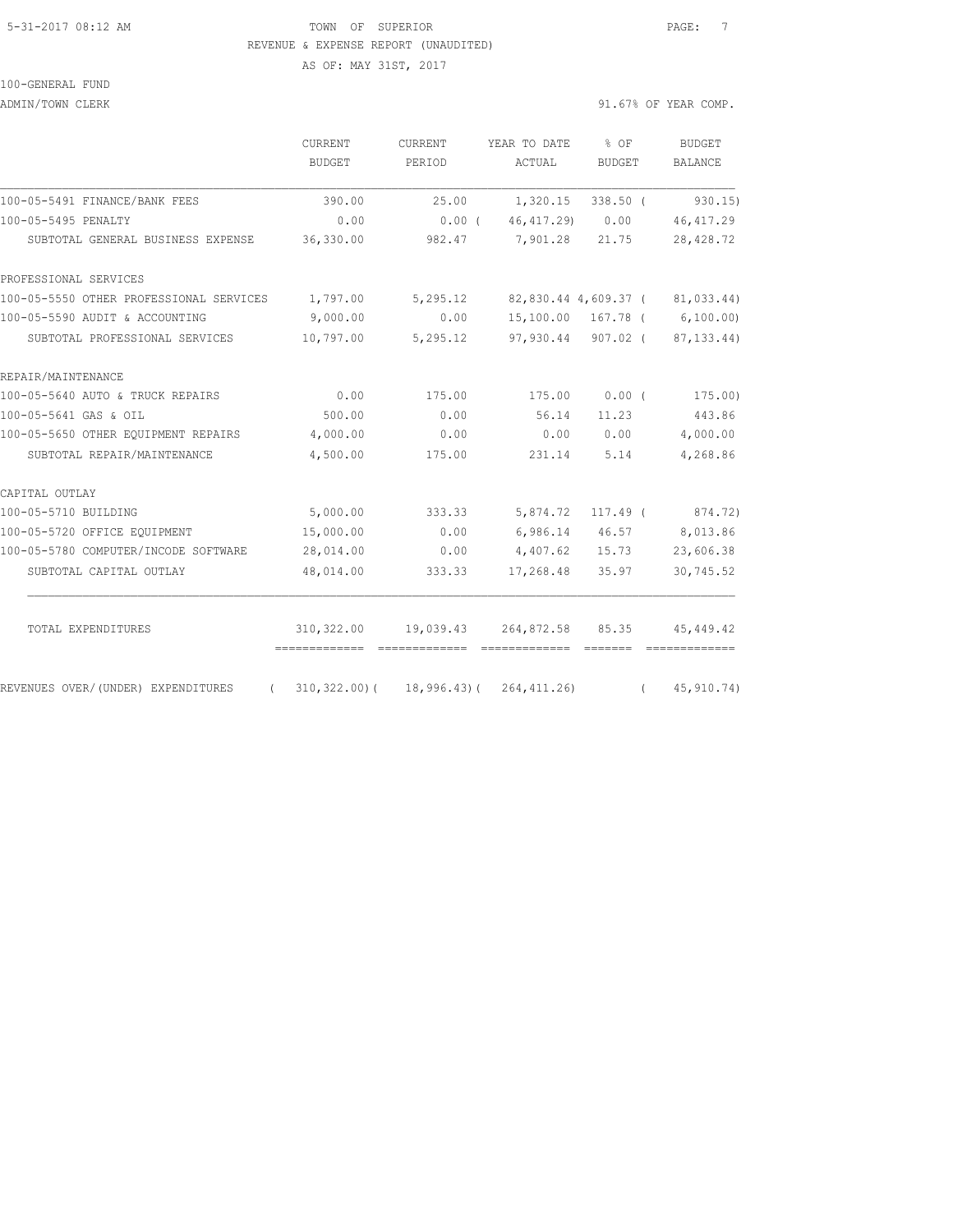#### 5-31-2017 08:12 AM TOWN OF SUPERIOR PAGE: 7 REVENUE & EXPENSE REPORT (UNAUDITED) AS OF: MAY 31ST, 2017

#### 100-GENERAL FUND

ADMIN/TOWN CLERK 30 OF YEAR COMP.

|                                                  | CURRENT<br><b>BUDGET</b> | CURRENT<br>PERIOD | YEAR TO DATE<br>ACTUAL | % OF<br><b>BUDGET</b> | <b>BUDGET</b><br><b>BALANCE</b> |
|--------------------------------------------------|--------------------------|-------------------|------------------------|-----------------------|---------------------------------|
| 100-05-5491 FINANCE/BANK FEES                    | 390.00                   | 25.00             | 1,320.15               | $338.50$ (            | 930.15                          |
| 100-05-5495 PENALTY                              | 0.00                     | $0.00$ (          | 46, 417.29)            | 0.00                  | 46, 417.29                      |
| SUBTOTAL GENERAL BUSINESS EXPENSE                | 36,330.00                | 982.47            | 7,901.28               | 21.75                 | 28, 428.72                      |
| PROFESSIONAL SERVICES                            |                          |                   |                        |                       |                                 |
| 100-05-5550 OTHER PROFESSIONAL SERVICES          | 1,797.00                 | 5,295.12          |                        | 82,830.44 4,609.37 (  | 81,033.44)                      |
| 100-05-5590 AUDIT & ACCOUNTING                   | 9,000.00                 | 0.00              |                        |                       | 15,100.00 167.78 ( 6,100.00)    |
| SUBTOTAL PROFESSIONAL SERVICES                   | 10,797.00                | 5,295.12          |                        | 97,930.44 907.02 (    | 87, 133.44)                     |
| REPAIR/MAINTENANCE                               |                          |                   |                        |                       |                                 |
| 100-05-5640 AUTO & TRUCK REPAIRS                 | 0.00                     | 175.00            | 175.00                 | 0.00(                 | 175.00)                         |
| 100-05-5641 GAS & OIL                            | 500.00                   | 0.00              | 56.14                  | 11.23                 | 443.86                          |
| 100-05-5650 OTHER EQUIPMENT REPAIRS              | 4,000.00                 | 0.00              | 0.00                   | 0.00                  | 4,000.00                        |
| SUBTOTAL REPAIR/MAINTENANCE                      | 4,500.00                 | 175.00            | 231.14                 | 5.14                  | 4,268.86                        |
| CAPITAL OUTLAY                                   |                          |                   |                        |                       |                                 |
| 100-05-5710 BUILDING                             | 5,000.00                 | 333.33            | 5,874.72               | 117.49 (              | 874.72)                         |
| 100-05-5720 OFFICE EQUIPMENT                     | 15,000.00                | 0.00              | 6,986.14               | 46.57                 | 8,013.86                        |
| 100-05-5780 COMPUTER/INCODE SOFTWARE             | 28,014.00                | 0.00              | 4,407.62               | 15.73                 | 23,606.38                       |
| SUBTOTAL CAPITAL OUTLAY                          | 48,014.00                | 333.33            | 17,268.48              | 35.97                 | 30,745.52                       |
| TOTAL EXPENDITURES                               | 310,322.00               | 19,039.43         | 264,872.58             | 85.35                 | 45,449.42                       |
| REVENUES OVER/(UNDER) EXPENDITURES<br>$\sqrt{2}$ | 310,322.00)(             | 18,996.43)(       | 264, 411.26)           | $\sqrt{2}$            | 45, 910. 74)                    |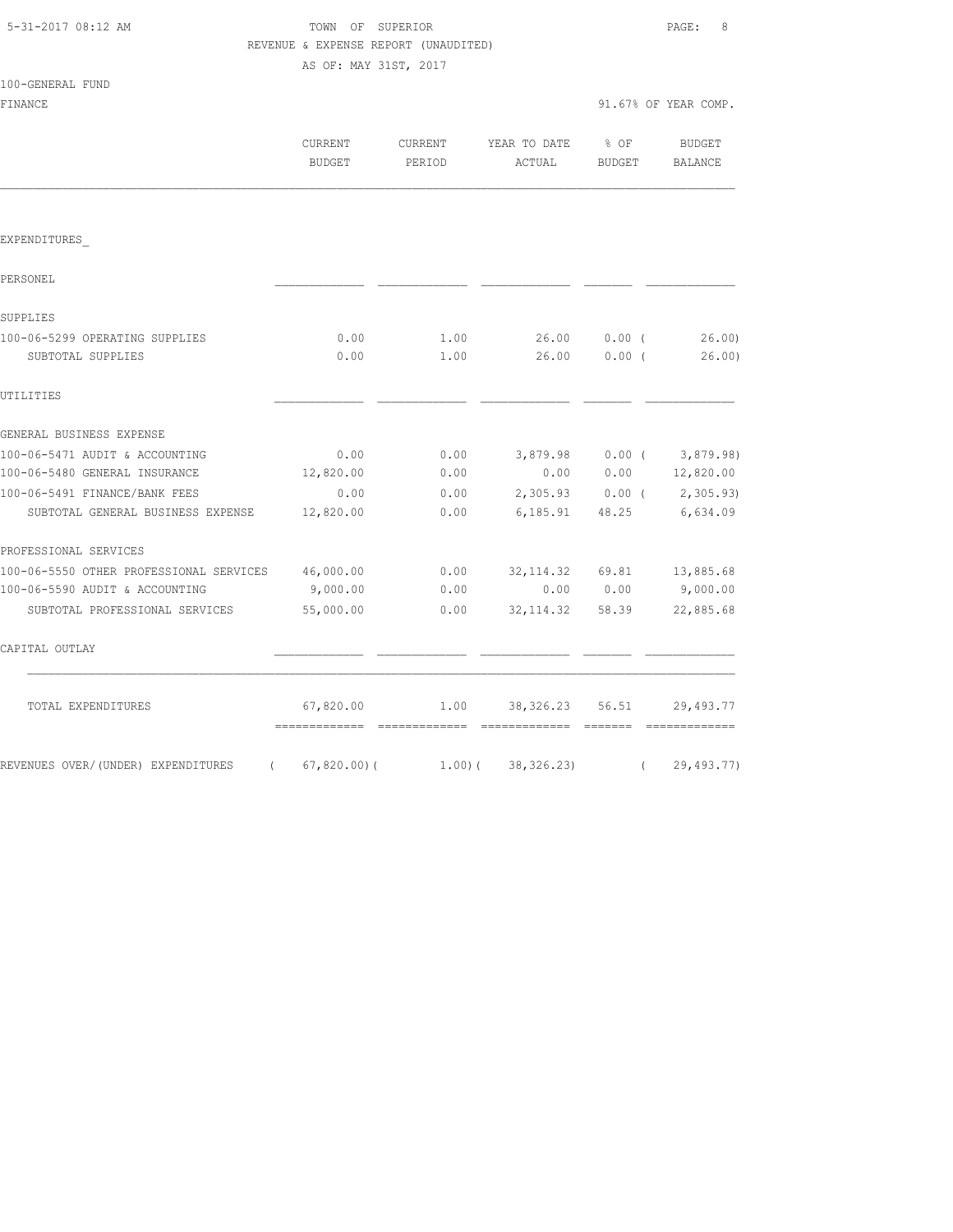100-GENERAL FUND

## TOWN OF SUPERIOR **Example 2018** PAGE: 8 REVENUE & EXPENSE REPORT (UNAUDITED) AS OF: MAY 31ST, 2017

| FINANCE                                           |                   |        |                                        |              | 91.67% OF YEAR COMP.        |
|---------------------------------------------------|-------------------|--------|----------------------------------------|--------------|-----------------------------|
|                                                   | CURRENT<br>BUDGET | PERIOD | CURRENT YEAR TO DATE % OF<br>ACTUAL    | BUDGET       | BUDGET<br><b>BALANCE</b>    |
|                                                   |                   |        |                                        |              |                             |
| EXPENDITURES                                      |                   |        |                                        |              |                             |
| PERSONEL                                          |                   |        |                                        |              |                             |
| SUPPLIES                                          |                   |        |                                        |              |                             |
| 100-06-5299 OPERATING SUPPLIES                    | 0.00              | 1.00   |                                        | 26.00 0.00 ( | 26.00                       |
| SUBTOTAL SUPPLIES                                 | 0.00              | 1.00   |                                        | 26.00 0.00 ( | 26.00)                      |
| UTILITIES                                         |                   |        |                                        |              |                             |
| GENERAL BUSINESS EXPENSE                          |                   |        |                                        |              |                             |
| 100-06-5471 AUDIT & ACCOUNTING                    | 0.00              | 0.00   |                                        |              | 3,879.98 0.00 (3,879.98)    |
| 100-06-5480 GENERAL INSURANCE                     | 12,820.00         | 0.00   |                                        |              | $0.00$ $0.00$ $12,820.00$   |
| 100-06-5491 FINANCE/BANK FEES                     | 0.00              | 0.00   |                                        |              | $2,305.93$ 0.00 ( 2,305.93) |
| SUBTOTAL GENERAL BUSINESS EXPENSE                 | 12,820.00         | 0.00   |                                        |              | 6, 185.91 48.25 6, 634.09   |
| PROFESSIONAL SERVICES                             |                   |        |                                        |              |                             |
| 100-06-5550 OTHER PROFESSIONAL SERVICES 46,000.00 |                   |        | $0.00$ $32,114.32$ $69.81$ $13,885.68$ |              |                             |
| 100-06-5590 AUDIT & ACCOUNTING                    | 9,000.00          | 0.00   |                                        | 0.00 0.00    | 9,000.00                    |
| SUBTOTAL PROFESSIONAL SERVICES                    | 55,000.00         |        | $0.00$ $32,114.32$ $58.39$             |              | 22,885.68                   |
| CAPITAL OUTLAY                                    |                   |        |                                        |              |                             |
| TOTAL EXPENDITURES                                | 67,820.00         |        | 1.00 38, 326.23 56.51                  |              | 29,493.77                   |
| REVENUES OVER/(UNDER) EXPENDITURES<br>$\left($    | 67,820.00)(       |        | $1.00$ ( $38,326.23$ )                 | $\sqrt{2}$   | 29,493.77)                  |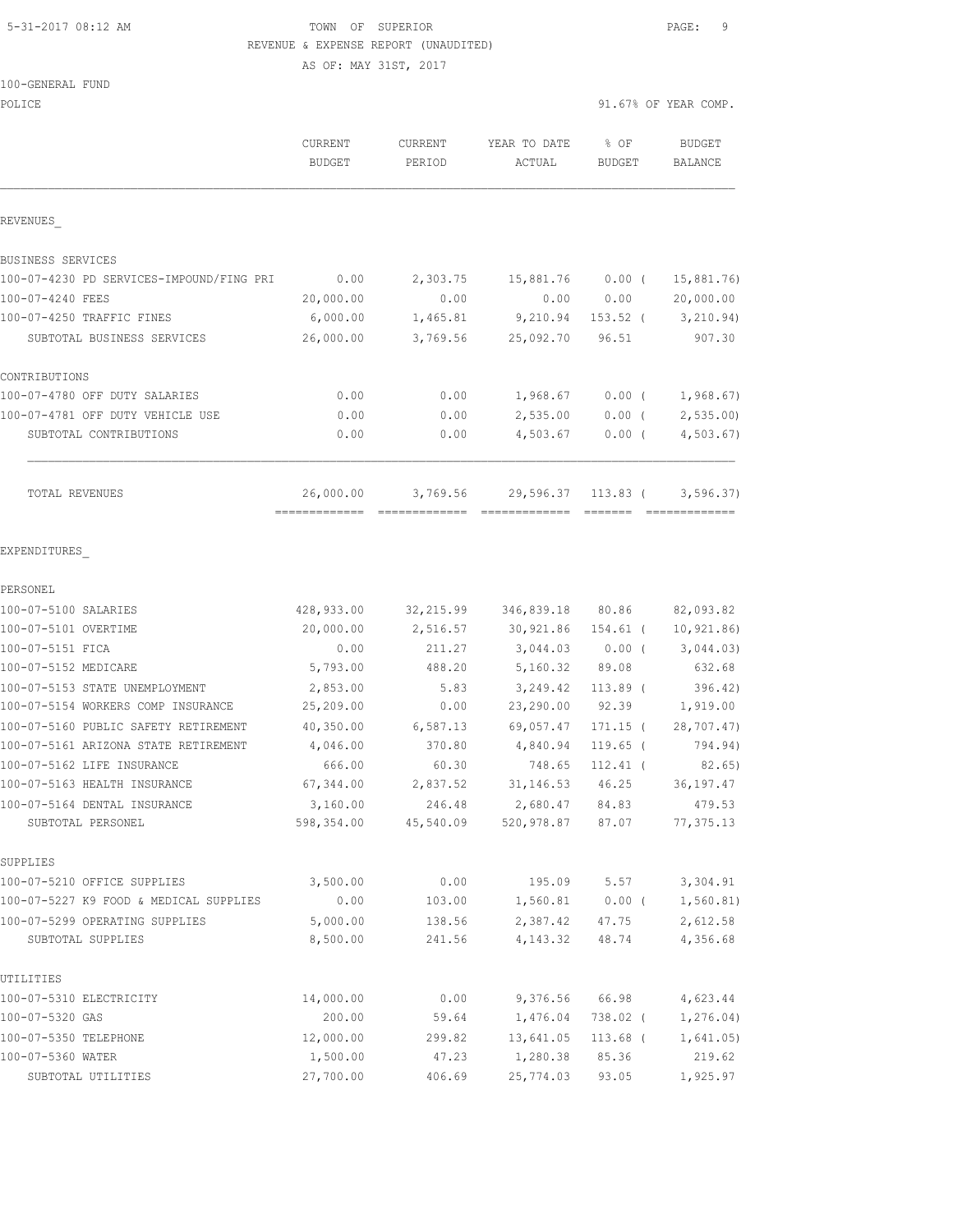#### 5-31-2017 08:12 AM TOWN OF SUPERIOR PAGE: 9 REVENUE & EXPENSE

|                                          |                       | REVENUE & EXPENSE REPORT (UNAUDITED) |                    |          |                      |
|------------------------------------------|-----------------------|--------------------------------------|--------------------|----------|----------------------|
|                                          | AS OF: MAY 31ST, 2017 |                                      |                    |          |                      |
| 100-GENERAL FUND                         |                       |                                      |                    |          |                      |
| POLICE                                   |                       |                                      |                    |          | 91.67% OF YEAR COMP. |
|                                          | CURRENT               | CURRENT                              | YEAR TO DATE       | % OF     | BUDGET               |
|                                          | BUDGET                | PERIOD                               | ACTUAL             | BUDGET   | BALANCE              |
|                                          |                       |                                      |                    |          |                      |
|                                          |                       |                                      |                    |          |                      |
| REVENUES                                 |                       |                                      |                    |          |                      |
| BUSINESS SERVICES                        |                       |                                      |                    |          |                      |
| 100-07-4230 PD SERVICES-IMPOUND/FING PRI | 0.00                  |                                      | 2,303.75 15,881.76 | $0.00$ ( | 15,881.76)           |
| 100-07-4240 FEES                         | 20,000.00             | 0.00                                 | 0.00               | 0.00     | 20,000.00            |

============= ============= ============= ======= =============

| 100-07-4250 TRAFFIC FINES        | 6,000.00  | 1,465.81 | 9,210.94  | $153.52$ ( | 3, 210.94) |
|----------------------------------|-----------|----------|-----------|------------|------------|
| SUBTOTAL BUSINESS SERVICES       | 26,000.00 | 3,769.56 | 25,092.70 | 96.51      | 907.30     |
| CONTRIBUTIONS                    |           |          |           |            |            |
| 100-07-4780 OFF DUTY SALARIES    | 0.00      | 0.00     | 1,968.67  | 0.00(      | 1,968.67)  |
| 100-07-4781 OFF DUTY VEHICLE USE | 0.00      | 0.00     | 2,535.00  | 0.00(      | 2, 535.00  |
| SUBTOTAL CONTRIBUTIONS           | 0.00      | 0.00     | 4,503.67  | 0.00(      | 4, 503.67  |
| TOTAL REVENUES                   | 26,000.00 | 3,769.56 | 29,596.37 | 113.83 (   | 3,596,37   |

EXPENDITURES\_

| PERSONEL                               |            |           |            |            |             |
|----------------------------------------|------------|-----------|------------|------------|-------------|
| 100-07-5100 SALARIES                   | 428,933.00 | 32,215.99 | 346,839.18 | 80.86      | 82,093.82   |
| 100-07-5101 OVERTIME                   | 20,000.00  | 2,516.57  | 30,921.86  | 154.61 (   | 10, 921.86) |
| 100-07-5151 FICA                       | 0.00       | 211.27    | 3,044.03   | $0.00$ (   | 3,044.03)   |
| 100-07-5152 MEDICARE                   | 5,793.00   | 488.20    | 5,160.32   | 89.08      | 632.68      |
| 100-07-5153 STATE UNEMPLOYMENT         | 2,853.00   | 5.83      | 3,249.42   | $113.89$ ( | 396.42)     |
| 100-07-5154 WORKERS COMP INSURANCE     | 25,209.00  | 0.00      | 23,290.00  | 92.39      | 1,919.00    |
| 100-07-5160 PUBLIC SAFETY RETIREMENT   | 40,350.00  | 6,587.13  | 69,057.47  | $171.15$ ( | 28,707.47)  |
| 100-07-5161 ARIZONA STATE RETIREMENT   | 4,046.00   | 370.80    | 4,840.94   | $119.65$ ( | 794.94)     |
| 100-07-5162 LIFE INSURANCE             | 666.00     | 60.30     | 748.65     | $112.41$ ( | 82.65)      |
| 100-07-5163 HEALTH INSURANCE           | 67,344.00  | 2,837.52  | 31, 146.53 | 46.25      | 36, 197.47  |
| 100-07-5164 DENTAL INSURANCE           | 3,160.00   | 246.48    | 2,680.47   | 84.83      | 479.53      |
| SUBTOTAL PERSONEL                      | 598,354.00 | 45,540.09 | 520,978.87 | 87.07      | 77, 375.13  |
| SUPPLIES                               |            |           |            |            |             |
| 100-07-5210 OFFICE SUPPLIES            | 3,500.00   | 0.00      | 195.09     | 5.57       | 3,304.91    |
| 100-07-5227 K9 FOOD & MEDICAL SUPPLIES | 0.00       | 103.00    | 1,560.81   | $0.00$ (   | 1,560.81)   |
| 100-07-5299 OPERATING SUPPLIES         | 5,000.00   | 138.56    | 2,387.42   | 47.75      | 2,612.58    |
| SUBTOTAL SUPPLIES                      | 8,500.00   | 241.56    | 4,143.32   | 48.74      | 4,356.68    |
| UTILITIES                              |            |           |            |            |             |
| 100-07-5310 ELECTRICITY                | 14,000.00  | 0.00      | 9,376.56   | 66.98      | 4,623.44    |
| 100-07-5320 GAS                        | 200.00     | 59.64     | 1,476.04   | 738.02 (   | 1,276.04)   |
| 100-07-5350 TELEPHONE                  | 12,000.00  | 299.82    | 13,641.05  | 113.68 (   | 1,641.05)   |
| 100-07-5360 WATER                      | 1,500.00   | 47.23     | 1,280.38   | 85.36      | 219.62      |
| SUBTOTAL UTILITIES                     | 27,700.00  | 406.69    | 25,774.03  | 93.05      | 1,925.97    |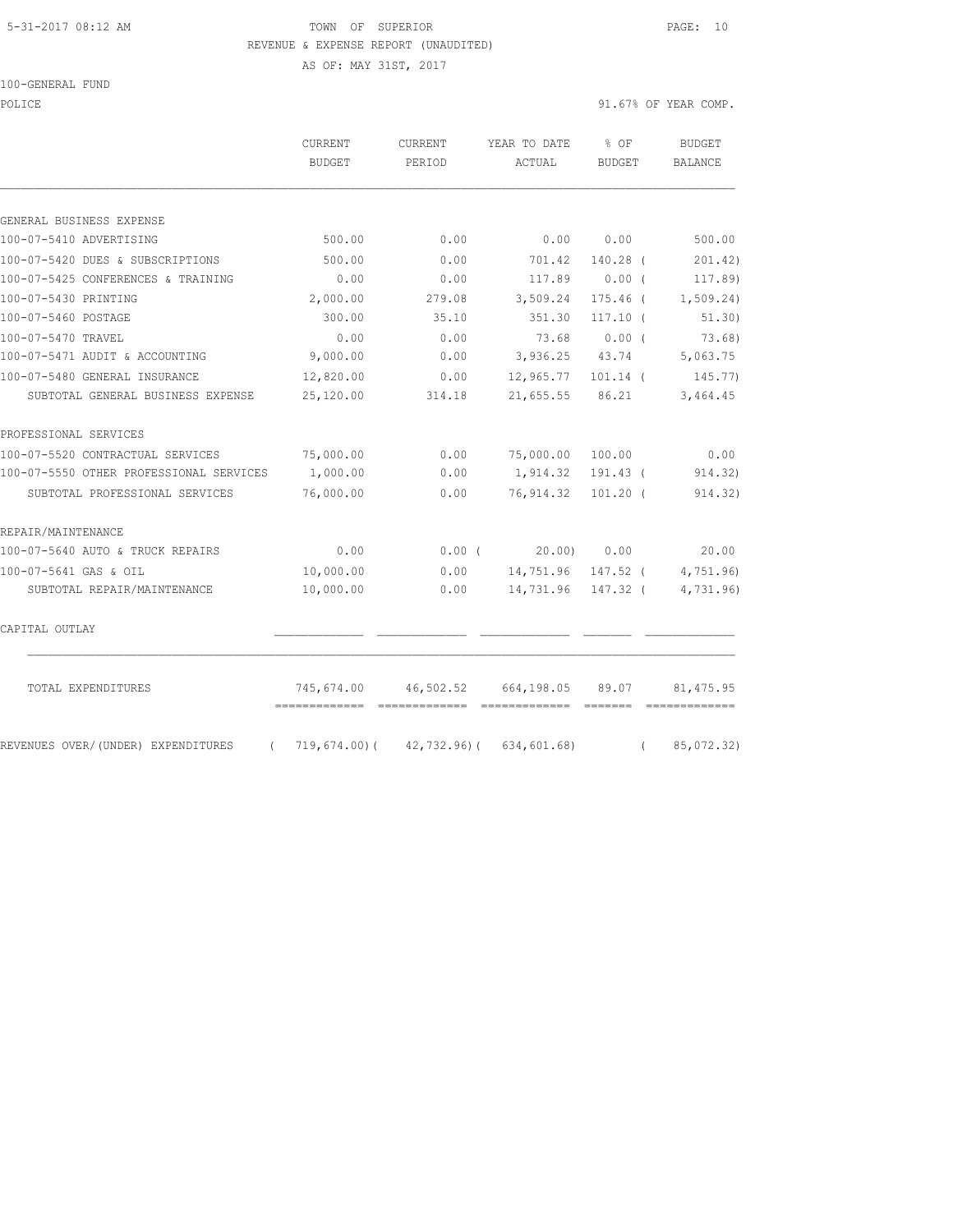#### 5-31-2017 08:12 AM TOWN OF SUPERIOR PAGE: 10 REVENUE & EXPENSE REPORT (UNAUDITED)

AS OF: MAY 31ST, 2017

100-GENERAL FUND

POLICE 91.67% OF YEAR COMP.

|                                                | CURRENT<br><b>BUDGET</b> | CURRENT<br>PERIOD | YEAR TO DATE<br>ACTUAL | % OF<br><b>BUDGET</b> | <b>BUDGET</b>          |
|------------------------------------------------|--------------------------|-------------------|------------------------|-----------------------|------------------------|
|                                                |                          |                   |                        |                       | <b>BALANCE</b>         |
| GENERAL BUSINESS EXPENSE                       |                          |                   |                        |                       |                        |
| 100-07-5410 ADVERTISING                        | 500.00                   | 0.00              | 0.00                   | 0.00                  | 500.00                 |
| 100-07-5420 DUES & SUBSCRIPTIONS               | 500.00                   | 0.00              | 701.42                 | $140.28$ (            | 201.42)                |
| 100-07-5425 CONFERENCES & TRAINING             | 0.00                     | 0.00              | 117.89                 | $0.00$ (              | 117.89)                |
| 100-07-5430 PRINTING                           | 2,000.00                 | 279.08            | 3,509.24               | $175.46$ (            | 1, 509.24)             |
| 100-07-5460 POSTAGE                            | 300.00                   | 35.10             | 351.30                 | $117.10$ (            | 51.30)                 |
| 100-07-5470 TRAVEL                             | 0.00                     | 0.00              | 73.68                  | 0.00(                 | $73.68$ )              |
| 100-07-5471 AUDIT & ACCOUNTING                 | 9,000.00                 | 0.00              | 3,936.25               | 43.74                 | 5,063.75               |
| 100-07-5480 GENERAL INSURANCE                  | 12,820.00                | 0.00              | 12,965.77              | $101.14$ (            | 145.77)                |
| SUBTOTAL GENERAL BUSINESS EXPENSE              | 25,120.00                | 314.18            | 21,655.55              | 86.21                 | 3,464.45               |
| PROFESSIONAL SERVICES                          |                          |                   |                        |                       |                        |
| 100-07-5520 CONTRACTUAL SERVICES               | 75,000.00                | 0.00              | 75,000.00              | 100.00                | 0.00                   |
| 100-07-5550 OTHER PROFESSIONAL SERVICES        | 1,000.00                 | 0.00              | 1,914.32               | 191.43 (              | 914.32)                |
| SUBTOTAL PROFESSIONAL SERVICES                 | 76,000.00                | 0.00              | 76,914.32              | $101.20$ (            | 914.32)                |
| REPAIR/MAINTENANCE                             |                          |                   |                        |                       |                        |
| 100-07-5640 AUTO & TRUCK REPAIRS               | 0.00                     | 0.00(             | 20.00)                 | 0.00                  | 20.00                  |
| 100-07-5641 GAS & OIL                          | 10,000.00                | 0.00              | 14,751.96              | 147.52 (              | 4,751.96               |
| SUBTOTAL REPAIR/MAINTENANCE                    | 10,000.00                | 0.00              | 14,731.96              | 147.32 (              | 4,731.96               |
| CAPITAL OUTLAY                                 |                          |                   |                        |                       |                        |
| TOTAL EXPENDITURES                             | 745,674.00               | 46,502.52         | 664,198.05             | 89.07                 | 81, 475.95             |
| REVENUES OVER/(UNDER) EXPENDITURES<br>$\left($ | 719,674.00)(             | 42,732.96)(       | 634,601.68)            |                       | 85,072.32)<br>$\left($ |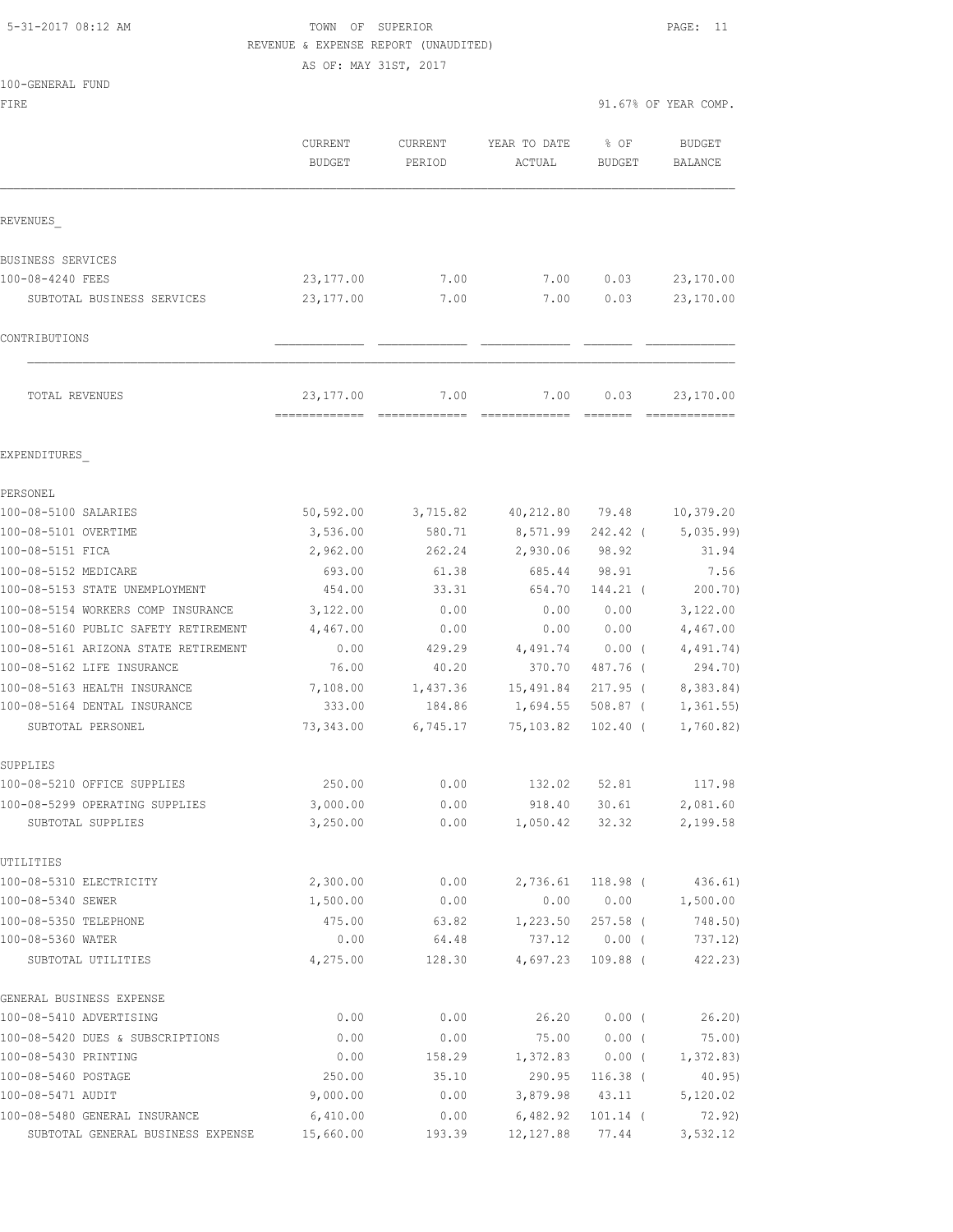## 5-31-2017 08:12 AM TOWN OF SUPERIOR PAGE: 11 REVENUE & EXPENSE REPORT (UNAUDITED)

100-GENERAL FUND

FIRE  $91.67$ % OF YEAR COMP.

|                                      | CURRENT<br><b>BUDGET</b>                   | CURRENT<br>PERIOD | YEAR TO DATE<br>ACTUAL                                                                                                                                                                                                                                                                                                                                                                                                                                                                         | % OF<br><b>BUDGET</b>                                                                                                                                                                                                                                                                                                                                                                                                                                                                                                                                                                                 | <b>BUDGET</b><br>BALANCE   |
|--------------------------------------|--------------------------------------------|-------------------|------------------------------------------------------------------------------------------------------------------------------------------------------------------------------------------------------------------------------------------------------------------------------------------------------------------------------------------------------------------------------------------------------------------------------------------------------------------------------------------------|-------------------------------------------------------------------------------------------------------------------------------------------------------------------------------------------------------------------------------------------------------------------------------------------------------------------------------------------------------------------------------------------------------------------------------------------------------------------------------------------------------------------------------------------------------------------------------------------------------|----------------------------|
| REVENUES                             |                                            |                   |                                                                                                                                                                                                                                                                                                                                                                                                                                                                                                |                                                                                                                                                                                                                                                                                                                                                                                                                                                                                                                                                                                                       |                            |
| BUSINESS SERVICES                    |                                            |                   |                                                                                                                                                                                                                                                                                                                                                                                                                                                                                                |                                                                                                                                                                                                                                                                                                                                                                                                                                                                                                                                                                                                       |                            |
| 100-08-4240 FEES                     | 23, 177.00                                 | 7.00              | 7.00                                                                                                                                                                                                                                                                                                                                                                                                                                                                                           | 0.03                                                                                                                                                                                                                                                                                                                                                                                                                                                                                                                                                                                                  | 23,170.00                  |
| SUBTOTAL BUSINESS SERVICES           | 23, 177.00                                 | 7.00              | 7.00                                                                                                                                                                                                                                                                                                                                                                                                                                                                                           | 0.03                                                                                                                                                                                                                                                                                                                                                                                                                                                                                                                                                                                                  | 23,170.00                  |
| CONTRIBUTIONS                        |                                            |                   |                                                                                                                                                                                                                                                                                                                                                                                                                                                                                                |                                                                                                                                                                                                                                                                                                                                                                                                                                                                                                                                                                                                       |                            |
|                                      |                                            |                   |                                                                                                                                                                                                                                                                                                                                                                                                                                                                                                |                                                                                                                                                                                                                                                                                                                                                                                                                                                                                                                                                                                                       |                            |
| TOTAL REVENUES                       | 23, 177.00<br>-------------- ------------- | 7.00              | 7.00<br>$\begin{array}{cccccccccc} \multicolumn{2}{c}{} & \multicolumn{2}{c}{} & \multicolumn{2}{c}{} & \multicolumn{2}{c}{} & \multicolumn{2}{c}{} & \multicolumn{2}{c}{} & \multicolumn{2}{c}{} & \multicolumn{2}{c}{} & \multicolumn{2}{c}{} & \multicolumn{2}{c}{} & \multicolumn{2}{c}{} & \multicolumn{2}{c}{} & \multicolumn{2}{c}{} & \multicolumn{2}{c}{} & \multicolumn{2}{c}{} & \multicolumn{2}{c}{} & \multicolumn{2}{c}{} & \multicolumn{2}{c}{} & \multicolumn{2}{c}{} & \mult$ | 0.03<br>$\qquad \qquad \overline{\qquad \qquad }=\overline{\qquad \qquad }=\overline{\qquad \qquad }=\overline{\qquad \qquad }=\overline{\qquad \qquad }=\overline{\qquad \qquad }=\overline{\qquad \qquad }=\overline{\qquad \qquad }=\overline{\qquad \qquad }=\overline{\qquad \qquad }=\overline{\qquad \qquad }=\overline{\qquad \qquad }=\overline{\qquad \qquad }=\overline{\qquad \qquad }=\overline{\qquad \qquad }=\overline{\qquad \qquad }=\overline{\qquad \qquad }=\overline{\qquad \qquad }=\overline{\qquad \qquad }=\overline{\qquad \qquad }=\overline{\qquad \qquad }=\overline{\$ | 23,170.00<br>------------- |
| EXPENDITURES                         |                                            |                   |                                                                                                                                                                                                                                                                                                                                                                                                                                                                                                |                                                                                                                                                                                                                                                                                                                                                                                                                                                                                                                                                                                                       |                            |
| PERSONEL                             |                                            |                   |                                                                                                                                                                                                                                                                                                                                                                                                                                                                                                |                                                                                                                                                                                                                                                                                                                                                                                                                                                                                                                                                                                                       |                            |
| 100-08-5100 SALARIES                 | 50, 592.00                                 | 3,715.82          | 40,212.80                                                                                                                                                                                                                                                                                                                                                                                                                                                                                      | 79.48                                                                                                                                                                                                                                                                                                                                                                                                                                                                                                                                                                                                 | 10,379.20                  |
| 100-08-5101 OVERTIME                 | 3,536.00                                   | 580.71            | 8,571.99                                                                                                                                                                                                                                                                                                                                                                                                                                                                                       | $242.42$ (                                                                                                                                                                                                                                                                                                                                                                                                                                                                                                                                                                                            | 5,035.99                   |
| 100-08-5151 FICA                     | 2,962.00                                   | 262.24            | 2,930.06                                                                                                                                                                                                                                                                                                                                                                                                                                                                                       | 98.92                                                                                                                                                                                                                                                                                                                                                                                                                                                                                                                                                                                                 | 31.94                      |
| 100-08-5152 MEDICARE                 | 693.00                                     | 61.38             | 685.44                                                                                                                                                                                                                                                                                                                                                                                                                                                                                         | 98.91                                                                                                                                                                                                                                                                                                                                                                                                                                                                                                                                                                                                 | 7.56                       |
| 100-08-5153 STATE UNEMPLOYMENT       | 454.00                                     | 33.31             | 654.70                                                                                                                                                                                                                                                                                                                                                                                                                                                                                         | 144.21 (                                                                                                                                                                                                                                                                                                                                                                                                                                                                                                                                                                                              | 200.70)                    |
| 100-08-5154 WORKERS COMP INSURANCE   | 3,122.00                                   | 0.00              | 0.00                                                                                                                                                                                                                                                                                                                                                                                                                                                                                           | 0.00                                                                                                                                                                                                                                                                                                                                                                                                                                                                                                                                                                                                  | 3,122.00                   |
| 100-08-5160 PUBLIC SAFETY RETIREMENT | 4,467.00                                   | 0.00              | 0.00                                                                                                                                                                                                                                                                                                                                                                                                                                                                                           | 0.00                                                                                                                                                                                                                                                                                                                                                                                                                                                                                                                                                                                                  | 4,467.00                   |
| 100-08-5161 ARIZONA STATE RETIREMENT | 0.00                                       | 429.29            | 4,491.74                                                                                                                                                                                                                                                                                                                                                                                                                                                                                       | $0.00$ (                                                                                                                                                                                                                                                                                                                                                                                                                                                                                                                                                                                              | 4,491.74)                  |
| 100-08-5162 LIFE INSURANCE           | 76.00                                      | 40.20             | 370.70                                                                                                                                                                                                                                                                                                                                                                                                                                                                                         | 487.76 (                                                                                                                                                                                                                                                                                                                                                                                                                                                                                                                                                                                              | 294.70)                    |
| 100-08-5163 HEALTH INSURANCE         | 7,108.00                                   | 1,437.36          | 15,491.84                                                                                                                                                                                                                                                                                                                                                                                                                                                                                      | $217.95$ (                                                                                                                                                                                                                                                                                                                                                                                                                                                                                                                                                                                            | 8,383.84)                  |
| 100-08-5164 DENTAL INSURANCE         | 333.00                                     | 184.86            | 1,694.55                                                                                                                                                                                                                                                                                                                                                                                                                                                                                       | $508.87$ (                                                                                                                                                                                                                                                                                                                                                                                                                                                                                                                                                                                            | 1,361.55                   |
| SUBTOTAL PERSONEL                    | 73,343.00                                  | 6,745.17          | 75,103.82                                                                                                                                                                                                                                                                                                                                                                                                                                                                                      | $102.40$ (                                                                                                                                                                                                                                                                                                                                                                                                                                                                                                                                                                                            | 1,760.82)                  |
| SUPPLIES                             |                                            |                   |                                                                                                                                                                                                                                                                                                                                                                                                                                                                                                |                                                                                                                                                                                                                                                                                                                                                                                                                                                                                                                                                                                                       |                            |
| 100-08-5210 OFFICE SUPPLIES          | 250.00                                     | 0.00              | 132.02                                                                                                                                                                                                                                                                                                                                                                                                                                                                                         | 52.81                                                                                                                                                                                                                                                                                                                                                                                                                                                                                                                                                                                                 | 117.98                     |
| 100-08-5299 OPERATING SUPPLIES       | 3,000.00                                   | 0.00              | 918.40                                                                                                                                                                                                                                                                                                                                                                                                                                                                                         | 30.61                                                                                                                                                                                                                                                                                                                                                                                                                                                                                                                                                                                                 | 2,081.60                   |
| SUBTOTAL SUPPLIES                    | 3,250.00                                   | 0.00              | 1,050.42                                                                                                                                                                                                                                                                                                                                                                                                                                                                                       | 32.32                                                                                                                                                                                                                                                                                                                                                                                                                                                                                                                                                                                                 | 2,199.58                   |
| UTILITIES                            |                                            |                   |                                                                                                                                                                                                                                                                                                                                                                                                                                                                                                |                                                                                                                                                                                                                                                                                                                                                                                                                                                                                                                                                                                                       |                            |
| 100-08-5310 ELECTRICITY              | 2,300.00                                   | 0.00              | 2,736.61                                                                                                                                                                                                                                                                                                                                                                                                                                                                                       | 118.98 (                                                                                                                                                                                                                                                                                                                                                                                                                                                                                                                                                                                              | 436.61)                    |
| 100-08-5340 SEWER                    | 1,500.00                                   | 0.00              | 0.00                                                                                                                                                                                                                                                                                                                                                                                                                                                                                           | 0.00                                                                                                                                                                                                                                                                                                                                                                                                                                                                                                                                                                                                  | 1,500.00                   |
| 100-08-5350 TELEPHONE                | 475.00                                     | 63.82             | 1,223.50                                                                                                                                                                                                                                                                                                                                                                                                                                                                                       | $257.58$ (                                                                                                                                                                                                                                                                                                                                                                                                                                                                                                                                                                                            | 748.50)                    |
| 100-08-5360 WATER                    | 0.00                                       | 64.48             | 737.12                                                                                                                                                                                                                                                                                                                                                                                                                                                                                         | $0.00$ (                                                                                                                                                                                                                                                                                                                                                                                                                                                                                                                                                                                              | 737.12)                    |
| SUBTOTAL UTILITIES                   | 4,275.00                                   | 128.30            | 4,697.23                                                                                                                                                                                                                                                                                                                                                                                                                                                                                       | 109.88 (                                                                                                                                                                                                                                                                                                                                                                                                                                                                                                                                                                                              | 422.23)                    |
| GENERAL BUSINESS EXPENSE             |                                            |                   |                                                                                                                                                                                                                                                                                                                                                                                                                                                                                                |                                                                                                                                                                                                                                                                                                                                                                                                                                                                                                                                                                                                       |                            |
| 100-08-5410 ADVERTISING              | 0.00                                       | 0.00              | 26.20                                                                                                                                                                                                                                                                                                                                                                                                                                                                                          | $0.00$ (                                                                                                                                                                                                                                                                                                                                                                                                                                                                                                                                                                                              | 26.20                      |
| 100-08-5420 DUES & SUBSCRIPTIONS     | 0.00                                       | 0.00              | 75.00                                                                                                                                                                                                                                                                                                                                                                                                                                                                                          | $0.00$ (                                                                                                                                                                                                                                                                                                                                                                                                                                                                                                                                                                                              | 75.00)                     |
| 100-08-5430 PRINTING                 | 0.00                                       | 158.29            | 1,372.83                                                                                                                                                                                                                                                                                                                                                                                                                                                                                       | 0.00(                                                                                                                                                                                                                                                                                                                                                                                                                                                                                                                                                                                                 | 1,372.83)                  |
| 100-08-5460 POSTAGE                  | 250.00                                     | 35.10             | 290.95                                                                                                                                                                                                                                                                                                                                                                                                                                                                                         | $116.38$ (                                                                                                                                                                                                                                                                                                                                                                                                                                                                                                                                                                                            | 40.95)                     |
| 100-08-5471 AUDIT                    | 9,000.00                                   | 0.00              | 3,879.98                                                                                                                                                                                                                                                                                                                                                                                                                                                                                       | 43.11                                                                                                                                                                                                                                                                                                                                                                                                                                                                                                                                                                                                 | 5,120.02                   |
| 100-08-5480 GENERAL INSURANCE        | 6,410.00                                   | 0.00              | 6,482.92                                                                                                                                                                                                                                                                                                                                                                                                                                                                                       | $101.14$ (                                                                                                                                                                                                                                                                                                                                                                                                                                                                                                                                                                                            | 72.92)                     |
| SUBTOTAL GENERAL BUSINESS EXPENSE    | 15,660.00                                  | 193.39            | 12, 127.88                                                                                                                                                                                                                                                                                                                                                                                                                                                                                     | 77.44                                                                                                                                                                                                                                                                                                                                                                                                                                                                                                                                                                                                 | 3,532.12                   |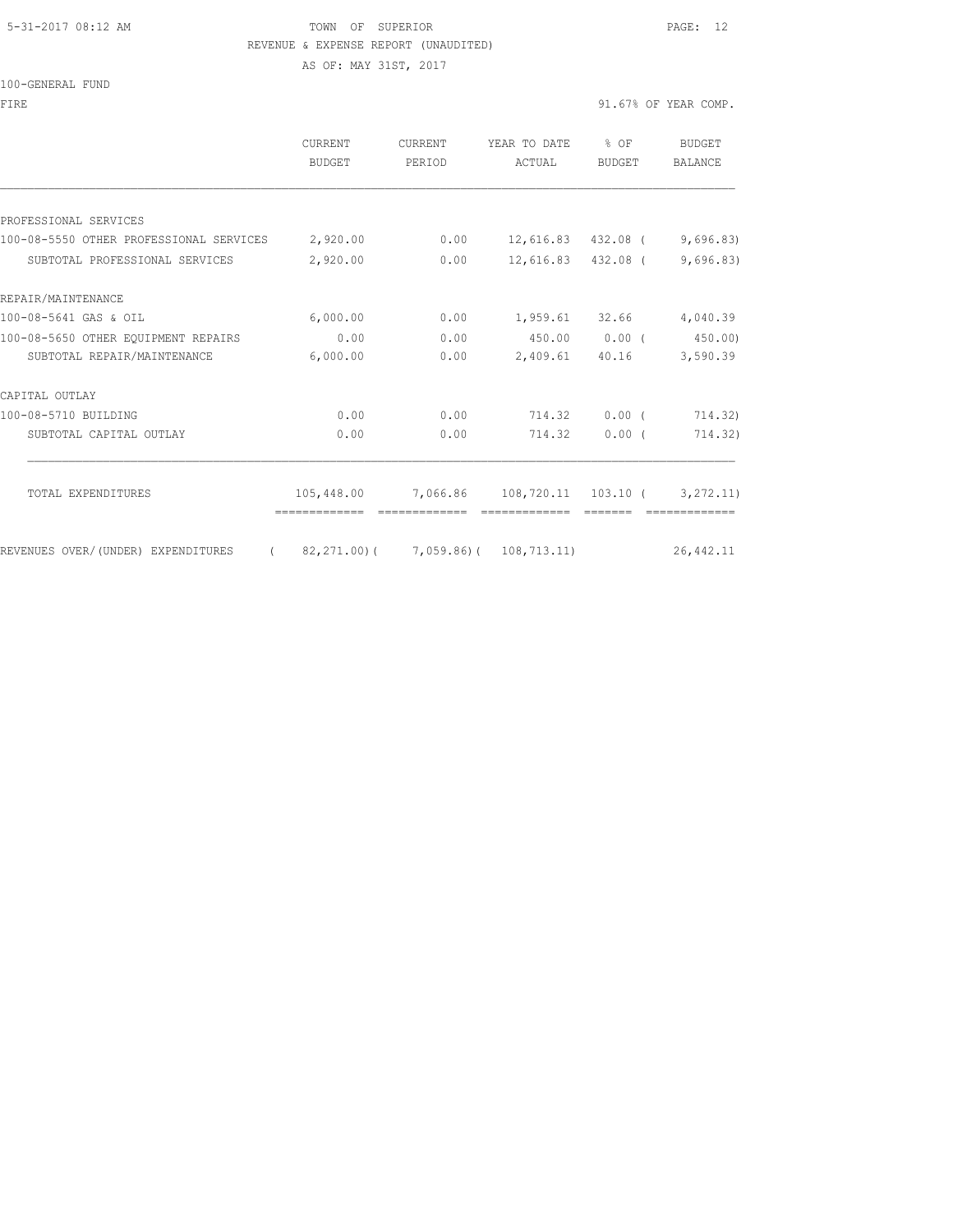#### 5-31-2017 08:12 AM TOWN OF SUPERIOR PAGE: 12 REVENUE & EXPENSE REPORT (UNAUDITED)

AS OF: MAY 31ST, 2017

| 100-GENERAL FUND |  |
|------------------|--|
|                  |  |

| <b>FTRE</b>                                                          |                              |                   |                                                     |          | 91.67% OF YEAR COMP.     |
|----------------------------------------------------------------------|------------------------------|-------------------|-----------------------------------------------------|----------|--------------------------|
|                                                                      | <b>CURRENT</b><br>BUDGET     | CURRENT<br>PERIOD | YEAR TO DATE % OF<br>ACTUAL                         | BUDGET   | BUDGET<br><b>BALANCE</b> |
|                                                                      |                              |                   |                                                     |          |                          |
| PROFESSIONAL SERVICES                                                |                              |                   |                                                     |          |                          |
| 100-08-5550 OTHER PROFESSIONAL SERVICES 2,920.00                     |                              |                   | $0.00$ 12, 616.83 432.08 ( 9, 696.83)               |          |                          |
| SUBTOTAL PROFESSIONAL SERVICES                                       | 2,920.00                     |                   | $0.00$ 12,616.83 432.08 ( 9,696.83)                 |          |                          |
| REPAIR/MAINTENANCE                                                   |                              |                   |                                                     |          |                          |
| 100-08-5641 GAS & OIL                                                | 6,000.00                     | 0.00              | 1,959.61 32.66 4,040.39                             |          |                          |
| 100-08-5650 OTHER EQUIPMENT REPAIRS                                  | 0.00                         | 0.00              | 450.00 0.00 (450.00)                                |          |                          |
| SUBTOTAL REPAIR/MAINTENANCE                                          | 6,000.00                     | 0.00              |                                                     |          | 2,409.61 40.16 3,590.39  |
| CAPITAL OUTLAY                                                       |                              |                   |                                                     |          |                          |
| 100-08-5710 BUILDING                                                 | 0.00                         |                   | $0.00$ $714.32$ $0.00$ (                            |          | 714.32)                  |
| SUBTOTAL CAPITAL OUTLAY                                              | 0.00                         | 0.00              | 714.32                                              | $0.00$ ( | 714.32)                  |
| TOTAL EXPENDITURES                                                   |                              |                   | $105,448.00$ 7,066.86 108,720.11 103.10 ( 3,272.11) |          |                          |
|                                                                      | -------------- ------------- |                   |                                                     | -------- |                          |
| REVENUES OVER/(UNDER) EXPENDITURES (82,271.00)(7,059.86)(108,713.11) |                              |                   |                                                     |          | 26, 442.11               |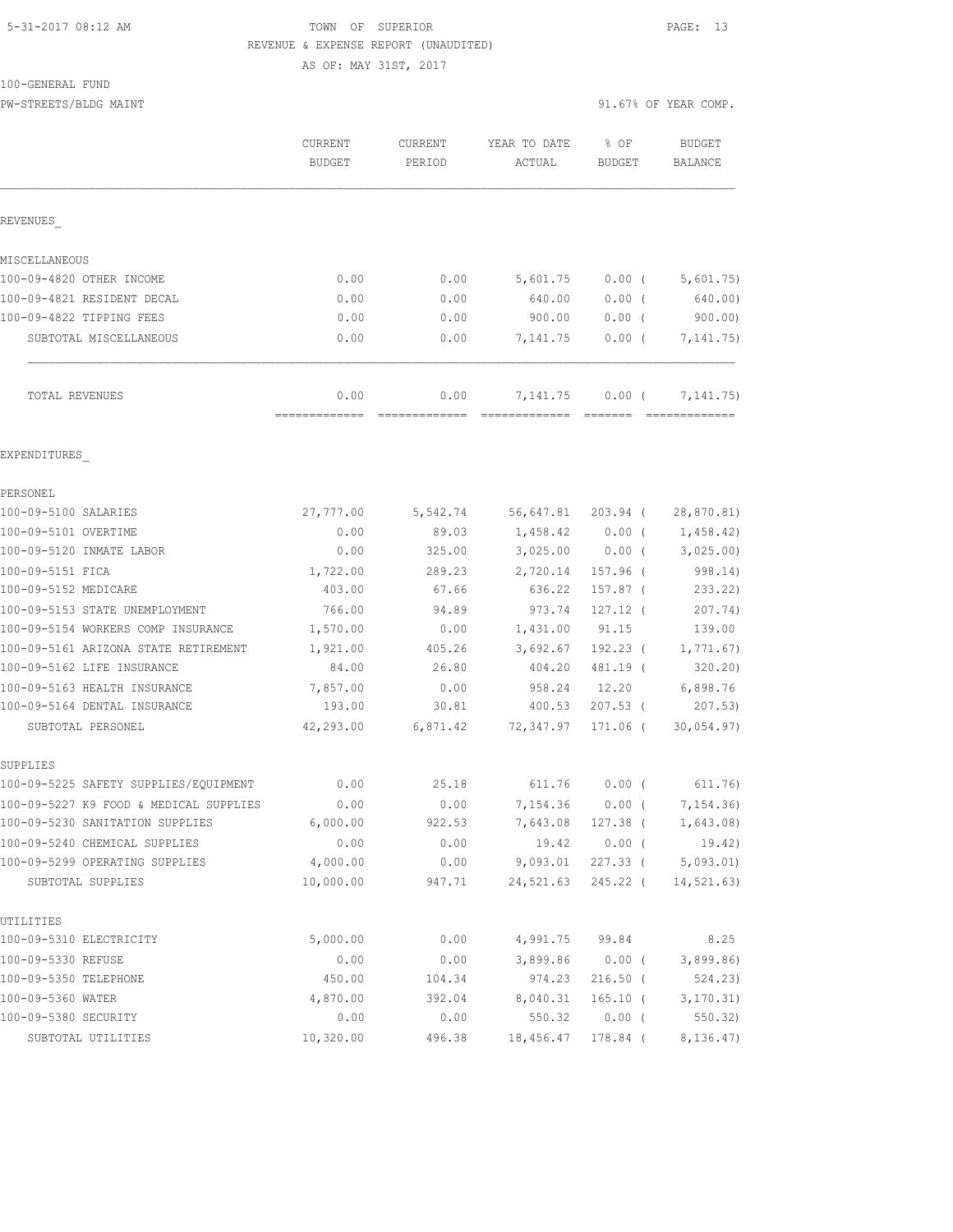## 5-31-2017 08:12 AM TOWN OF SUPERIOR PAGE: 13 REVENUE & EXPENSE REPORT (UNAUDITED)

AS OF: MAY 31ST, 2017

100-GENERAL FUND

| TAA GEMERIAN LAMA                      |                                 |                   |                           |                      |                                 |
|----------------------------------------|---------------------------------|-------------------|---------------------------|----------------------|---------------------------------|
| PW-STREETS/BLDG MAINT                  |                                 |                   |                           |                      | 91.67% OF YEAR COMP.            |
|                                        | <b>CURRENT</b><br><b>BUDGET</b> | CURRENT<br>PERIOD | YEAR TO DATE<br>ACTUAL    | $8$ OF<br>BUDGET     | <b>BUDGET</b><br><b>BALANCE</b> |
| REVENUES                               |                                 |                   |                           |                      |                                 |
| MISCELLANEOUS                          |                                 |                   |                           |                      |                                 |
| 100-09-4820 OTHER INCOME               | 0.00                            | 0.00              | 5,601.75                  | $0.00$ (             | 5,601.75)                       |
| 100-09-4821 RESIDENT DECAL             | 0.00                            | 0.00              | 640.00                    | 0.00(                | 640.00)                         |
| 100-09-4822 TIPPING FEES               | 0.00                            | 0.00              | 900.00                    | $0.00$ (             | 900.00                          |
| SUBTOTAL MISCELLANEOUS                 | 0.00                            | 0.00              | 7,141.75                  | $0.00$ (             | 7, 141. 75)                     |
| TOTAL REVENUES                         | 0.00<br>-------------           | 0.00              | 7,141.75<br>============= | $0.00$ (<br>-------- | 7, 141.75)                      |
| EXPENDITURES                           |                                 |                   |                           |                      |                                 |
| PERSONEL                               |                                 |                   |                           |                      |                                 |
| 100-09-5100 SALARIES                   | 27,777.00                       | 5,542.74          | 56,647.81                 | 203.94 (             | 28,870.81)                      |
| 100-09-5101 OVERTIME                   | 0.00                            | 89.03             | 1,458.42                  | $0.00$ (             | 1,458.42)                       |
| 100-09-5120 INMATE LABOR               | 0.00                            | 325.00            | 3,025.00                  | $0.00$ (             | 3,025.00                        |
| 100-09-5151 FICA                       | 1,722.00                        | 289.23            | 2,720.14                  | 157.96 (             | 998.14)                         |
| 100-09-5152 MEDICARE                   | 403.00                          | 67.66             | 636.22                    | $157.87$ (           | 233.22)                         |
| 100-09-5153 STATE UNEMPLOYMENT         | 766.00                          | 94.89             | 973.74                    | $127.12$ (           | 207.74)                         |
| 100-09-5154 WORKERS COMP INSURANCE     | 1,570.00                        | 0.00              | 1,431.00                  | 91.15                | 139.00                          |
| 100-09-5161 ARIZONA STATE RETIREMENT   | 1,921.00                        | 405.26            | 3,692.67                  | $192.23$ (           | 1,771.67)                       |
| 100-09-5162 LIFE INSURANCE             | 84.00                           | 26.80             | 404.20                    | 481.19 (             | 320.20)                         |
| 100-09-5163 HEALTH INSURANCE           | 7,857.00                        | 0.00              | 958.24                    | 12.20                | 6,898.76                        |
| 100-09-5164 DENTAL INSURANCE           | 193.00                          | 30.81             | 400.53                    | $207.53$ (           | 207.53)                         |
| SUBTOTAL PERSONEL                      | 42,293.00                       | 6,871.42          | 72,347.97                 | 171.06 (             | 30,054.97)                      |
| SUPPLIES                               |                                 |                   |                           |                      |                                 |
| 100-09-5225 SAFETY SUPPLIES/EQUIPMENT  | 0.00                            | 25.18             |                           | 611.76 0.00 (        | 611.76)                         |
| 100-09-5227 K9 FOOD & MEDICAL SUPPLIES | 0.00                            | 0.00              | 7,154.36                  | $0.00$ (             | 7,154.36)                       |
| 100-09-5230 SANITATION SUPPLIES        | 6,000.00                        | 922.53            | 7,643.08                  | $127.38$ (           | 1,643.08)                       |
| 100-09-5240 CHEMICAL SUPPLIES          | 0.00                            | 0.00              | 19.42                     | $0.00$ (             | 19.42)                          |
| 100-09-5299 OPERATING SUPPLIES         | 4,000.00                        | 0.00              | 9,093.01                  | $227.33$ (           | 5,093.01                        |
| SUBTOTAL SUPPLIES                      | 10,000.00                       | 947.71            | 24,521.63                 | 245.22 (             | 14,521.63)                      |
| UTILITIES                              |                                 |                   |                           |                      |                                 |
| 100-09-5310 ELECTRICITY                | 5,000.00                        | 0.00              | 4,991.75                  | 99.84                | 8.25                            |
| 100-09-5330 REFUSE                     | 0.00                            | 0.00              | 3,899.86                  | $0.00$ (             | 3,899.86                        |
| 100-09-5350 TELEPHONE                  | 450.00                          | 104.34            | 974.23                    | $216.50$ (           | 524.23)                         |
| 100-09-5360 WATER                      | 4,870.00                        | 392.04            | 8,040.31                  | $165.10$ (           | 3, 170.31)                      |
| 100-09-5380 SECURITY                   | 0.00                            | 0.00              | 550.32                    | $0.00$ (             | 550.32)                         |

SUBTOTAL UTILITIES 10,320.00 496.38 18,456.47 178.84 ( 8,136.47)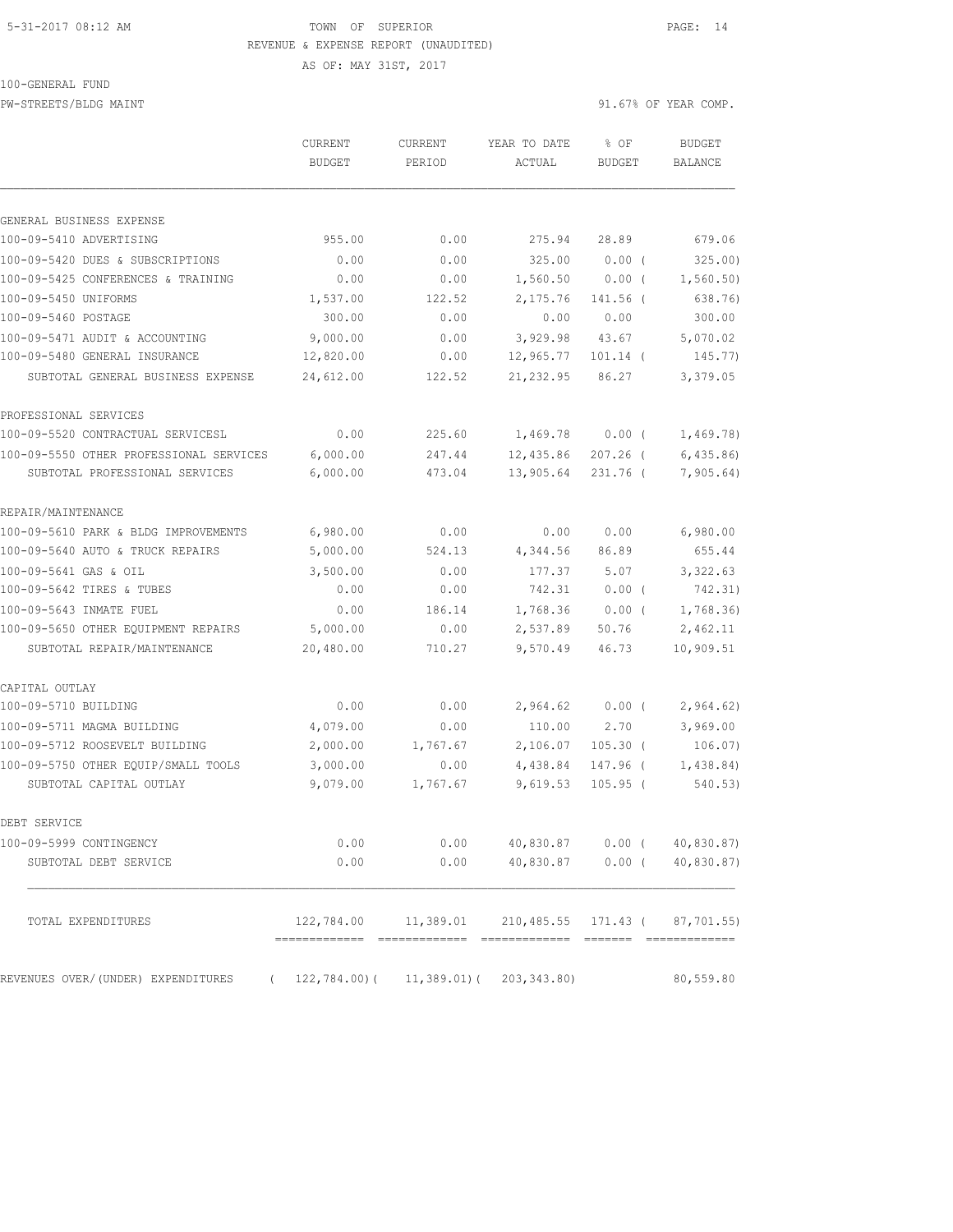#### 5-31-2017 08:12 AM TOWN OF SUPERIOR PAGE: 14 REVENUE & EXPENSE REPORT (UNAUDITED)

AS OF: MAY 31ST, 2017

100-GENERAL FUND

| PW-STREETS/BLDG MAINT                   |                          |                   |                        |                       | 91.67% OF YEAR COMP.            |
|-----------------------------------------|--------------------------|-------------------|------------------------|-----------------------|---------------------------------|
|                                         | CURRENT<br><b>BUDGET</b> | CURRENT<br>PERIOD | YEAR TO DATE<br>ACTUAL | % OF<br><b>BUDGET</b> | <b>BUDGET</b><br><b>BALANCE</b> |
| GENERAL BUSINESS EXPENSE                |                          |                   |                        |                       |                                 |
| 100-09-5410 ADVERTISING                 | 955.00                   | 0.00              | 275.94                 | 28.89                 | 679.06                          |
| 100-09-5420 DUES & SUBSCRIPTIONS        | 0.00                     | 0.00              | 325.00                 | 0.00(                 | 325.00                          |
| 100-09-5425 CONFERENCES & TRAINING      | 0.00                     | 0.00              | 1,560.50               | $0.00$ (              | 1, 560.50)                      |
| 100-09-5450 UNIFORMS                    | 1,537.00                 | 122.52            | 2,175.76               | 141.56 (              | 638.76)                         |
| 100-09-5460 POSTAGE                     | 300.00                   | 0.00              | 0.00                   | 0.00                  | 300.00                          |
| 100-09-5471 AUDIT & ACCOUNTING          | 9,000.00                 | 0.00              | 3,929.98               | 43.67                 | 5,070.02                        |
| 100-09-5480 GENERAL INSURANCE           | 12,820.00                | 0.00              | 12,965.77              | $101.14$ (            | 145.77)                         |
| SUBTOTAL GENERAL BUSINESS EXPENSE       | 24,612.00                | 122.52            | 21, 232.95             | 86.27                 | 3,379.05                        |
| PROFESSIONAL SERVICES                   |                          |                   |                        |                       |                                 |
| 100-09-5520 CONTRACTUAL SERVICESL       | 0.00                     | 225.60            | 1,469.78               | $0.00$ (              | 1,469.78)                       |
| 100-09-5550 OTHER PROFESSIONAL SERVICES | 6,000.00                 | 247.44            | 12,435.86              | $207.26$ (            | 6,435.86                        |
| SUBTOTAL PROFESSIONAL SERVICES          | 6,000.00                 | 473.04            | 13,905.64              | 231.76 (              | 7,905.64)                       |
| REPAIR/MAINTENANCE                      |                          |                   |                        |                       |                                 |
| 100-09-5610 PARK & BLDG IMPROVEMENTS    | 6,980.00                 | 0.00              | 0.00                   | 0.00                  | 6,980.00                        |
| 100-09-5640 AUTO & TRUCK REPAIRS        | 5,000.00                 | 524.13            | 4,344.56               | 86.89                 | 655.44                          |
| 100-09-5641 GAS & OIL                   | 3,500.00                 | 0.00              | 177.37                 | 5.07                  | 3,322.63                        |
| 100-09-5642 TIRES & TUBES               | 0.00                     | 0.00              | 742.31                 | $0.00$ (              | 742.31)                         |
| 100-09-5643 INMATE FUEL                 | 0.00                     | 186.14            | 1,768.36               | $0.00$ (              | 1,768.36                        |
| 100-09-5650 OTHER EQUIPMENT REPAIRS     | 5,000.00                 | 0.00              | 2,537.89               | 50.76                 | 2,462.11                        |
| SUBTOTAL REPAIR/MAINTENANCE             | 20,480.00                | 710.27            | 9,570.49               | 46.73                 | 10,909.51                       |
| CAPITAL OUTLAY                          |                          |                   |                        |                       |                                 |
| 100-09-5710 BUILDING                    | 0.00                     | 0.00              | 2,964.62               | $0.00$ (              | 2,964.62)                       |
| 100-09-5711 MAGMA BUILDING              | 4,079.00                 | 0.00              | 110.00                 | 2.70                  | 3,969.00                        |
| 100-09-5712 ROOSEVELT BUILDING          | 2,000.00                 | 1,767.67          | 2,106.07               | $105.30$ (            | 106.07)                         |
| 100-09-5750 OTHER EQUIP/SMALL TOOLS     | 3,000.00                 | 0.00              | 4,438.84               | 147.96 (              | 1,438.84)                       |
| SUBTOTAL CAPITAL OUTLAY                 | 9,079.00                 | 1,767.67          | 9,619.53               | $105.95$ (            | 540.53)                         |
| DEBT SERVICE                            |                          |                   |                        |                       |                                 |
| 100-09-5999 CONTINGENCY                 | 0.00                     | 0.00              | 40,830.87              | $0.00$ (              | 40,830.87)                      |
| SUBTOTAL DEBT SERVICE                   | 0.00                     | 0.00              | 40,830.87              | $0.00$ (              | 40,830.87)                      |
|                                         |                          |                   |                        |                       |                                 |

| <u>www.citime.com - www.cum</u>    |            |                                                   |                                                   |           |
|------------------------------------|------------|---------------------------------------------------|---------------------------------------------------|-----------|
|                                    |            |                                                   |                                                   |           |
| TOTAL EXPENDITURES                 | 122,784.00 |                                                   | $11,389.01$ $210,485.55$ $171.43$ ( $87,701.55$ ) |           |
|                                    |            |                                                   |                                                   |           |
| REVENUES OVER/(UNDER) EXPENDITURES |            | $122, 784, 00$ ( $11, 389, 01$ ( $203, 343, 80$ ) |                                                   | 80,559.80 |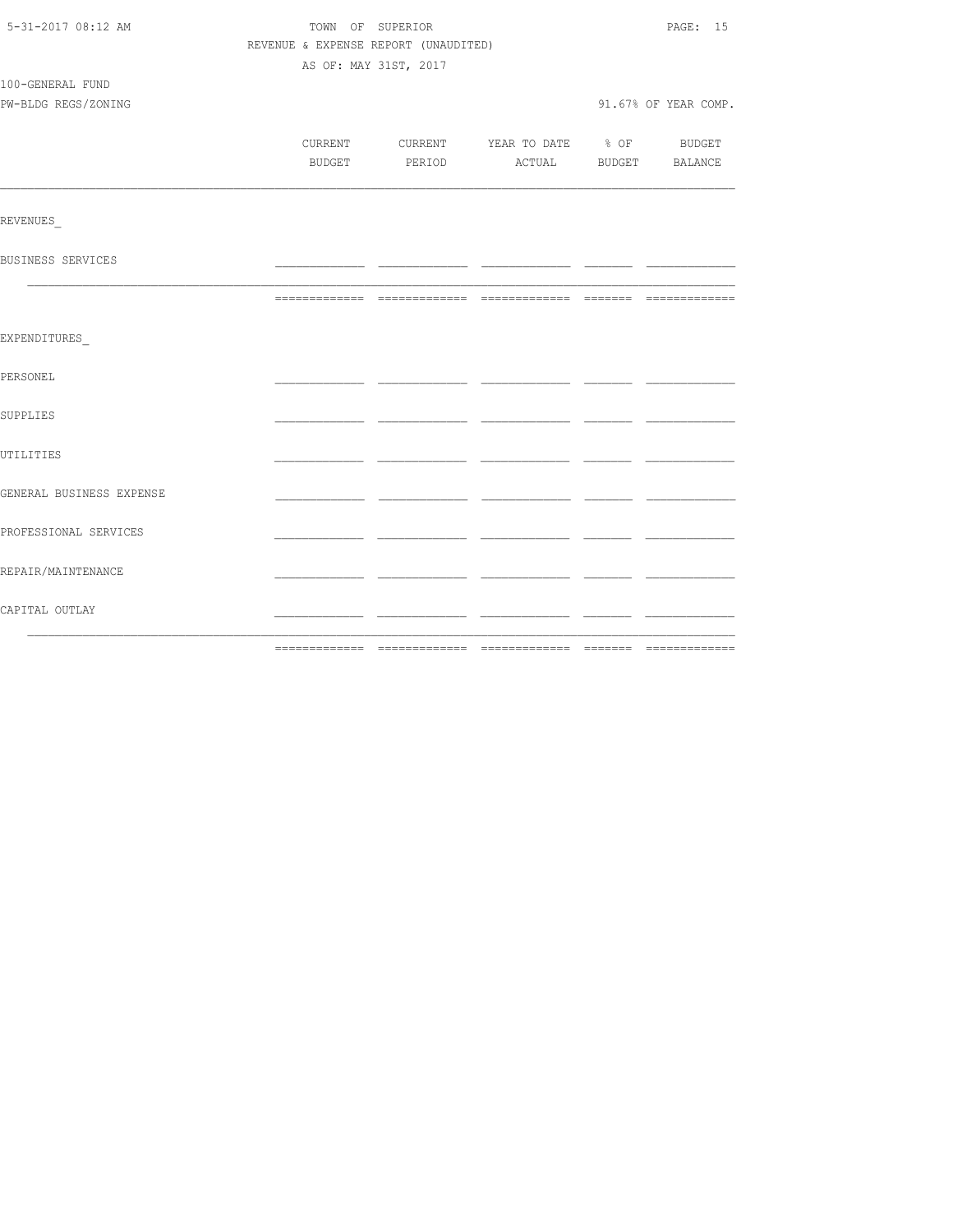| 5-31-2017 08:12 AM       |                                      | TOWN OF SUPERIOR      |                                          | PAGE: 15             |
|--------------------------|--------------------------------------|-----------------------|------------------------------------------|----------------------|
|                          | REVENUE & EXPENSE REPORT (UNAUDITED) |                       |                                          |                      |
|                          |                                      | AS OF: MAY 31ST, 2017 |                                          |                      |
| 100-GENERAL FUND         |                                      |                       |                                          |                      |
| PW-BLDG REGS/ZONING      |                                      |                       |                                          | 91.67% OF YEAR COMP. |
|                          |                                      |                       |                                          |                      |
|                          |                                      |                       | CURRENT CURRENT YEAR TO DATE % OF BUDGET |                      |
|                          |                                      |                       | BUDGET PERIOD ACTUAL BUDGET BALANCE      |                      |
|                          |                                      |                       |                                          |                      |
| REVENUES                 |                                      |                       |                                          |                      |
| BUSINESS SERVICES        |                                      |                       |                                          |                      |
|                          |                                      |                       |                                          |                      |
| EXPENDITURES             |                                      |                       |                                          |                      |
| PERSONEL                 |                                      |                       |                                          |                      |
| SUPPLIES                 |                                      |                       |                                          |                      |
| UTILITIES                |                                      |                       |                                          |                      |
| GENERAL BUSINESS EXPENSE |                                      |                       |                                          |                      |
| PROFESSIONAL SERVICES    |                                      |                       |                                          |                      |
| REPAIR/MAINTENANCE       |                                      |                       |                                          |                      |
| CAPITAL OUTLAY           |                                      |                       |                                          |                      |
|                          |                                      |                       |                                          |                      |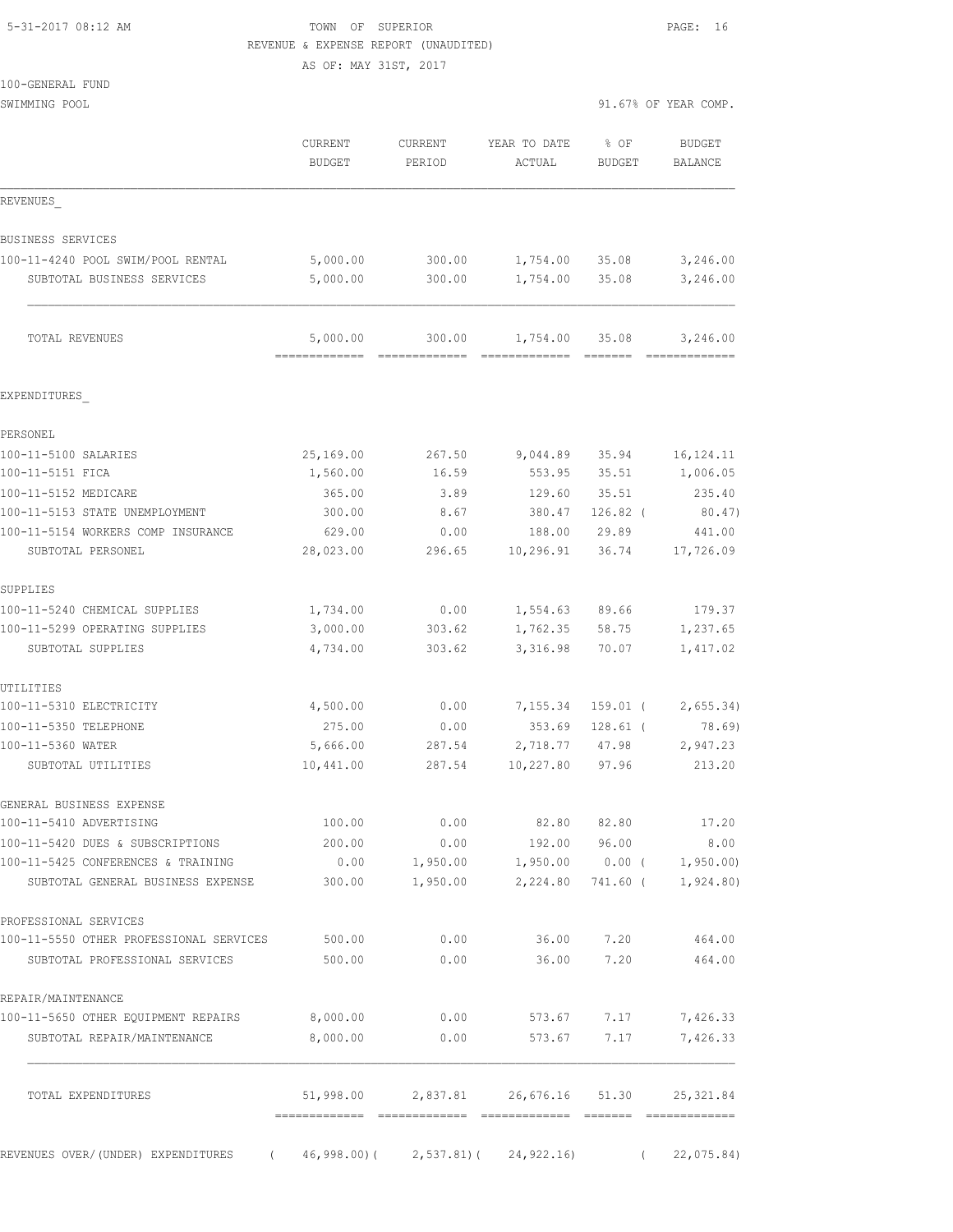100-GENERAL FUND

#### 5-31-2017 08:12 AM TOWN OF SUPERIOR PAGE: 16 REVENUE & EXPENSE REPORT (UNAUDITED)

AS OF: MAY 31ST, 2017

| SWIMMING POOL                           |                                           |                    |                                                                                                                                                                                                                                                                                                                                                                                                                                                                                            | 91.67% OF YEAR COMP.              |                          |
|-----------------------------------------|-------------------------------------------|--------------------|--------------------------------------------------------------------------------------------------------------------------------------------------------------------------------------------------------------------------------------------------------------------------------------------------------------------------------------------------------------------------------------------------------------------------------------------------------------------------------------------|-----------------------------------|--------------------------|
|                                         | CURRENT<br><b>BUDGET</b>                  | CURRENT<br>PERIOD  | YEAR TO DATE<br>ACTUAL                                                                                                                                                                                                                                                                                                                                                                                                                                                                     | $\textdegree$ OF<br><b>BUDGET</b> | BUDGET<br><b>BALANCE</b> |
| REVENUES                                |                                           |                    |                                                                                                                                                                                                                                                                                                                                                                                                                                                                                            |                                   |                          |
| BUSINESS SERVICES                       |                                           |                    |                                                                                                                                                                                                                                                                                                                                                                                                                                                                                            |                                   |                          |
| 100-11-4240 POOL SWIM/POOL RENTAL       | 5,000.00                                  | 300.00             | 1,754.00                                                                                                                                                                                                                                                                                                                                                                                                                                                                                   | 35.08                             | 3,246.00                 |
| SUBTOTAL BUSINESS SERVICES              | 5,000.00                                  | 300.00             | 1,754.00                                                                                                                                                                                                                                                                                                                                                                                                                                                                                   | 35.08                             | 3,246.00                 |
| TOTAL REVENUES                          | 5,000.00<br>-------------- -------------- | 300.00             | 1,754.00<br>$\begin{array}{cccccccccc} \multicolumn{2}{c}{{\color{red}x}} & \multicolumn{2}{c}{{\color{red}x}} & \multicolumn{2}{c}{{\color{red}x}} & \multicolumn{2}{c}{{\color{red}x}} & \multicolumn{2}{c}{{\color{red}x}} & \multicolumn{2}{c}{{\color{red}x}} & \multicolumn{2}{c}{{\color{red}x}} & \multicolumn{2}{c}{{\color{red}x}} & \multicolumn{2}{c}{{\color{red}x}} & \multicolumn{2}{c}{{\color{red}x}} & \multicolumn{2}{c}{{\color{red}x}} & \multicolumn{2}{c}{{\color{$ | 35.08                             | 3,246.00                 |
| EXPENDITURES                            |                                           |                    |                                                                                                                                                                                                                                                                                                                                                                                                                                                                                            |                                   |                          |
| PERSONEL                                |                                           |                    |                                                                                                                                                                                                                                                                                                                                                                                                                                                                                            |                                   |                          |
| 100-11-5100 SALARIES                    | 25,169.00                                 | 267.50             | 9,044.89                                                                                                                                                                                                                                                                                                                                                                                                                                                                                   | 35.94                             | 16, 124. 11              |
| 100-11-5151 FICA                        | 1,560.00                                  | 16.59              | 553.95                                                                                                                                                                                                                                                                                                                                                                                                                                                                                     | 35.51                             | 1,006.05                 |
| 100-11-5152 MEDICARE                    | 365.00                                    | 3.89               | 129.60                                                                                                                                                                                                                                                                                                                                                                                                                                                                                     | 35.51                             | 235.40                   |
| 100-11-5153 STATE UNEMPLOYMENT          | 300.00                                    | 8.67               | 380.47                                                                                                                                                                                                                                                                                                                                                                                                                                                                                     | $126.82$ (                        | 80.47)                   |
| 100-11-5154 WORKERS COMP INSURANCE      | 629.00                                    | 0.00               | 188.00                                                                                                                                                                                                                                                                                                                                                                                                                                                                                     | 29.89                             | 441.00                   |
| SUBTOTAL PERSONEL                       | 28,023.00                                 | 296.65             | 10,296.91                                                                                                                                                                                                                                                                                                                                                                                                                                                                                  | 36.74                             | 17,726.09                |
| SUPPLIES                                |                                           |                    |                                                                                                                                                                                                                                                                                                                                                                                                                                                                                            |                                   |                          |
| 100-11-5240 CHEMICAL SUPPLIES           | 1,734.00                                  | 0.00               | 1,554.63                                                                                                                                                                                                                                                                                                                                                                                                                                                                                   | 89.66                             | 179.37                   |
| 100-11-5299 OPERATING SUPPLIES          | 3,000.00                                  | 303.62             | 1,762.35                                                                                                                                                                                                                                                                                                                                                                                                                                                                                   | 58.75                             | 1,237.65                 |
| SUBTOTAL SUPPLIES                       | 4,734.00                                  | 303.62             | 3,316.98                                                                                                                                                                                                                                                                                                                                                                                                                                                                                   | 70.07                             | 1,417.02                 |
| UTILITIES                               |                                           |                    |                                                                                                                                                                                                                                                                                                                                                                                                                                                                                            |                                   |                          |
| 100-11-5310 ELECTRICITY                 | 4,500.00                                  | 0.00               | 7,155.34                                                                                                                                                                                                                                                                                                                                                                                                                                                                                   | 159.01 (                          | 2,655.34)                |
| 100-11-5350 TELEPHONE                   | 275.00                                    | 0.00               | 353.69                                                                                                                                                                                                                                                                                                                                                                                                                                                                                     | $128.61$ (                        | 78.69)                   |
| 100-11-5360 WATER<br>SUBTOTAL UTILITIES | 5,666.00<br>10,441.00                     | 287.54<br>287.54   | 2,718.77<br>10,227.80                                                                                                                                                                                                                                                                                                                                                                                                                                                                      | 47.98<br>97.96                    | 2,947.23<br>213.20       |
| GENERAL BUSINESS EXPENSE                |                                           |                    |                                                                                                                                                                                                                                                                                                                                                                                                                                                                                            |                                   |                          |
| 100-11-5410 ADVERTISING                 | 100.00                                    | 0.00               | 82.80                                                                                                                                                                                                                                                                                                                                                                                                                                                                                      | 82.80                             | 17.20                    |
| 100-11-5420 DUES & SUBSCRIPTIONS        | 200.00                                    | 0.00               |                                                                                                                                                                                                                                                                                                                                                                                                                                                                                            | 192.00 96.00                      | 8.00                     |
| 100-11-5425 CONFERENCES & TRAINING      | 0.00                                      | 1,950.00           |                                                                                                                                                                                                                                                                                                                                                                                                                                                                                            | $1,950.00$ 0.00 (                 | 1,950.00                 |
| SUBTOTAL GENERAL BUSINESS EXPENSE       | 300.00                                    | 1,950.00           | 2,224.80                                                                                                                                                                                                                                                                                                                                                                                                                                                                                   | 741.60 (                          | 1,924.80)                |
| PROFESSIONAL SERVICES                   |                                           |                    |                                                                                                                                                                                                                                                                                                                                                                                                                                                                                            |                                   |                          |
| 100-11-5550 OTHER PROFESSIONAL SERVICES | 500.00                                    | 0.00               | 36.00                                                                                                                                                                                                                                                                                                                                                                                                                                                                                      | 7.20                              | 464.00                   |
| SUBTOTAL PROFESSIONAL SERVICES          | 500.00                                    | 0.00               | 36.00                                                                                                                                                                                                                                                                                                                                                                                                                                                                                      | 7.20                              | 464.00                   |
| REPAIR/MAINTENANCE                      |                                           |                    |                                                                                                                                                                                                                                                                                                                                                                                                                                                                                            |                                   |                          |
| 100-11-5650 OTHER EQUIPMENT REPAIRS     | 8,000.00                                  | 0.00               | 573.67                                                                                                                                                                                                                                                                                                                                                                                                                                                                                     | 7.17                              | 7,426.33                 |
| SUBTOTAL REPAIR/MAINTENANCE             | 8,000.00                                  | 0.00               | 573.67                                                                                                                                                                                                                                                                                                                                                                                                                                                                                     | 7.17                              | 7,426.33                 |
| TOTAL EXPENDITURES                      |                                           | 51,998.00 2,837.81 | 26,676.16                                                                                                                                                                                                                                                                                                                                                                                                                                                                                  | 51.30                             | 25, 321.84               |

REVENUES OVER/(UNDER) EXPENDITURES (46,998.00)( 2,537.81)( 24,922.16) (22,075.84)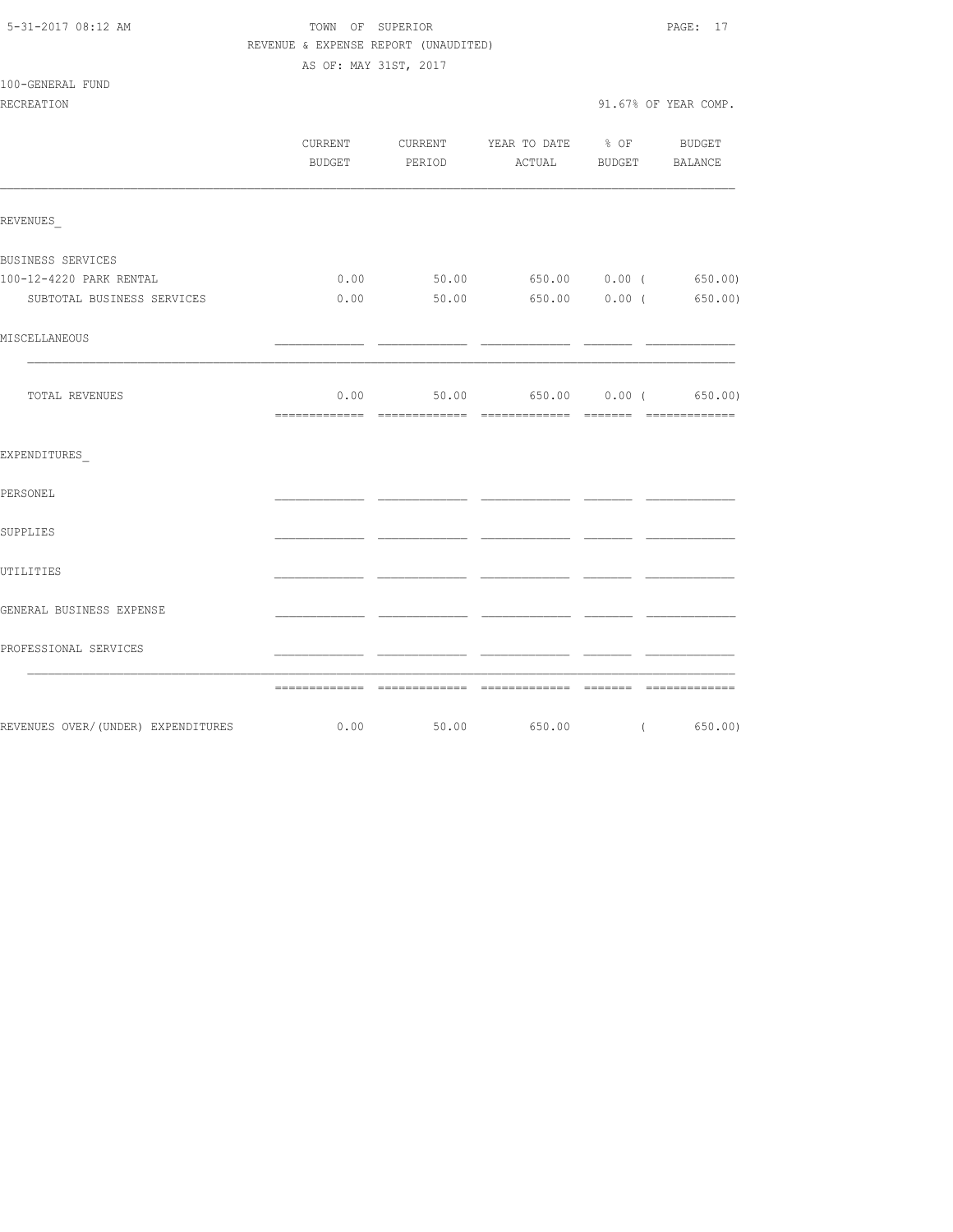| 5-31-2017 08:12 AM |  |
|--------------------|--|
|                    |  |

# TOWN OF SUPERIOR **PAGE:** 17 REVENUE & EXPENSE REPORT (UNAUDITED)

AS OF: MAY 31ST, 2017

100-GENERAL FUND

|                                                                      |      | CURRENT CURRENT YEAR TO DATE % OF BUDGET<br>BUDGET PERIOD ACTUAL BUDGET BALANCE |  |
|----------------------------------------------------------------------|------|---------------------------------------------------------------------------------|--|
| REVENUES                                                             |      |                                                                                 |  |
| BUSINESS SERVICES                                                    |      |                                                                                 |  |
| 100-12-4220 PARK RENTAL                                              |      | $0.00$ 50.00 650.00 0.00 (650.00)                                               |  |
| SUBTOTAL BUSINESS SERVICES                                           | 0.00 | $50.00$ $650.00$ $0.00$ $($ $650.00)$                                           |  |
| MISCELLANEOUS                                                        |      |                                                                                 |  |
| TOTAL REVENUES                                                       | 0.00 | 50.00 650.00 0.00 (650.00)                                                      |  |
| EXPENDITURES                                                         |      |                                                                                 |  |
| PERSONEL                                                             |      |                                                                                 |  |
| SUPPLIES                                                             |      |                                                                                 |  |
| UTILITIES                                                            |      |                                                                                 |  |
| GENERAL BUSINESS EXPENSE                                             |      |                                                                                 |  |
| PROFESSIONAL SERVICES                                                |      |                                                                                 |  |
|                                                                      |      |                                                                                 |  |
| REVENUES OVER/(UNDER) EXPENDITURES 6.00 50.00 650.00 (650.00 650.00) |      |                                                                                 |  |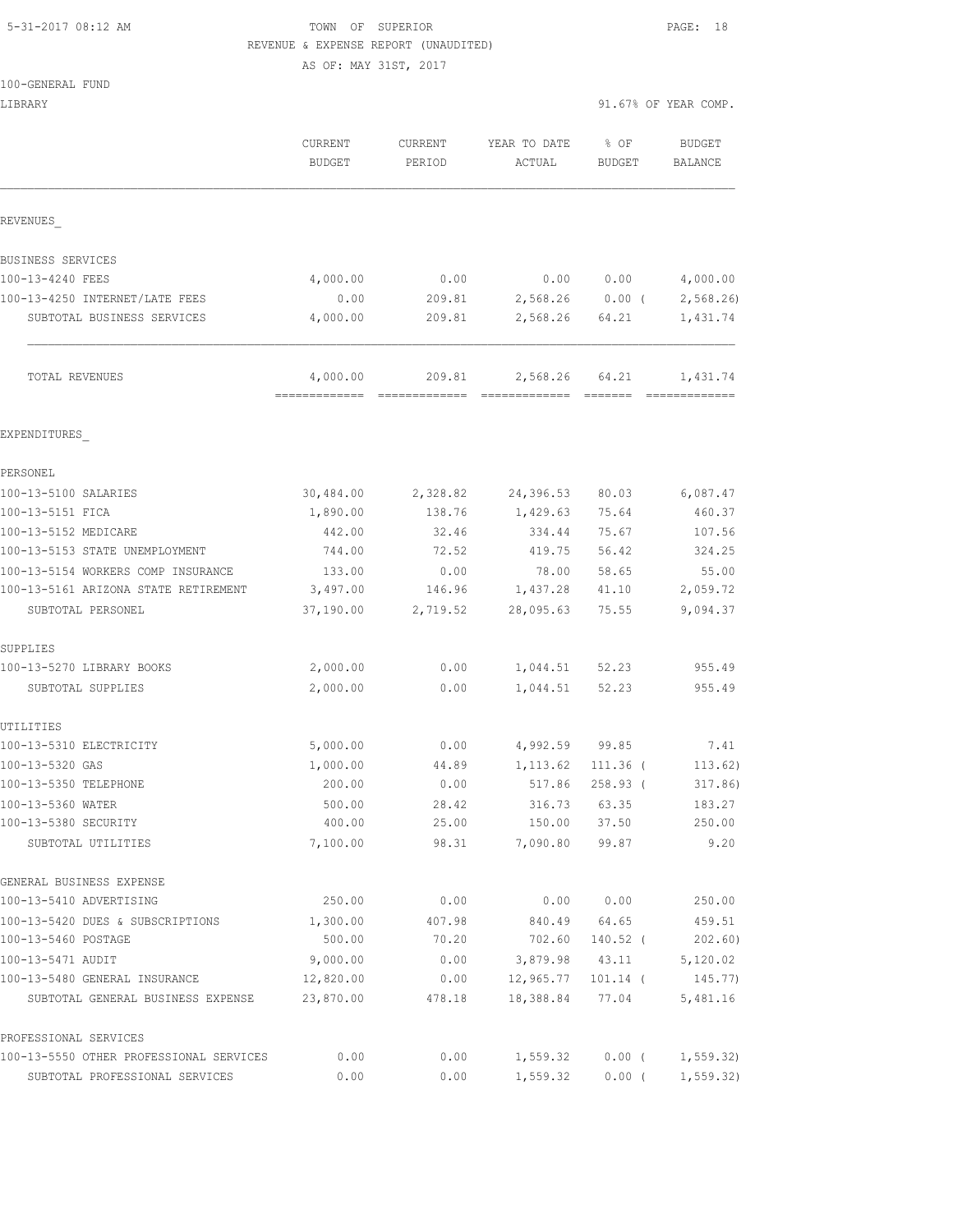#### 5-31-2017 08:12 AM TOWN OF SUPERIOR PAGE: 18 REVENUE & EXPENSE REPORT (UNAUDITED)

AS OF: MAY 31ST, 2017

| LIBRARY                                    |                                             |                   |                        | 91.67% OF YEAR COMP.  |                          |
|--------------------------------------------|---------------------------------------------|-------------------|------------------------|-----------------------|--------------------------|
|                                            | CURRENT<br>BUDGET                           | CURRENT<br>PERIOD | YEAR TO DATE<br>ACTUAL | % OF<br><b>BUDGET</b> | <b>BUDGET</b><br>BALANCE |
| REVENUES                                   |                                             |                   |                        |                       |                          |
| BUSINESS SERVICES                          |                                             |                   |                        |                       |                          |
| 100-13-4240 FEES                           | 4,000.00                                    | 0.00              |                        | 0.0000000             | 4,000.00                 |
| 100-13-4250 INTERNET/LATE FEES             | 0.00                                        | 209.81            |                        | $2,568.26$ 0.00 (     | 2,568.26                 |
| SUBTOTAL BUSINESS SERVICES                 | 4,000.00                                    | 209.81            | 2,568.26               | 64.21                 | 1,431.74                 |
| TOTAL REVENUES                             | 4,000.00<br>=============================== | 209.81            | 2,568.26               | 64.21<br>- =======    | 1,431.74                 |
| EXPENDITURES                               |                                             |                   |                        |                       |                          |
| PERSONEL                                   |                                             |                   |                        |                       |                          |
| 100-13-5100 SALARIES                       | 30,484.00                                   | 2,328.82          | 24,396.53              | 80.03                 | 6,087.47                 |
| 100-13-5151 FICA                           | 1,890.00                                    | 138.76            | 1,429.63               | 75.64                 | 460.37                   |
| 100-13-5152 MEDICARE                       | 442.00                                      | 32.46             | 334.44                 | 75.67                 | 107.56                   |
| 100-13-5153 STATE UNEMPLOYMENT             | 744.00                                      | 72.52             | 419.75                 | 56.42                 | 324.25                   |
| 100-13-5154 WORKERS COMP INSURANCE         | 133.00                                      | 0.00              | 78.00                  | 58.65                 | 55.00                    |
| 100-13-5161 ARIZONA STATE RETIREMENT       | 3,497.00                                    | 146.96            | 1,437.28               | 41.10                 | 2,059.72                 |
| SUBTOTAL PERSONEL                          | 37,190.00                                   | 2,719.52          | 28,095.63              | 75.55                 | 9,094.37                 |
| SUPPLIES                                   |                                             |                   |                        |                       |                          |
| 100-13-5270 LIBRARY BOOKS                  | 2,000.00                                    | 0.00              | 1,044.51 52.23         |                       | 955.49                   |
| SUBTOTAL SUPPLIES                          | 2,000.00                                    | 0.00              | 1,044.51               | 52.23                 | 955.49                   |
| UTILITIES                                  |                                             |                   |                        |                       |                          |
| 100-13-5310 ELECTRICITY                    | 5,000.00                                    | 0.00              | 4,992.59 99.85         |                       | 7.41                     |
| 100-13-5320 GAS                            | 1,000.00                                    | 44.89             | 1,113.62               | $111.36$ (            | 113.62)                  |
| 100-13-5350 TELEPHONE                      | 200.00                                      | 0.00              | 517.86                 | $258.93$ (            | 317.86)                  |
| 100-13-5360 WATER                          | 500.00                                      | 28.42             | 316.73                 | 63.35                 | 183.27                   |
| 100-13-5380 SECURITY<br>SUBTOTAL UTILITIES | 400.00<br>7,100.00                          | 25.00<br>98.31    | 150.00<br>7,090.80     | 37.50<br>99.87        | 250.00<br>9.20           |
| GENERAL BUSINESS EXPENSE                   |                                             |                   |                        |                       |                          |
| 100-13-5410 ADVERTISING                    | 250.00                                      | 0.00              | 0.00                   | 0.00                  | 250.00                   |
| 100-13-5420 DUES & SUBSCRIPTIONS           | 1,300.00                                    | 407.98            | 840.49                 | 64.65                 | 459.51                   |
| 100-13-5460 POSTAGE                        | 500.00                                      | 70.20             | 702.60                 | $140.52$ (            | 202.60)                  |
| 100-13-5471 AUDIT                          | 9,000.00                                    | 0.00              | 3,879.98               | 43.11                 | 5,120.02                 |
| 100-13-5480 GENERAL INSURANCE              | 12,820.00                                   | 0.00              | 12,965.77              | $101.14$ (            | 145.77)                  |
| SUBTOTAL GENERAL BUSINESS EXPENSE          | 23,870.00                                   | 478.18            | 18,388.84              | 77.04                 | 5,481.16                 |
| PROFESSIONAL SERVICES                      |                                             |                   |                        |                       |                          |
| 100-13-5550 OTHER PROFESSIONAL SERVICES    | 0.00                                        | 0.00              | 1,559.32               | $0.00$ (              | 1, 559.32                |
| SUBTOTAL PROFESSIONAL SERVICES             | 0.00                                        | 0.00              | 1,559.32               | $0.00$ (              | 1, 559.32)               |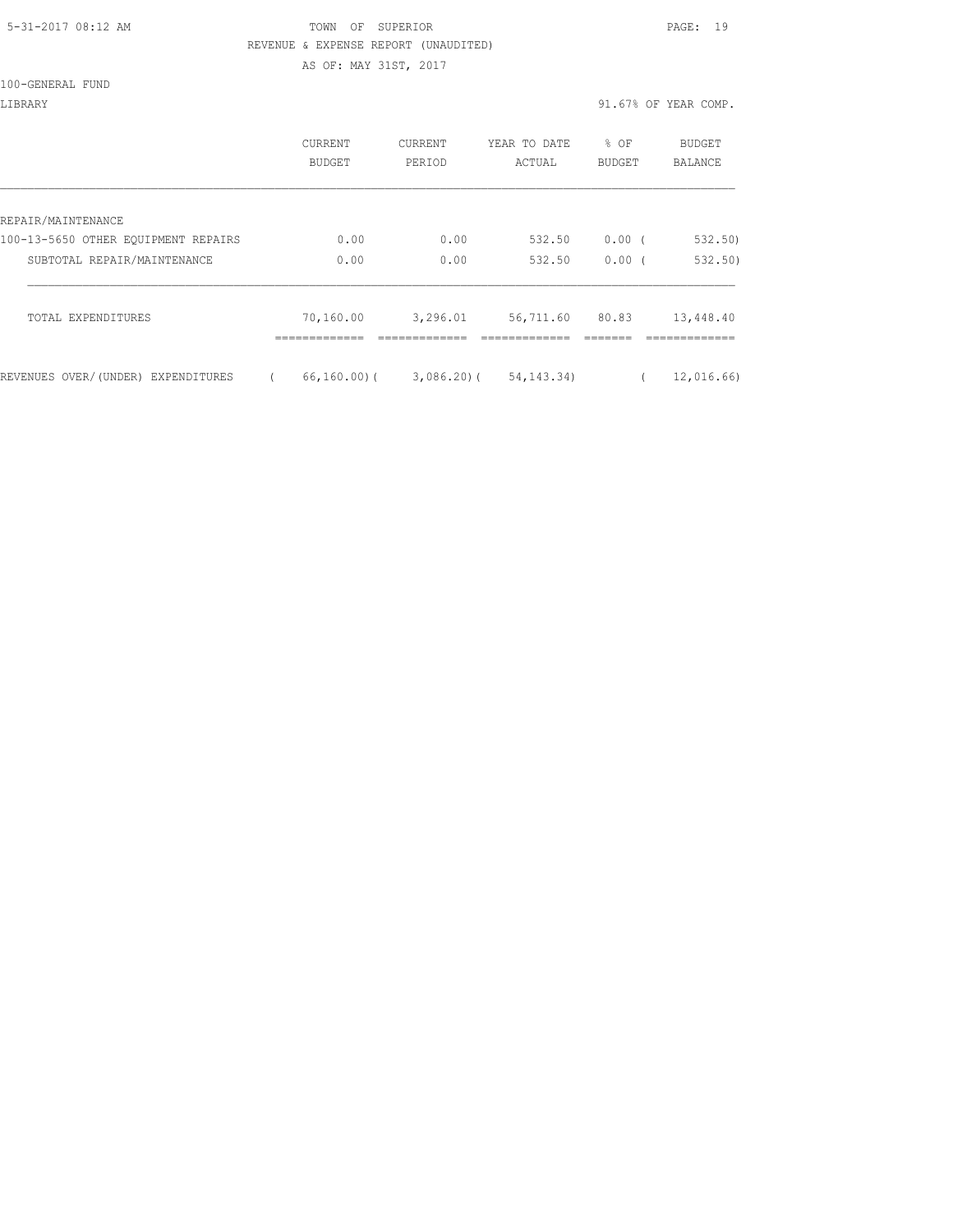#### 5-31-2017 08:12 AM TOWN OF SUPERIOR PAGE: 19 REVENUE & EXPENSE REPORT (UNAUDITED)

AS OF: MAY 31ST, 2017

100-GENERAL FUND

| LIBRARY                             |                          |                   |                        |                       | 91.67% OF YEAR COMP.     |
|-------------------------------------|--------------------------|-------------------|------------------------|-----------------------|--------------------------|
|                                     | CURRENT<br><b>BUDGET</b> | CURRENT<br>PERIOD | YEAR TO DATE<br>ACTUAL | % OF<br><b>BUDGET</b> | BUDGET<br><b>BALANCE</b> |
|                                     |                          |                   |                        |                       |                          |
| REPAIR/MAINTENANCE                  |                          |                   |                        |                       |                          |
| 100-13-5650 OTHER EOUIPMENT REPAIRS | 0.00                     | 0.00              | 532.50                 | 0.00(                 | 532.50                   |
| SUBTOTAL REPAIR/MAINTENANCE         | 0.00                     | 0.00              | 532.50                 | $0.00$ (              | 532.50)                  |
| TOTAL EXPENDITURES                  | 70,160.00<br>---------   | 3,296.01          | 56,711.60              | 80.83                 | 13,448.40                |
| REVENUES OVER/(UNDER) EXPENDITURES  | $66, 160, 00)$ (         | $3,086.20$ (      | 54,143.34)             |                       | 12,016.66)               |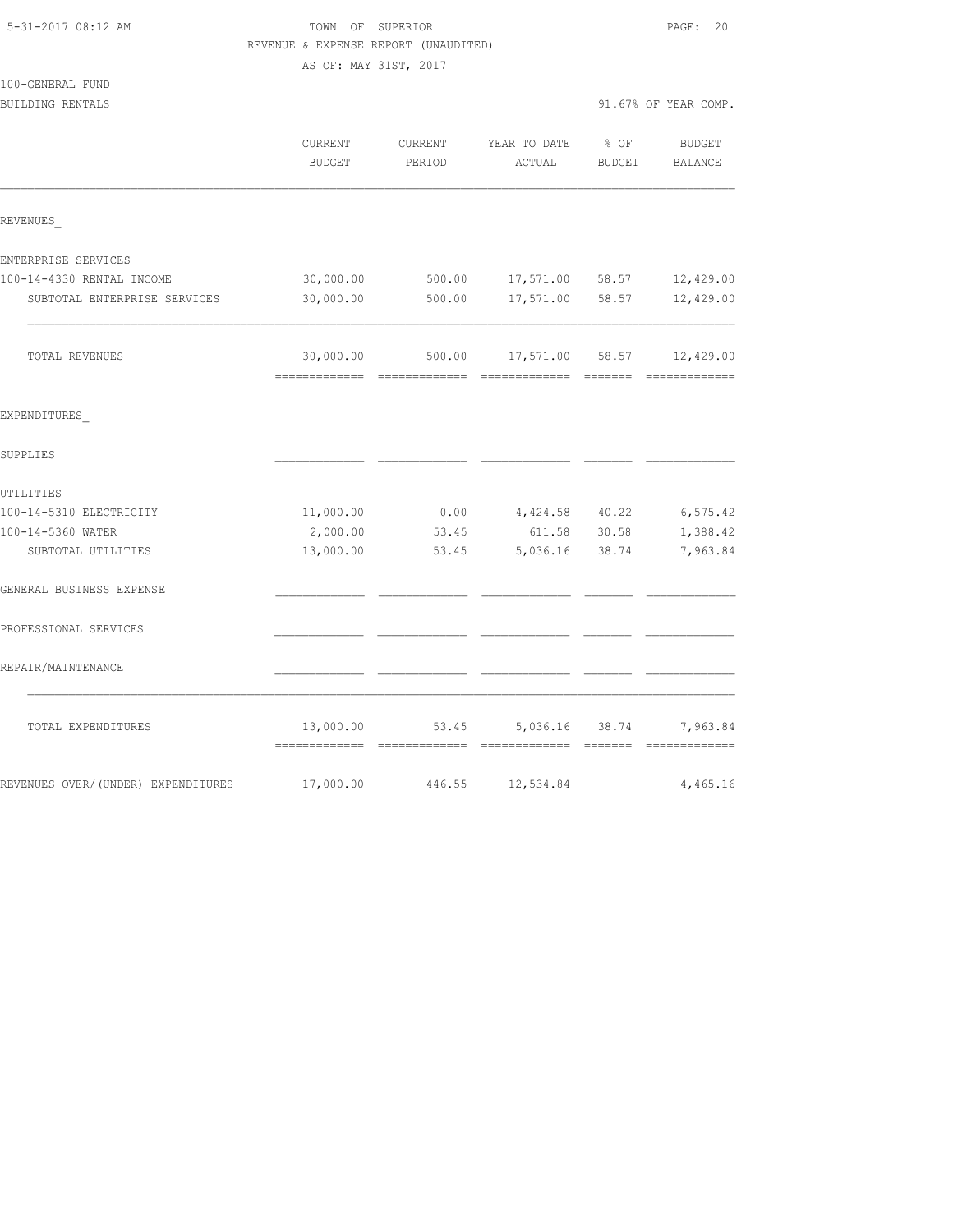| REVENUE & EXPENSE REPORT (UNAUDITED) |                                            |                   |                        |                |                          |  |  |  |
|--------------------------------------|--------------------------------------------|-------------------|------------------------|----------------|--------------------------|--|--|--|
|                                      | AS OF: MAY 31ST, 2017                      |                   |                        |                |                          |  |  |  |
| 100-GENERAL FUND                     |                                            |                   |                        |                |                          |  |  |  |
| BUILDING RENTALS                     |                                            |                   |                        |                | 91.67% OF YEAR COMP.     |  |  |  |
|                                      | CURRENT<br><b>BUDGET</b>                   | CURRENT<br>PERIOD | YEAR TO DATE<br>ACTUAL | % OF<br>BUDGET | <b>BUDGET</b><br>BALANCE |  |  |  |
| REVENUES                             |                                            |                   |                        |                |                          |  |  |  |
| ENTERPRISE SERVICES                  |                                            |                   |                        |                |                          |  |  |  |
| 100-14-4330 RENTAL INCOME            | 30,000.00                                  | 500.00            | 17,571.00              | 58.57          | 12,429.00                |  |  |  |
| SUBTOTAL ENTERPRISE SERVICES         | 30,000.00                                  | 500.00            | 17,571.00              | 58.57          | 12,429.00                |  |  |  |
| TOTAL REVENUES                       | 30,000.00                                  | 500.00            | 17,571.00 58.57        |                | 12,429.00                |  |  |  |
| EXPENDITURES                         |                                            |                   |                        |                |                          |  |  |  |
| SUPPLIES                             |                                            |                   |                        |                |                          |  |  |  |
| UTILITIES                            |                                            |                   |                        |                |                          |  |  |  |
| 100-14-5310 ELECTRICITY              | 11,000.00                                  | 0.00              | 4,424.58 40.22         |                | 6, 575.42                |  |  |  |
| 100-14-5360 WATER                    | 2,000.00                                   | 53.45             | 611.58                 | 30.58          | 1,388.42                 |  |  |  |
| SUBTOTAL UTILITIES                   | 13,000.00                                  | 53.45             | 5,036.16               | 38.74          | 7,963.84                 |  |  |  |
| GENERAL BUSINESS EXPENSE             |                                            |                   |                        |                |                          |  |  |  |
| PROFESSIONAL SERVICES                |                                            |                   |                        |                |                          |  |  |  |
| REPAIR/MAINTENANCE                   |                                            |                   |                        |                |                          |  |  |  |
| TOTAL EXPENDITURES                   | 13,000.00<br>-------------- -------------- | 53.45             | 5,036.16 38.74         |                | 7,963.84                 |  |  |  |
| REVENUES OVER/(UNDER) EXPENDITURES   | 17,000.00                                  | 446.55            | 12,534.84              |                | 4,465.16                 |  |  |  |

5-31-2017 08:12 AM TOWN OF SUPERIOR PAGE: 20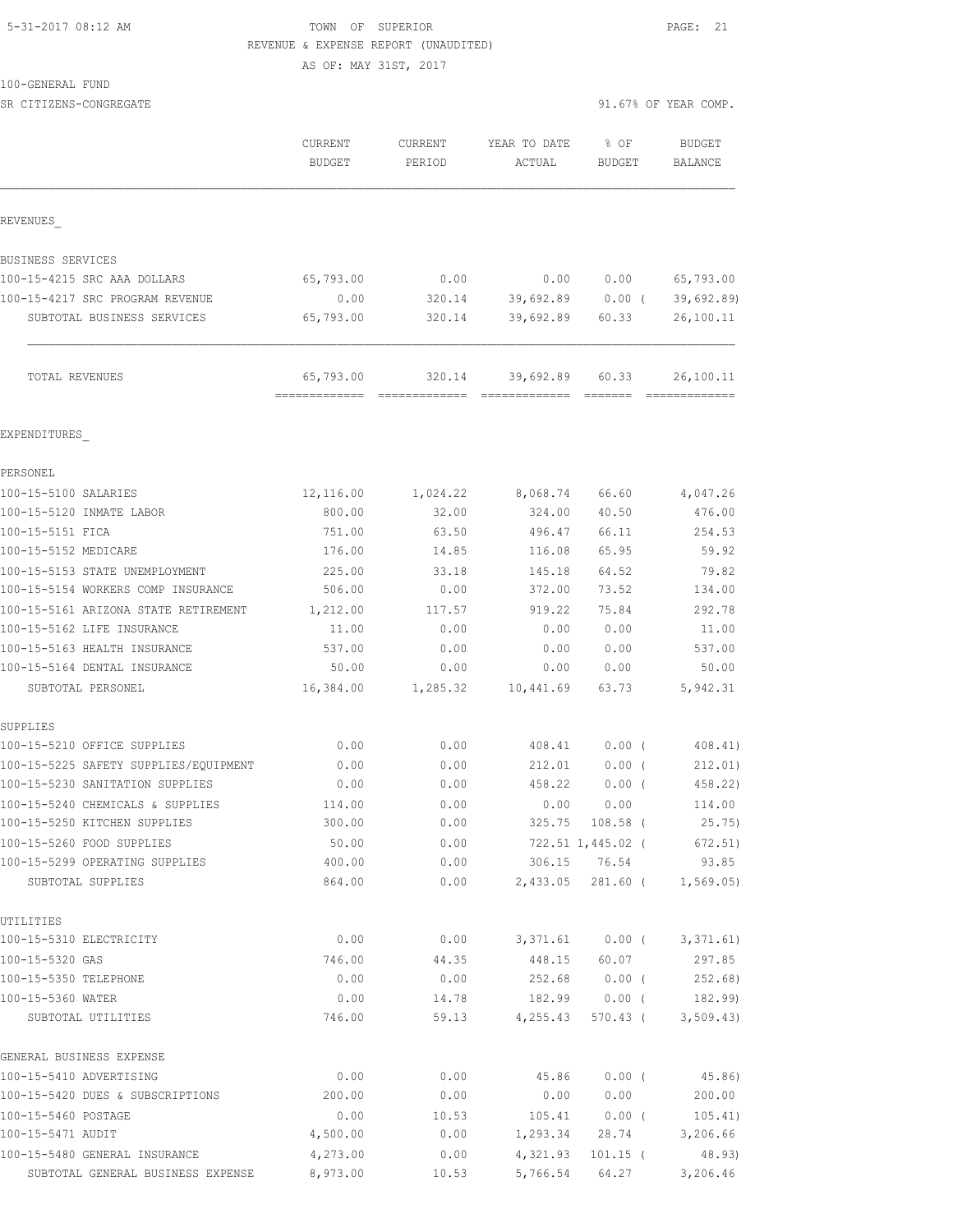#### 5-31-2017 08:12 AM TOWN OF SUPERIOR PAGE: 21 REVENUE & EXPENSE REPORT (UNAUDITED)

AS OF: MAY 31ST, 2017

100-GENERAL FUND

SR CITIZENS-CONGREGATE 91.67% OF YEAR COMP.

|                                                               | CURRENT<br><b>BUDGET</b>   | <b>CURRENT</b><br>PERIOD | YEAR TO DATE<br>ACTUAL | % OF<br><b>BUDGET</b>                                                | <b>BUDGET</b><br>BALANCE   |
|---------------------------------------------------------------|----------------------------|--------------------------|------------------------|----------------------------------------------------------------------|----------------------------|
| REVENUES                                                      |                            |                          |                        |                                                                      |                            |
|                                                               |                            |                          |                        |                                                                      |                            |
| BUSINESS SERVICES<br>100-15-4215 SRC AAA DOLLARS              |                            | 0.00                     | 0.00                   |                                                                      |                            |
|                                                               | 65,793.00                  |                          |                        | 0.00                                                                 | 65,793.00                  |
| 100-15-4217 SRC PROGRAM REVENUE<br>SUBTOTAL BUSINESS SERVICES | 0.00<br>65,793.00          | 320.14<br>320.14         | 39,692.89              | 39,692.89 0.00 (<br>60.33                                            | 39,692.89)<br>26,100.11    |
| TOTAL REVENUES                                                | 65,793.00<br>------------- | 320.14<br>=============  | 39,692.89              | 60.33<br>$\begin{array}{cccccc} = & = & = & = & = & = & \end{array}$ | 26,100.11<br>============= |
| EXPENDITURES                                                  |                            |                          |                        |                                                                      |                            |
| PERSONEL                                                      |                            |                          |                        |                                                                      |                            |
| 100-15-5100 SALARIES                                          | 12,116.00                  | 1,024.22                 | 8,068.74               | 66.60                                                                | 4,047.26                   |
| 100-15-5120 INMATE LABOR                                      | 800.00                     | 32.00                    | 324.00                 | 40.50                                                                | 476.00                     |
| 100-15-5151 FICA                                              | 751.00                     | 63.50                    | 496.47                 | 66.11                                                                | 254.53                     |
| 100-15-5152 MEDICARE                                          | 176.00                     | 14.85                    | 116.08                 | 65.95                                                                | 59.92                      |
| 100-15-5153 STATE UNEMPLOYMENT                                | 225.00                     | 33.18                    | 145.18                 | 64.52                                                                | 79.82                      |
| 100-15-5154 WORKERS COMP INSURANCE                            | 506.00                     | 0.00                     | 372.00                 | 73.52                                                                | 134.00                     |
| 100-15-5161 ARIZONA STATE RETIREMENT                          | 1,212.00                   | 117.57                   | 919.22                 | 75.84                                                                | 292.78                     |
| 100-15-5162 LIFE INSURANCE                                    | 11.00                      | 0.00                     | 0.00                   | 0.00                                                                 | 11.00                      |
| 100-15-5163 HEALTH INSURANCE                                  | 537.00                     | 0.00                     | 0.00                   | 0.00                                                                 | 537.00                     |
| 100-15-5164 DENTAL INSURANCE                                  | 50.00                      | 0.00                     | 0.00                   | 0.00                                                                 | 50.00                      |
| SUBTOTAL PERSONEL                                             | 16,384.00                  | 1,285.32                 | 10,441.69              | 63.73                                                                | 5,942.31                   |
| SUPPLIES                                                      |                            |                          |                        |                                                                      |                            |
| 100-15-5210 OFFICE SUPPLIES                                   | 0.00                       | 0.00                     | 408.41                 | $0.00$ (                                                             | 408.41)                    |
| 100-15-5225 SAFETY SUPPLIES/EQUIPMENT                         | 0.00                       | 0.00                     | 212.01                 | $0.00$ (                                                             | 212.01)                    |
| 100-15-5230 SANITATION SUPPLIES                               | 0.00                       | 0.00                     | 458.22                 | $0.00$ (                                                             | 458.22)                    |
| 100-15-5240 CHEMICALS & SUPPLIES                              | 114.00                     | 0.00                     | 0.00                   | 0.00                                                                 | 114.00                     |
| 100-15-5250 KITCHEN SUPPLIES                                  | 300.00                     | 0.00                     |                        | 325.75 108.58 (                                                      | 25.75)                     |
| 100-15-5260 FOOD SUPPLIES                                     | 50.00                      | 0.00                     |                        | 722.51 1,445.02 (                                                    | 672.51)                    |
| 100-15-5299 OPERATING SUPPLIES                                | 400.00                     | 0.00                     |                        | 306.15 76.54                                                         | 93.85                      |
| SUBTOTAL SUPPLIES                                             | 864.00                     | 0.00                     |                        | 2,433.05 281.60 (                                                    | 1,569.05                   |
| UTILITIES                                                     |                            |                          |                        |                                                                      |                            |
| 100-15-5310 ELECTRICITY                                       | 0.00                       | 0.00                     |                        | 3,371.61 0.00 (                                                      | 3,371.61)                  |
| 100-15-5320 GAS                                               | 746.00                     | 44.35                    |                        | 448.15 60.07                                                         | 297.85                     |
| 100-15-5350 TELEPHONE                                         | 0.00                       | 0.00                     | 252.68                 | $0.00$ (                                                             | 252.68)                    |
| 100-15-5360 WATER<br>SUBTOTAL UTILITIES                       | 0.00<br>746.00             | 14.78<br>59.13           | 4,255.43               | 182.99 0.00 (<br>570.43 (                                            | 182.99)<br>3,509.43)       |
|                                                               |                            |                          |                        |                                                                      |                            |
| GENERAL BUSINESS EXPENSE                                      |                            |                          |                        |                                                                      |                            |
| 100-15-5410 ADVERTISING                                       | 0.00                       | 0.00                     | 45.86                  | $0.00$ (                                                             | 45.86)                     |
| 100-15-5420 DUES & SUBSCRIPTIONS                              | 200.00                     | 0.00                     | 0.00                   | 0.00                                                                 | 200.00                     |
| 100-15-5460 POSTAGE                                           | 0.00                       | 10.53                    | 105.41                 | $0.00$ (                                                             | 105.41)                    |
| 100-15-5471 AUDIT                                             | 4,500.00                   | 0.00                     | 1,293.34               | 28.74                                                                | 3,206.66                   |
| 100-15-5480 GENERAL INSURANCE                                 | 4,273.00                   | 0.00                     |                        | 4,321.93 101.15 (                                                    | 48.93)                     |

SUBTOTAL GENERAL BUSINESS EXPENSE 8,973.00 10.53 5,766.54 64.27 3,206.46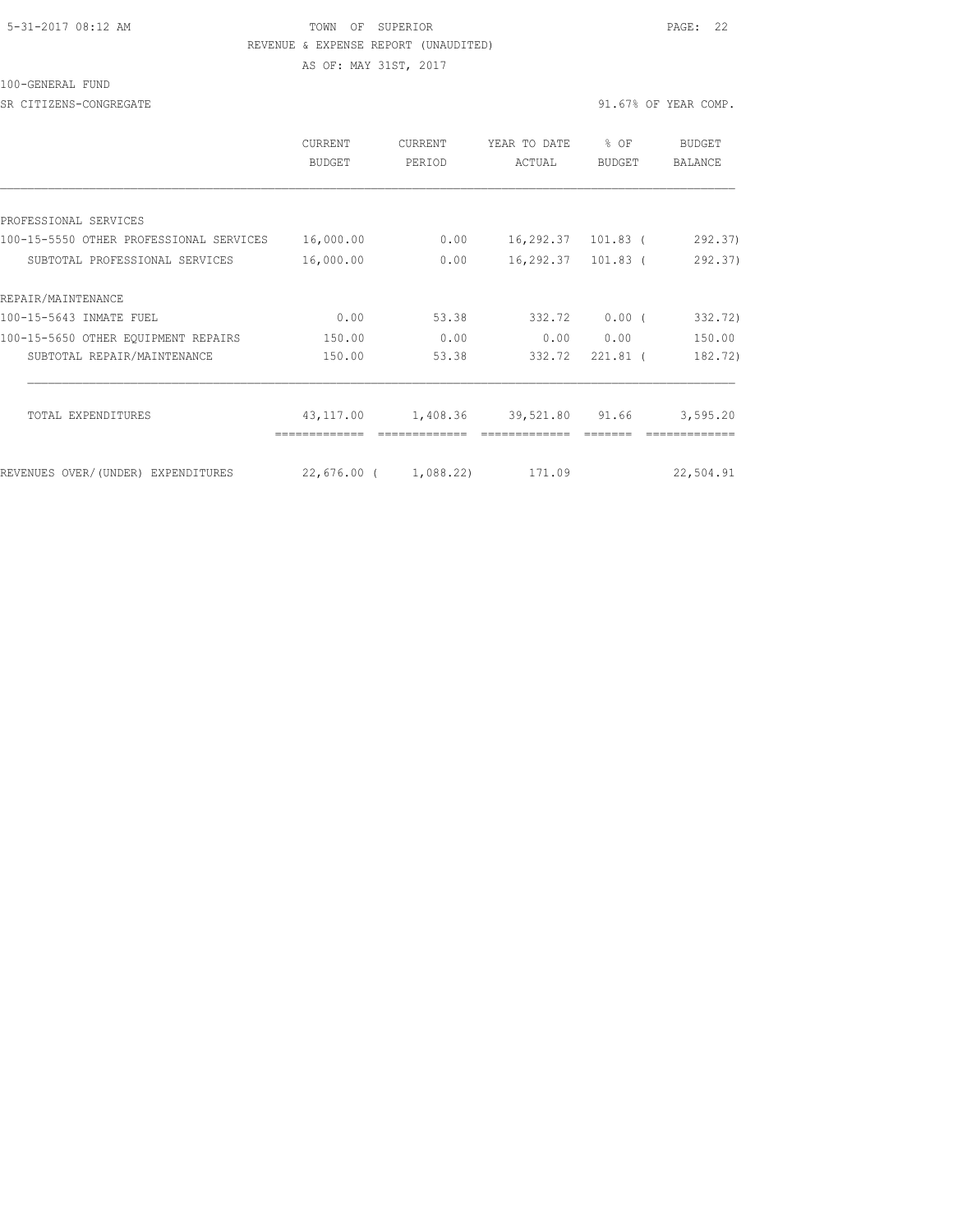#### 5-31-2017 08:12 AM TOWN OF SUPERIOR PAGE: 22 REVENUE & EXPENSE REPORT (UNAUDITED)

AS OF: MAY 31ST, 2017

100-GENERAL FUND

SR CITIZENS-CONGREGATE SALL ASSESSED A SERVICE OF STRAIN OF STRAIN OF STRAIN OF YEAR COMP.

|                                         | <b>CURRENT</b><br>BUDGET | <b>CURRENT</b><br>PERIOD | YEAR TO DATE<br>ACTUAL | % OF<br><b>BUDGET</b> | <b>BUDGET</b><br><b>BALANCE</b> |
|-----------------------------------------|--------------------------|--------------------------|------------------------|-----------------------|---------------------------------|
|                                         |                          |                          |                        |                       |                                 |
| PROFESSIONAL SERVICES                   |                          |                          |                        |                       |                                 |
| 100-15-5550 OTHER PROFESSIONAL SERVICES | 16,000.00                | 0.00                     | 16,292.37 101.83 (     |                       | 292.37                          |
| SUBTOTAL PROFESSIONAL SERVICES          | 16,000.00                | 0.00                     | 16,292.37 101.83 (     |                       | 292.37)                         |
| REPAIR/MAINTENANCE                      |                          |                          |                        |                       |                                 |
| 100-15-5643 INMATE FUEL                 | 0.00                     | 53.38                    | 332.72                 | 0.00(                 | 332.72)                         |
| 100-15-5650 OTHER EQUIPMENT REPAIRS     | 150.00                   | 0.00                     | 0.00                   | 0.00                  | 150.00                          |
| SUBTOTAL REPAIR/MAINTENANCE             | 150.00                   | 53.38                    | 332.72                 | $221.81$ (            | 182.72)                         |
| <b>TOTAL EXPENDITURES</b>               | 43,117.00                | 1,408.36                 | 39,521.80 91.66        |                       | 3,595.20                        |
|                                         |                          |                          |                        |                       |                                 |
| REVENUES OVER/(UNDER) EXPENDITURES      | 22,676.00 ( 1,088.22)    |                          | 171.09                 |                       | 22,504.91                       |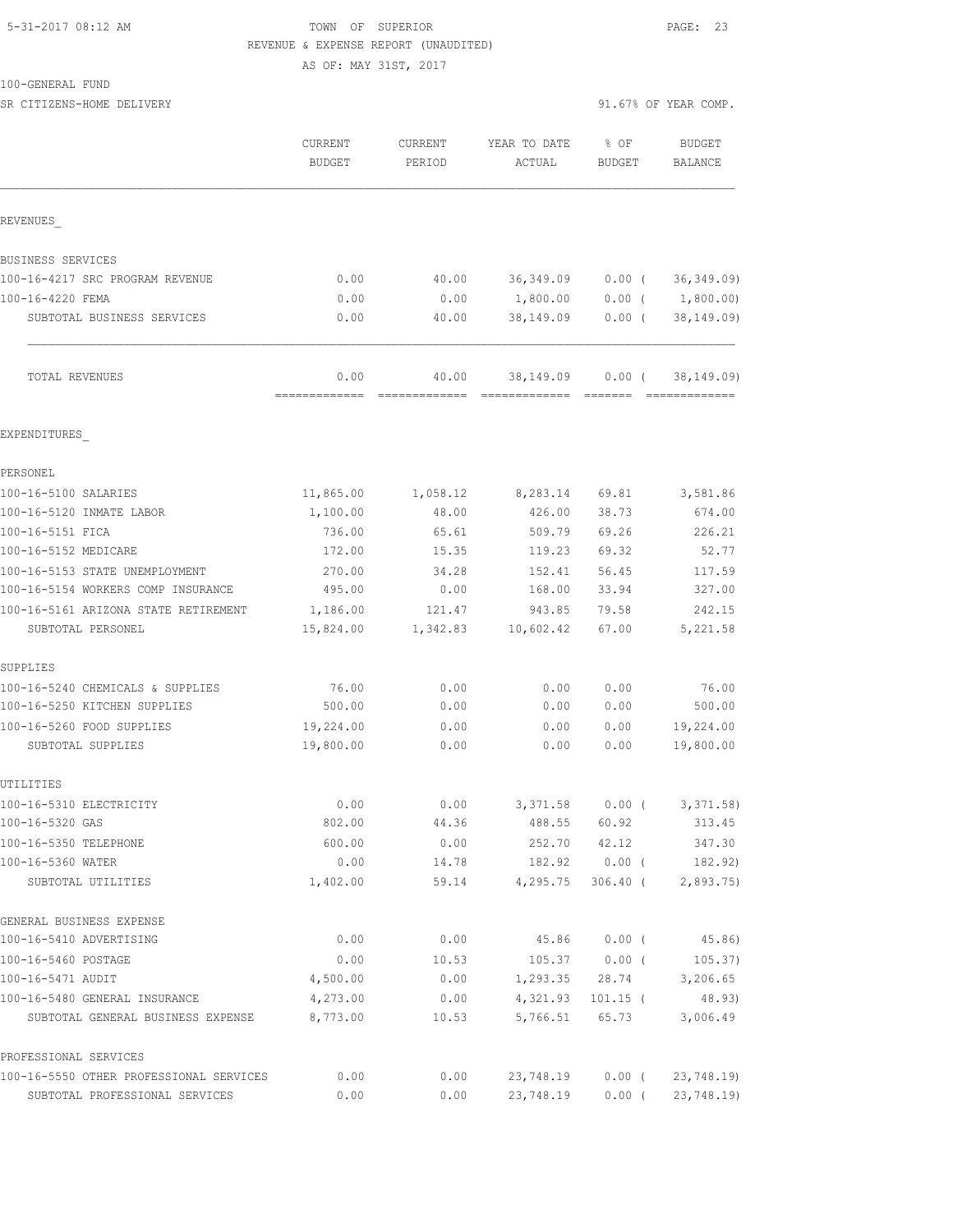#### 5-31-2017 08:12 AM TOWN OF SUPERIOR PAGE: 23 REVENUE & EXPENSE REPORT (UNAUDITED)

AS OF: MAY 31ST, 2017

100-GENERAL FUND

SR CITIZENS-HOME DELIVERY 91.67% OF YEAR COMP. CURRENT CURRENT YEAR TO DATE % OF BUDGET BUDGET PERIOD ACTUAL BUDGET BALANCE REVENUES\_ BUSINESS SERVICES 100-16-4217 SRC PROGRAM REVENUE 0.00 40.00 36,349.09 0.00 ( 36,349.09) 100-16-4220 FEMA 0.00 0.00 1,800.00 0.00 ( 1,800.00) SUBTOTAL BUSINESS SERVICES 0.00 40.00 38,149.09 0.00 ( 38,149.09) TOTAL REVENUES 0.00 40.00 38,149.09 0.00 ( 38,149.09) ============= ============= ============= ======= ============= EXPENDITURES\_ PERSONEL

| 100-16-5100 SALARIES                    | 11,865.00 | 1,058.12 | 8,283.14         | 69.81             | 3,581.86           |
|-----------------------------------------|-----------|----------|------------------|-------------------|--------------------|
| 100-16-5120 INMATE LABOR                | 1,100.00  | 48.00    | 426.00           | 38.73             | 674.00             |
| 100-16-5151 FICA                        | 736.00    | 65.61    | 509.79           | 69.26             | 226.21             |
| 100-16-5152 MEDICARE                    | 172.00    | 15.35    | 119.23           | 69.32             | 52.77              |
| 100-16-5153 STATE UNEMPLOYMENT          | 270.00    | 34.28    | 152.41           | 56.45             | 117.59             |
| 100-16-5154 WORKERS COMP INSURANCE      | 495.00    | 0.00     | 168.00           | 33.94             | 327.00             |
| 100-16-5161 ARIZONA STATE RETIREMENT    | 1,186.00  | 121.47   | 943.85           | 79.58             | 242.15             |
| SUBTOTAL PERSONEL                       | 15,824.00 | 1,342.83 | 10,602.42        | 67.00             | 5,221.58           |
| SUPPLIES                                |           |          |                  |                   |                    |
| 100-16-5240 CHEMICALS & SUPPLIES        | 76.00     | 0.00     | 0.00             | 0.00              | 76.00              |
| 100-16-5250 KITCHEN SUPPLIES            | 500.00    | 0.00     | 0.00             | 0.00              | 500.00             |
| 100-16-5260 FOOD SUPPLIES               | 19,224.00 | 0.00     | 0.00             | 0.00              | 19,224.00          |
| SUBTOTAL SUPPLIES                       | 19,800.00 | 0.00     | 0.00             | 0.00              | 19,800.00          |
| UTILITIES                               |           |          |                  |                   |                    |
| 100-16-5310 ELECTRICITY                 | 0.00      | 0.00     |                  | $3,371.58$ 0.00 ( | 3, 371.58)         |
| 100-16-5320 GAS                         | 802.00    | 44.36    | 488.55           | 60.92             | 313.45             |
| 100-16-5350 TELEPHONE                   | 600.00    | 0.00     | 252.70           | 42.12             | 347.30             |
| 100-16-5360 WATER                       | 0.00      | 14.78    | 182.92           | $0.00$ (          | 182.92)            |
| SUBTOTAL UTILITIES                      | 1,402.00  | 59.14    | 4,295.75         |                   | 306.40 ( 2,893.75) |
| GENERAL BUSINESS EXPENSE                |           |          |                  |                   |                    |
| 100-16-5410 ADVERTISING                 | 0.00      | 0.00     | 45.86            | $0.00$ (          | 45.86)             |
| 100-16-5460 POSTAGE                     | 0.00      | 10.53    | 105.37           | $0.00$ (          | 105.37)            |
| 100-16-5471 AUDIT                       | 4,500.00  | 0.00     | 1,293.35         | 28.74             | 3,206.65           |
| 100-16-5480 GENERAL INSURANCE           | 4,273.00  | 0.00     | 4,321.93         | $101.15$ (        | 48.93)             |
| SUBTOTAL GENERAL BUSINESS EXPENSE       | 8,773.00  | 10.53    | 5,766.51         | 65.73             | 3,006.49           |
| PROFESSIONAL SERVICES                   |           |          |                  |                   |                    |
| 100-16-5550 OTHER PROFESSIONAL SERVICES | 0.00      | 0.00     | 23,748.19 0.00 ( |                   | 23,748.19)         |
| SUBTOTAL PROFESSIONAL SERVICES          | 0.00      | 0.00     | 23,748.19        | $0.00$ (          | 23,748.19)         |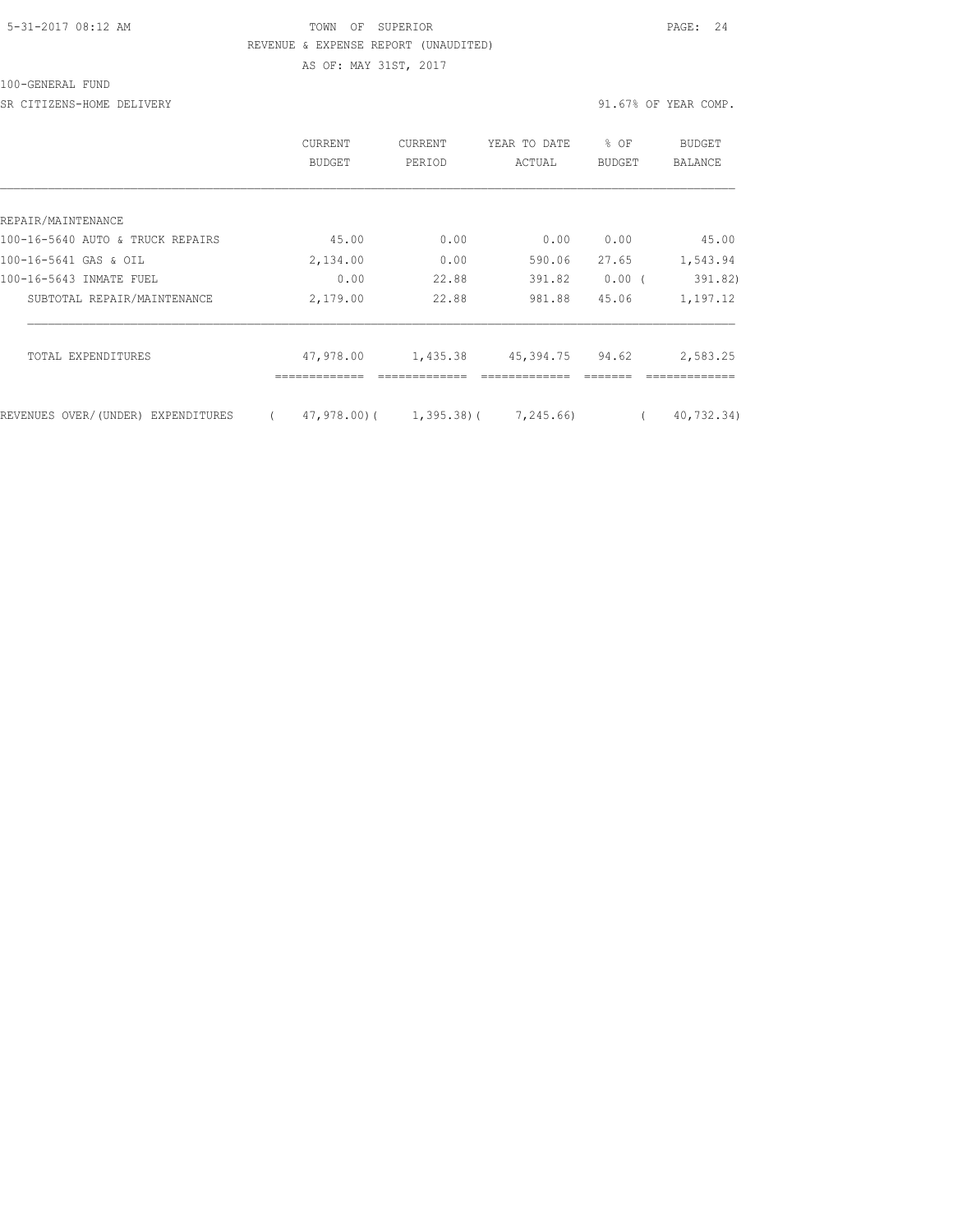## 5-31-2017 08:12 AM TOWN OF SUPERIOR PAGE: 24 REVENUE & EXPENSE REPORT (UNAUDITED)

100-GENERAL FUND

SR CITIZENS-HOME DELIVERY 31.67% OF YEAR COMP.

AS OF: MAY 31ST, 2017

|                                    | CURRENT<br>BUDGET | <b>CURRENT</b><br>PERIOD   | YEAR TO DATE<br>ACTUAL | % OF<br><b>BUDGET</b> | BUDGET<br>BALANCE |
|------------------------------------|-------------------|----------------------------|------------------------|-----------------------|-------------------|
|                                    |                   |                            |                        |                       |                   |
| REPAIR/MAINTENANCE                 |                   |                            |                        |                       |                   |
| 100-16-5640 AUTO & TRUCK REPAIRS   | 45.00             | 0.00                       | 0.00                   | 0.00                  | 45.00             |
| 100-16-5641 GAS & OIL              | 2,134.00          | 0.00                       | 590.06                 | 27.65                 | 1,543.94          |
| 100-16-5643 INMATE FUEL            | 0.00              | 22.88                      | 391.82                 | $0.00$ (              | 391.82)           |
| SUBTOTAL REPAIR/MAINTENANCE        | 2,179.00          | 22.88                      | 981.88                 | 45.06                 | 1,197.12          |
| TOTAL EXPENDITURES                 | 47,978.00         | 1,435.38                   | 45,394.75              | 94.62                 | 2,583.25          |
|                                    |                   |                            |                        |                       |                   |
| REVENUES OVER/(UNDER) EXPENDITURES |                   | $47,978.00$ ( $1,395.38$ ( | 7,245.66)              |                       | 40,732.34)        |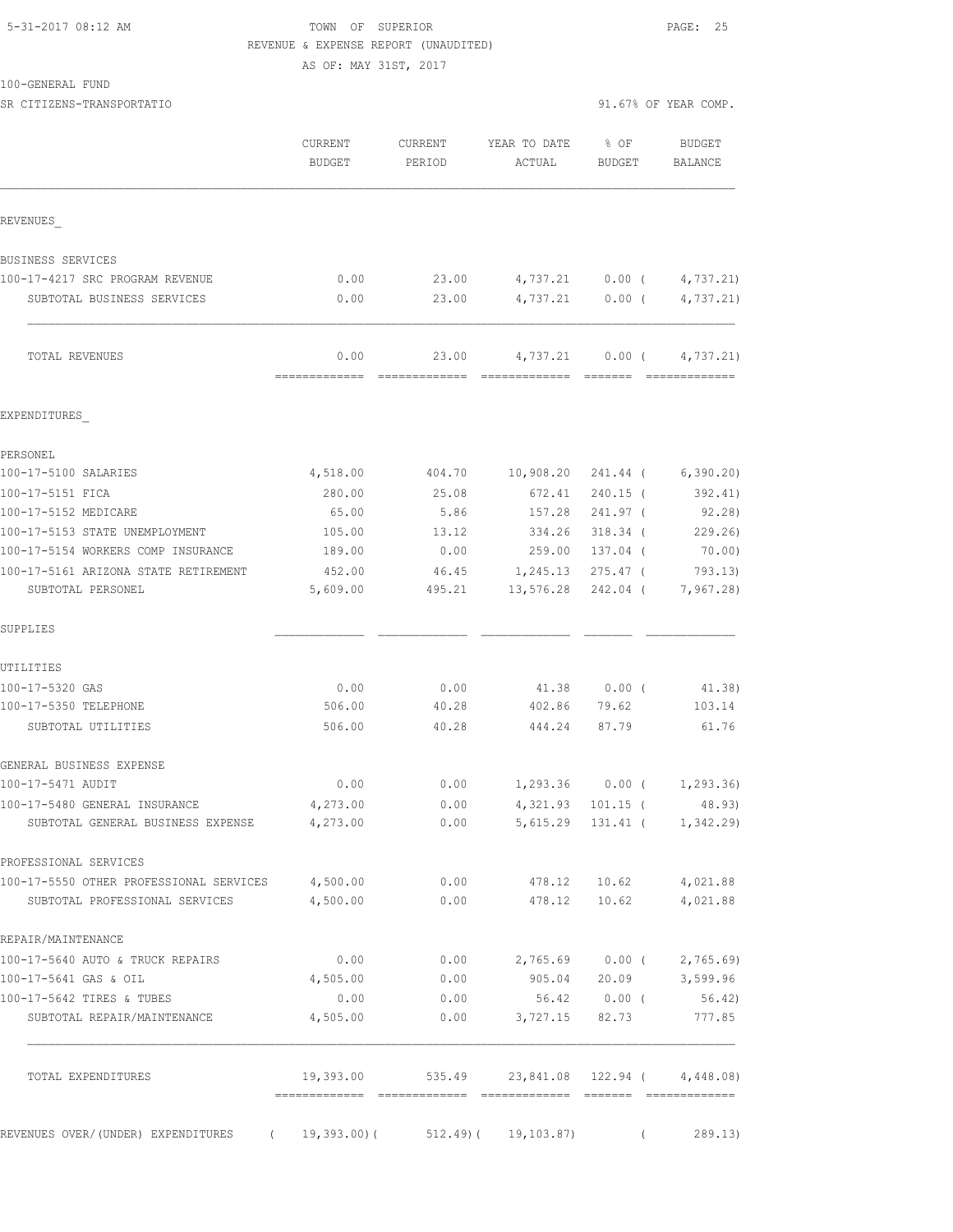## 5-31-2017 08:12 AM **TOWN** OF SUPERIOR **PAGE: 25** REVENUE & EXPENSE REPORT (UNAUDITED)

AS OF: MAY 31ST, 2017

100-GENERAL FUND SR CITIZENS-TRANSPORTATIO 91.67% OF YEAR COMP.

|              | CURRENT | CURRENT | YEAR TO DATE % OF |        | BUDGET  |
|--------------|---------|---------|-------------------|--------|---------|
|              | BUDGET  | PERIOD  | ACTUAL            | BUDGET | BALANCE |
|              |         |         |                   |        |         |
| ם חזזוגחזיות |         |         |                   |        |         |

============= ============= ============= ======= =============

| TOTAL REVENUES                  | 0.00 | 23.00 |          | 4,737.21 0.00 ( | 4,737.21)                 |
|---------------------------------|------|-------|----------|-----------------|---------------------------|
| SUBTOTAL BUSINESS SERVICES      | 0.00 | 23.00 |          |                 | 4,737.21 0.00 ( 4,737.21) |
| 100-17-4217 SRC PROGRAM REVENUE | 0.00 | 23.00 | 4,737.21 | $0.00$ (        | 4,737.21)                 |
| BUSINESS SERVICES               |      |       |          |                 |                           |
|                                 |      |       |          |                 |                           |

## EXPENDITURES\_

REVENUES\_

| PERSONEL                                |          |                                     |                  |                             |                    |
|-----------------------------------------|----------|-------------------------------------|------------------|-----------------------------|--------------------|
| 100-17-5100 SALARIES                    | 4,518.00 |                                     | 404.70 10,908.20 |                             | 241.44 ( 6,390.20) |
| 100-17-5151 FICA                        | 280.00   | 25.08                               | 672.41           | $240.15$ (                  | 392.41)            |
| 100-17-5152 MEDICARE                    | 65.00    | 5.86                                | 157.28           | 241.97 (                    | 92.28)             |
| 100-17-5153 STATE UNEMPLOYMENT          | 105.00   | 13.12                               | 334.26           | $318.34$ (                  | 229.26             |
| 100-17-5154 WORKERS COMP INSURANCE      | 189.00   | 0.00                                | 259.00           | 137.04 (                    | 70.00)             |
| 100-17-5161 ARIZONA STATE RETIREMENT    | 452.00   | 46.45                               | 1,245.13         | $275.47$ (                  | 793.13)            |
| SUBTOTAL PERSONEL                       | 5,609.00 | 495.21 13,576.28 242.04 ( 7,967.28) |                  |                             |                    |
| SUPPLIES                                |          |                                     |                  |                             |                    |
| UTILITIES                               |          |                                     |                  |                             |                    |
| 100-17-5320 GAS                         | 0.00     | 0.00                                |                  | 41.38 0.00 (                | 41.38)             |
| 100-17-5350 TELEPHONE                   | 506.00   | 40.28                               | 402.86           | 79.62                       | 103.14             |
| SUBTOTAL UTILITIES                      | 506.00   | 40.28                               | 444.24           | 87.79                       | 61.76              |
| GENERAL BUSINESS EXPENSE                |          |                                     |                  |                             |                    |
| 100-17-5471 AUDIT                       | 0.00     | 0.00                                |                  | $1,293.36$ 0.00 ( 1,293.36) |                    |
| 100-17-5480 GENERAL INSURANCE           | 4,273.00 | 0.00                                | 4,321.93         | $101.15$ (                  | 48.93)             |
| SUBTOTAL GENERAL BUSINESS EXPENSE       | 4,273.00 | 0.00                                | 5,615.29         |                             | 131.41 ( 1,342.29) |
| PROFESSIONAL SERVICES                   |          |                                     |                  |                             |                    |
| 100-17-5550 OTHER PROFESSIONAL SERVICES | 4,500.00 | 0.00                                | 478.12           | 10.62                       | 4,021.88           |
| SUBTOTAL PROFESSIONAL SERVICES          | 4,500.00 | 0.00                                | 478.12           | 10.62                       | 4,021.88           |

| 0.00          | 0.00         | 2,765.69   | 0.00(    | 2,765.69  |
|---------------|--------------|------------|----------|-----------|
| 4,505.00      | 0.00         | 905.04     | 20.09    | 3,599.96  |
| 0.00          | 0.00         | 56.42      | $0.00$ ( | 56.42     |
| 4,505.00      | 0.00         | 3,727.15   | 82.73    | 777.85    |
| 19,393.00     | 535.49       | 23,841.08  | 122.94   | 4,448.08) |
| $19,393.00$ ( | $512.49$ ) ( | 19,103.87) |          | 289.13)   |
|               | ------------ |            |          |           |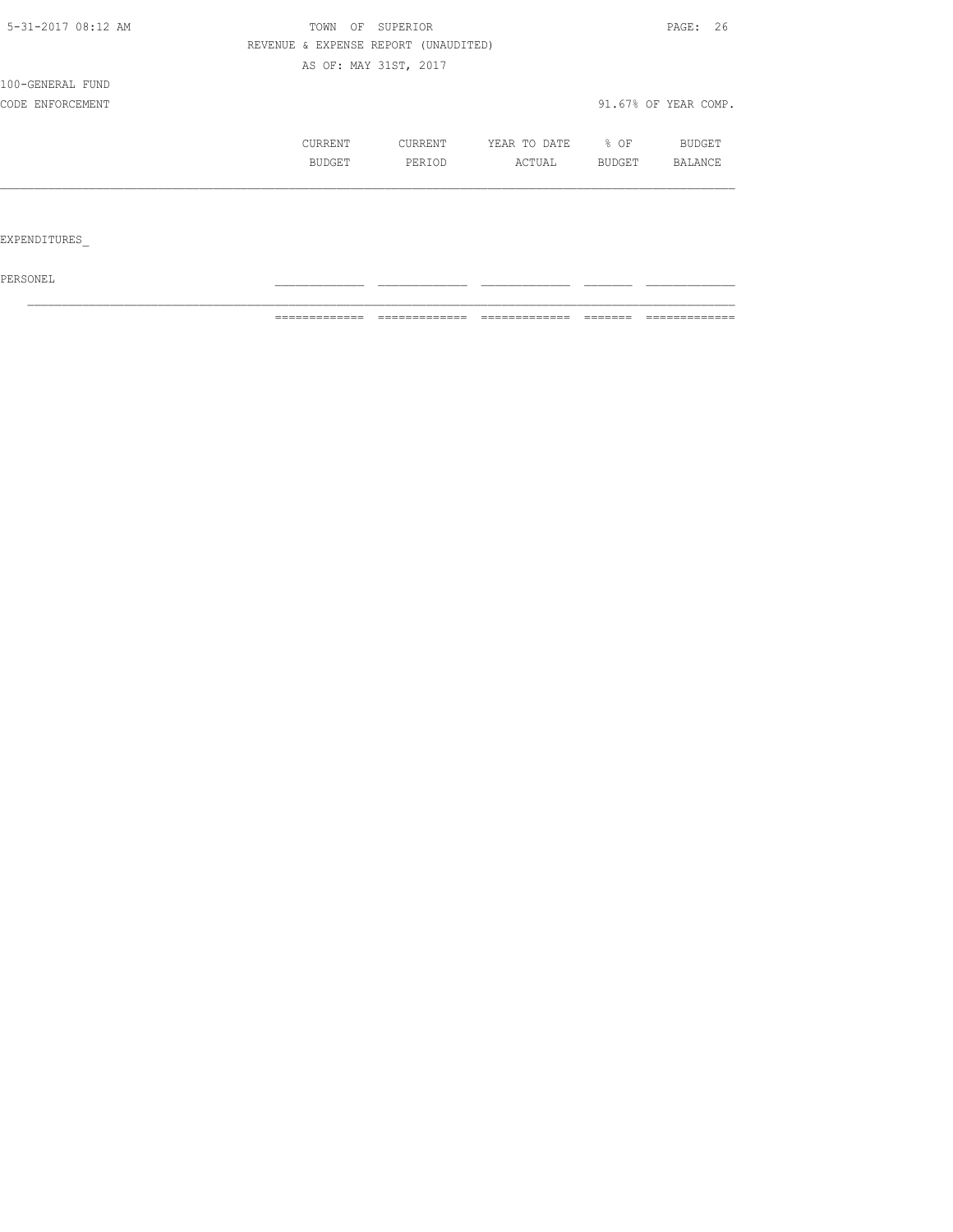| 5-31-2017 08:12 AM | TOWN | OF            | SUPERIOR                             |              |        | PAGE: 26             |
|--------------------|------|---------------|--------------------------------------|--------------|--------|----------------------|
|                    |      |               | REVENUE & EXPENSE REPORT (UNAUDITED) |              |        |                      |
|                    |      |               | AS OF: MAY 31ST, 2017                |              |        |                      |
| 100-GENERAL FUND   |      |               |                                      |              |        |                      |
| CODE ENFORCEMENT   |      |               |                                      |              |        | 91.67% OF YEAR COMP. |
|                    |      | CURRENT       | CURRENT                              | YEAR TO DATE | $8$ OF | BUDGET               |
|                    |      | <b>BUDGET</b> | PERIOD                               | ACTUAL       | BUDGET | <b>BALANCE</b>       |
|                    |      |               |                                      |              |        |                      |
|                    |      |               |                                      |              |        |                      |

EXPENDITURES\_

 $PERSONEL$ 

============= ============= ============= ======= =============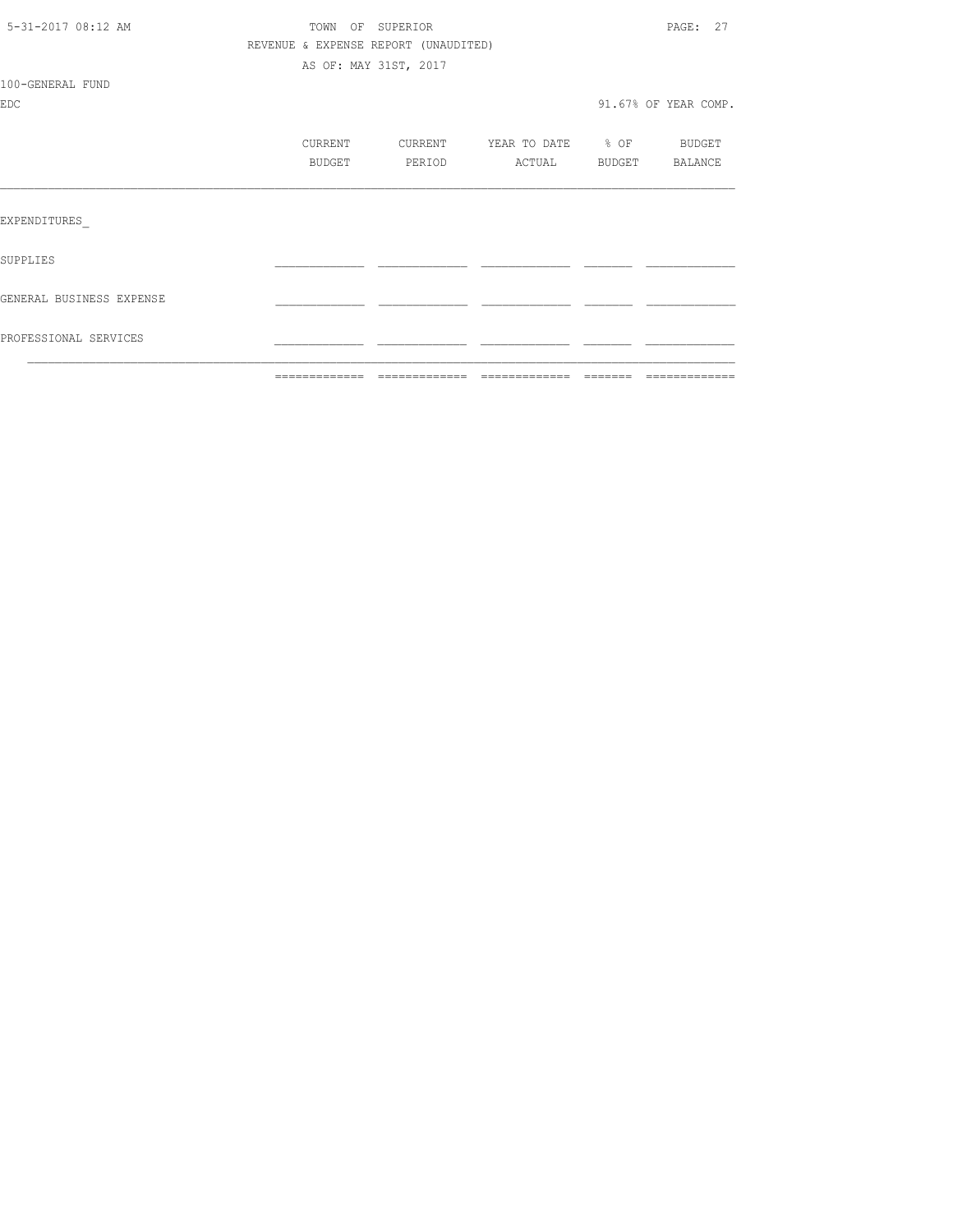| 5-31-2017 08:12 AM             |                   | TOWN OF SUPERIOR<br>REVENUE & EXPENSE REPORT (UNAUDITED) |                                    |         | PAGE: 27             |
|--------------------------------|-------------------|----------------------------------------------------------|------------------------------------|---------|----------------------|
| 100-GENERAL FUND<br><b>EDC</b> |                   | AS OF: MAY 31ST, 2017                                    |                                    |         | 91.67% OF YEAR COMP. |
|                                | CURRENT<br>BUDGET | CURRENT<br>PERIOD                                        | YEAR TO DATE % OF BUDGET<br>ACTUAL |         | BUDGET BALANCE       |
| EXPENDITURES                   |                   |                                                          |                                    |         |                      |
| SUPPLIES                       |                   |                                                          |                                    |         |                      |
| GENERAL BUSINESS EXPENSE       |                   |                                                          |                                    |         |                      |
| PROFESSIONAL SERVICES          |                   |                                                          |                                    |         |                      |
|                                | =============     | =============                                            | =============                      | ======= |                      |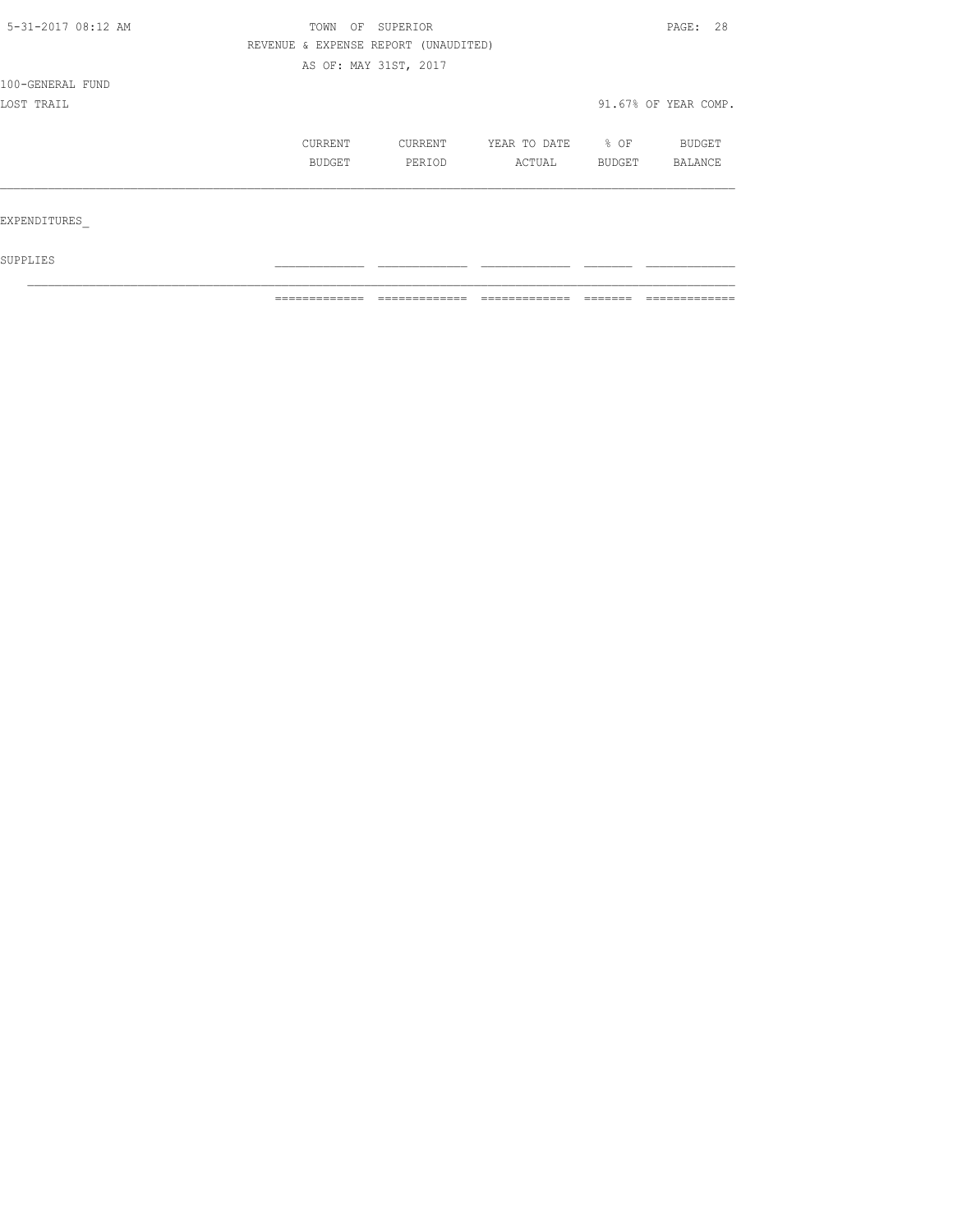| 5-31-2017 08:12 AM | TOWN    | ΟF<br>SUPERIOR                       |              |        | PAGE: 28             |
|--------------------|---------|--------------------------------------|--------------|--------|----------------------|
|                    |         | REVENUE & EXPENSE REPORT (UNAUDITED) |              |        |                      |
|                    |         | AS OF: MAY 31ST, 2017                |              |        |                      |
| 100-GENERAL FUND   |         |                                      |              |        |                      |
| LOST TRAIL         |         |                                      |              |        | 91.67% OF YEAR COMP. |
|                    | CURRENT | CURRENT                              | YEAR TO DATE | $8$ OF | BUDGET               |
|                    | BUDGET  | PERIOD                               | ACTUAL       | BUDGET | BALANCE              |
|                    |         |                                      |              |        |                      |
| EXPENDITURES       |         |                                      |              |        |                      |
|                    |         |                                      |              |        |                      |

 $\mathcal{L}_\text{max}$ 

 ${\tt SUPPLIES}$ 

============= ============= ============= ======= =============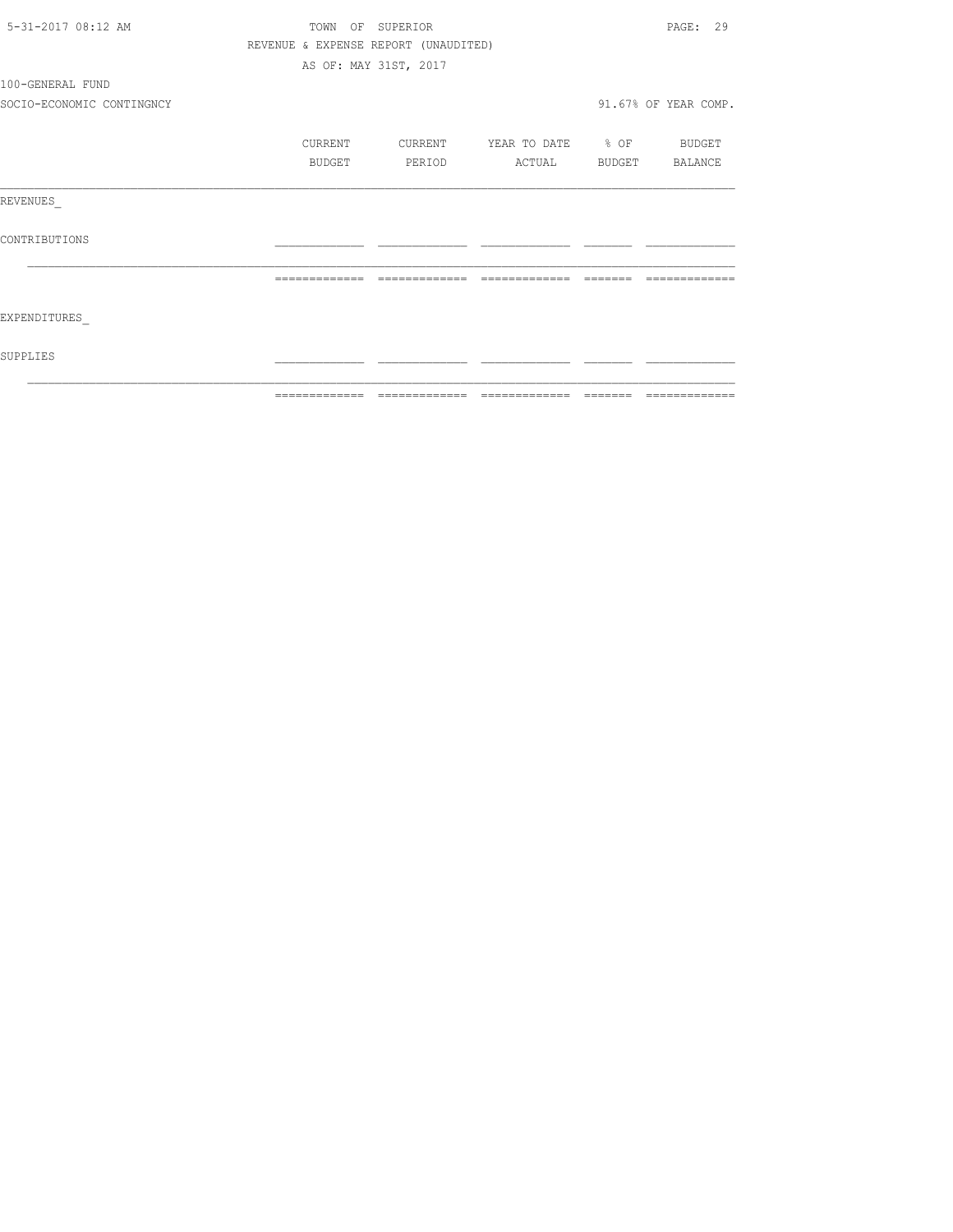| 5-31-2017 08:12 AM        |               | TOWN OF SUPERIOR                     |                          | PAGE: 29             |
|---------------------------|---------------|--------------------------------------|--------------------------|----------------------|
|                           |               | REVENUE & EXPENSE REPORT (UNAUDITED) |                          |                      |
|                           |               | AS OF: MAY 31ST, 2017                |                          |                      |
| 100-GENERAL FUND          |               |                                      |                          |                      |
| SOCIO-ECONOMIC CONTINGNCY |               |                                      |                          | 91.67% OF YEAR COMP. |
|                           | CURRENT       | CURRENT                              | YEAR TO DATE % OF BUDGET |                      |
|                           | BUDGET        | PERIOD                               | ACTUAL BUDGET BALANCE    |                      |
| REVENUES                  |               |                                      |                          |                      |
| CONTRIBUTIONS             |               |                                      |                          |                      |
|                           | ============= | =============                        |                          |                      |
| EXPENDITURES              |               |                                      |                          |                      |
| SUPPLIES                  |               |                                      |                          |                      |
|                           | ------------- |                                      |                          | -------------        |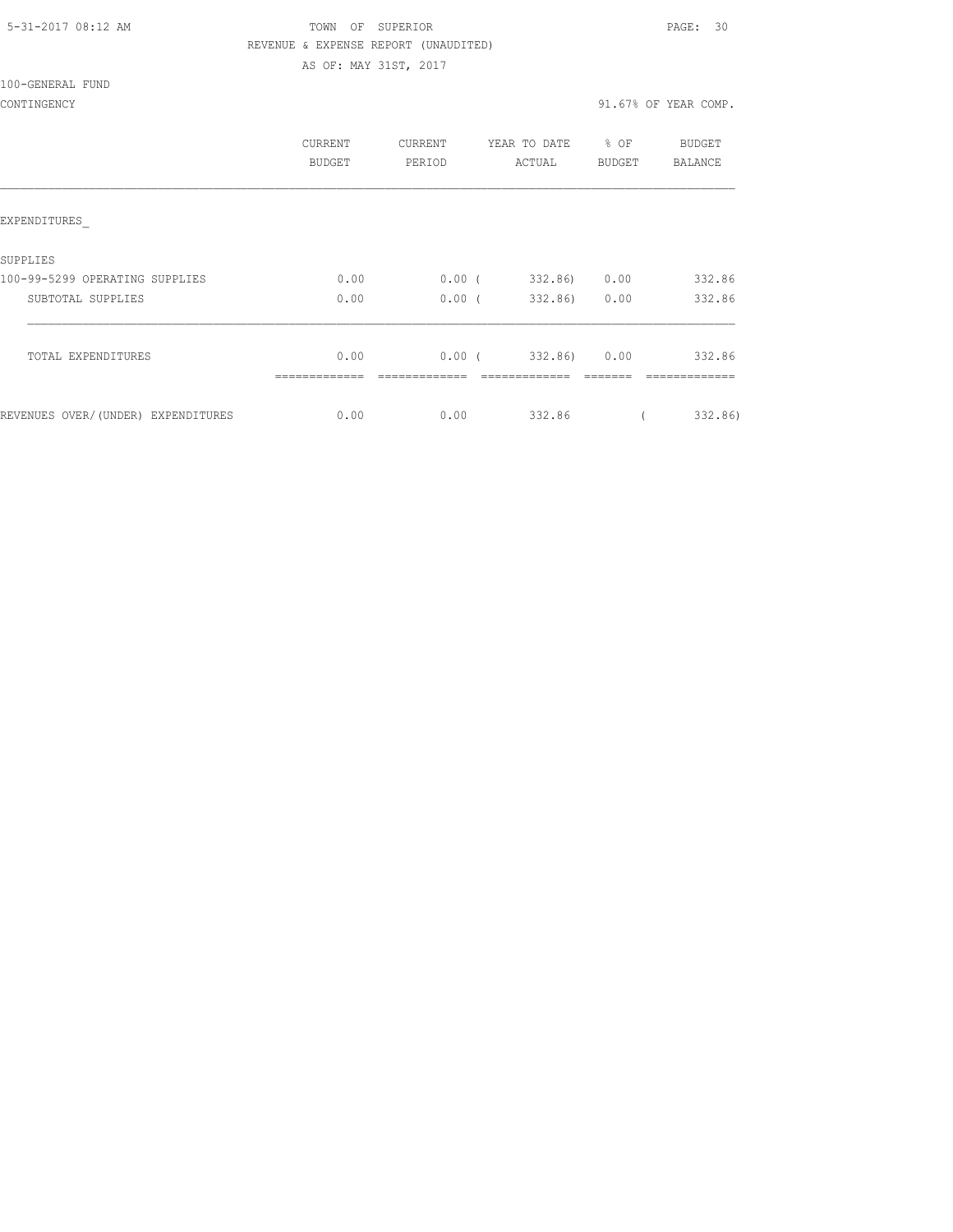AS OF: MAY 31ST, 2017

## 5-31-2017 08:12 AM TOWN OF SUPERIOR PAGE: 30 REVENUE & EXPENSE REPORT (UNAUDITED)

100-GENERAL FUND

|                                    | CURRENT<br>BUDGET | CURRENT<br>PERIOD | YEAR TO DATE<br>ACTUAL  | $8$ OF<br>BUDGET | BUDGET<br>BALANCE |
|------------------------------------|-------------------|-------------------|-------------------------|------------------|-------------------|
| EXPENDITURES                       |                   |                   |                         |                  |                   |
| SUPPLIES                           |                   |                   |                         |                  |                   |
| 100-99-5299 OPERATING SUPPLIES     | 0.00              | 0.00(             | 332.86)                 | 0.00             | 332.86            |
| SUBTOTAL SUPPLIES                  | 0.00              | $0.00$ (          | 332.86) 0.00            |                  | 332.86            |
| TOTAL EXPENDITURES                 | 0.00              |                   | $0.00$ ( 332.86) $0.00$ |                  | 332.86            |
|                                    |                   |                   |                         |                  |                   |
| REVENUES OVER/(UNDER) EXPENDITURES | 0.00              | 0.00              | 332.86                  |                  | 332.86)           |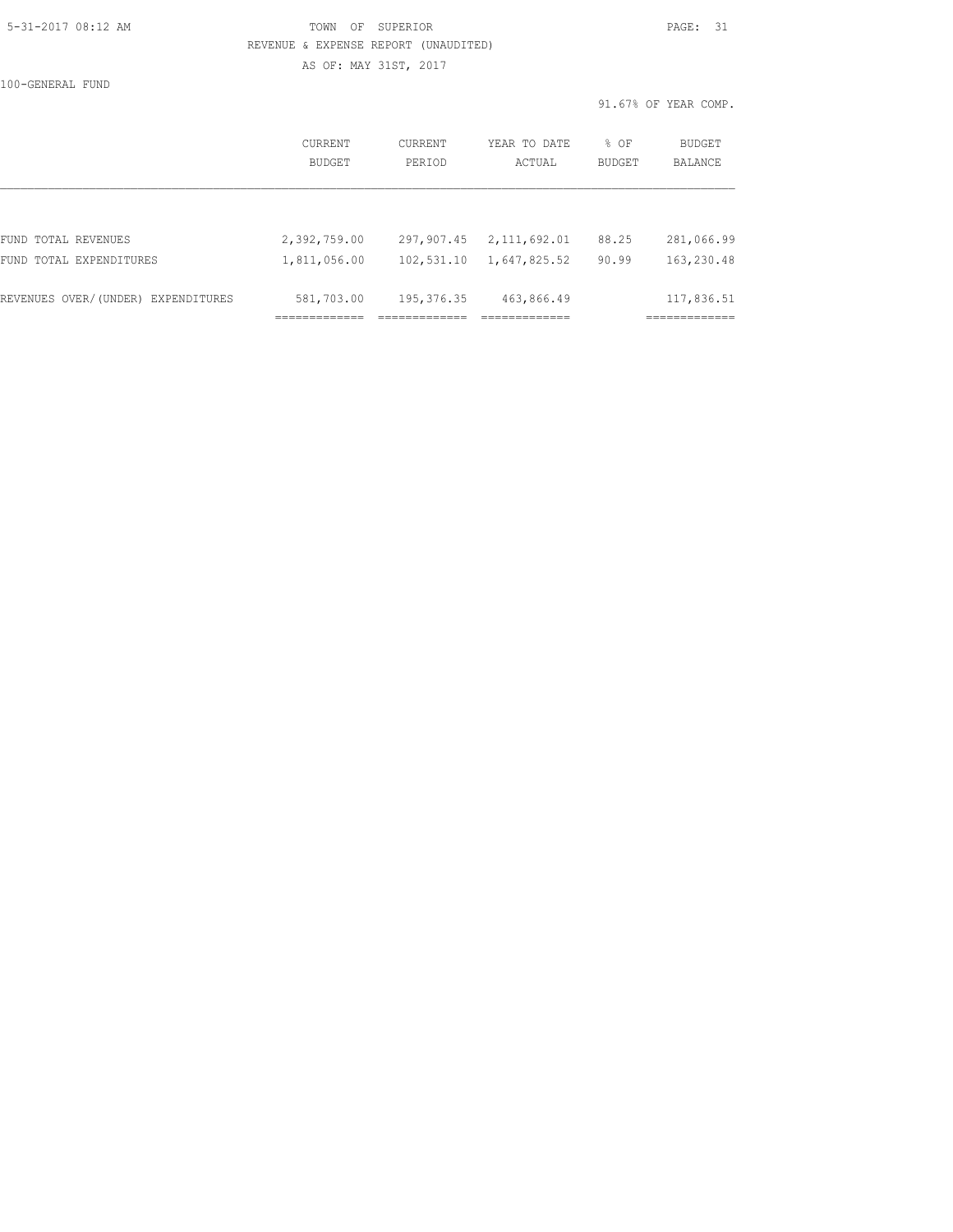## 5-31-2017 08:12 AM TOWN OF SUPERIOR PAGE: 31 REVENUE & EXPENSE REPORT (UNAUDITED)

100-GENERAL FUND

AS OF: MAY 31ST, 2017

91.67% OF YEAR COMP.

|                                    | CURRENT<br><b>BUDGET</b> | CURRENT<br>PERTOD | YEAR TO DATE<br>ACTUAL | $8$ OF<br>BUDGET | BUDGET<br>BALANCE |
|------------------------------------|--------------------------|-------------------|------------------------|------------------|-------------------|
|                                    |                          |                   |                        |                  |                   |
| FUND TOTAL REVENUES                | 2,392,759.00             | 297,907.45        | 2,111,692.01           | 88.25            | 281,066.99        |
| FUND TOTAL EXPENDITURES            | 1,811,056.00             | 102,531.10        | 1,647,825.52           | 90.99            | 163,230.48        |
| REVENUES OVER/(UNDER) EXPENDITURES | 581,703.00               | 195, 376.35       | 463,866.49             |                  | 117,836.51        |
|                                    |                          |                   |                        |                  |                   |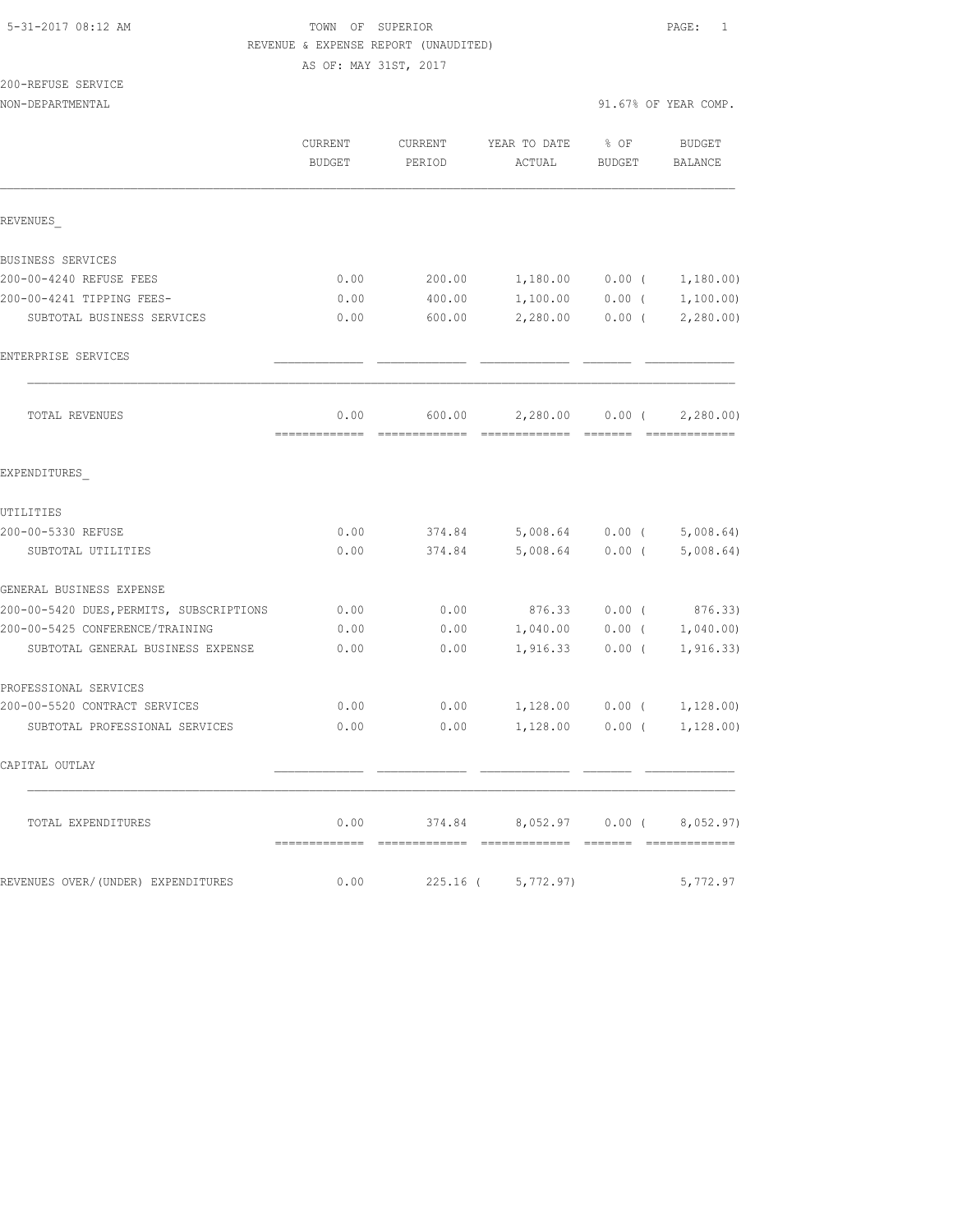#### 5-31-2017 08:12 AM TOWN OF SUPERIOR PAGE: 1 REVENUE & EXPENSE REPORT (UNAUDITED)

AS OF: MAY 31ST, 2017

200-REFUSE SERVICE

NON-DEPARTMENTAL 91.67% OF YEAR COMP.

|                                          | <b>CURRENT</b><br><b>BUDGET</b> | CURRENT<br>PERIOD | YEAR TO DATE<br>ACTUAL | $8$ OF<br><b>BUDGET</b> | <b>BUDGET</b><br>BALANCE    |
|------------------------------------------|---------------------------------|-------------------|------------------------|-------------------------|-----------------------------|
| REVENUES                                 |                                 |                   |                        |                         |                             |
|                                          |                                 |                   |                        |                         |                             |
| BUSINESS SERVICES                        |                                 |                   |                        |                         |                             |
| 200-00-4240 REFUSE FEES                  | 0.00                            | 200.00            |                        |                         | $1,180.00$ 0.00 ( 1,180.00) |
| 200-00-4241 TIPPING FEES-                | 0.00                            | 400.00            | 1,100.00               | $0.00$ (                | 1,100.00)                   |
| SUBTOTAL BUSINESS SERVICES               | 0.00                            | 600.00            | 2,280.00               | $0.00$ (                | 2,280.00)                   |
| ENTERPRISE SERVICES                      |                                 |                   |                        |                         |                             |
| TOTAL REVENUES                           | 0.00                            | 600.00            | 2,280.00               | $0.00$ (                | 2,280.00                    |
|                                          | =============                   |                   |                        |                         | =============               |
| EXPENDITURES                             |                                 |                   |                        |                         |                             |
| UTILITIES                                |                                 |                   |                        |                         |                             |
| 200-00-5330 REFUSE                       | 0.00                            | 374.84            | 5,008.64 0.00 (        |                         | 5,008.64                    |
| SUBTOTAL UTILITIES                       | 0.00                            | 374.84            | 5,008.64               | $0.00$ (                | 5,008.64)                   |
| GENERAL BUSINESS EXPENSE                 |                                 |                   |                        |                         |                             |
| 200-00-5420 DUES, PERMITS, SUBSCRIPTIONS | 0.00                            | 0.00              | 876.33                 | $0.00$ (                | 876.33)                     |
| 200-00-5425 CONFERENCE/TRAINING          | 0.00                            | 0.00              | 1,040.00               | $0.00$ (                | 1,040.00)                   |
| SUBTOTAL GENERAL BUSINESS EXPENSE        | 0.00                            | 0.00              | 1,916.33               | $0.00$ (                | 1, 916.33)                  |
| PROFESSIONAL SERVICES                    |                                 |                   |                        |                         |                             |
| 200-00-5520 CONTRACT SERVICES            | 0.00                            | 0.00              | 1,128.00               | $0.00$ (                | 1,128.00)                   |
| SUBTOTAL PROFESSIONAL SERVICES           | 0.00                            | 0.00              | 1,128.00               | $0.00$ (                | 1,128.00)                   |
| CAPITAL OUTLAY                           |                                 |                   |                        |                         |                             |
| TOTAL EXPENDITURES                       | 0.00                            | 374.84            | 8,052.97               | $0.00$ (                | 8,052.97)                   |
| REVENUES OVER/(UNDER) EXPENDITURES       | 0.00                            | $225.16$ (        | 5,772.97)              |                         | 5,772.97                    |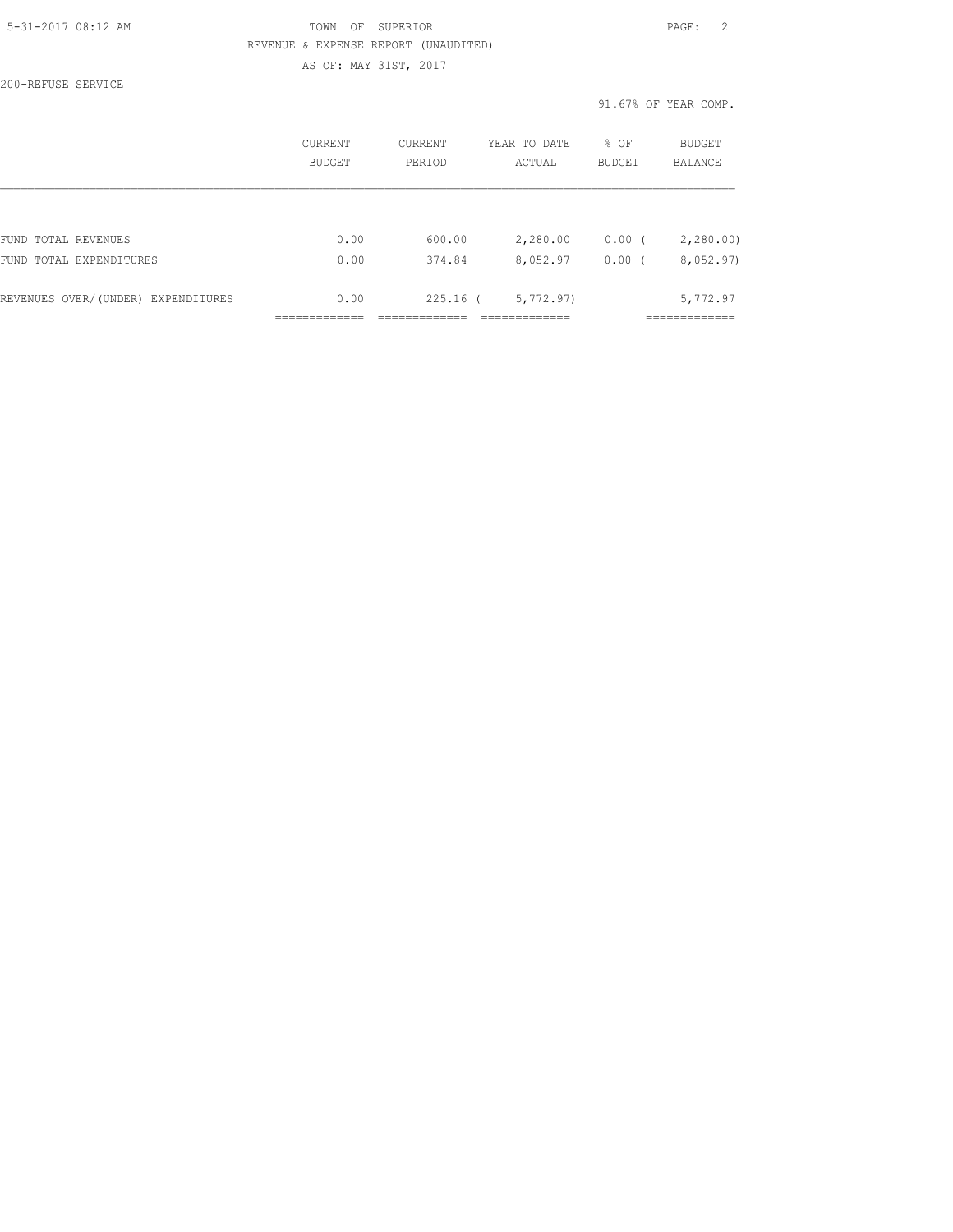#### 5-31-2017 08:12 AM TOWN OF SUPERIOR PAGE: 2 REVENUE & EXPENSE REPORT (UNAUDITED) AS OF: MAY 31ST, 2017

200-REFUSE SERVICE

91.67% OF YEAR COMP.

| BUDGET | PERTOD | ACTUAL    | <b>BUDGET</b>          | <b>BALANCE</b>        |
|--------|--------|-----------|------------------------|-----------------------|
|        |        |           |                        |                       |
| 0.00   | 374.84 | 8,052.97  | 0.00(                  | 2,280.00<br>8,052.97) |
| 0.00   |        | 5,772.97) |                        | 5,772.97              |
|        | 0.00   | 600.00    | 2,280.00<br>$225.16$ ( | $0.00$ (              |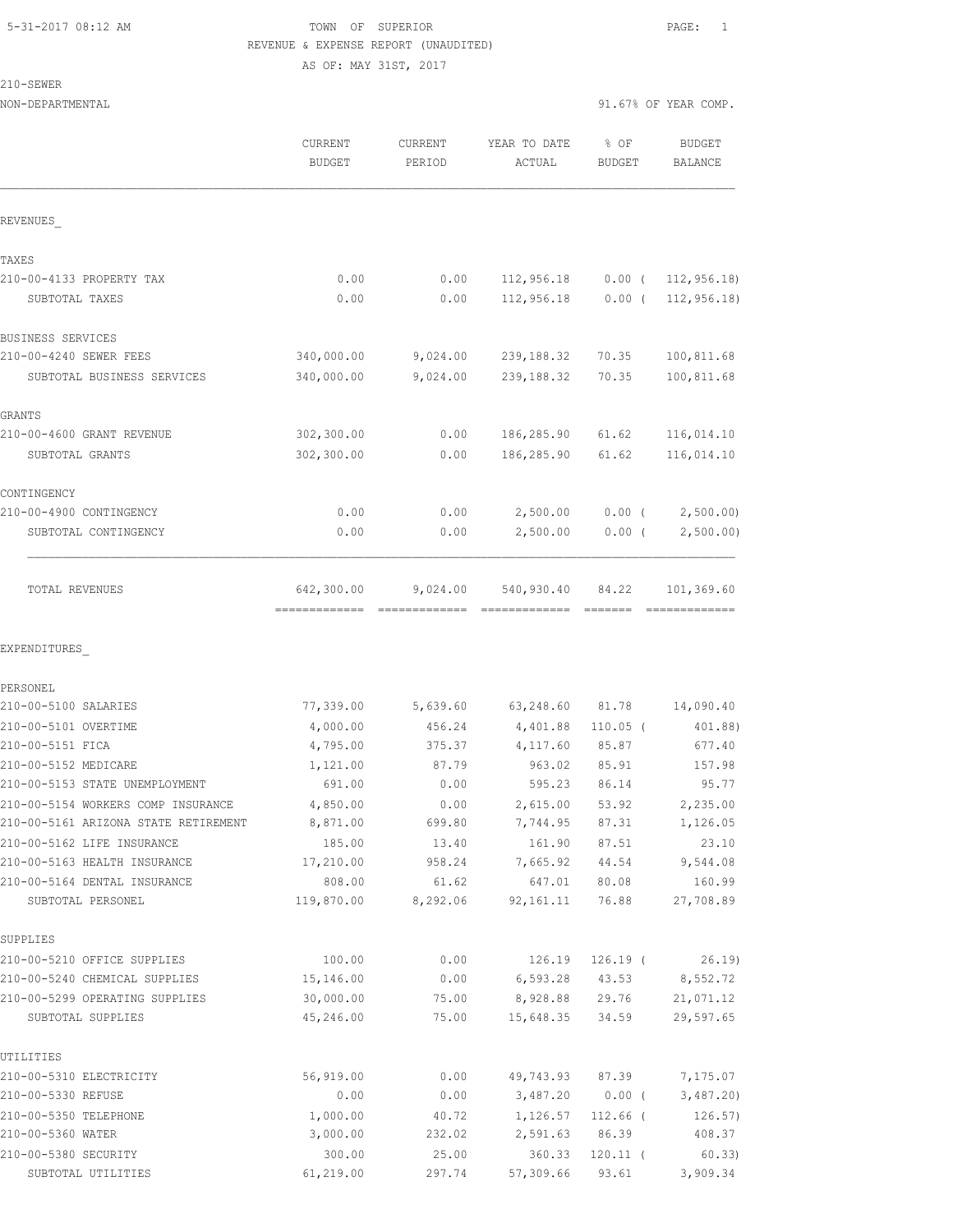# 5-31-2017 08:12 AM TOWN OF SUPERIOR PAGE: 1 REVENUE & EXPENSE REPORT (UNAUDITED)

AS OF: MAY 31ST, 2017

210-SEWER

| NON-DEPARTMENTAL                                           |                          |                   |                        | 91.67% OF YEAR COMP.  |                             |
|------------------------------------------------------------|--------------------------|-------------------|------------------------|-----------------------|-----------------------------|
|                                                            | CURRENT<br><b>BUDGET</b> | CURRENT<br>PERIOD | YEAR TO DATE<br>ACTUAL | % OF<br><b>BUDGET</b> | <b>BUDGET</b><br>BALANCE    |
| REVENUES                                                   |                          |                   |                        |                       |                             |
| TAXES                                                      |                          |                   |                        |                       |                             |
| 210-00-4133 PROPERTY TAX                                   | 0.00                     | 0.00              | 112,956.18             |                       | $0.00$ ( 112, 956.18)       |
| SUBTOTAL TAXES                                             | 0.00                     | 0.00              | 112,956.18             | $0.00$ (              | 112, 956.18                 |
| BUSINESS SERVICES                                          |                          |                   |                        |                       |                             |
| 210-00-4240 SEWER FEES                                     | 340,000.00               | 9,024.00          | 239,188.32             | 70.35                 | 100,811.68                  |
| SUBTOTAL BUSINESS SERVICES                                 | 340,000.00               | 9,024.00          | 239, 188.32            | 70.35                 | 100,811.68                  |
| GRANTS                                                     |                          |                   |                        |                       |                             |
| 210-00-4600 GRANT REVENUE                                  | 302,300.00               | 0.00              | 186,285.90             | 61.62                 | 116,014.10                  |
| SUBTOTAL GRANTS                                            | 302,300.00               | 0.00              | 186,285.90             | 61.62                 | 116,014.10                  |
| CONTINGENCY                                                |                          |                   |                        |                       |                             |
| 210-00-4900 CONTINGENCY                                    | 0.00                     | 0.00              | 2,500.00               | $0.00$ (              | 2,500.00)                   |
| SUBTOTAL CONTINGENCY                                       | 0.00                     | 0.00              | 2,500.00               | $0.00$ (              | 2,500.00)                   |
| TOTAL REVENUES                                             | 642,300.00               | 9,024.00          | 540,930.40             | 84.22                 | 101,369.60<br>============= |
| EXPENDITURES                                               |                          |                   |                        |                       |                             |
| PERSONEL                                                   |                          |                   |                        |                       |                             |
| 210-00-5100 SALARIES                                       | 77,339.00                | 5,639.60          | 63,248.60              | 81.78                 | 14,090.40                   |
| 210-00-5101 OVERTIME                                       | 4,000.00                 | 456.24            | 4,401.88               | $110.05$ (            | 401.88)                     |
| 210-00-5151 FICA                                           | 4,795.00                 | 375.37            | 4,117.60               | 85.87                 | 677.40                      |
| 210-00-5152 MEDICARE                                       | 1,121.00                 | 87.79             | 963.02                 | 85.91                 | 157.98                      |
| 210-00-5153 STATE UNEMPLOYMENT                             | 691.00                   | 0.00              | 595.23                 | 86.14                 | 95.77                       |
| 210-00-5154 WORKERS COMP INSURANCE                         | 4,850.00                 | 0.00              | 2,615.00               | 53.92                 | 2,235.00                    |
| 210-00-5161 ARIZONA STATE RETIREMENT                       | 8,871.00                 | 699.80            | 7,744.95               | 87.31                 | 1,126.05                    |
| 210-00-5162 LIFE INSURANCE<br>210-00-5163 HEALTH INSURANCE | 185.00                   | 13.40             | 161.90                 | 87.51                 | 23.10                       |
|                                                            | 17,210.00                | 958.24            | 7,665.92<br>647.01     | 44.54                 | 9,544.08<br>160.99          |
| 210-00-5164 DENTAL INSURANCE<br>SUBTOTAL PERSONEL          | 808.00<br>119,870.00     | 61.62<br>8,292.06 | 92, 161. 11            | 80.08<br>76.88        | 27,708.89                   |
| SUPPLIES                                                   |                          |                   |                        |                       |                             |
| 210-00-5210 OFFICE SUPPLIES                                | 100.00                   | 0.00              | 126.19                 | $126.19$ (            | 26.19)                      |
| 210-00-5240 CHEMICAL SUPPLIES                              | 15,146.00                | 0.00              | 6,593.28               | 43.53                 | 8,552.72                    |
| 210-00-5299 OPERATING SUPPLIES                             | 30,000.00                | 75.00             | 8,928.88               | 29.76                 | 21,071.12                   |
| SUBTOTAL SUPPLIES                                          | 45,246.00                | 75.00             | 15,648.35              | 34.59                 | 29,597.65                   |
| UTILITIES                                                  |                          |                   |                        |                       |                             |
| 210-00-5310 ELECTRICITY                                    | 56,919.00                | 0.00              | 49,743.93              | 87.39                 | 7,175.07                    |
| 210-00-5330 REFUSE                                         | 0.00                     | 0.00              | 3,487.20               | $0.00$ (              | 3,487.20                    |
| 210-00-5350 TELEPHONE                                      | 1,000.00                 | 40.72             | 1,126.57               | $112.66$ (            | 126.57)                     |
| 210-00-5360 WATER                                          | 3,000.00                 | 232.02            | 2,591.63               | 86.39                 | 408.37                      |

210-00-5380 SECURITY 300.00 25.00 360.33 120.11 ( 60.33) SUBTOTAL UTILITIES 61,219.00 297.74 57,309.66 93.61 3,909.34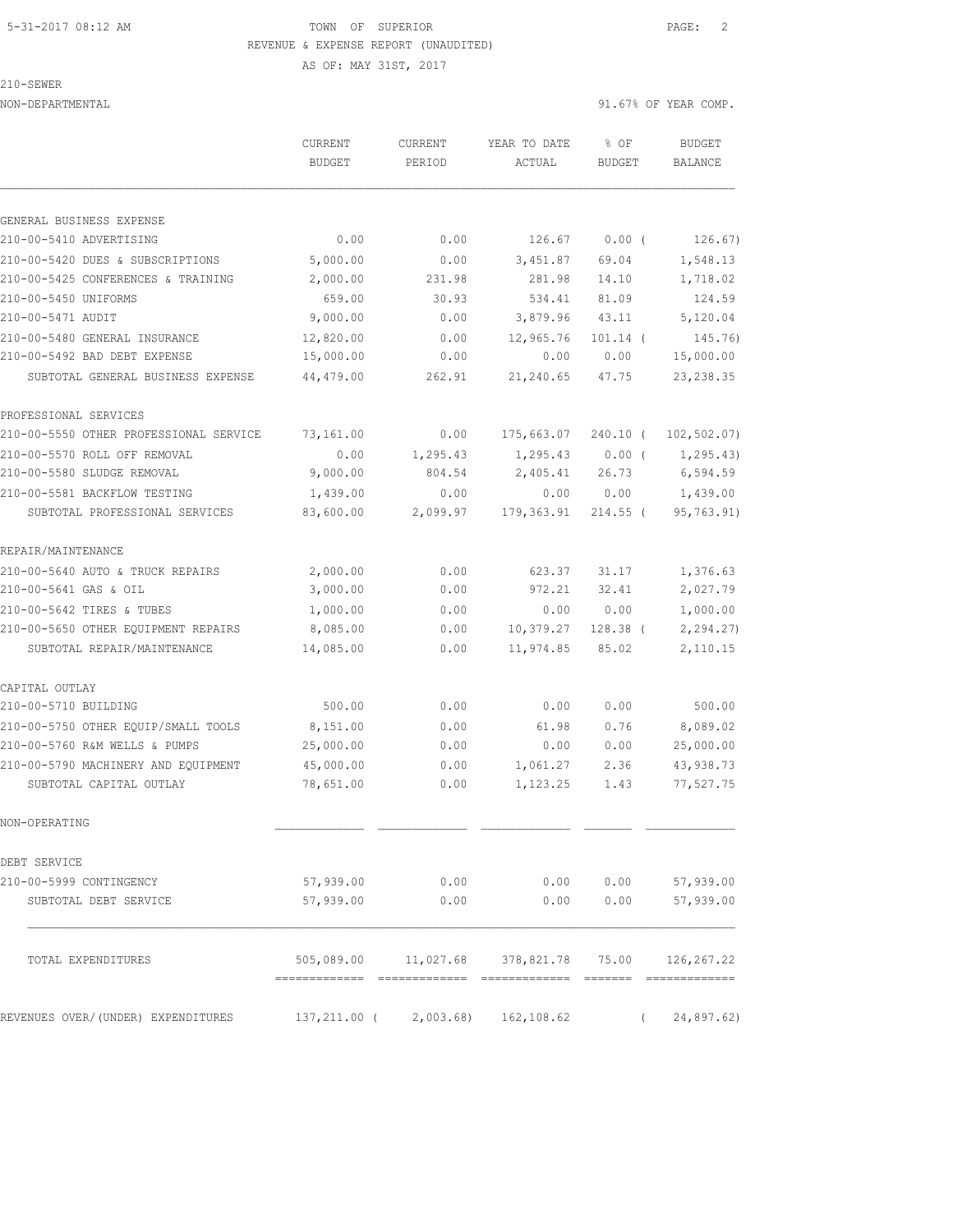#### 5-31-2017 08:12 AM TOWN OF SUPERIOR PAGE: 2 REVENUE & EXPENSE REPORT (UNAUDITED)

AS OF: MAY 31ST, 2017

NON-DEPARTMENTAL 91.67% OF YEAR COMP.

210-SEWER

 CURRENT CURRENT YEAR TO DATE % OF BUDGET BUDGET PERIOD ACTUAL BUDGET BALANCE GENERAL BUSINESS EXPENSE 210-00-5410 ADVERTISING 0.00 0.00 126.67 0.00 ( 126.67) 210-00-5420 DUES & SUBSCRIPTIONS 5,000.00 0.00 3,451.87 69.04 1,548.13 210-00-5425 CONFERENCES & TRAINING 2,000.00 231.98 281.98 14.10 1,718.02 210-00-5450 UNIFORMS 659.00 30.93 534.41 81.09 124.59 210-00-5471 AUDIT 9,000.00 0.00 3,879.96 43.11 5,120.04 210-00-5480 GENERAL INSURANCE 12,820.00 0.00 12,965.76 101.14 ( 145.76) 210-00-5492 BAD DEBT EXPENSE 15,000.00 0.00 0.00 0.00 15,000.00 SUBTOTAL GENERAL BUSINESS EXPENSE 44,479.00 262.91 21,240.65 47.75 23,238.35 PROFESSIONAL SERVICES 210-00-5550 OTHER PROFESSIONAL SERVICE 73,161.00 0.00 175,663.07 240.10 ( 102,502.07) 210-00-5570 ROLL OFF REMOVAL 0.00 1,295.43 1,295.43 0.00 ( 1,295.43) 210-00-5580 SLUDGE REMOVAL 9,000.00 804.54 2,405.41 26.73 6,594.59 210-00-5581 BACKFLOW TESTING 1,439.00 0.00 0.00 0.00 1,439.00 SUBTOTAL PROFESSIONAL SERVICES 83,600.00 2,099.97 179,363.91 214.55 ( 95,763.91) REPAIR/MAINTENANCE 210-00-5640 AUTO & TRUCK REPAIRS 2,000.00 0.00 623.37 31.17 1,376.63 210-00-5641 GAS & OIL 3,000.00 0.00 972.21 32.41 2,027.79 210-00-5642 TIRES & TUBES 1,000.00 0.00 0.00 0.00 1,000.00 210-00-5650 OTHER EQUIPMENT REPAIRS 8,085.00 0.00 10,379.27 128.38 ( 2,294.27) SUBTOTAL REPAIR/MAINTENANCE 14,085.00 0.00 11,974.85 85.02 2,110.15 CAPITAL OUTLAY 210-00-5710 BUILDING 500.00 0.00 0.00 0.00 500.00 210-00-5750 OTHER EQUIP/SMALL TOOLS 8,151.00 0.00 61.98 0.76 8,089.02 210-00-5760 R&M WELLS & PUMPS 25,000.00 0.00 0.00 0.00 25,000.00 210-00-5790 MACHINERY AND EQUIPMENT 45,000.00 0.00 1,061.27 2.36 43,938.73 SUBTOTAL CAPITAL OUTLAY 78,651.00 0.00 1,123.25 1.43 77,527.75 NON-OPERATING DEBT SERVICE 210-00-5999 CONTINGENCY 57,939.00 0.00 0.00 0.00 57,939.00 SUBTOTAL DEBT SERVICE 57,939.00 0.00 0.00 0.00 57,939.00 TOTAL EXPENDITURES 505,089.00 11,027.68 378,821.78 75.00 126,267.22 ============= ============= ============= ======= ============= REVENUES OVER/(UNDER) EXPENDITURES 137,211.00 ( 2,003.68) 162,108.62 ( 24,897.62)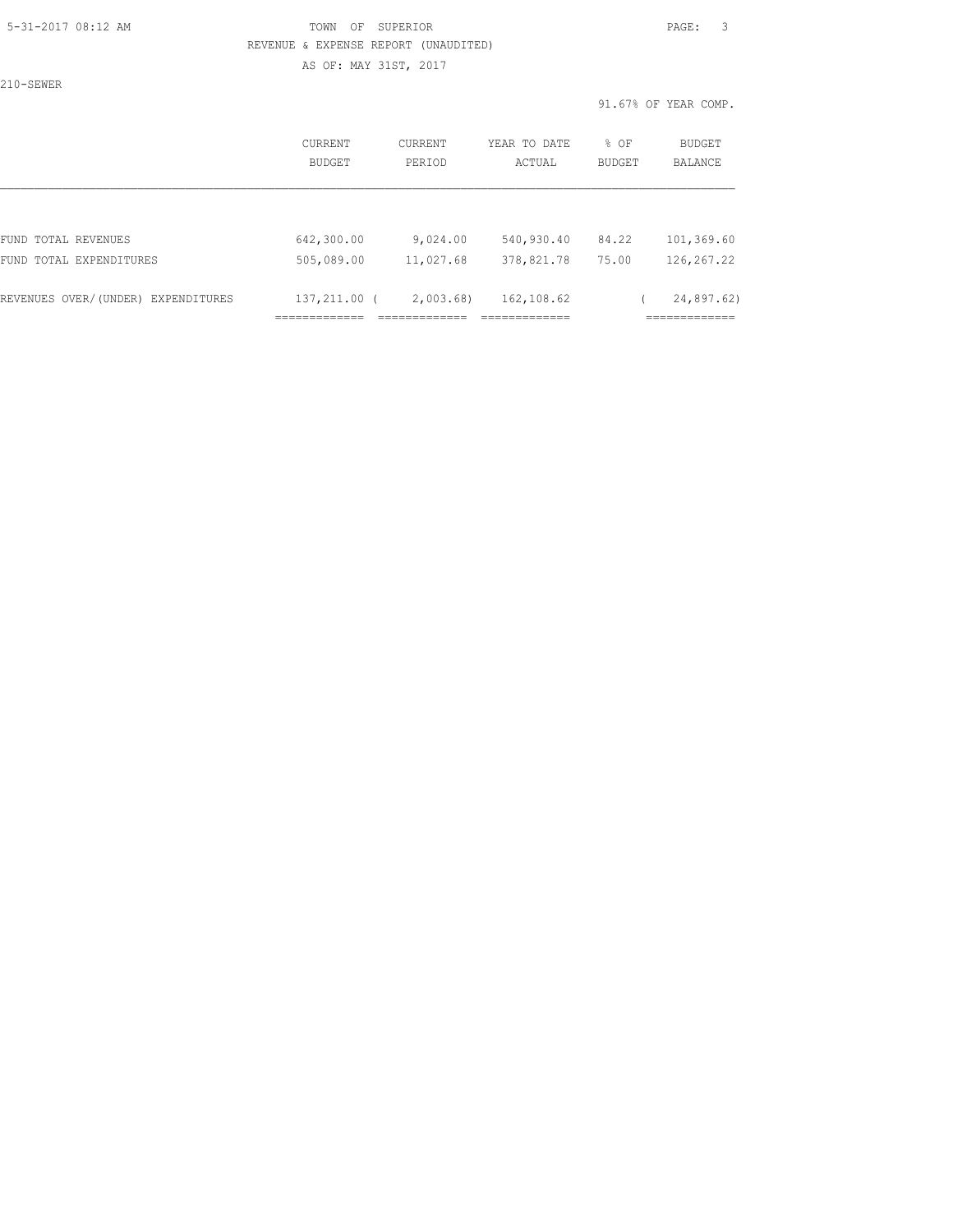#### 5-31-2017 08:12 AM TOWN OF SUPERIOR PAGE: 3 REVENUE & EXPENSE REPORT (UNAUDITED) AS OF: MAY 31ST, 2017

210-SEWER

91.67% OF YEAR COMP.

| CURRENT<br>BUDGET                | CURRENT<br>PERIOD | YEAR TO DATE<br>ACTUAL                      | % OF<br>BUDGET | BUDGET<br>BALANCE                          |
|----------------------------------|-------------------|---------------------------------------------|----------------|--------------------------------------------|
|                                  |                   |                                             |                |                                            |
| 642,300.00                       | 9,024.00          | 540,930.40                                  | 84.22          | 101,369.60                                 |
| 505,089.00                       | 11,027.68         | 378,821.78                                  | 75.00          | 126, 267.22                                |
| 137,211.00<br>-------------<br>. | 2,003.68          | 162,108.62<br>_____________<br>------------ |                | 24,897.62)<br>-------------<br>----------- |
|                                  |                   |                                             |                |                                            |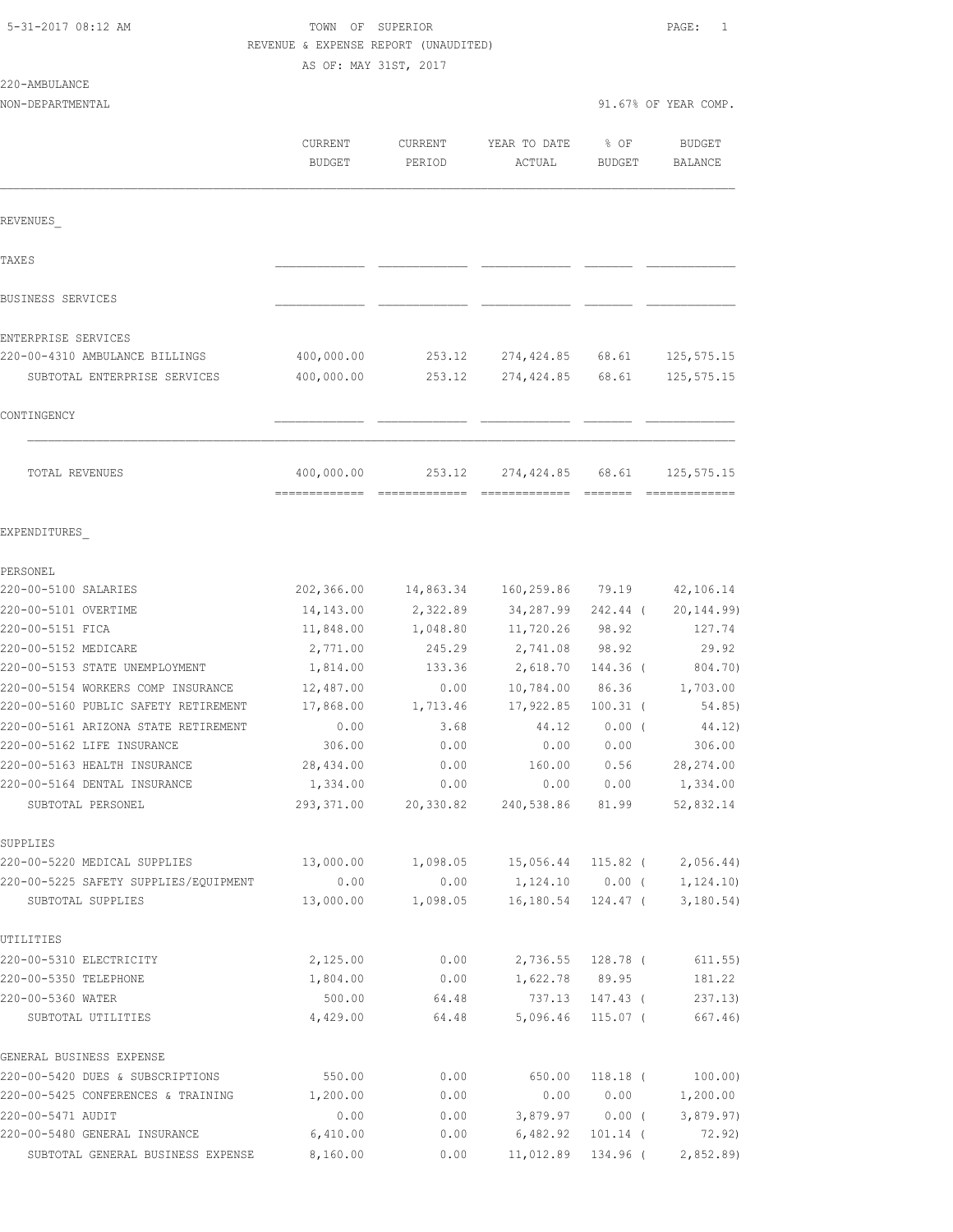| 5-31-2017 08:12 AM |  |
|--------------------|--|
|                    |  |

# TOWN OF SUPERIOR **Example 2017** PAGE: 1 REVENUE & EXPENSE REPORT (UNAUDITED)

|                                                            | AS OF: MAY 31ST, 2017 |                  |                              |                      |                          |
|------------------------------------------------------------|-----------------------|------------------|------------------------------|----------------------|--------------------------|
| 220-AMBULANCE                                              |                       |                  |                              |                      |                          |
| NON-DEPARTMENTAL                                           |                       |                  |                              |                      | 91.67% OF YEAR COMP.     |
|                                                            | CURRENT               | CURRENT          | YEAR TO DATE                 | % OF                 | BUDGET                   |
|                                                            | <b>BUDGET</b>         | PERIOD           | ACTUAL                       | BUDGET               | BALANCE                  |
|                                                            |                       |                  |                              |                      |                          |
| REVENUES                                                   |                       |                  |                              |                      |                          |
| <b>TAXES</b>                                               |                       |                  |                              |                      |                          |
| BUSINESS SERVICES                                          |                       |                  |                              |                      |                          |
| ENTERPRISE SERVICES                                        |                       |                  |                              |                      |                          |
| 220-00-4310 AMBULANCE BILLINGS                             | 400,000.00            |                  | 253.12 274,424.85 68.61      |                      | 125, 575.15              |
| SUBTOTAL ENTERPRISE SERVICES                               | 400,000.00            | 253.12           | 274,424.85                   | 68.61                | 125, 575. 15             |
| CONTINGENCY                                                |                       |                  |                              |                      |                          |
| TOTAL REVENUES                                             | 400,000.00            | 253.12           | 274,424.85                   | 68.61                | 125, 575. 15             |
| EXPENDITURES                                               |                       |                  |                              |                      |                          |
| PERSONEL                                                   |                       |                  |                              |                      |                          |
| 220-00-5100 SALARIES                                       | 202,366.00            |                  | 14,863.34 160,259.86 79.19   |                      | 42,106.14                |
| 220-00-5101 OVERTIME                                       | 14,143.00             | 2,322.89         | 34,287.99                    | 242.44 (             | 20, 144.99)              |
| 220-00-5151 FICA                                           | 11,848.00             | 1,048.80         | 11,720.26                    | 98.92                | 127.74                   |
| 220-00-5152 MEDICARE                                       | 2,771.00              | 245.29           | 2,741.08                     | 98.92                | 29.92                    |
| 220-00-5153 STATE UNEMPLOYMENT                             | 1,814.00              | 133.36           | 2,618.70                     | 144.36 (             | 804.70)                  |
| 220-00-5154 WORKERS COMP INSURANCE                         | 12,487.00             | 0.00             | 10,784.00                    | 86.36                | 1,703.00                 |
| 220-00-5160 PUBLIC SAFETY RETIREMENT                       | 17,868.00             | 1,713.46         | 17,922.85                    | $100.31$ (           | 54.85)                   |
| 220-00-5161 ARIZONA STATE RETIREMENT                       | 0.00                  | 3.68             | 44.12                        | $0.00$ (             | 44.12)                   |
| 220-00-5162 LIFE INSURANCE                                 | 306.00                | 0.00             | 0.00                         | 0.00                 | 306.00                   |
| 220-00-5163 HEALTH INSURANCE                               | 28,434.00             | 0.00             | 160.00                       | 0.56                 | 28, 274.00               |
| 220-00-5164 DENTAL INSURANCE                               | 1,334.00              | 0.00             |                              |                      | $0.00$ $0.00$ $1,334.00$ |
| SUBTOTAL PERSONEL                                          | 293,371.00            |                  | 20,330.82 240,538.86         | 81.99                | 52,832.14                |
| SUPPLIES                                                   |                       |                  |                              |                      |                          |
| 220-00-5220 MEDICAL SUPPLIES                               | 13,000.00             | 1,098.05         | 15,056.44                    | 115.82 (             | 2,056.44)                |
| 220-00-5225 SAFETY SUPPLIES/EQUIPMENT<br>SUBTOTAL SUPPLIES | 0.00<br>13,000.00     | 0.00<br>1,098.05 | 1,124.10 0.00 (<br>16,180.54 | 124.47 (             | 1, 124.10)<br>3,180.54)  |
|                                                            |                       |                  |                              |                      |                          |
| UTILITIES                                                  |                       |                  |                              |                      |                          |
| 220-00-5310 ELECTRICITY                                    | 2,125.00              | 0.00             | 2,736.55                     | 128.78 (             | 611.55)                  |
| 220-00-5350 TELEPHONE                                      | 1,804.00              | 0.00             | 1,622.78                     | 89.95                | 181.22                   |
| 220-00-5360 WATER<br>SUBTOTAL UTILITIES                    | 500.00<br>4,429.00    | 64.48<br>64.48   | 737.13<br>5,096.46           | 147.43 (<br>115.07 ( | 237.13)<br>667.46)       |
| GENERAL BUSINESS EXPENSE                                   |                       |                  |                              |                      |                          |
| 220-00-5420 DUES & SUBSCRIPTIONS                           | 550.00                | 0.00             | 650.00                       | 118.18 (             | 100.00)                  |
| 220-00-5425 CONFERENCES & TRAINING                         | 1,200.00              | 0.00             | 0.00                         | 0.00                 | 1,200.00                 |

220-00-5471 AUDIT 0.00 0.00 3,879.97 0.00 ( 3,879.97) 220-00-5480 GENERAL INSURANCE 6,410.00 0.00 6,482.92 101.14 ( 72.92) SUBTOTAL GENERAL BUSINESS EXPENSE 8,160.00 0.00 11,012.89 134.96 ( 2,852.89)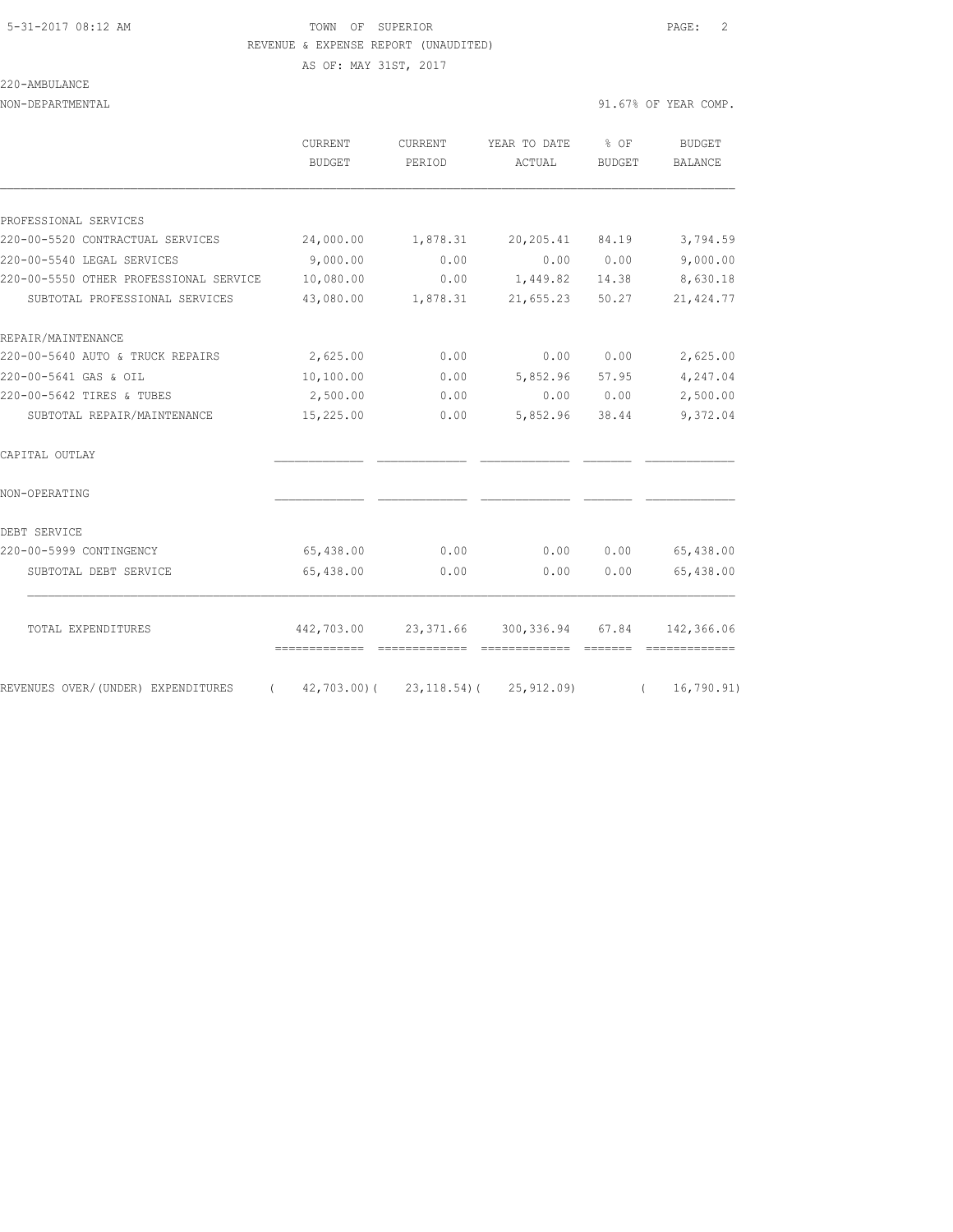## 5-31-2017 08:12 AM TOWN OF SUPERIOR PAGE: 2 REVENUE & EXPENSE REPORT (UNAUDITED)

AS OF: MAY 31ST, 2017

220-AMBULANCE

NON-DEPARTMENTAL 91.67% OF YEAR COMP.

|                                        | <b>CURRENT</b><br>BUDGET                                  | <b>CURRENT</b><br>PERIOD | YEAR TO DATE<br>ACTUAL                           | $8$ OF<br>BUDGET | <b>BUDGET</b><br><b>BALANCE</b>                                                                                                                                                                                                                                                                                                                                                                                                                                                                                               |
|----------------------------------------|-----------------------------------------------------------|--------------------------|--------------------------------------------------|------------------|-------------------------------------------------------------------------------------------------------------------------------------------------------------------------------------------------------------------------------------------------------------------------------------------------------------------------------------------------------------------------------------------------------------------------------------------------------------------------------------------------------------------------------|
| PROFESSIONAL SERVICES                  |                                                           |                          |                                                  |                  |                                                                                                                                                                                                                                                                                                                                                                                                                                                                                                                               |
| 220-00-5520 CONTRACTUAL SERVICES       | 24,000.00                                                 | 1,878.31                 | 20,205.41                                        | 84.19            | 3,794.59                                                                                                                                                                                                                                                                                                                                                                                                                                                                                                                      |
| 220-00-5540 LEGAL SERVICES             | 9,000.00                                                  | 0.00                     | 0.00                                             | 0.00             | 9,000.00                                                                                                                                                                                                                                                                                                                                                                                                                                                                                                                      |
| 220-00-5550 OTHER PROFESSIONAL SERVICE | 10,080.00                                                 | 0.00                     | 1,449.82                                         | 14.38            | 8,630.18                                                                                                                                                                                                                                                                                                                                                                                                                                                                                                                      |
| SUBTOTAL PROFESSIONAL SERVICES         | 43,080.00                                                 | 1,878.31                 | 21,655.23                                        | 50.27            | 21, 424.77                                                                                                                                                                                                                                                                                                                                                                                                                                                                                                                    |
| REPAIR/MAINTENANCE                     |                                                           |                          |                                                  |                  |                                                                                                                                                                                                                                                                                                                                                                                                                                                                                                                               |
| 220-00-5640 AUTO & TRUCK REPAIRS       | 2,625.00                                                  | 0.00                     | 0.00                                             | 0.00             | 2,625.00                                                                                                                                                                                                                                                                                                                                                                                                                                                                                                                      |
| 220-00-5641 GAS & OIL                  | 10,100.00                                                 | 0.00                     | 5,852.96                                         | 57.95            | 4,247.04                                                                                                                                                                                                                                                                                                                                                                                                                                                                                                                      |
| 220-00-5642 TIRES & TUBES              | 2,500.00                                                  | 0.00                     | 0.00                                             | 0.00             | 2,500.00                                                                                                                                                                                                                                                                                                                                                                                                                                                                                                                      |
| SUBTOTAL REPAIR/MAINTENANCE            | 15,225.00                                                 | 0.00                     | 5,852.96                                         | 38.44            | 9,372.04                                                                                                                                                                                                                                                                                                                                                                                                                                                                                                                      |
| CAPITAL OUTLAY                         |                                                           |                          |                                                  |                  |                                                                                                                                                                                                                                                                                                                                                                                                                                                                                                                               |
| NON-OPERATING                          |                                                           |                          |                                                  |                  |                                                                                                                                                                                                                                                                                                                                                                                                                                                                                                                               |
| DEBT SERVICE                           |                                                           |                          |                                                  |                  |                                                                                                                                                                                                                                                                                                                                                                                                                                                                                                                               |
| 220-00-5999 CONTINGENCY                | 65,438.00                                                 | 0.00                     | 0.00                                             | 0.00             | 65,438.00                                                                                                                                                                                                                                                                                                                                                                                                                                                                                                                     |
| SUBTOTAL DEBT SERVICE                  | 65,438.00                                                 | 0.00                     | 0.00                                             | 0.00             | 65,438.00                                                                                                                                                                                                                                                                                                                                                                                                                                                                                                                     |
| TOTAL EXPENDITURES                     |                                                           |                          | 442,703.00 23,371.66 300,336.94 67.84 142,366.06 |                  |                                                                                                                                                                                                                                                                                                                                                                                                                                                                                                                               |
| REVENUES OVER/(UNDER) EXPENDITURES     | -------------- -------------<br>42,703.00)(<br>$\sqrt{2}$ |                          | --------------<br>$23, 118.54$ ( $25, 912.09$ )  | $\left($         | $\begin{tabular}{ll} \multicolumn{2}{l}{{\color{red}\textbf{a}}}}& \multicolumn{2}{l}{\color{blue}\textbf{a}}}\\ \multicolumn{2}{l}{\color{blue}\textbf{a}}}& \multicolumn{2}{l}{\color{blue}\textbf{a}}}\\ \multicolumn{2}{l}{\color{blue}\textbf{a}}}& \multicolumn{2}{l}{\color{blue}\textbf{a}}}\\ \multicolumn{2}{l}{\color{blue}\textbf{a}}& \multicolumn{2}{l}{\color{blue}\textbf{a}}\\ \multicolumn{2}{l}{\color{blue}\textbf{a}}& \multicolumn{2}{l}{\color{blue}\textbf{a}}\\ \multicolumn{2}{l}{\$<br>16, 790.91) |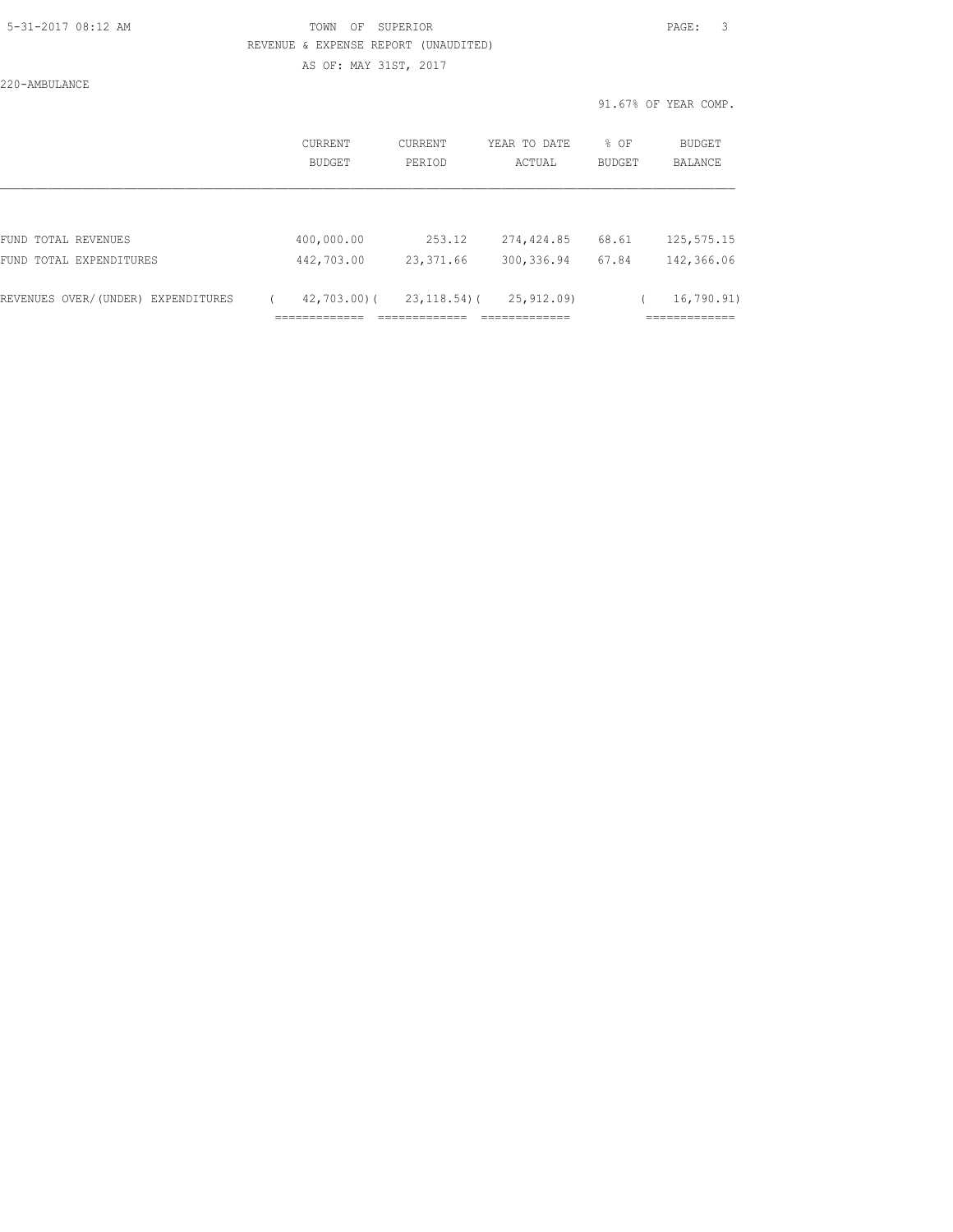### 5-31-2017 08:12 AM TOWN OF SUPERIOR PAGE: 3 REVENUE & EXPENSE REPORT (UNAUDITED)

AS OF: MAY 31ST, 2017

220-AMBULANCE

|  | 91.67% OF YEAR COMP. |  |
|--|----------------------|--|
|  |                      |  |

|                                    | <b>CURRENT</b><br>BUDGET            | CURRENT<br>PERIOD            | YEAR TO DATE<br>ACTUAL                     | % OF<br>BUDGET | <b>BUDGET</b><br>BALANCE                   |
|------------------------------------|-------------------------------------|------------------------------|--------------------------------------------|----------------|--------------------------------------------|
|                                    |                                     |                              |                                            |                |                                            |
| FUND TOTAL REVENUES                | 400,000.00                          | 253.12                       | 274,424.85                                 | 68.61          | 125, 575. 15                               |
| FUND TOTAL EXPENDITURES            | 442,703.00                          | 23,371.66                    | 300, 336.94                                | 67.84          | 142,366.06                                 |
| REVENUES OVER/(UNDER) EXPENDITURES | $42,703,00$ (<br>_____________<br>. | $23, 118.54$ ) (<br>________ | 25,912.09)<br>_____________<br>----------- |                | 16,790.91)<br>_____________<br>___________ |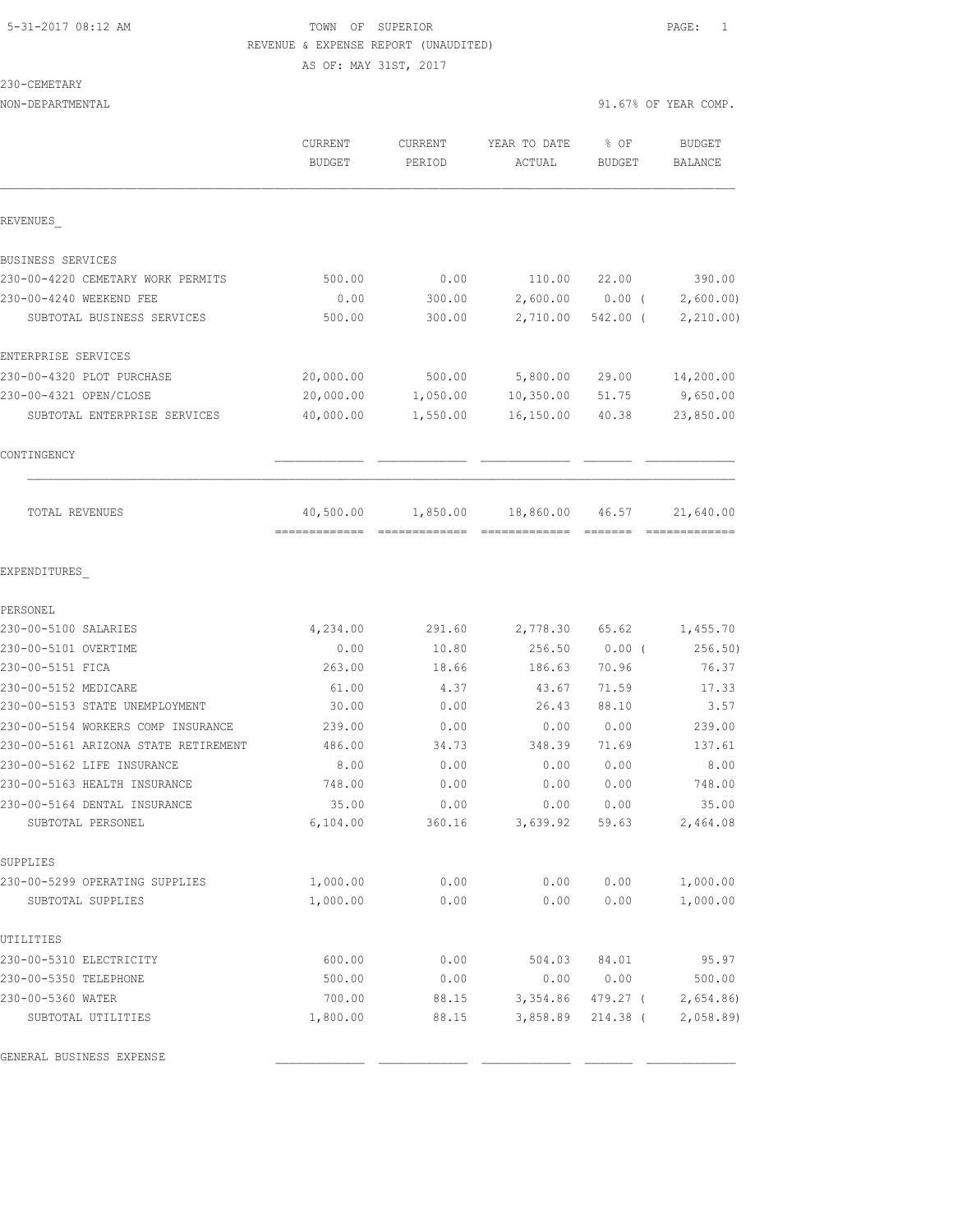# 5-31-2017 08:12 AM TOWN OF SUPERIOR PAGE: 1 REVENUE & EXPENSE REPORT (UNAUDITED) AS OF: MAY 31ST, 2017

230-CEMETARY

|                                                                            | CURRENT<br><b>BUDGET</b>                   | CURRENT<br>PERIOD | YEAR TO DATE<br>ACTUAL | % OF<br>BUDGET    | <b>BUDGET</b><br>BALANCE |
|----------------------------------------------------------------------------|--------------------------------------------|-------------------|------------------------|-------------------|--------------------------|
| REVENUES                                                                   |                                            |                   |                        |                   |                          |
| BUSINESS SERVICES                                                          |                                            |                   |                        |                   |                          |
| 230-00-4220 CEMETARY WORK PERMITS                                          | 500.00                                     | 0.00              | 110.00                 | 22.00             | 390.00                   |
| 230-00-4240 WEEKEND FEE                                                    | 0.00                                       | 300.00            |                        | $2,600.00$ 0.00 ( | 2,600.00                 |
| SUBTOTAL BUSINESS SERVICES                                                 | 500.00                                     | 300.00            | 2,710.00               | $542.00$ (        | 2,210.00                 |
| ENTERPRISE SERVICES                                                        |                                            |                   |                        |                   |                          |
| 230-00-4320 PLOT PURCHASE                                                  | 20,000.00                                  | 500.00            | 5,800.00               | 29.00             | 14,200.00                |
| 230-00-4321 OPEN/CLOSE                                                     | 20,000.00                                  | 1,050.00          | 10,350.00              | 51.75             | 9,650.00                 |
| SUBTOTAL ENTERPRISE SERVICES                                               | 40,000.00                                  | 1,550.00          | 16, 150.00             | 40.38             | 23,850.00                |
| CONTINGENCY                                                                |                                            |                   |                        |                   |                          |
| TOTAL REVENUES                                                             | 40,500.00<br>-------------- -------------- | 1,850.00          | 18,860.00              | 46.57             | 21,640.00                |
| EXPENDITURES                                                               |                                            |                   |                        |                   |                          |
| PERSONEL                                                                   |                                            |                   |                        |                   |                          |
| 230-00-5100 SALARIES                                                       | 4,234.00                                   | 291.60            | 2,778.30               | 65.62             | 1,455.70                 |
| 230-00-5101 OVERTIME                                                       | 0.00                                       | 10.80             | 256.50                 | $0.00$ (          | 256.50)                  |
| 230-00-5151 FICA                                                           | 263.00                                     | 18.66             | 186.63                 | 70.96             | 76.37                    |
| 230-00-5152 MEDICARE                                                       | 61.00                                      | 4.37              | 43.67                  | 71.59             | 17.33                    |
| 230-00-5153 STATE UNEMPLOYMENT                                             | 30.00                                      | 0.00              | 26.43                  | 88.10             | 3.57                     |
| 230-00-5154 WORKERS COMP INSURANCE<br>230-00-5161 ARIZONA STATE RETIREMENT | 239.00<br>486.00                           | 0.00<br>34.73     | 0.00<br>348.39         | 0.00<br>71.69     | 239.00<br>137.61         |
| 230-00-5162 LIFE INSURANCE                                                 | 8.00                                       | 0.00              | 0.00                   | 0.00              | 8.00                     |
| 230-00-5163 HEALTH INSURANCE                                               | 748.00                                     | 0.00              | 0.00                   | 0.00              | 748.00                   |
| 230-00-5164 DENTAL INSURANCE                                               | 35.00                                      | 0.00              | 0.00                   | 0.00              | 35.00                    |
| SUBTOTAL PERSONEL                                                          | 6,104.00                                   | 360.16            | 3,639.92               | 59.63             | 2,464.08                 |
| SUPPLIES                                                                   |                                            |                   |                        |                   |                          |
| 230-00-5299 OPERATING SUPPLIES                                             | 1,000.00                                   | 0.00              | 0.00                   | 0.00              | 1,000.00                 |
| SUBTOTAL SUPPLIES                                                          | 1,000.00                                   | 0.00              | 0.00                   | 0.00              | 1,000.00                 |
| UTILITIES                                                                  |                                            |                   |                        |                   |                          |
| 230-00-5310 ELECTRICITY                                                    | 600.00                                     | 0.00              | 504.03                 | 84.01             | 95.97                    |
| 230-00-5350 TELEPHONE                                                      | 500.00                                     | 0.00              | 0.00                   | 0.00              | 500.00                   |
| 230-00-5360 WATER                                                          | 700.00                                     | 88.15             | 3,354.86               | 479.27 (          | 2,654.86                 |
| SUBTOTAL UTILITIES                                                         | 1,800.00                                   | 88.15             | 3,858.89               | 214.38 (          | 2,058.89                 |

GENERAL BUSINESS EXPENSE \_\_\_\_\_\_\_\_\_\_\_\_\_ \_\_\_\_\_\_\_\_\_\_\_\_\_ \_\_\_\_\_\_\_\_\_\_\_\_\_ \_\_\_\_\_\_\_ \_\_\_\_\_\_\_\_\_\_\_\_\_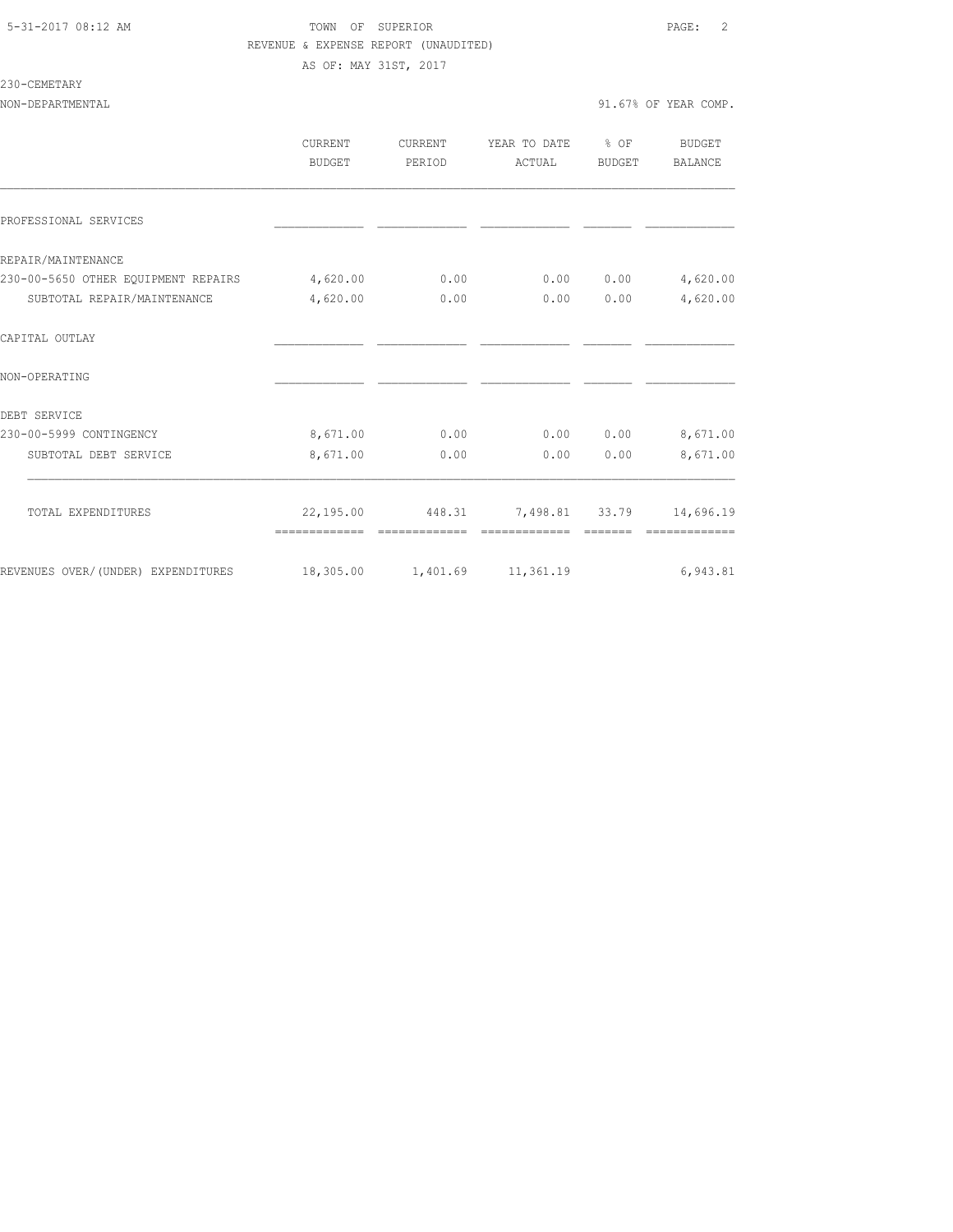# 5-31-2017 08:12 AM TOWN OF SUPERIOR PAGE: 2 REVENUE & EXPENSE REPORT (UNAUDITED) AS OF: MAY 31ST, 2017

# 230-CEMETARY

|                                                                 | <b>CURRENT</b> | <b>CURRENT</b> | YEAR TO DATE   | % OF   | <b>BUDGET</b> |
|-----------------------------------------------------------------|----------------|----------------|----------------|--------|---------------|
|                                                                 | <b>BUDGET</b>  | PERIOD         | ACTUAL         | BUDGET | BALANCE       |
|                                                                 |                |                |                |        |               |
| PROFESSIONAL SERVICES                                           |                |                |                |        |               |
| REPAIR/MAINTENANCE                                              |                |                |                |        |               |
| 230-00-5650 OTHER EQUIPMENT REPAIRS                             | 4,620.00       | 0.00           | 0.00           | 0.00   | 4,620.00      |
| SUBTOTAL REPAIR/MAINTENANCE                                     | 4,620.00       | 0.00           | 0.00           | 0.00   | 4,620.00      |
| CAPITAL OUTLAY                                                  |                |                |                |        |               |
| NON-OPERATING                                                   |                |                |                |        |               |
| DEBT SERVICE                                                    |                |                |                |        |               |
| 230-00-5999 CONTINGENCY                                         | 8,671.00       | 0.00           | 0.00           | 0.00   | 8,671.00      |
| SUBTOTAL DEBT SERVICE                                           | 8,671.00       | 0.00           | 0.00           | 0.00   | 8,671.00      |
| TOTAL EXPENDITURES                                              | 22,195.00      | 448.31         | 7,498.81 33.79 |        | 14,696.19     |
|                                                                 |                |                |                |        |               |
| REVENUES OVER/(UNDER) EXPENDITURES 18,305.00 1,401.69 11,361.19 |                |                |                |        | 6,943.81      |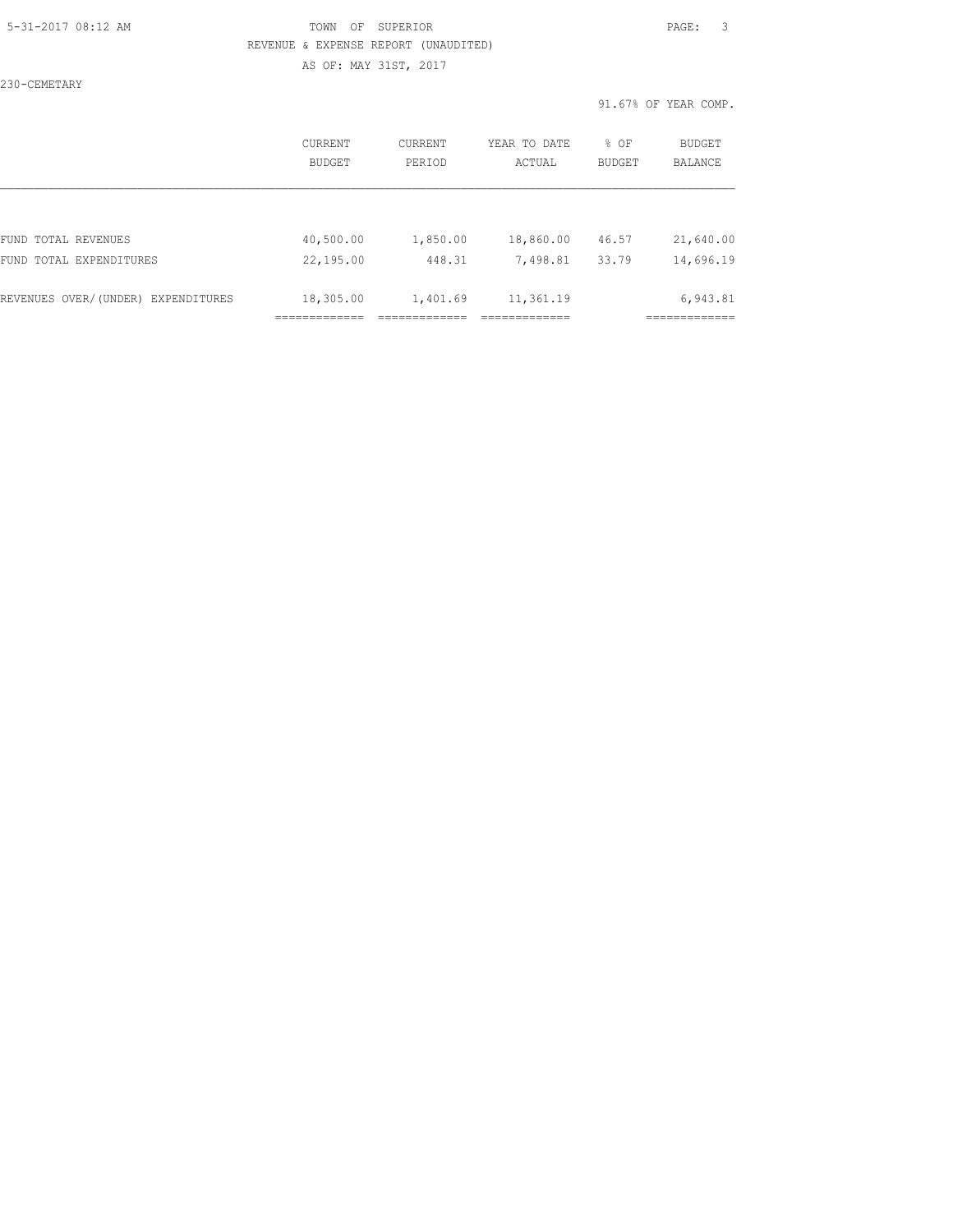### 5-31-2017 08:12 AM TOWN OF SUPERIOR PAGE: 3 REVENUE & EXPENSE REPORT (UNAUDITED) AS OF: MAY 31ST, 2017

230-CEMETARY

|                                    | CURRENT       | CURRENT  | YEAR TO DATE | % OF          | <b>BUDGET</b>  |
|------------------------------------|---------------|----------|--------------|---------------|----------------|
|                                    | <b>BUDGET</b> | PERIOD   | ACTUAL       | <b>BUDGET</b> | <b>BALANCE</b> |
| FUND TOTAL REVENUES                | 40,500.00     | 1,850.00 | 18,860.00    | 46.57         | 21,640.00      |
| FUND TOTAL EXPENDITURES            | 22,195.00     | 448.31   | 7,498.81     | 33.79         | 14,696.19      |
| REVENUES OVER/(UNDER) EXPENDITURES | 18,305.00     | 1,401.69 | 11,361.19    |               | 6,943.81       |
|                                    |               |          |              |               |                |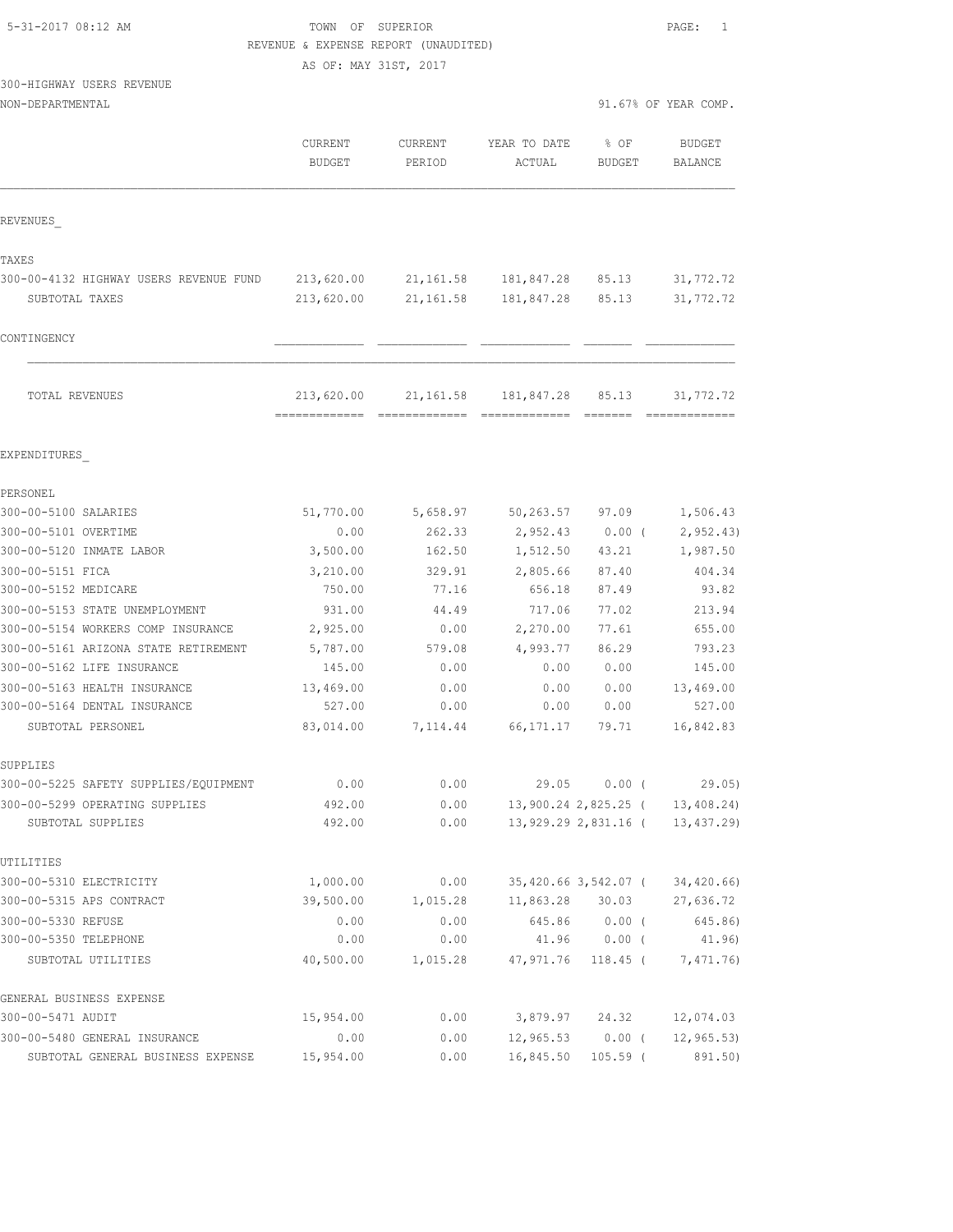| 5-31-2017 08:12 AM |  |
|--------------------|--|
|                    |  |

### TOWN OF SUPERIOR **Example 2018** PAGE: 1 REVENUE & EXPENSE REPORT (UNAUDITED)

AS OF: MAY 31ST, 2017

# 300-HIGHWAY USERS REVENUE

GENERAL BUSINESS EXPENSE

| NON-DEPARTMENTAL                       |                             |                   |                        | 91.67% OF YEAR COMP. |                          |  |
|----------------------------------------|-----------------------------|-------------------|------------------------|----------------------|--------------------------|--|
|                                        | CURRENT<br><b>BUDGET</b>    | CURRENT<br>PERIOD | YEAR TO DATE<br>ACTUAL | % OF<br>BUDGET       | <b>BUDGET</b><br>BALANCE |  |
| REVENUES                               |                             |                   |                        |                      |                          |  |
| TAXES                                  |                             |                   |                        |                      |                          |  |
| 300-00-4132 HIGHWAY USERS REVENUE FUND | 213,620.00                  | 21, 161.58        | 181,847.28             | 85.13                | 31,772.72                |  |
| SUBTOTAL TAXES                         | 213,620.00                  | 21, 161.58        | 181,847.28             | 85.13                | 31,772.72                |  |
| CONTINGENCY                            |                             |                   |                        |                      |                          |  |
| TOTAL REVENUES                         | 213,620.00<br>------------- | 21, 161.58        | 181,847.28             | 85.13                | 31,772.72                |  |
| EXPENDITURES                           |                             |                   |                        |                      |                          |  |
| PERSONEL                               |                             |                   |                        |                      |                          |  |
| 300-00-5100 SALARIES                   | 51,770.00                   | 5,658.97          | 50, 263.57             | 97.09                | 1,506.43                 |  |
| 300-00-5101 OVERTIME                   | 0.00                        | 262.33            | 2,952.43               | $0.00$ (             | 2, 952.43                |  |
| 300-00-5120 INMATE LABOR               | 3,500.00                    | 162.50            | 1,512.50               | 43.21                | 1,987.50                 |  |
| 300-00-5151 FICA                       | 3,210.00                    | 329.91            | 2,805.66               | 87.40                | 404.34                   |  |
| 300-00-5152 MEDICARE                   | 750.00                      | 77.16             | 656.18                 | 87.49                | 93.82                    |  |
| 300-00-5153 STATE UNEMPLOYMENT         | 931.00                      | 44.49             | 717.06                 | 77.02                | 213.94                   |  |
| 300-00-5154 WORKERS COMP INSURANCE     | 2,925.00                    | 0.00              | 2,270.00               | 77.61                | 655.00                   |  |
| 300-00-5161 ARIZONA STATE RETIREMENT   | 5,787.00                    | 579.08            | 4,993.77               | 86.29                | 793.23                   |  |
| 300-00-5162 LIFE INSURANCE             | 145.00                      | 0.00              | 0.00                   | 0.00                 | 145.00                   |  |
| 300-00-5163 HEALTH INSURANCE           | 13,469.00                   | 0.00              | 0.00                   | 0.00                 | 13,469.00                |  |
| 300-00-5164 DENTAL INSURANCE           | 527.00                      | 0.00              | 0.00                   | 0.00                 | 527.00                   |  |
| SUBTOTAL PERSONEL                      | 83,014.00                   | 7,114.44          | 66, 171. 17            | 79.71                | 16,842.83                |  |
| SUPPLIES                               |                             |                   |                        |                      |                          |  |
| 300-00-5225 SAFETY SUPPLIES/EQUIPMENT  | 0.00                        | 0.00              | 29.05                  | $0.00$ (             | 29.05)                   |  |
| 300-00-5299 OPERATING SUPPLIES         | 492.00                      | 0.00              |                        | 13,900.24 2,825.25 ( | 13,408.24)               |  |
| SUBTOTAL SUPPLIES                      | 492.00                      | 0.00              |                        | 13,929.29 2,831.16 ( | 13, 437.29)              |  |
| UTILITIES                              |                             |                   |                        |                      |                          |  |
| 300-00-5310 ELECTRICITY                | 1,000.00                    | 0.00              |                        | 35,420.66 3,542.07 ( | 34,420.66)               |  |
| 300-00-5315 APS CONTRACT               | 39,500.00                   | 1,015.28          | 11,863.28              | 30.03                | 27,636.72                |  |
| 300-00-5330 REFUSE                     | 0.00                        | 0.00              | 645.86                 | $0.00$ (             | 645.86)                  |  |
| 300-00-5350 TELEPHONE                  | 0.00                        | 0.00              | 41.96                  | $0.00$ (             | 41.96)                   |  |
| SUBTOTAL UTILITIES                     | 40,500.00                   | 1,015.28          | 47,971.76              | $118.45$ (           | 7,471.76)                |  |
|                                        |                             |                   |                        |                      |                          |  |

300-00-5471 AUDIT 15,954.00 0.00 3,879.97 24.32 12,074.03 300-00-5480 GENERAL INSURANCE 0.00 0.00 12,965.53 0.00 ( 12,965.53) SUBTOTAL GENERAL BUSINESS EXPENSE 15,954.00 0.00 16,845.50 105.59 ( 891.50)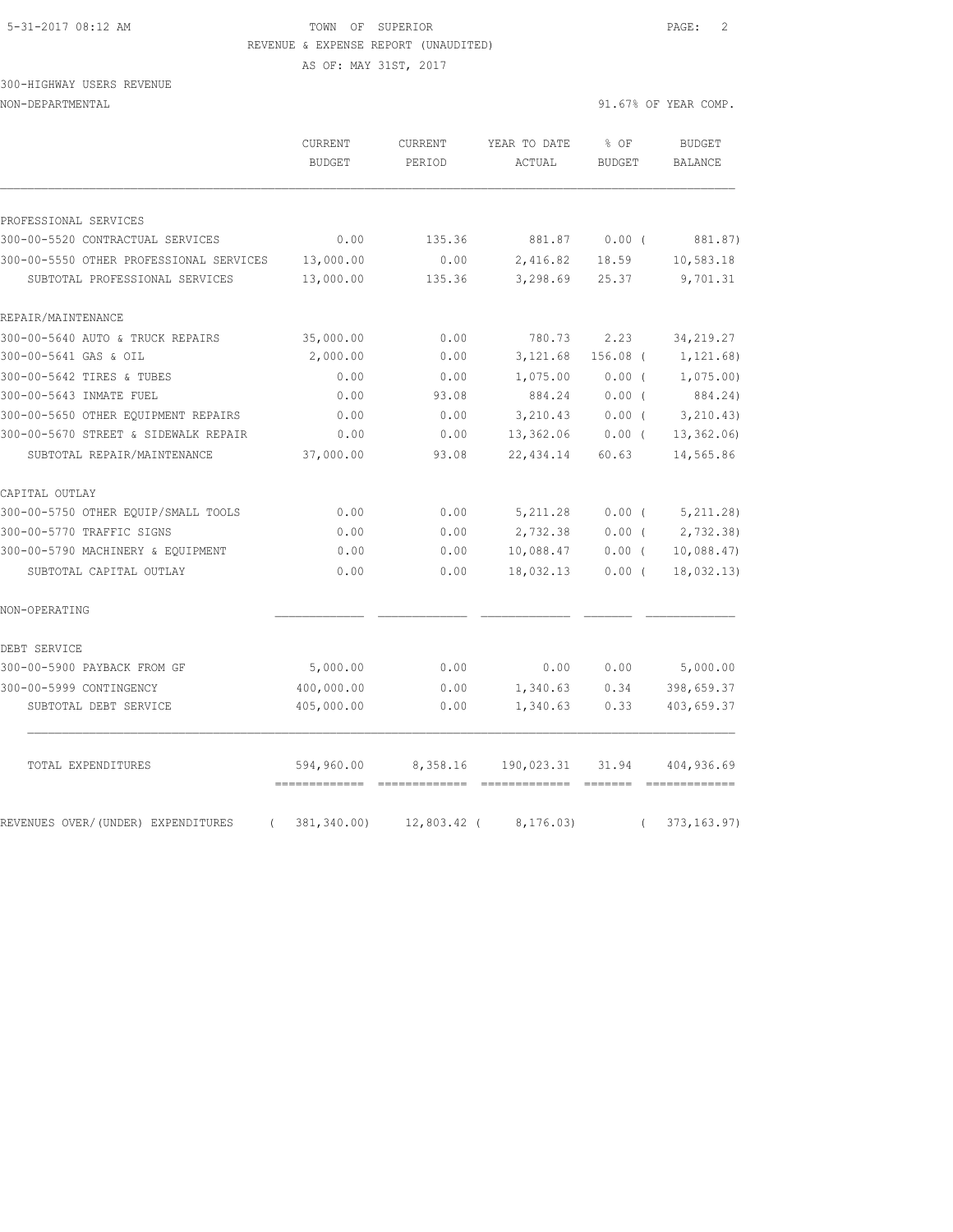#### 5-31-2017 08:12 AM TOWN OF SUPERIOR PAGE: 2 REVENUE & EXPENSE REPORT (UNAUDITED)

AS OF: MAY 31ST, 2017

# 300-HIGHWAY USERS REVENUE

NON-DEPARTMENTAL 91.67% OF YEAR COMP.

|                                                                           | CURRENT<br><b>BUDGET</b> | <b>CURRENT</b><br>PERIOD | YEAR TO DATE<br>ACTUAL | % OF<br><b>BUDGET</b> | <b>BUDGET</b><br><b>BALANCE</b> |
|---------------------------------------------------------------------------|--------------------------|--------------------------|------------------------|-----------------------|---------------------------------|
|                                                                           |                          |                          |                        |                       |                                 |
| PROFESSIONAL SERVICES                                                     |                          |                          |                        |                       |                                 |
| 300-00-5520 CONTRACTUAL SERVICES                                          | 0.00                     | 135.36                   | 881.87                 | $0.00$ (              | 881.87)                         |
| 300-00-5550 OTHER PROFESSIONAL SERVICES<br>SUBTOTAL PROFESSIONAL SERVICES | 13,000.00<br>13,000.00   | 0.00<br>135.36           | 2,416.82<br>3,298.69   | 18.59<br>25.37        | 10,583.18<br>9,701.31           |
| REPAIR/MAINTENANCE                                                        |                          |                          |                        |                       |                                 |
| 300-00-5640 AUTO & TRUCK REPAIRS                                          | 35,000.00                | 0.00                     | 780.73                 | 2.23                  | 34, 219.27                      |
| 300-00-5641 GAS & OIL                                                     | 2,000.00                 | 0.00                     | 3,121.68               | $156.08$ (            | 1,121.68)                       |
| 300-00-5642 TIRES & TUBES                                                 | 0.00                     | 0.00                     | 1,075.00               | 0.00(                 | 1,075.00                        |
| 300-00-5643 INMATE FUEL                                                   | 0.00                     | 93.08                    | 884.24                 | 0.00(                 | 884.24)                         |
| 300-00-5650 OTHER EQUIPMENT REPAIRS                                       | 0.00                     | 0.00                     | 3,210.43               | $0.00$ (              | 3, 210.43)                      |
| 300-00-5670 STREET & SIDEWALK REPAIR                                      | 0.00                     | 0.00                     | 13,362.06              | $0.00$ (              | 13,362.06                       |
| SUBTOTAL REPAIR/MAINTENANCE                                               | 37,000.00                | 93.08                    | 22,434.14              | 60.63                 | 14,565.86                       |
| CAPITAL OUTLAY                                                            |                          |                          |                        |                       |                                 |
| 300-00-5750 OTHER EQUIP/SMALL TOOLS                                       | 0.00                     | 0.00                     | 5, 211.28              | 0.00(                 | 5, 211.28)                      |
| 300-00-5770 TRAFFIC SIGNS                                                 | 0.00                     | 0.00                     | 2,732.38               | 0.00(                 | 2,732.38                        |
| 300-00-5790 MACHINERY & EQUIPMENT                                         | 0.00                     | 0.00                     | 10,088.47              | $0.00$ (              | 10,088.47                       |
| SUBTOTAL CAPITAL OUTLAY                                                   | 0.00                     | 0.00                     | 18,032.13              | $0.00$ (              | 18,032.13)                      |
| NON-OPERATING                                                             |                          |                          |                        |                       |                                 |
| DEBT SERVICE                                                              |                          |                          |                        |                       |                                 |
| 300-00-5900 PAYBACK FROM GF                                               | 5,000.00                 | 0.00                     | 0.00                   | 0.00                  | 5,000.00                        |
| 300-00-5999 CONTINGENCY                                                   | 400,000.00               | 0.00                     | 1,340.63               | 0.34                  | 398,659.37                      |
| SUBTOTAL DEBT SERVICE                                                     | 405,000.00               | 0.00                     | 1,340.63               | 0.33                  | 403,659.37                      |
| TOTAL EXPENDITURES                                                        | 594,960.00               | 8,358.16                 | 190,023.31             | 31.94                 | 404,936.69                      |
| REVENUES OVER/(UNDER) EXPENDITURES<br>$\left($                            | 381,340.00)              | $12,803.42$ (            | 8, 176.03)             | $\left($              | 373, 163.97)                    |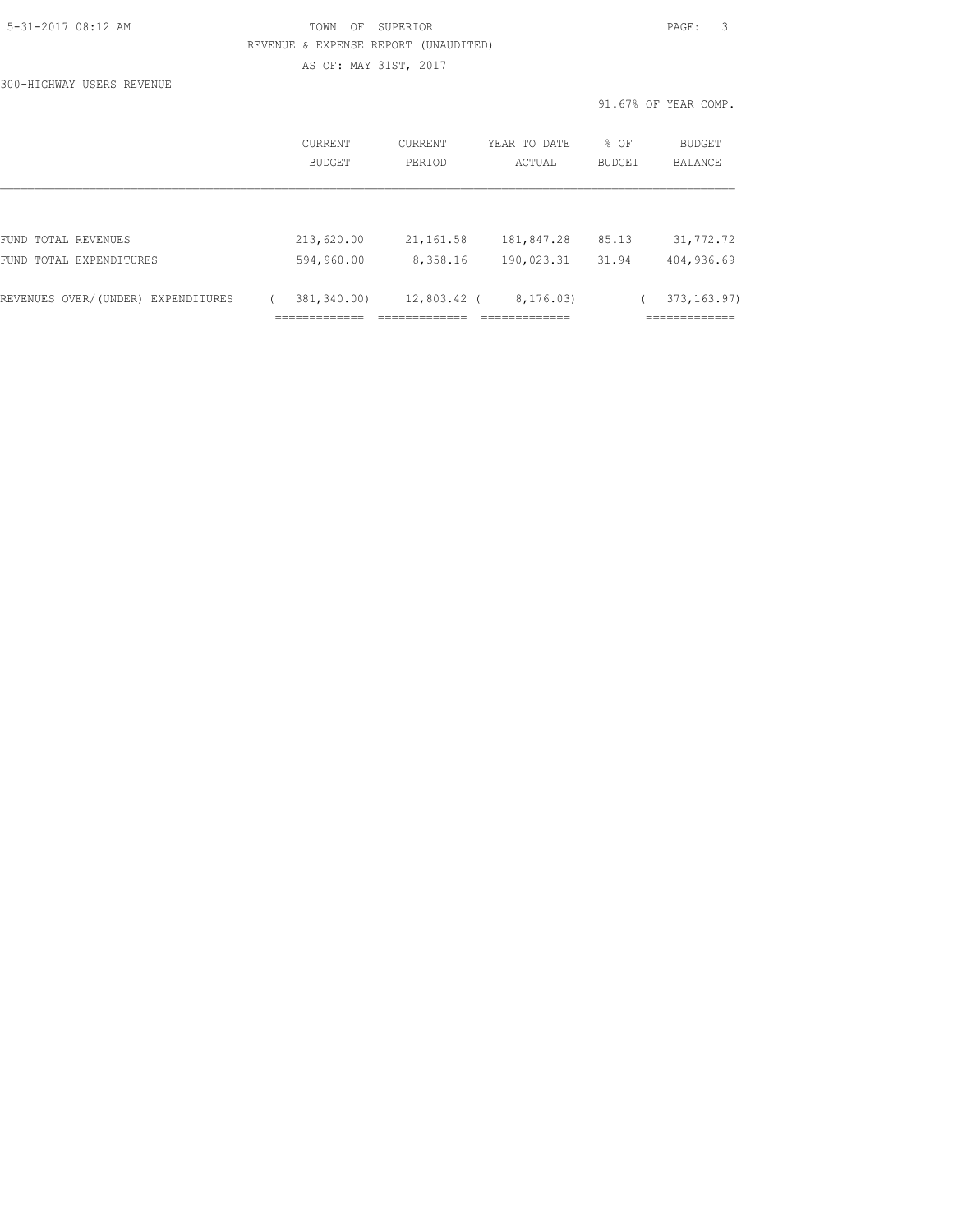|  | 5-31-2017 08:12 AM |  |
|--|--------------------|--|
|  |                    |  |

# TOWN OF SUPERIOR **Example 2017** PAGE: 3 REVENUE & EXPENSE REPORT (UNAUDITED) AS OF: MAY 31ST, 2017

300-HIGHWAY USERS REVENUE

|                                    | <b>CURRENT</b><br>BUDGET | <b>CURRENT</b><br>PERIOD | YEAR TO DATE<br>ACTUAL | % OF<br>BUDGET | <b>BUDGET</b><br><b>BALANCE</b> |
|------------------------------------|--------------------------|--------------------------|------------------------|----------------|---------------------------------|
|                                    |                          |                          |                        |                |                                 |
| FUND TOTAL REVENUES                | 213,620.00               | 21, 161.58               | 181,847.28             | 85.13          | 31,772.72                       |
| FUND TOTAL EXPENDITURES            | 594,960.00               | 8,358.16                 | 190,023.31             | 31.94          | 404,936.69                      |
| REVENUES OVER/(UNDER) EXPENDITURES | 381,340.00)              | 12,803.42 (              | 8, 176, 03)            |                | 373, 163.97)                    |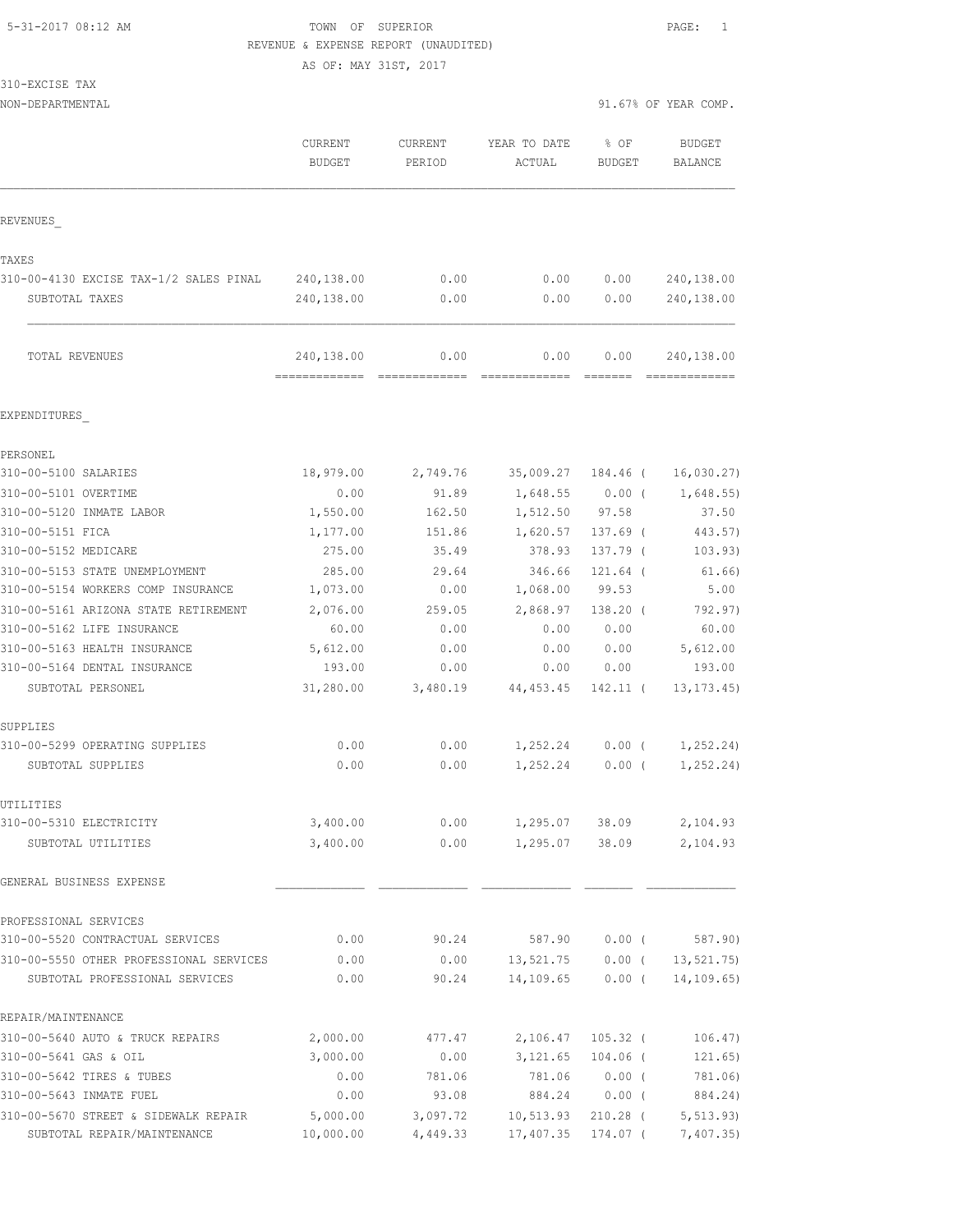# 5-31-2017 08:12 AM TOWN OF SUPERIOR PAGE: 1 REVENUE & EXPENSE REPORT (UNAUDITED)

AS OF: MAY 31ST, 2017

310-EXCISE TAX

NON-DEPARTMENTAL 91.67% OF YEAR COMP.

|                                                 | CURRENT<br><b>BUDGET</b>                    | CURRENT<br>PERIOD | YEAR TO DATE<br>ACTUAL | % OF<br>BUDGET | <b>BUDGET</b><br><b>BALANCE</b> |
|-------------------------------------------------|---------------------------------------------|-------------------|------------------------|----------------|---------------------------------|
| REVENUES                                        |                                             |                   |                        |                |                                 |
|                                                 |                                             |                   |                        |                |                                 |
| TAXES<br>310-00-4130 EXCISE TAX-1/2 SALES PINAL | 240,138.00                                  | 0.00              | 0.00                   | 0.00           | 240,138.00                      |
|                                                 | 240,138.00                                  | 0.00              | 0.00                   | 0.00           | 240,138.00                      |
| SUBTOTAL TAXES                                  |                                             |                   |                        |                |                                 |
| TOTAL REVENUES                                  | 240,138.00<br>============================= | 0.00              | 0.00                   | 0.00           | 240,138.00                      |
| EXPENDITURES                                    |                                             |                   |                        |                |                                 |
| PERSONEL                                        |                                             |                   |                        |                |                                 |
| 310-00-5100 SALARIES                            | 18,979.00                                   | 2,749.76          | 35,009.27              | 184.46 (       | 16,030.27)                      |
| 310-00-5101 OVERTIME                            | 0.00                                        | 91.89             | 1,648.55               | $0.00$ (       | 1,648.55                        |
| 310-00-5120 INMATE LABOR                        | 1,550.00                                    | 162.50            | 1,512.50               | 97.58          | 37.50                           |
| 310-00-5151 FICA                                | 1,177.00                                    | 151.86            | 1,620.57               | $137.69$ (     | 443.57)                         |
| 310-00-5152 MEDICARE                            | 275.00                                      | 35.49             | 378.93                 | 137.79 (       | 103.93)                         |
| 310-00-5153 STATE UNEMPLOYMENT                  | 285.00                                      | 29.64             | 346.66                 | 121.64 (       | 61.66)                          |
| 310-00-5154 WORKERS COMP INSURANCE              | 1,073.00                                    | 0.00              | 1,068.00               | 99.53          | 5.00                            |
| 310-00-5161 ARIZONA STATE RETIREMENT            | 2,076.00                                    | 259.05            | 2,868.97               | $138.20$ (     | 792.97)                         |
| 310-00-5162 LIFE INSURANCE                      | 60.00                                       | 0.00              | 0.00                   | 0.00           | 60.00                           |
| 310-00-5163 HEALTH INSURANCE                    | 5,612.00                                    | 0.00              | 0.00                   | 0.00           | 5,612.00                        |
| 310-00-5164 DENTAL INSURANCE                    | 193.00                                      | 0.00              | 0.00                   | 0.00           | 193.00                          |
| SUBTOTAL PERSONEL                               | 31,280.00                                   | 3,480.19          | 44, 453.45             | 142.11 (       | 13, 173.45)                     |
| SUPPLIES                                        |                                             |                   |                        |                |                                 |
| 310-00-5299 OPERATING SUPPLIES                  | 0.00                                        | 0.00              | 1,252.24               | $0.00$ (       | 1,252.24)                       |
| SUBTOTAL SUPPLIES                               | 0.00                                        | 0.00              | 1,252.24               | 0.00(          | 1, 252.24)                      |
| UTILITIES                                       |                                             |                   |                        |                |                                 |
| 310-00-5310 ELECTRICITY                         | 3,400.00                                    | 0.00              | 1,295.07               | 38.09          | 2,104.93                        |
| SUBTOTAL UTILITIES                              | 3,400.00                                    | 0.00              | 1,295.07               | 38.09          | 2,104.93                        |
| GENERAL BUSINESS EXPENSE                        |                                             |                   |                        |                |                                 |
| PROFESSIONAL SERVICES                           |                                             |                   |                        |                |                                 |
| 310-00-5520 CONTRACTUAL SERVICES                | 0.00                                        | 90.24             | 587.90                 | $0.00$ (       | 587.90)                         |
| 310-00-5550 OTHER PROFESSIONAL SERVICES         | 0.00                                        | 0.00              | 13,521.75              | $0.00$ (       | 13, 521, 75)                    |
| SUBTOTAL PROFESSIONAL SERVICES                  | 0.00                                        | 90.24             | 14,109.65              | $0.00$ (       | 14, 109.65)                     |
| REPAIR/MAINTENANCE                              |                                             |                   |                        |                |                                 |
| 310-00-5640 AUTO & TRUCK REPAIRS                | 2,000.00                                    | 477.47            | 2,106.47               | $105.32$ (     | 106.47)                         |
| 310-00-5641 GAS & OIL                           | 3,000.00                                    | 0.00              | 3,121.65               | $104.06$ (     | 121.65)                         |
| 310-00-5642 TIRES & TUBES                       | 0.00                                        | 781.06            | 781.06                 | 0.00(          | 781.06)                         |
| 310-00-5643 INMATE FUEL                         | 0.00                                        | 93.08             | 884.24                 | $0.00$ (       | 884.24)                         |
| 310-00-5670 STREET & SIDEWALK REPAIR            | 5,000.00                                    | 3,097.72          | 10,513.93              | $210.28$ (     | 5, 513.93)                      |

SUBTOTAL REPAIR/MAINTENANCE 10,000.00 4,449.33 17,407.35 174.07 ( 7,407.35)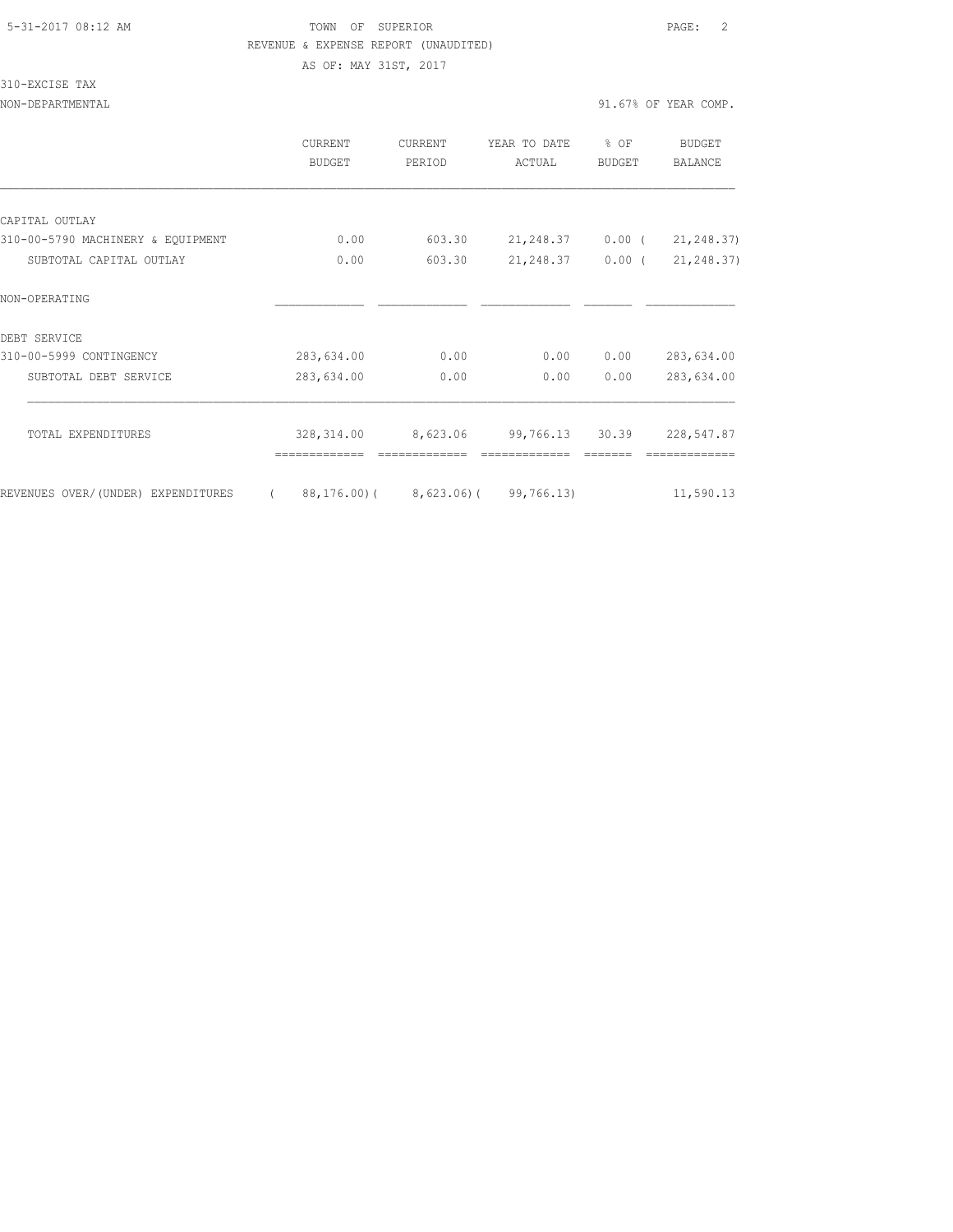# 5-31-2017 08:12 AM TOWN OF SUPERIOR PAGE: 2 REVENUE & EXPENSE REPORT (UNAUDITED)

AS OF: MAY 31ST, 2017

310-EXCISE TAX

| NON-DEPARTMENTAL                  |                          |                          |                        |                | 91.67% OF YEAR COMP.     |
|-----------------------------------|--------------------------|--------------------------|------------------------|----------------|--------------------------|
|                                   | <b>CURRENT</b><br>BUDGET | <b>CURRENT</b><br>PERIOD | YEAR TO DATE<br>ACTUAL | % OF<br>BUDGET | BUDGET<br><b>BALANCE</b> |
|                                   |                          |                          |                        |                |                          |
| CAPITAL OUTLAY                    |                          |                          |                        |                |                          |
| 310-00-5790 MACHINERY & EQUIPMENT | 0.00                     | 603.30                   | 21, 248.37             | $0.00$ (       | 21, 248.37)              |
| SUBTOTAL CAPITAL OUTLAY           | 0.00                     | 603.30                   | 21, 248.37             | $0.00$ (       | 21, 248.37)              |
| NON-OPERATING                     |                          |                          |                        |                |                          |
| DEBT SERVICE                      |                          |                          |                        |                |                          |
| 310-00-5999 CONTINGENCY           | 283,634.00               | 0.00                     | 0.00                   | 0.00           | 283,634.00               |
| SUBTOTAL DEBT SERVICE             | 283,634.00               | 0.00                     | 0.00                   | 0.00           | 283,634.00               |
| TOTAL EXPENDITURES                | 328,314.00               | 8,623.06                 | 99,766.13              | 30.39          | 228,547.87               |
|                                   |                          |                          |                        |                |                          |

REVENUES OVER/(UNDER) EXPENDITURES (88,176.00)(8,623.06)(99,766.13) 11,590.13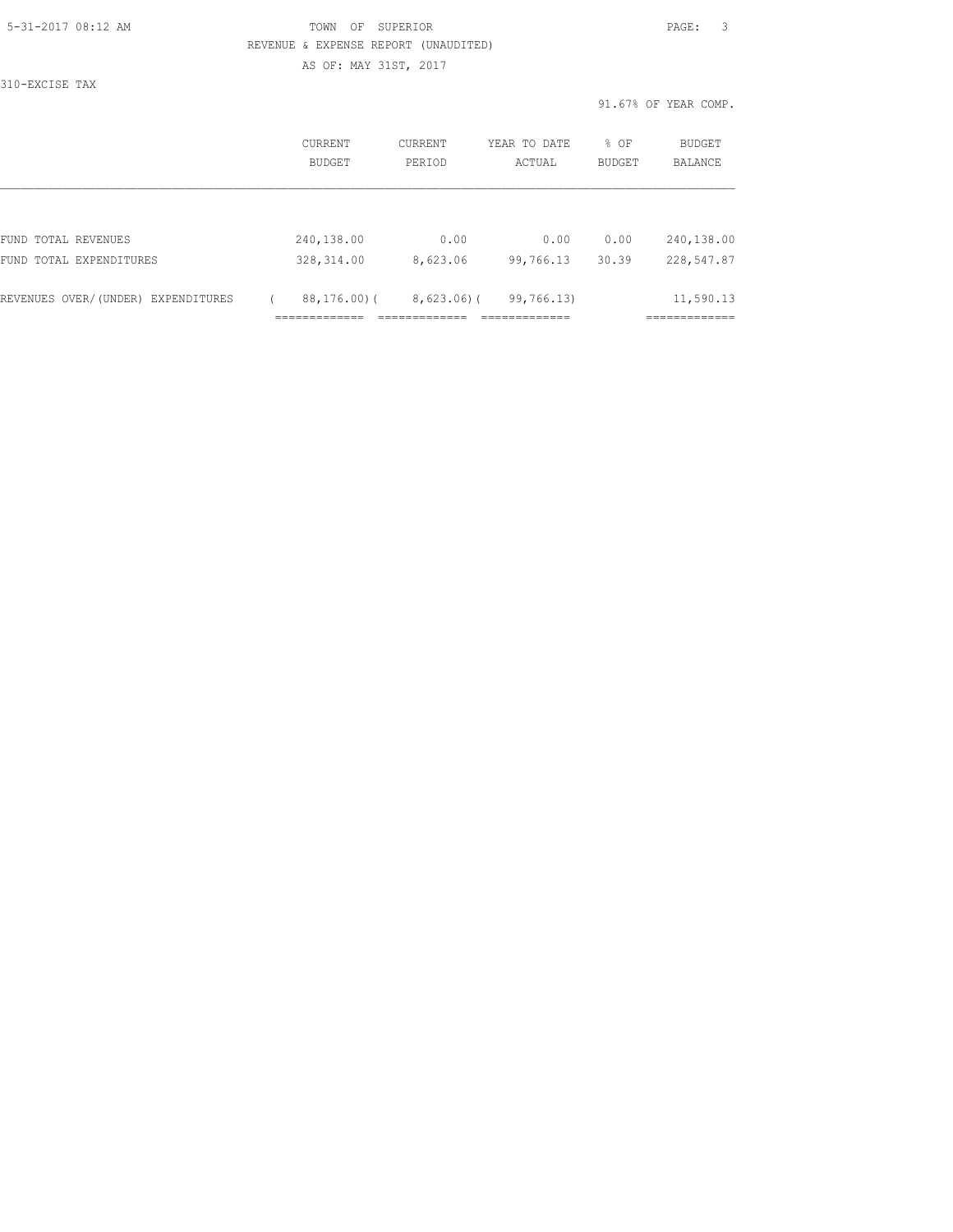## 5-31-2017 08:12 AM TOWN OF SUPERIOR PAGE: 3 REVENUE & EXPENSE REPORT (UNAUDITED) AS OF: MAY 31ST, 2017

310-EXCISE TAX

|                                    | CURRENT<br><b>BUDGET</b> | CURRENT<br>PERIOD | YEAR TO DATE<br>ACTUAL | % OF<br><b>BUDGET</b> | <b>BUDGET</b><br><b>BALANCE</b> |
|------------------------------------|--------------------------|-------------------|------------------------|-----------------------|---------------------------------|
| FUND TOTAL REVENUES                | 240,138.00               | 0.00              | 0.00                   | 0.00                  | 240,138.00                      |
| FUND TOTAL EXPENDITURES            | 328, 314.00              | 8,623.06          | 99,766.13              | 30.39                 | 228,547.87                      |
| REVENUES OVER/(UNDER) EXPENDITURES | $88, 176, 00$ ) (        | $8,623.06$ ) (    | 99,766.13)             |                       | 11,590.13<br>---------          |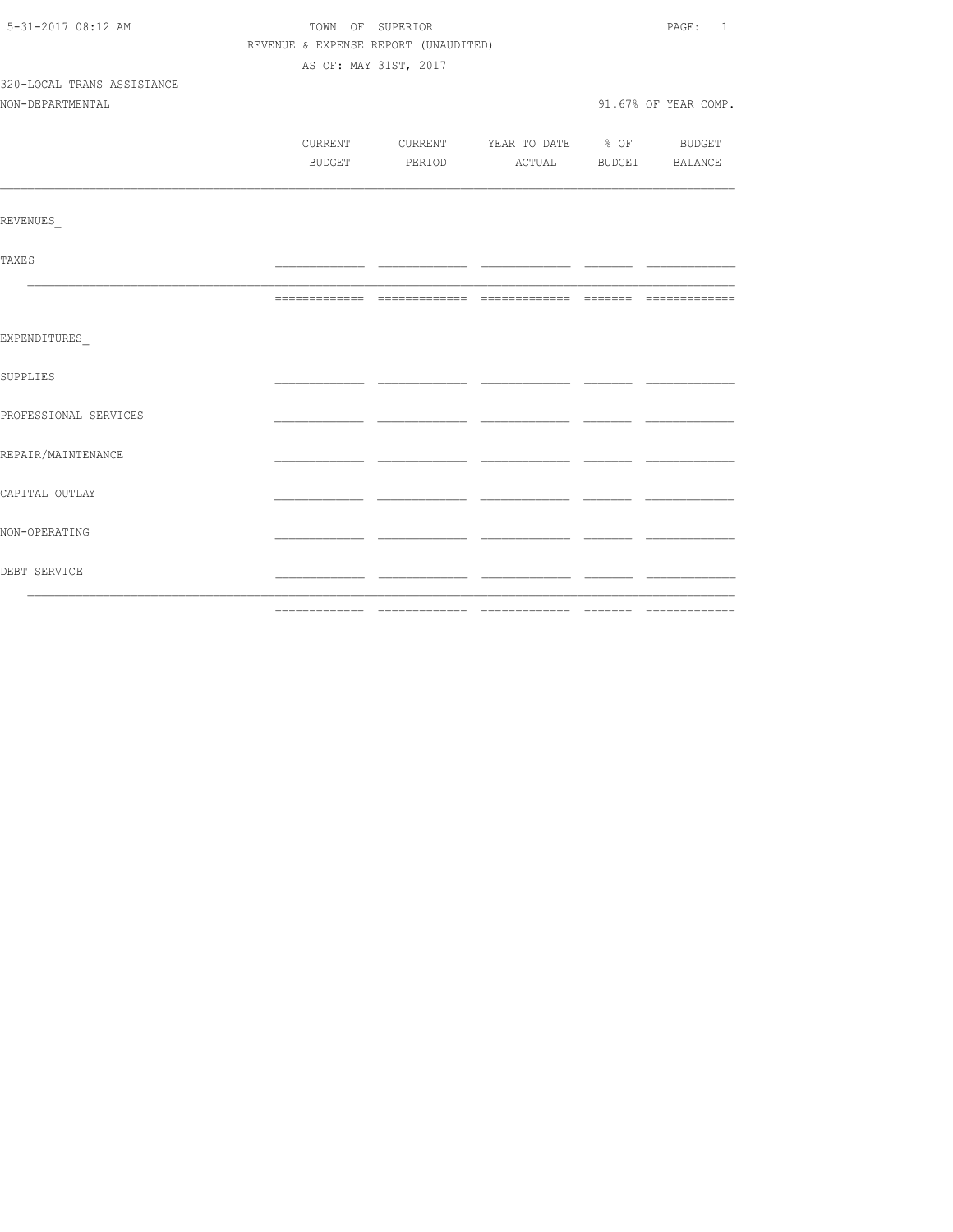| 5-31-2017 08:12 AM         | TOWN OF SUPERIOR                     | PAGE: 1               |                                          |  |                      |
|----------------------------|--------------------------------------|-----------------------|------------------------------------------|--|----------------------|
|                            | REVENUE & EXPENSE REPORT (UNAUDITED) |                       |                                          |  |                      |
|                            |                                      | AS OF: MAY 31ST, 2017 |                                          |  |                      |
| 320-LOCAL TRANS ASSISTANCE |                                      |                       |                                          |  |                      |
| NON-DEPARTMENTAL           |                                      |                       |                                          |  | 91.67% OF YEAR COMP. |
|                            |                                      |                       |                                          |  |                      |
|                            |                                      |                       | CURRENT CURRENT YEAR TO DATE % OF BUDGET |  |                      |
|                            |                                      |                       | BUDGET PERIOD ACTUAL BUDGET BALANCE      |  |                      |
| REVENUES                   |                                      |                       |                                          |  |                      |
|                            |                                      |                       |                                          |  |                      |
| <b>TAXES</b>               |                                      |                       |                                          |  |                      |
|                            |                                      |                       |                                          |  |                      |
| EXPENDITURES               |                                      |                       |                                          |  |                      |
| SUPPLIES                   |                                      |                       |                                          |  |                      |
| PROFESSIONAL SERVICES      |                                      |                       |                                          |  |                      |
| REPAIR/MAINTENANCE         |                                      |                       |                                          |  |                      |
| CAPITAL OUTLAY             |                                      |                       |                                          |  |                      |
| NON-OPERATING              |                                      |                       |                                          |  |                      |
| DEBT SERVICE               |                                      |                       |                                          |  |                      |
|                            |                                      |                       |                                          |  |                      |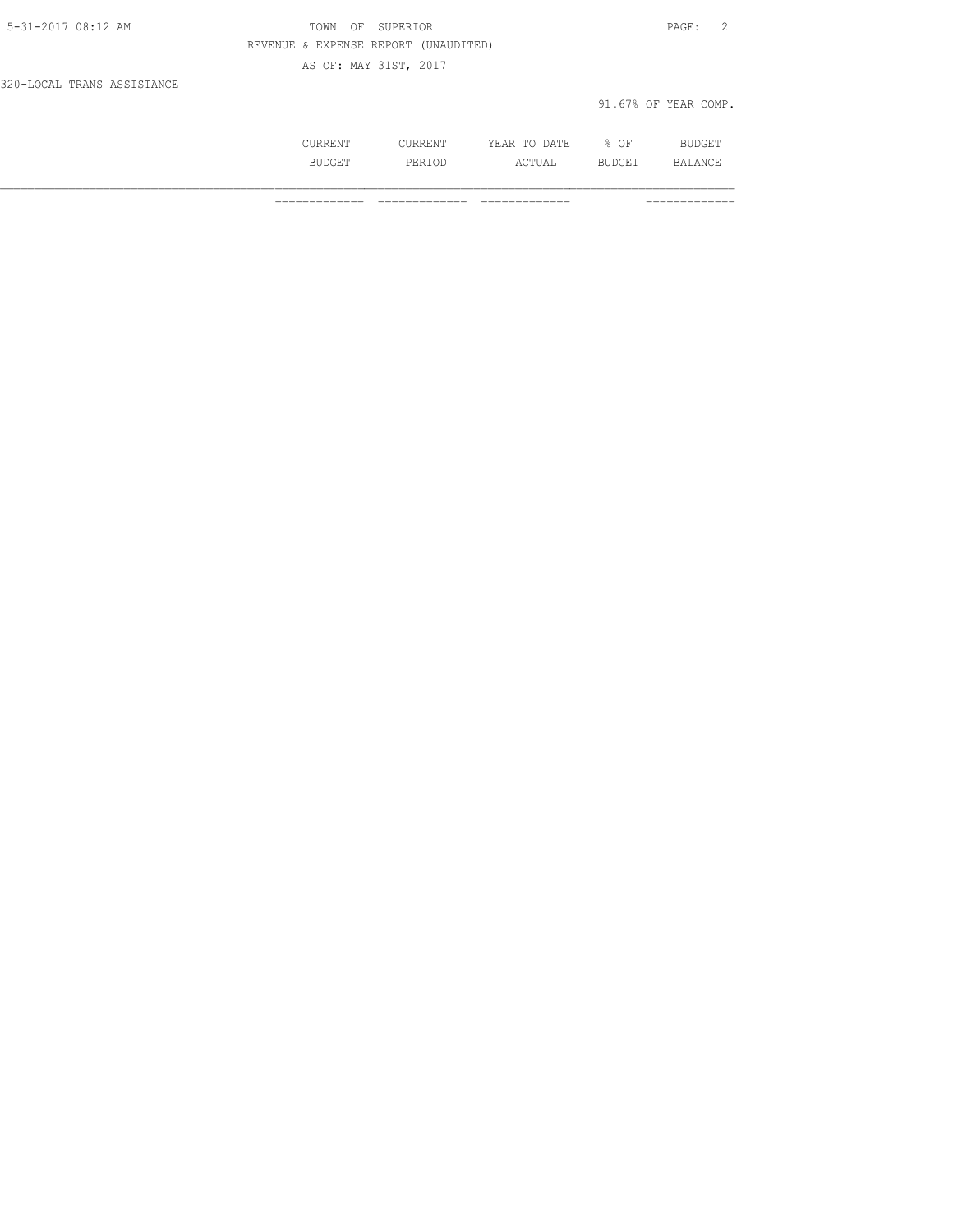| 1 \1 \1 1 \1 1 | . .<br>. .<br>៶⊥៶⊥⊥៶⊥ | .<br>$.5.$ mm $-$<br>-----<br>-----                                | ΟF                        | ⊥ ∟ש    |
|----------------|-----------------------|--------------------------------------------------------------------|---------------------------|---------|
| ---            | . ఎూ.<br>.            | $\cdot$ $\cap$ $\sqcap$ $\sqcap$ $\sqcap$ $\sqcap$ $\sqcap$<br>◡▴▴ | 교 고교 모르다.<br>ا ہے۔<br>--- | ΔNΓ<br> |

============= ============= ============= =============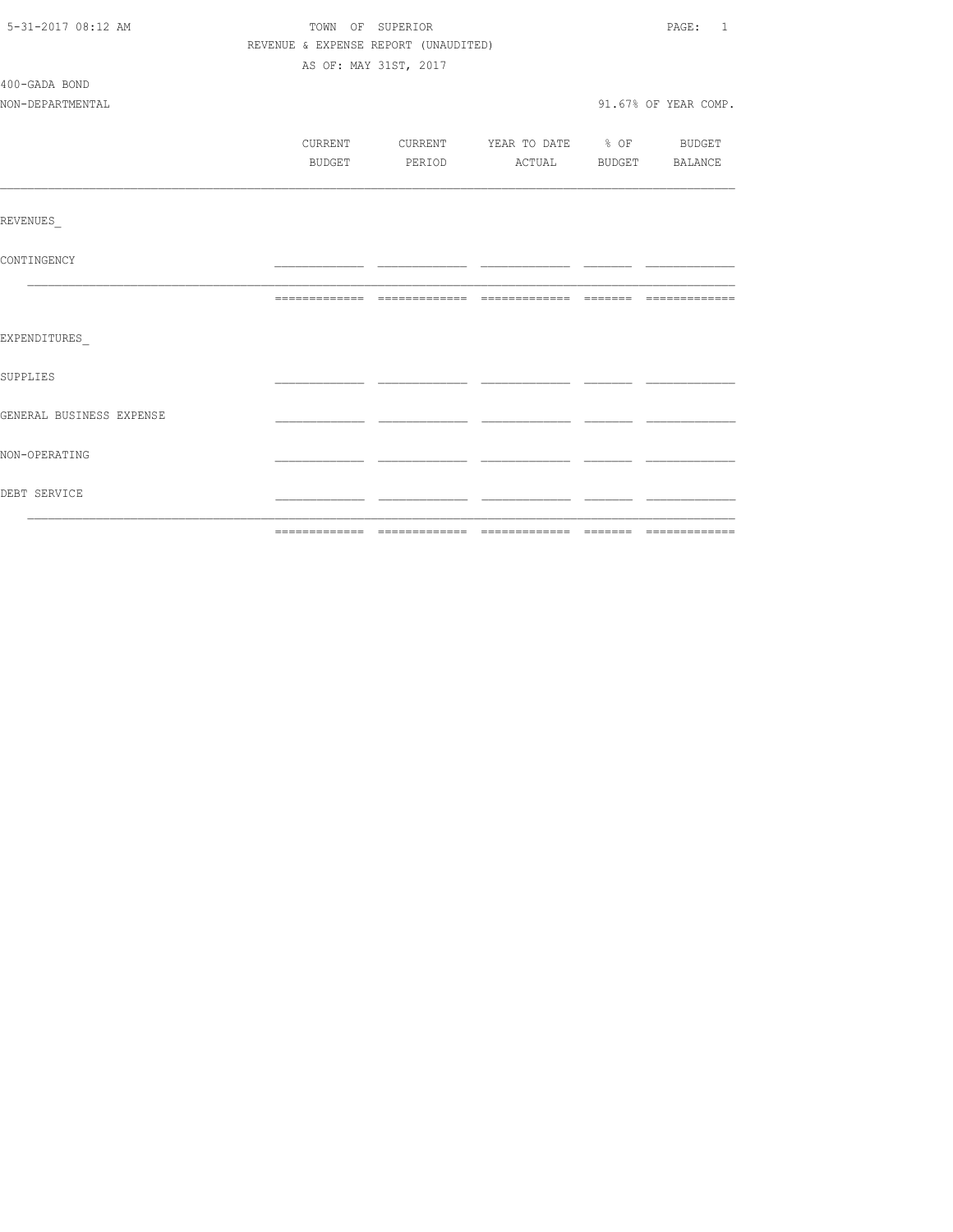| 5-31-2017 08:12 AM       | TOWN OF SUPERIOR                     | PAGE: 1               |                                          |  |                      |
|--------------------------|--------------------------------------|-----------------------|------------------------------------------|--|----------------------|
|                          | REVENUE & EXPENSE REPORT (UNAUDITED) |                       |                                          |  |                      |
|                          |                                      | AS OF: MAY 31ST, 2017 |                                          |  |                      |
| 400-GADA BOND            |                                      |                       |                                          |  |                      |
| NON-DEPARTMENTAL         |                                      |                       |                                          |  | 91.67% OF YEAR COMP. |
|                          |                                      |                       |                                          |  |                      |
|                          |                                      |                       | CURRENT CURRENT YEAR TO DATE % OF BUDGET |  |                      |
|                          |                                      |                       | BUDGET PERIOD ACTUAL BUDGET BALANCE      |  |                      |
|                          |                                      |                       |                                          |  |                      |
|                          |                                      |                       |                                          |  |                      |
| REVENUES                 |                                      |                       |                                          |  |                      |
|                          |                                      |                       |                                          |  |                      |
| CONTINGENCY              |                                      |                       |                                          |  |                      |
|                          |                                      |                       |                                          |  |                      |
|                          |                                      |                       |                                          |  |                      |
| EXPENDITURES             |                                      |                       |                                          |  |                      |
|                          |                                      |                       |                                          |  |                      |
| <b>SUPPLIES</b>          |                                      |                       |                                          |  |                      |
|                          |                                      |                       |                                          |  |                      |
| GENERAL BUSINESS EXPENSE |                                      |                       |                                          |  |                      |
|                          |                                      |                       |                                          |  |                      |
| NON-OPERATING            |                                      |                       |                                          |  |                      |
|                          |                                      |                       |                                          |  |                      |
| DEBT SERVICE             |                                      |                       |                                          |  |                      |
|                          |                                      |                       |                                          |  |                      |
|                          |                                      |                       |                                          |  |                      |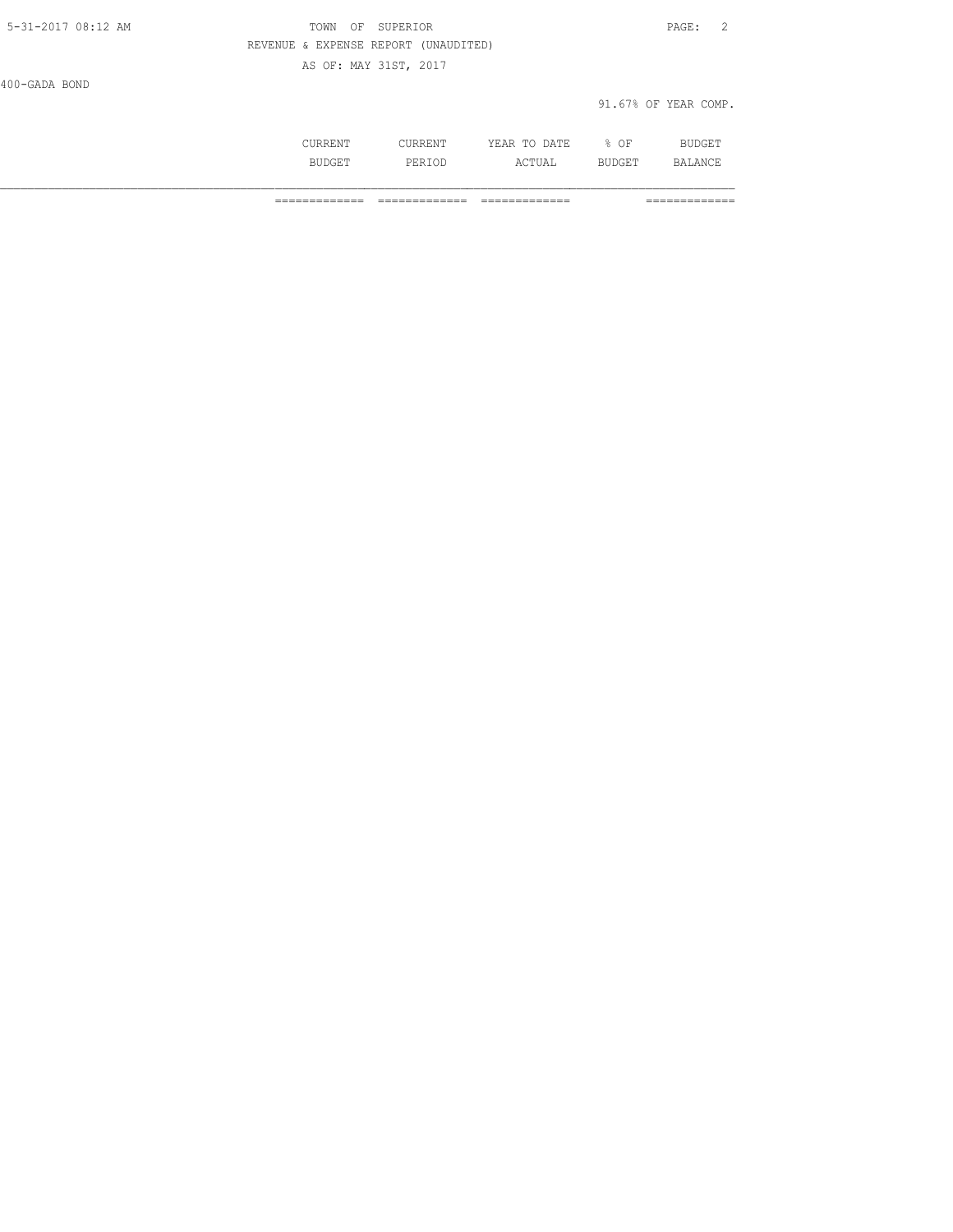400-GADA BOND

#### 91.67% OF YEAR COMP.

|  | . | ١F<br>$\sim$ $\sim$ |  |
|--|---|---------------------|--|
|  |   |                     |  |
|  |   |                     |  |

============= ============= ============= =============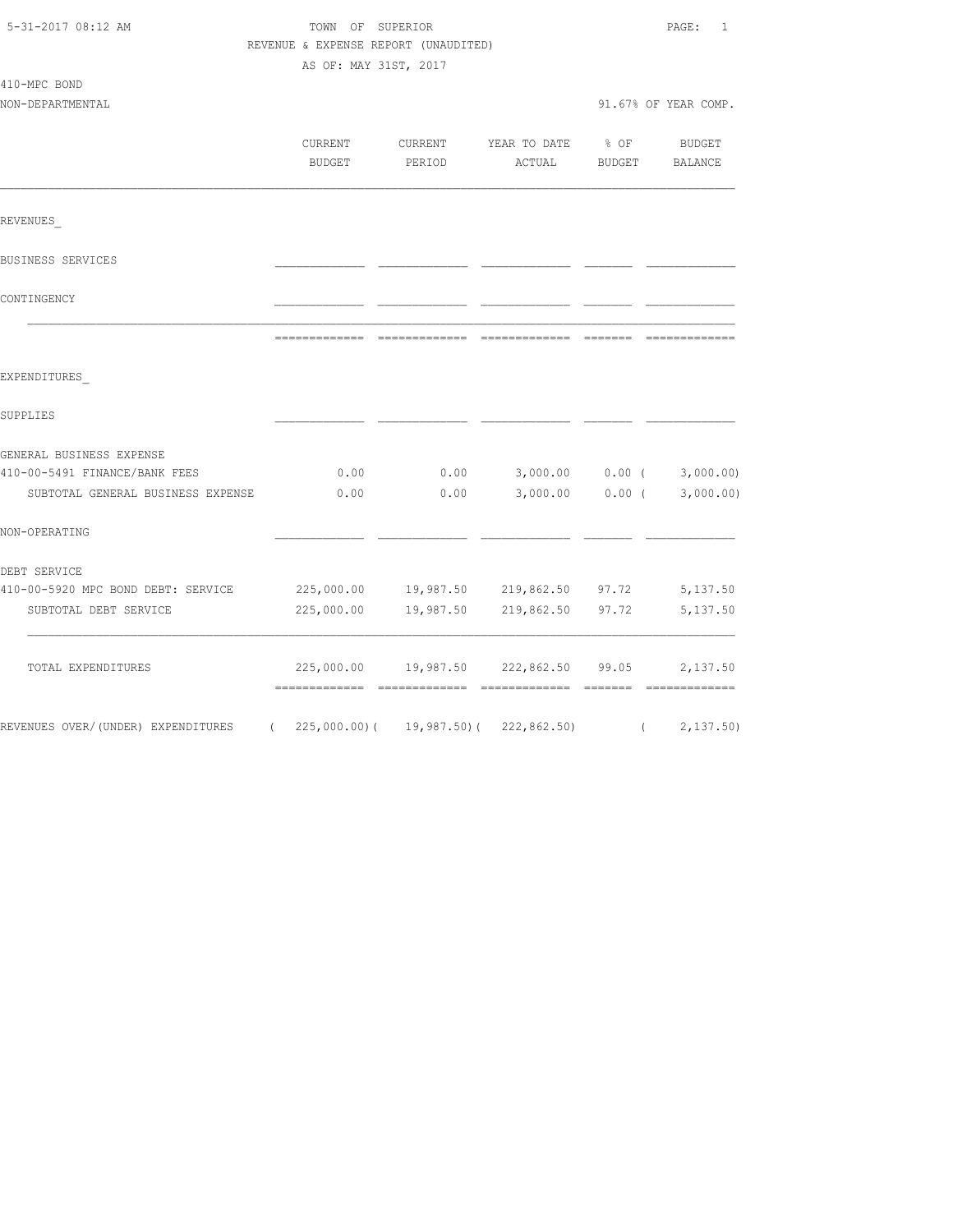| 5-31-2017 08:12 AM                 | TOWN OF SUPERIOR                     | PAGE:<br>1            |                      |                  |                       |
|------------------------------------|--------------------------------------|-----------------------|----------------------|------------------|-----------------------|
|                                    | REVENUE & EXPENSE REPORT (UNAUDITED) |                       |                      |                  |                       |
|                                    |                                      | AS OF: MAY 31ST, 2017 |                      |                  |                       |
| 410-MPC BOND                       |                                      |                       |                      |                  |                       |
| NON-DEPARTMENTAL                   |                                      |                       |                      |                  | 91.67% OF YEAR COMP.  |
|                                    |                                      |                       |                      |                  |                       |
|                                    | CURRENT                              | CURRENT               | YEAR TO DATE         | $\textdegree$ OF | BUDGET                |
|                                    | BUDGET                               | PERIOD                | ACTUAL               | <b>BUDGET</b>    | BALANCE               |
| REVENUES                           |                                      |                       |                      |                  |                       |
| BUSINESS SERVICES                  |                                      |                       |                      |                  |                       |
| CONTINGENCY                        |                                      |                       |                      |                  |                       |
|                                    |                                      |                       |                      |                  |                       |
| EXPENDITURES                       |                                      |                       |                      |                  |                       |
| SUPPLIES                           |                                      |                       |                      |                  |                       |
| GENERAL BUSINESS EXPENSE           |                                      |                       |                      |                  |                       |
| 410-00-5491 FINANCE/BANK FEES      | 0.00                                 | 0.00                  | 3,000.00             |                  | $0.00$ ( $3,000.00$ ) |
| SUBTOTAL GENERAL BUSINESS EXPENSE  | 0.00                                 | 0.00                  | 3,000.00             | $0.00$ (         | 3,000.00)             |
| NON-OPERATING                      |                                      |                       |                      |                  |                       |
| DEBT SERVICE                       |                                      |                       |                      |                  |                       |
| 410-00-5920 MPC BOND DEBT: SERVICE | 225,000.00                           | 19,987.50             | 219,862.50 97.72     |                  | 5,137.50              |
| SUBTOTAL DEBT SERVICE              | 225,000.00                           | 19,987.50             | 219,862.50           | 97.72            | 5,137.50              |
| TOTAL EXPENDITURES                 | 225,000.00                           |                       | 19,987.50 222,862.50 | 99.05            | 2,137.50              |
| REVENUES OVER/(UNDER) EXPENDITURES | (225,000.00)                         | 19,987.50)(           | 222, 862.50          | $\sqrt{2}$       | 2, 137.50             |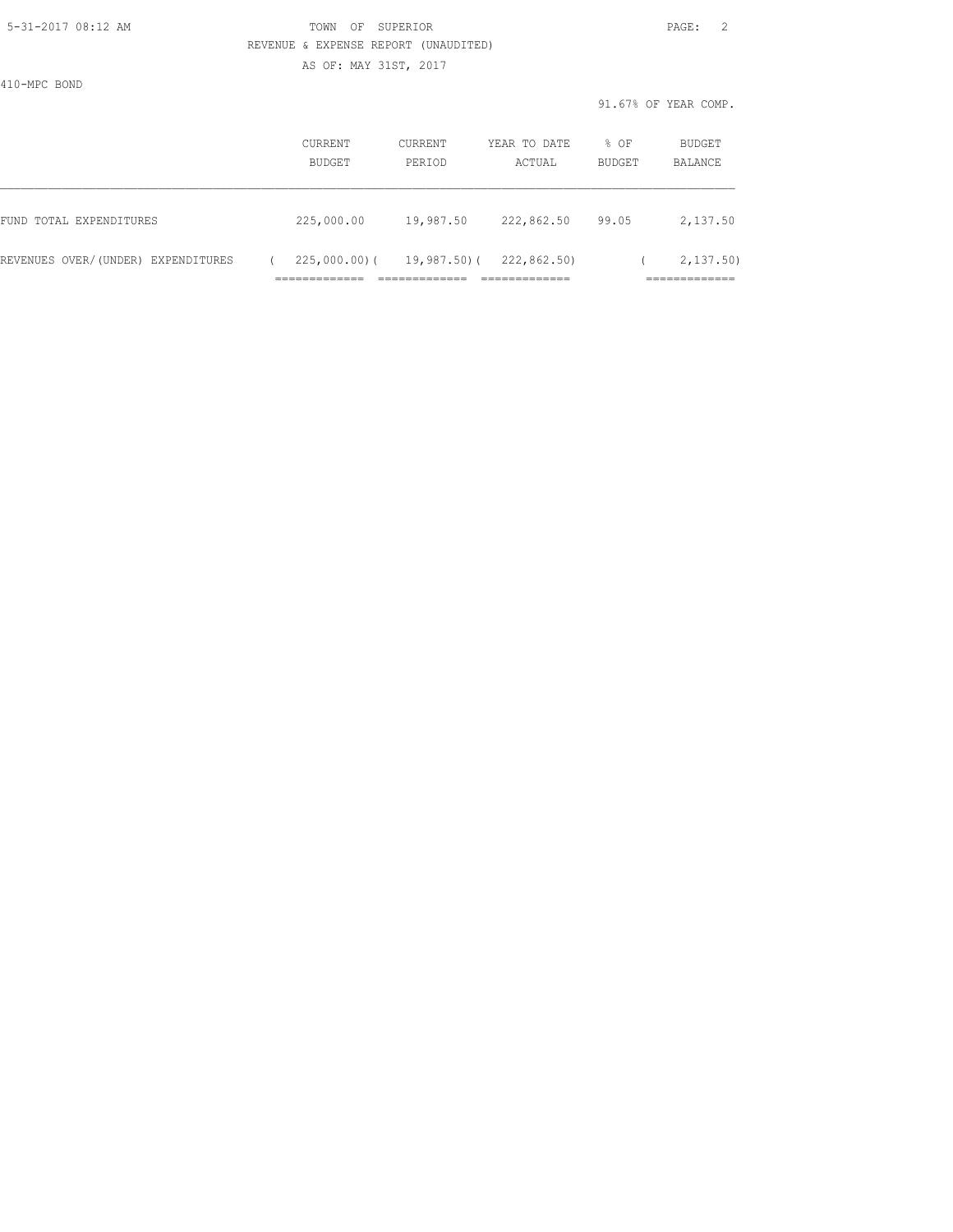### 5-31-2017 08:12 AM TOWN OF SUPERIOR PAGE: 2 REVENUE & EXPENSE REPORT (UNAUDITED)

AS OF: MAY 31ST, 2017

410-MPC BOND

|                                    | CURRENT<br>BUDGET | CURRENT<br>PERIOD | YEAR TO DATE<br>ACTUAL | % OF<br><b>BUDGET</b> | BUDGET<br>BALANCE |
|------------------------------------|-------------------|-------------------|------------------------|-----------------------|-------------------|
| FUND TOTAL EXPENDITURES            | 225,000.00        | 19,987.50         | 222,862.50             | 99.05                 | 2,137.50          |
| REVENUES OVER/(UNDER) EXPENDITURES | $225,000.00)$ (   | 19,987.50)(       | 222,862,50)            |                       | 2, 137, 50)       |
|                                    |                   |                   |                        |                       | ___________       |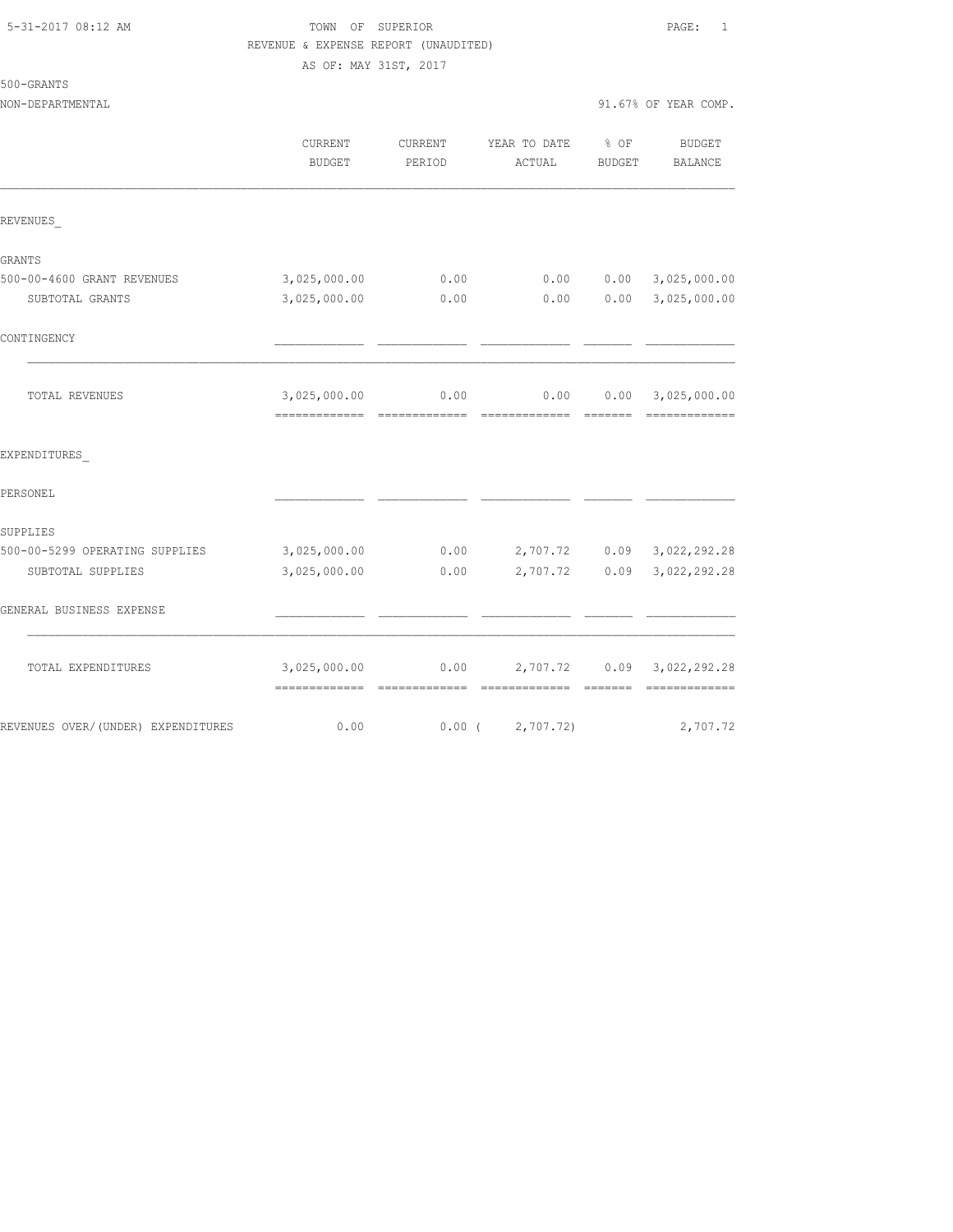### 5-31-2017 08:12 AM TOWN OF SUPERIOR PAGE: 1 REVENUE & EXPENSE REPORT (UNAUDITED) AS OF: MAY 31ST, 2017

500-GRANTS

|                                    | CURRENT<br><b>BUDGET</b>                        | CURRENT<br>PERIOD | YEAR TO DATE % OF<br>ACTUAL | <b>BUDGET</b> | <b>BUDGET</b><br>BALANCE                                                                                                                                                                                                                                                                                                                                                                                                                                                                                             |
|------------------------------------|-------------------------------------------------|-------------------|-----------------------------|---------------|----------------------------------------------------------------------------------------------------------------------------------------------------------------------------------------------------------------------------------------------------------------------------------------------------------------------------------------------------------------------------------------------------------------------------------------------------------------------------------------------------------------------|
| REVENUES                           |                                                 |                   |                             |               |                                                                                                                                                                                                                                                                                                                                                                                                                                                                                                                      |
| GRANTS                             |                                                 |                   |                             |               |                                                                                                                                                                                                                                                                                                                                                                                                                                                                                                                      |
| 500-00-4600 GRANT REVENUES         | 3,025,000.00                                    | 0.00              | 0.00                        |               | $0.00$ 3,025,000.00                                                                                                                                                                                                                                                                                                                                                                                                                                                                                                  |
| SUBTOTAL GRANTS                    | 3,025,000.00                                    | 0.00              | 0.00                        |               | $0.00$ 3,025,000.00                                                                                                                                                                                                                                                                                                                                                                                                                                                                                                  |
| CONTINGENCY                        |                                                 |                   |                             |               |                                                                                                                                                                                                                                                                                                                                                                                                                                                                                                                      |
| TOTAL REVENUES                     | 3,025,000.00<br>=============================== | 0.00              | 0.00                        |               | 0.00 3,025,000.00<br>$\begin{array}{cccccccccc} \multicolumn{2}{c}{} & \multicolumn{2}{c}{} & \multicolumn{2}{c}{} & \multicolumn{2}{c}{} & \multicolumn{2}{c}{} & \multicolumn{2}{c}{} & \multicolumn{2}{c}{} & \multicolumn{2}{c}{} & \multicolumn{2}{c}{} & \multicolumn{2}{c}{} & \multicolumn{2}{c}{} & \multicolumn{2}{c}{} & \multicolumn{2}{c}{} & \multicolumn{2}{c}{} & \multicolumn{2}{c}{} & \multicolumn{2}{c}{} & \multicolumn{2}{c}{} & \multicolumn{2}{c}{} & \multicolumn{2}{c}{} & \mult$          |
| EXPENDITURES                       |                                                 |                   |                             |               |                                                                                                                                                                                                                                                                                                                                                                                                                                                                                                                      |
| PERSONEL                           |                                                 |                   |                             |               |                                                                                                                                                                                                                                                                                                                                                                                                                                                                                                                      |
| SUPPLIES                           |                                                 |                   |                             |               |                                                                                                                                                                                                                                                                                                                                                                                                                                                                                                                      |
| 500-00-5299 OPERATING SUPPLIES     | 3,025,000.00                                    | 0.00              |                             |               | 2,707.72 0.09 3,022,292.28                                                                                                                                                                                                                                                                                                                                                                                                                                                                                           |
| SUBTOTAL SUPPLIES                  | 3,025,000.00                                    | 0.00              | 2,707.72                    | 0.09          | 3,022,292.28                                                                                                                                                                                                                                                                                                                                                                                                                                                                                                         |
| GENERAL BUSINESS EXPENSE           |                                                 |                   |                             |               |                                                                                                                                                                                                                                                                                                                                                                                                                                                                                                                      |
| TOTAL EXPENDITURES                 | 3,025,000.00<br>-------------- --------------   | 0.00              | --------------              | --------      | 2,707.72 0.09 3,022,292.28<br>$\begin{array}{cccccccccccccc} \multicolumn{2}{c}{} & \multicolumn{2}{c}{} & \multicolumn{2}{c}{} & \multicolumn{2}{c}{} & \multicolumn{2}{c}{} & \multicolumn{2}{c}{} & \multicolumn{2}{c}{} & \multicolumn{2}{c}{} & \multicolumn{2}{c}{} & \multicolumn{2}{c}{} & \multicolumn{2}{c}{} & \multicolumn{2}{c}{} & \multicolumn{2}{c}{} & \multicolumn{2}{c}{} & \multicolumn{2}{c}{} & \multicolumn{2}{c}{} & \multicolumn{2}{c}{} & \multicolumn{2}{c}{} & \multicolumn{2}{c}{} & \$ |
| REVENUES OVER/(UNDER) EXPENDITURES | 0.00                                            | $0.00$ (          | 2,707.72)                   |               | 2,707.72                                                                                                                                                                                                                                                                                                                                                                                                                                                                                                             |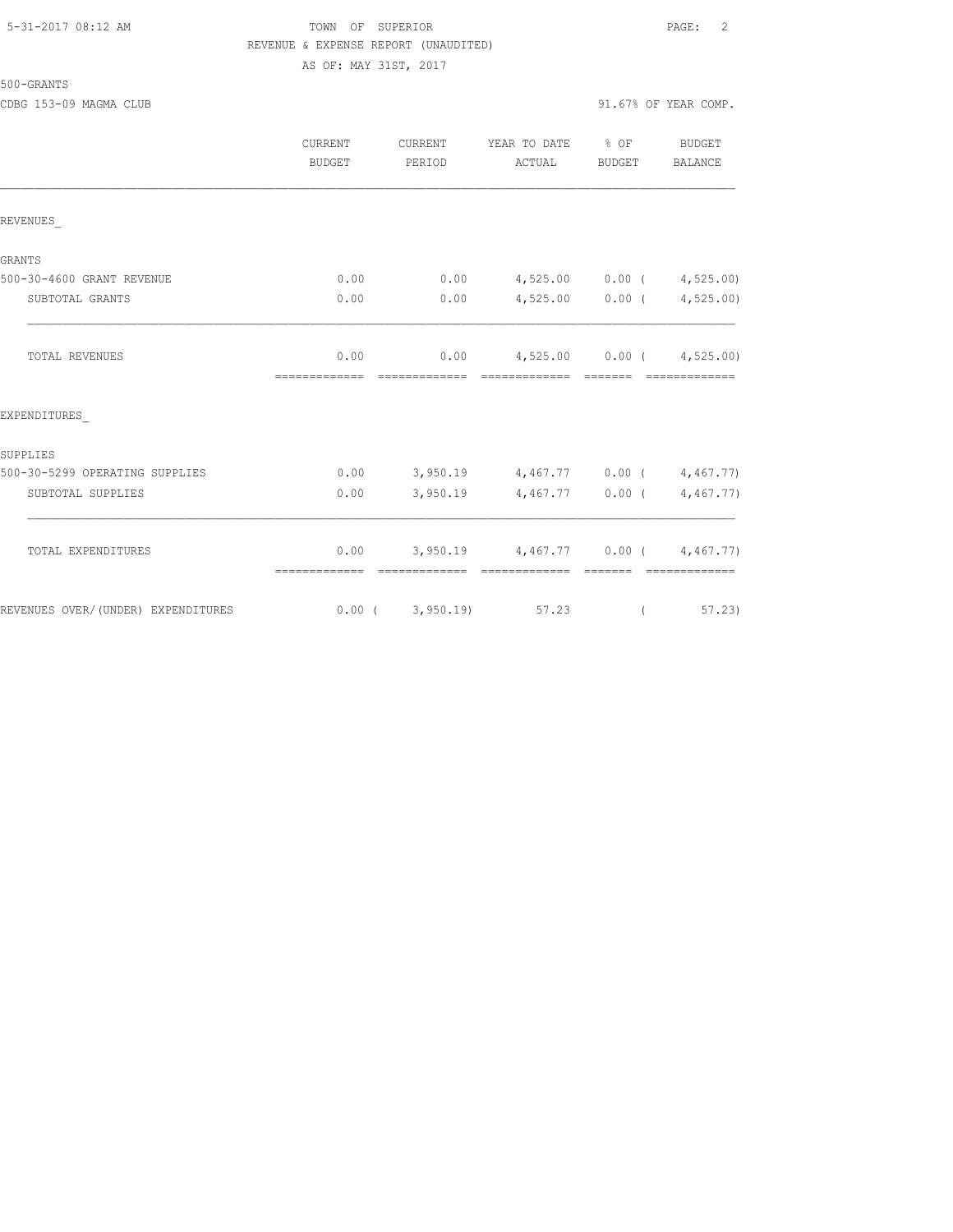# 5-31-2017 08:12 AM TOWN OF SUPERIOR PAGE: 2 REVENUE & EXPENSE REPORT (UNAUDITED) AS OF: MAY 31ST, 2017

|                                    | <b>CURRENT</b><br>BUDGET | CURRENT<br>PERIOD | YEAR TO DATE<br>ACTUAL                                      | $8$ OF<br><b>BUDGET</b> | <b>BUDGET</b><br>BALANCE |
|------------------------------------|--------------------------|-------------------|-------------------------------------------------------------|-------------------------|--------------------------|
| REVENUES                           |                          |                   |                                                             |                         |                          |
| GRANTS                             |                          |                   |                                                             |                         |                          |
| 500-30-4600 GRANT REVENUE          | 0.00                     | 0.00              | 4,525.00 0.00 (4,525.00)                                    |                         |                          |
| SUBTOTAL GRANTS                    | 0.00                     | 0.00              |                                                             | $4,525.00$ 0.00 (       | 4,525.00)                |
| <b>TOTAL REVENUES</b>              | 0.00<br>=============    | 0.00              | $4,525.00$ 0.00 ( $4,525.00$ )<br>=============             | <b>BEECEE</b>           |                          |
| EXPENDITURES                       |                          |                   |                                                             |                         |                          |
| SUPPLIES                           |                          |                   |                                                             |                         |                          |
| 500-30-5299 OPERATING SUPPLIES     | 0.00                     |                   | $3,950.19$ $4,467.77$ $0.00$ ( $4,467.77$ )                 |                         |                          |
| SUBTOTAL SUPPLIES                  | 0.00                     | 3,950.19          | $4,467.77$ 0.00 (                                           |                         | 4,467.77)                |
| TOTAL EXPENDITURES                 | 0.00<br>=============    | --------------    | $3,950.19$ $4,467.77$ $0.00$ $(4,467.77)$<br>-------------- | --------                | --------------           |
| REVENUES OVER/(UNDER) EXPENDITURES |                          | 0.00(3,950.19)    | 57.23                                                       | $\left($                | 57.23                    |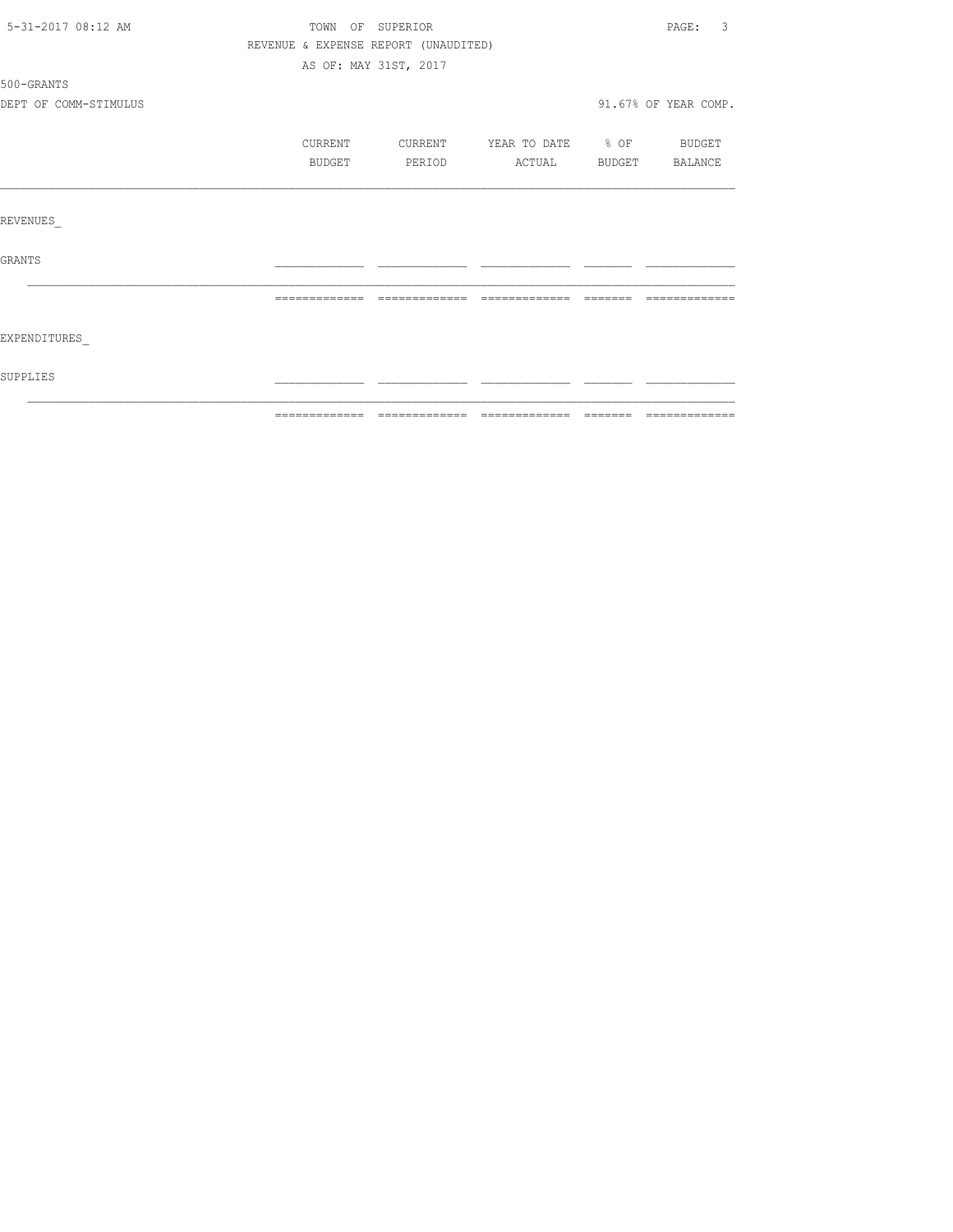| 5-31-2017 08:12 AM    |                                      | TOWN OF SUPERIOR      |                          |               | $\overline{3}$<br>PAGE: |
|-----------------------|--------------------------------------|-----------------------|--------------------------|---------------|-------------------------|
|                       | REVENUE & EXPENSE REPORT (UNAUDITED) |                       |                          |               |                         |
|                       |                                      | AS OF: MAY 31ST, 2017 |                          |               |                         |
| 500-GRANTS            |                                      |                       |                          |               |                         |
| DEPT OF COMM-STIMULUS |                                      |                       |                          |               | 91.67% OF YEAR COMP.    |
|                       | CURRENT                              | CURRENT               | YEAR TO DATE % OF BUDGET |               |                         |
|                       | BUDGET                               | PERIOD                | ACTUAL                   | <b>BUDGET</b> | BALANCE                 |
|                       |                                      |                       |                          |               |                         |
| REVENUES              |                                      |                       |                          |               |                         |
| <b>GRANTS</b>         |                                      |                       |                          |               |                         |
|                       |                                      |                       |                          |               |                         |
| EXPENDITURES          |                                      |                       |                          |               |                         |
| <b>SUPPLIES</b>       |                                      |                       |                          |               |                         |
|                       |                                      |                       |                          |               |                         |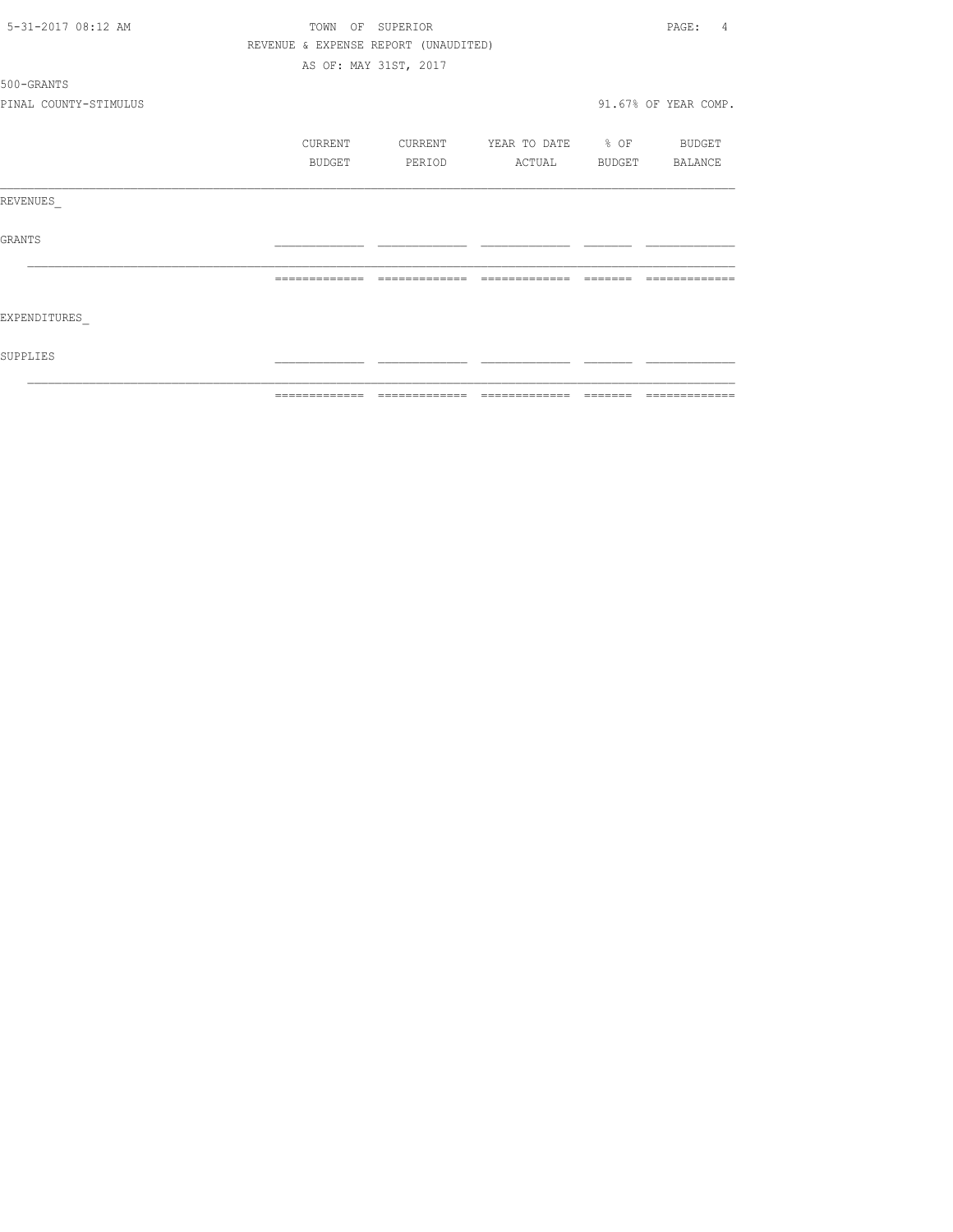| 5-31-2017 08:12 AM    | TOWN<br>OF    | SUPERIOR                                                                                                                                                                                                                                                                                                                                                                                                                                                                                   |                                                                                                                                                                                                                                                                                                                                                                                                                                                                                        |          | PAGE:<br>4           |
|-----------------------|---------------|--------------------------------------------------------------------------------------------------------------------------------------------------------------------------------------------------------------------------------------------------------------------------------------------------------------------------------------------------------------------------------------------------------------------------------------------------------------------------------------------|----------------------------------------------------------------------------------------------------------------------------------------------------------------------------------------------------------------------------------------------------------------------------------------------------------------------------------------------------------------------------------------------------------------------------------------------------------------------------------------|----------|----------------------|
|                       |               | REVENUE & EXPENSE REPORT (UNAUDITED)                                                                                                                                                                                                                                                                                                                                                                                                                                                       |                                                                                                                                                                                                                                                                                                                                                                                                                                                                                        |          |                      |
|                       |               | AS OF: MAY 31ST, 2017                                                                                                                                                                                                                                                                                                                                                                                                                                                                      |                                                                                                                                                                                                                                                                                                                                                                                                                                                                                        |          |                      |
| 500-GRANTS            |               |                                                                                                                                                                                                                                                                                                                                                                                                                                                                                            |                                                                                                                                                                                                                                                                                                                                                                                                                                                                                        |          |                      |
| PINAL COUNTY-STIMULUS |               |                                                                                                                                                                                                                                                                                                                                                                                                                                                                                            |                                                                                                                                                                                                                                                                                                                                                                                                                                                                                        |          | 91.67% OF YEAR COMP. |
|                       | CURRENT       | CURRENT                                                                                                                                                                                                                                                                                                                                                                                                                                                                                    | YEAR TO DATE % OF                                                                                                                                                                                                                                                                                                                                                                                                                                                                      |          | BUDGET               |
|                       | BUDGET        | PERIOD                                                                                                                                                                                                                                                                                                                                                                                                                                                                                     | ACTUAL                                                                                                                                                                                                                                                                                                                                                                                                                                                                                 | BUDGET   | BALANCE              |
| REVENUES              |               |                                                                                                                                                                                                                                                                                                                                                                                                                                                                                            |                                                                                                                                                                                                                                                                                                                                                                                                                                                                                        |          |                      |
| GRANTS                |               |                                                                                                                                                                                                                                                                                                                                                                                                                                                                                            |                                                                                                                                                                                                                                                                                                                                                                                                                                                                                        |          |                      |
|                       |               |                                                                                                                                                                                                                                                                                                                                                                                                                                                                                            |                                                                                                                                                                                                                                                                                                                                                                                                                                                                                        |          |                      |
| EXPENDITURES          |               |                                                                                                                                                                                                                                                                                                                                                                                                                                                                                            |                                                                                                                                                                                                                                                                                                                                                                                                                                                                                        |          |                      |
| SUPPLIES              |               |                                                                                                                                                                                                                                                                                                                                                                                                                                                                                            |                                                                                                                                                                                                                                                                                                                                                                                                                                                                                        |          |                      |
|                       | ============= | $\begin{minipage}{0.9\linewidth} \begin{tabular}{l} \multicolumn{2}{l}{} & \multicolumn{2}{l}{} & \multicolumn{2}{l}{} \\ \multicolumn{2}{l}{} & \multicolumn{2}{l}{} & \multicolumn{2}{l}{} \\ \multicolumn{2}{l}{} & \multicolumn{2}{l}{} & \multicolumn{2}{l}{} \\ \multicolumn{2}{l}{} & \multicolumn{2}{l}{} & \multicolumn{2}{l}{} \\ \multicolumn{2}{l}{} & \multicolumn{2}{l}{} & \multicolumn{2}{l}{} \\ \multicolumn{2}{l}{} & \multicolumn{2}{l}{} & \multicolumn{2}{l}{} \\ \$ | $\begin{array}{cccccccccccccc} \multicolumn{2}{c}{} & \multicolumn{2}{c}{} & \multicolumn{2}{c}{} & \multicolumn{2}{c}{} & \multicolumn{2}{c}{} & \multicolumn{2}{c}{} & \multicolumn{2}{c}{} & \multicolumn{2}{c}{} & \multicolumn{2}{c}{} & \multicolumn{2}{c}{} & \multicolumn{2}{c}{} & \multicolumn{2}{c}{} & \multicolumn{2}{c}{} & \multicolumn{2}{c}{} & \multicolumn{2}{c}{} & \multicolumn{2}{c}{} & \multicolumn{2}{c}{} & \multicolumn{2}{c}{} & \multicolumn{2}{c}{} & \$ | -------- | =============        |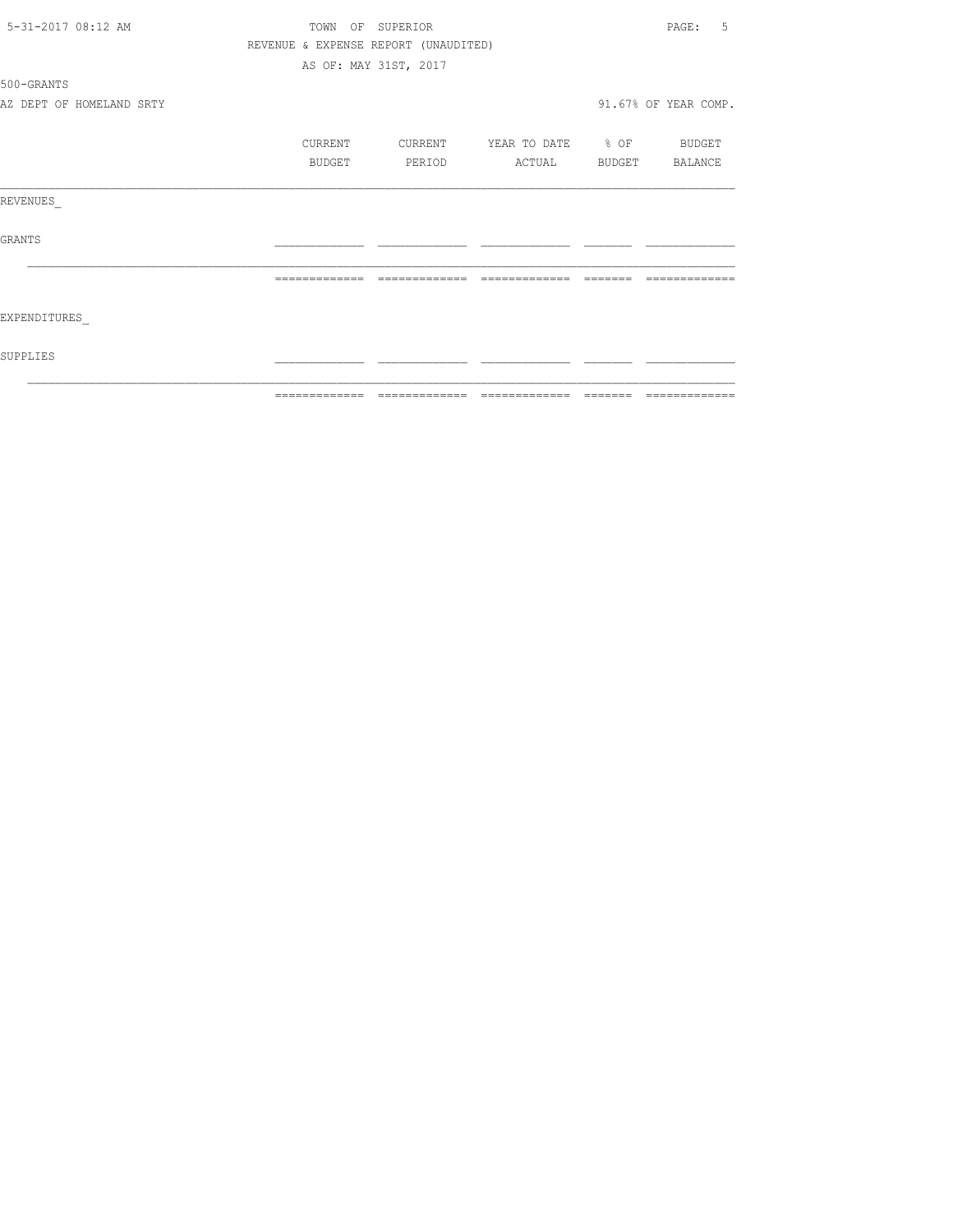| 5-31-2017 08:12 AM       | TOWN OF SUPERIOR                     |                       |               |                          |  | 5<br>PAGE:           |
|--------------------------|--------------------------------------|-----------------------|---------------|--------------------------|--|----------------------|
|                          | REVENUE & EXPENSE REPORT (UNAUDITED) |                       |               |                          |  |                      |
|                          |                                      | AS OF: MAY 31ST, 2017 |               |                          |  |                      |
| 500-GRANTS               |                                      |                       |               |                          |  |                      |
| AZ DEPT OF HOMELAND SRTY |                                      |                       |               |                          |  | 91.67% OF YEAR COMP. |
|                          | CURRENT                              | CURRENT               |               | YEAR TO DATE % OF BUDGET |  |                      |
|                          | BUDGET                               |                       | PERIOD        | ACTUAL                   |  | BUDGET BALANCE       |
| REVENUES                 |                                      |                       |               |                          |  |                      |
| <b>GRANTS</b>            |                                      |                       |               |                          |  |                      |
|                          |                                      |                       | ------------- | -------------            |  |                      |
| EXPENDITURES             |                                      |                       |               |                          |  |                      |
| SUPPLIES                 |                                      |                       |               |                          |  |                      |
|                          |                                      |                       |               |                          |  |                      |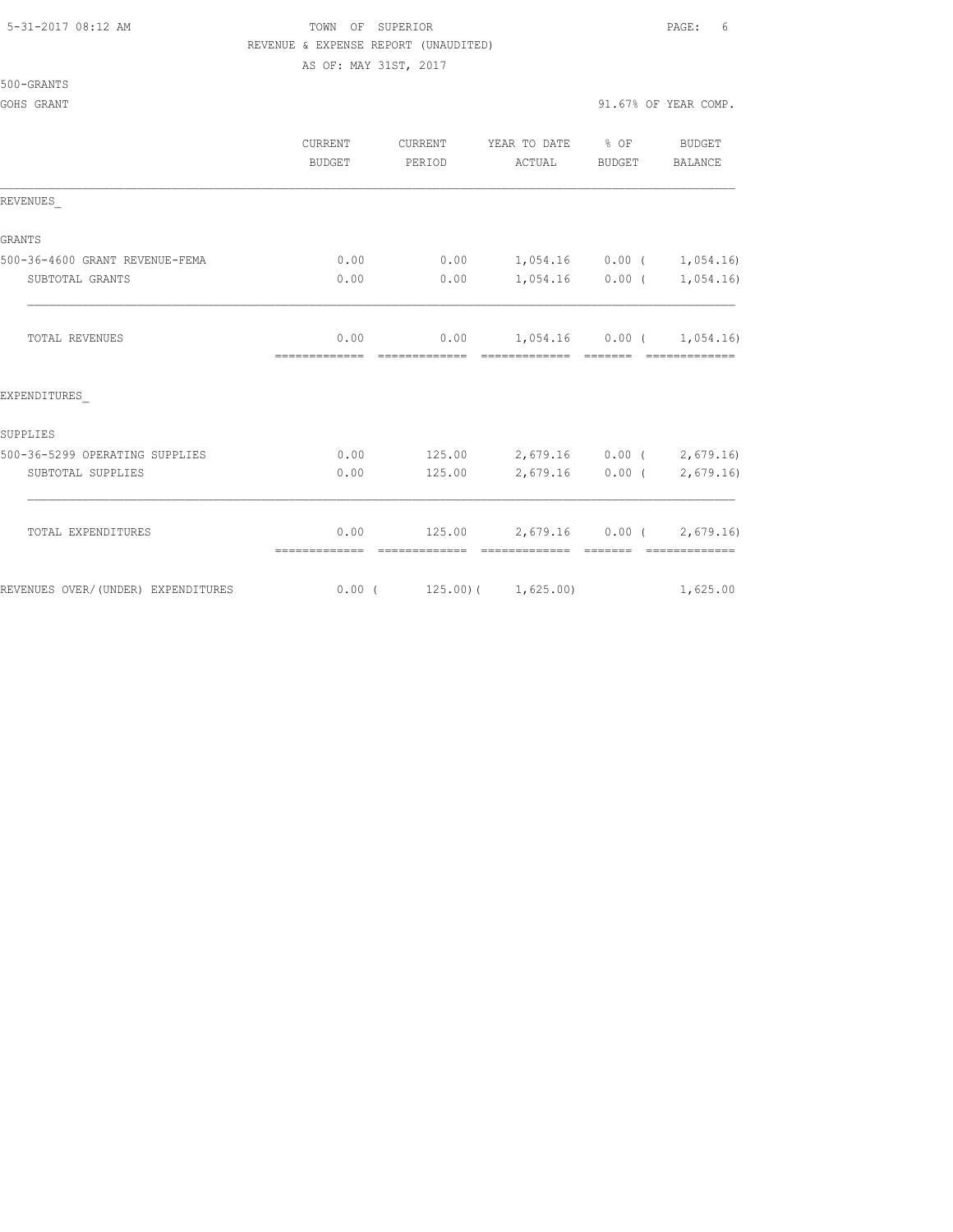## 5-31-2017 08:12 AM TOWN OF SUPERIOR PAGE: 6 REVENUE & EXPENSE REPORT (UNAUDITED) AS OF: MAY 31ST, 2017

### 500-GRANTS

|                                    | CURRENT<br><b>BUDGET</b> | CURRENT<br>PERIOD | YEAR TO DATE % OF<br>ACTUAL      | BUDGET            | <b>BUDGET</b><br>BALANCE |
|------------------------------------|--------------------------|-------------------|----------------------------------|-------------------|--------------------------|
| REVENUES                           |                          |                   |                                  |                   |                          |
| <b>GRANTS</b>                      |                          |                   |                                  |                   |                          |
| 500-36-4600 GRANT REVENUE-FEMA     | 0.00                     | 0.00              | $1,054.16$ $0.00$ ( $1,054.16$ ) |                   |                          |
| SUBTOTAL GRANTS                    | 0.00                     | 0.00              |                                  | $1,054.16$ 0.00 ( | 1,054.16)                |
| <b>TOTAL REVENUES</b>              | 0.00                     | 0.00              | 1,054.16 0.00 ( 1,054.16)        |                   |                          |
| EXPENDITURES                       |                          |                   |                                  |                   |                          |
| SUPPLIES                           |                          |                   |                                  |                   |                          |
| 500-36-5299 OPERATING SUPPLIES     | 0.00                     | 125.00            | 2,679.16 0.00 ( 2,679.16)        |                   |                          |
| SUBTOTAL SUPPLIES                  | 0.00                     | 125.00            |                                  | $2,679.16$ 0.00 ( | 2,679.16)                |
| TOTAL EXPENDITURES                 | 0.00                     | 125.00            | 2,679.16 0.00 (2,679.16)         |                   |                          |
| REVENUES OVER/(UNDER) EXPENDITURES | $0.00$ (                 |                   | $125.00$ ( $1,625.00$ )          |                   | 1,625.00                 |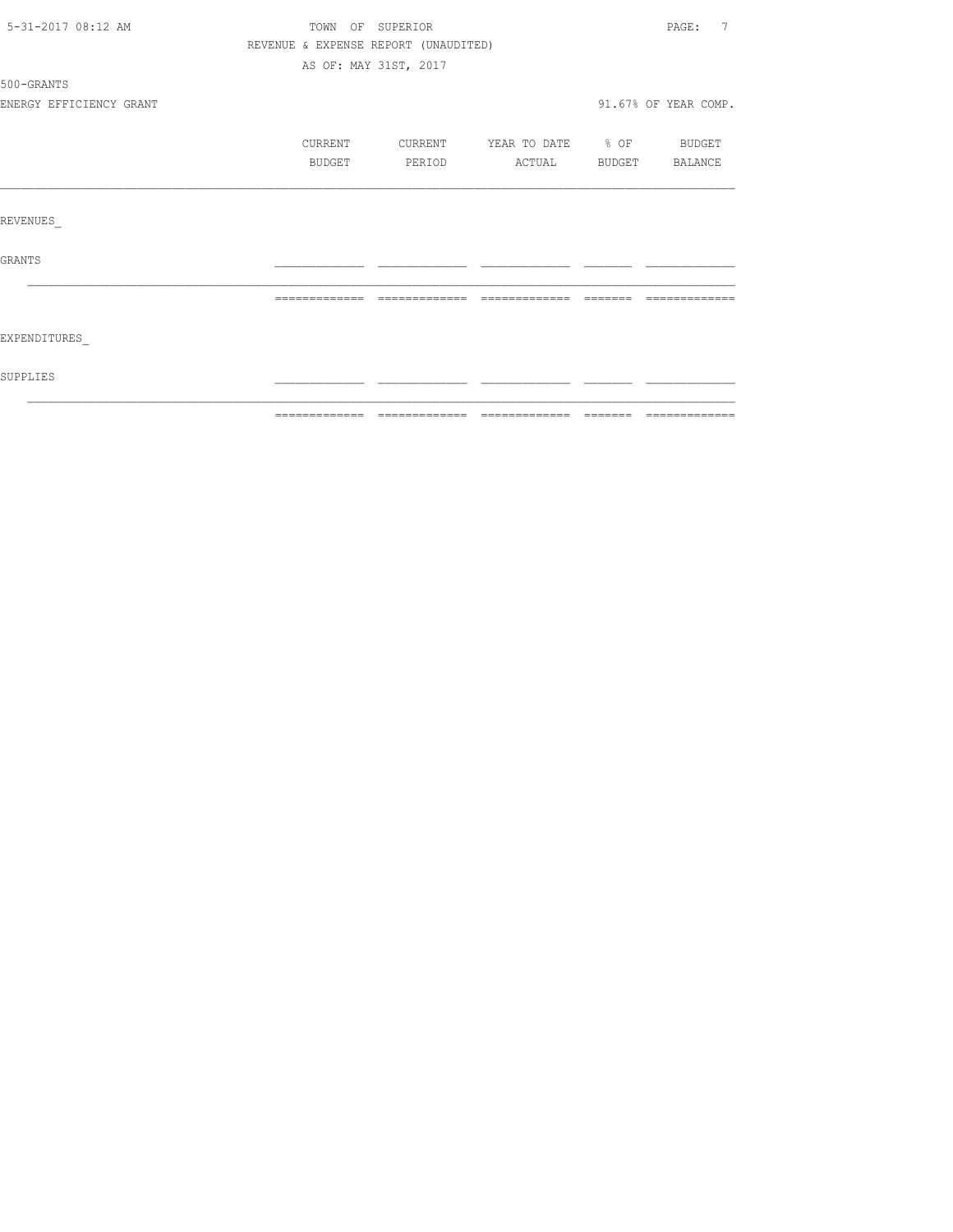| 5-31-2017 08:12 AM      |         | TOWN OF SUPERIOR                     |                          |                | $\overline{7}$<br>PAGE: |
|-------------------------|---------|--------------------------------------|--------------------------|----------------|-------------------------|
|                         |         | REVENUE & EXPENSE REPORT (UNAUDITED) |                          |                |                         |
|                         |         | AS OF: MAY 31ST, 2017                |                          |                |                         |
| 500-GRANTS              |         |                                      |                          |                |                         |
| ENERGY EFFICIENCY GRANT |         |                                      |                          |                | 91.67% OF YEAR COMP.    |
|                         | CURRENT | CURRENT                              | YEAR TO DATE % OF BUDGET |                |                         |
|                         | BUDGET  | PERIOD                               | ACTUAL                   | BUDGET BALANCE |                         |
| <b>REVENUES</b>         |         |                                      |                          |                |                         |
| <b>GRANTS</b>           |         |                                      |                          |                |                         |
|                         |         |                                      |                          |                |                         |
| EXPENDITURES            |         |                                      |                          |                |                         |
| SUPPLIES                |         |                                      |                          |                |                         |
|                         |         |                                      |                          |                |                         |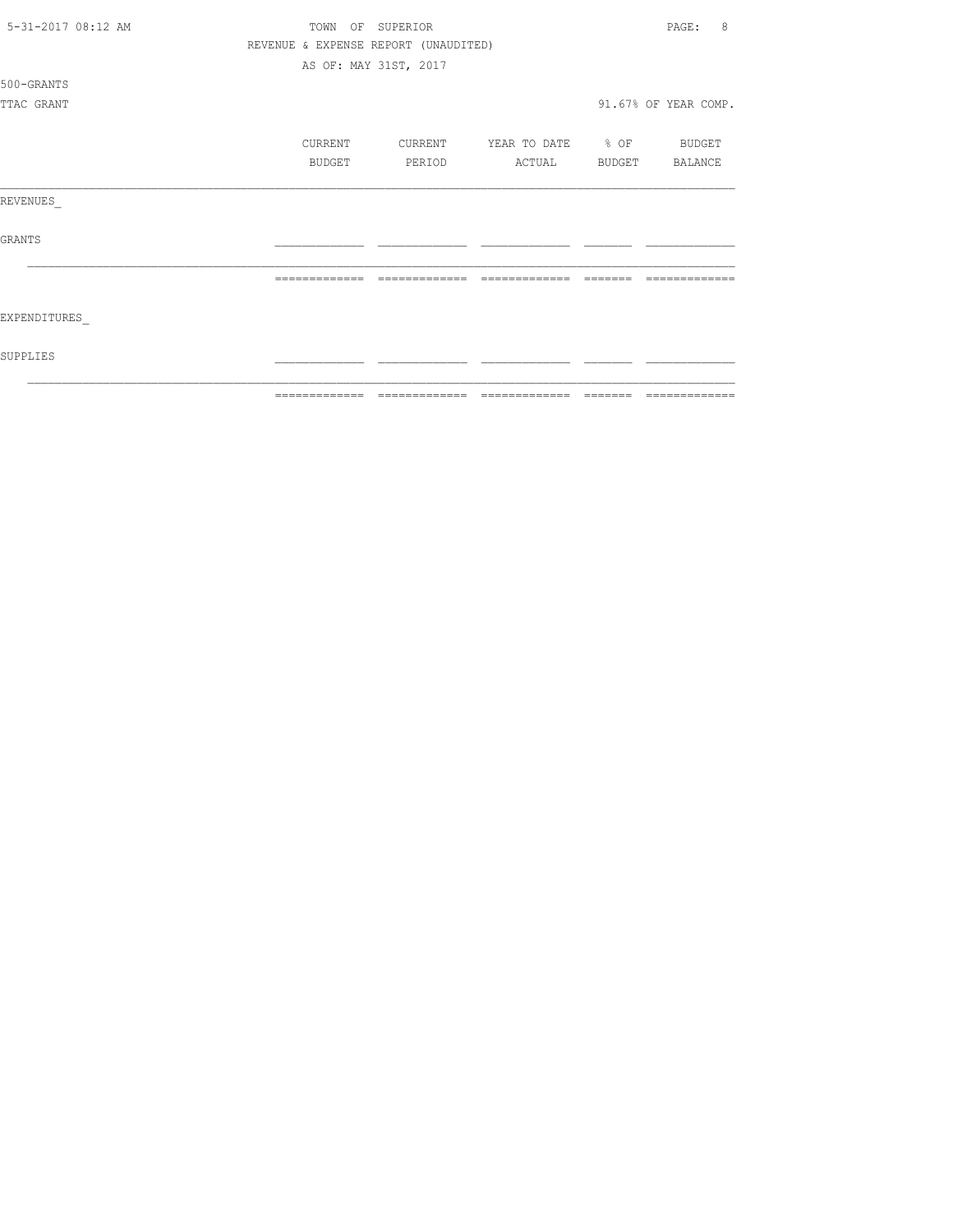| 5-31-2017 08:12 AM | TOWN OF SUPERIOR |                                      |                          |               | 8<br>PAGE:           |
|--------------------|------------------|--------------------------------------|--------------------------|---------------|----------------------|
|                    |                  | REVENUE & EXPENSE REPORT (UNAUDITED) |                          |               |                      |
|                    |                  | AS OF: MAY 31ST, 2017                |                          |               |                      |
| 500-GRANTS         |                  |                                      |                          |               |                      |
| TTAC GRANT         |                  |                                      |                          |               | 91.67% OF YEAR COMP. |
|                    | CURRENT          | CURRENT                              | YEAR TO DATE % OF BUDGET |               |                      |
|                    | BUDGET           | PERIOD                               | ACTUAL                   | <b>BUDGET</b> | BALANCE              |
| REVENUES           |                  |                                      |                          |               |                      |
| <b>GRANTS</b>      |                  |                                      |                          |               |                      |
|                    |                  |                                      |                          |               |                      |
| EXPENDITURES       |                  |                                      |                          |               |                      |
| SUPPLIES           |                  |                                      |                          |               |                      |
|                    |                  |                                      |                          |               |                      |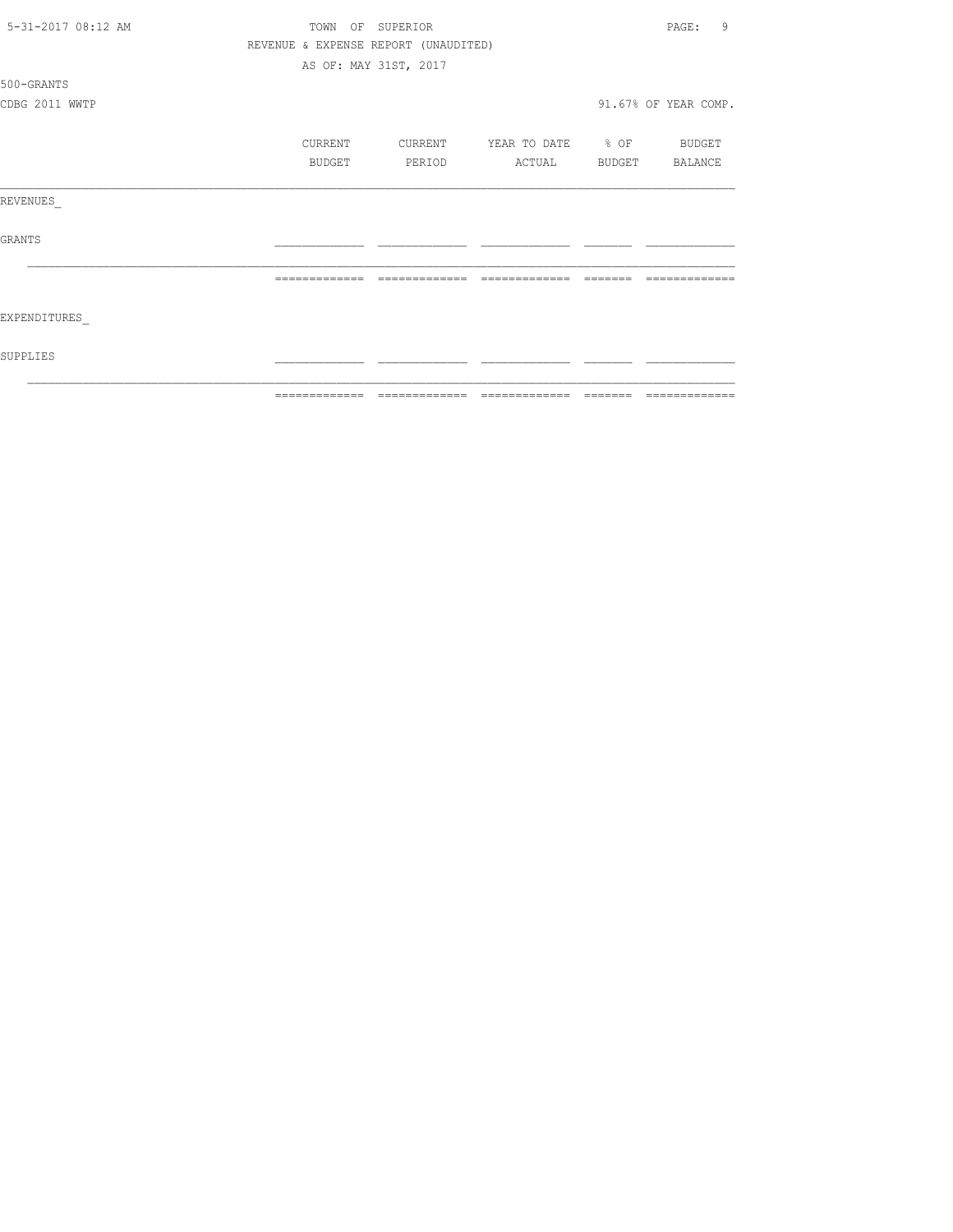| 5-31-2017 08:12 AM | TOWN OF SUPERIOR |                                      |                   |          | 9<br>PAGE:           |
|--------------------|------------------|--------------------------------------|-------------------|----------|----------------------|
|                    |                  | REVENUE & EXPENSE REPORT (UNAUDITED) |                   |          |                      |
|                    |                  | AS OF: MAY 31ST, 2017                |                   |          |                      |
| 500-GRANTS         |                  |                                      |                   |          |                      |
| CDBG 2011 WWTP     |                  |                                      |                   |          | 91.67% OF YEAR COMP. |
|                    | CURRENT          | CURRENT                              | YEAR TO DATE % OF |          | BUDGET               |
|                    | BUDGET           | PERIOD                               | ACTUAL            |          | BUDGET BALANCE       |
| REVENUES           |                  |                                      |                   |          |                      |
| GRANTS             |                  |                                      |                   |          |                      |
|                    | =============    | =============                        | =============     | -------- |                      |
| EXPENDITURES       |                  |                                      |                   |          |                      |
| SUPPLIES           |                  |                                      |                   |          |                      |
|                    |                  |                                      |                   |          | --------------       |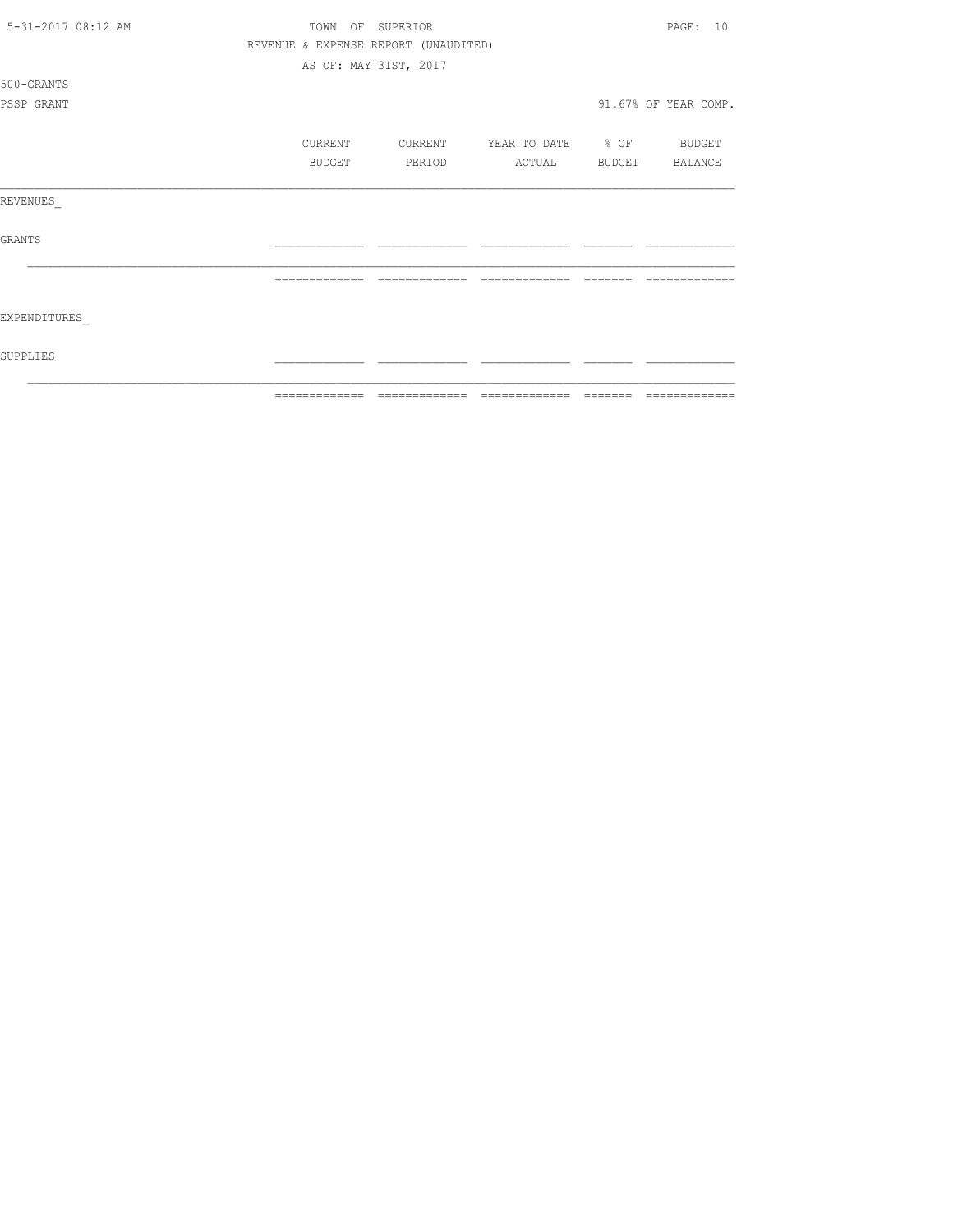| 5-31-2017 08:12 AM | TOWN    | OF SUPERIOR                          |                   |        | PAGE: 10             |
|--------------------|---------|--------------------------------------|-------------------|--------|----------------------|
|                    |         | REVENUE & EXPENSE REPORT (UNAUDITED) |                   |        |                      |
|                    |         | AS OF: MAY 31ST, 2017                |                   |        |                      |
| 500-GRANTS         |         |                                      |                   |        |                      |
| PSSP GRANT         |         |                                      |                   |        | 91.67% OF YEAR COMP. |
|                    |         |                                      |                   |        |                      |
|                    | CURRENT | CURRENT                              | YEAR TO DATE % OF |        | BUDGET               |
|                    | BUDGET  | PERIOD                               | ACTUAL            | BUDGET | BALANCE              |
| REVENUES           |         |                                      |                   |        |                      |
| <b>GRANTS</b>      |         |                                      |                   |        |                      |
|                    |         |                                      |                   |        |                      |
| EXPENDITURES       |         |                                      |                   |        |                      |
| SUPPLIES           |         |                                      |                   |        |                      |
|                    |         |                                      |                   |        |                      |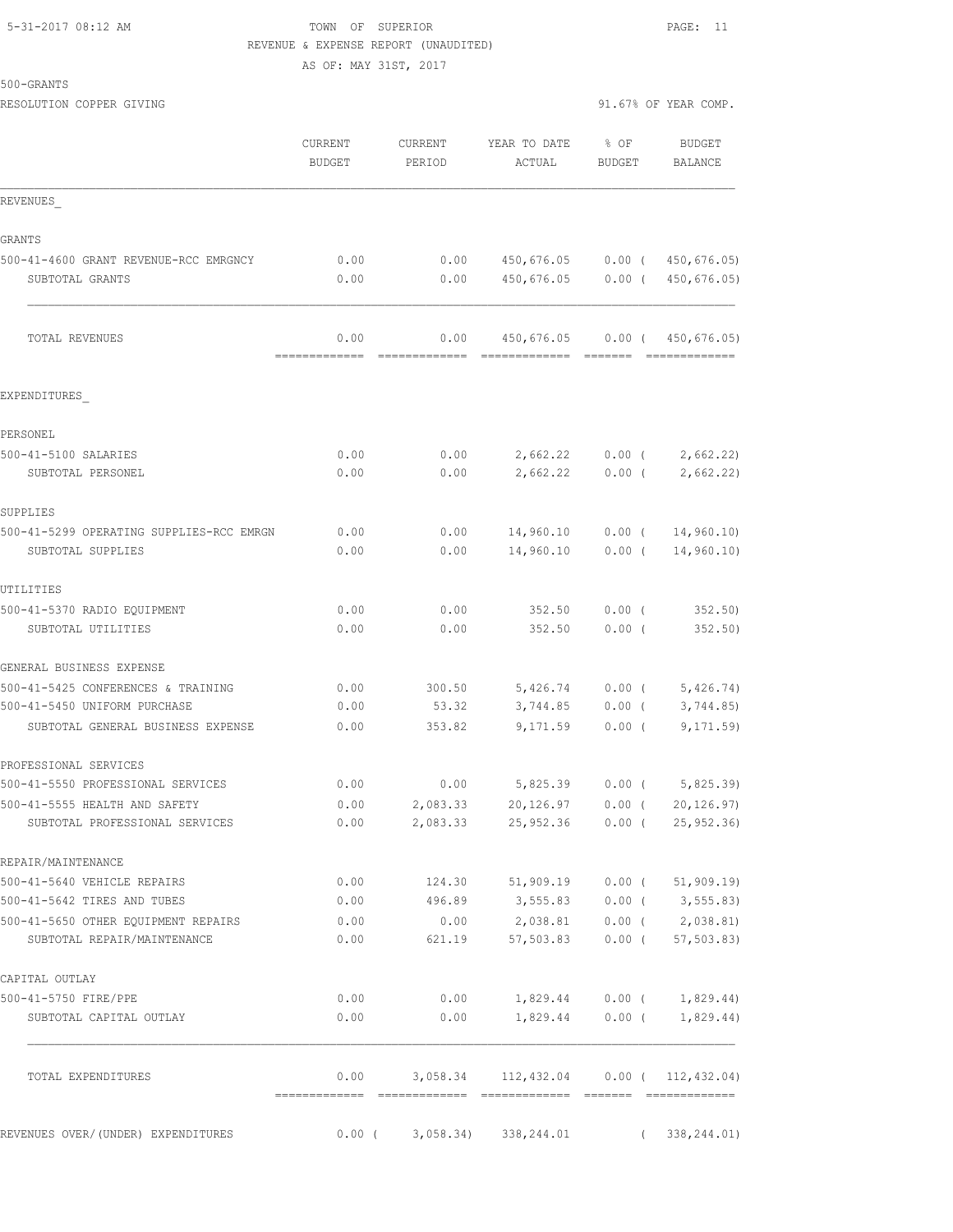# 5-31-2017 08:12 AM TOWN OF SUPERIOR PAGE: 11 REVENUE & EXPENSE REPORT (UNAUDITED) AS OF: MAY 31ST, 2017

500-GRANTS

RESOLUTION COPPER GIVING  $91.67$ % OF YEAR COMP.

|                                                                 | <b>CURRENT</b><br><b>BUDGET</b> | CURRENT<br>PERIOD    | YEAR TO DATE<br>ACTUAL | $8$ OF<br><b>BUDGET</b> | <b>BUDGET</b><br>BALANCE  |
|-----------------------------------------------------------------|---------------------------------|----------------------|------------------------|-------------------------|---------------------------|
| REVENUES                                                        |                                 |                      |                        |                         |                           |
| GRANTS                                                          |                                 |                      |                        |                         |                           |
| 500-41-4600 GRANT REVENUE-RCC EMRGNCY                           | 0.00                            | 0.00                 | 450,676.05             | $0.00$ (                | 450,676.05)               |
| SUBTOTAL GRANTS                                                 | 0.00                            | 0.00                 | 450,676.05             | $0.00$ (                | 450,676.05)               |
| TOTAL REVENUES                                                  | 0.00<br>=============           | 0.00                 | 450,676.05             | $0.00$ (                | 450,676.05)               |
| EXPENDITURES                                                    |                                 |                      |                        |                         |                           |
| PERSONEL                                                        |                                 |                      |                        |                         |                           |
| 500-41-5100 SALARIES                                            | 0.00                            | 0.00                 | 2,662.22               | $0.00$ (                | 2,662.22                  |
| SUBTOTAL PERSONEL                                               | 0.00                            | 0.00                 | 2,662.22               | $0.00$ (                | 2,662.22)                 |
| SUPPLIES                                                        |                                 |                      |                        |                         |                           |
| 500-41-5299 OPERATING SUPPLIES-RCC EMRGN                        | 0.00                            | 0.00                 | 14,960.10              | $0.00$ (                | 14,960.10                 |
| SUBTOTAL SUPPLIES                                               | 0.00                            | 0.00                 | 14,960.10              | $0.00$ (                | 14,960.10)                |
| UTILITIES                                                       |                                 |                      |                        |                         |                           |
| 500-41-5370 RADIO EQUIPMENT                                     | 0.00                            | 0.00                 | 352.50                 | $0.00$ (                | 352.50                    |
| SUBTOTAL UTILITIES                                              | 0.00                            | 0.00                 | 352.50                 | $0.00$ (                | 352.50)                   |
| GENERAL BUSINESS EXPENSE                                        |                                 |                      |                        |                         |                           |
| 500-41-5425 CONFERENCES & TRAINING                              | 0.00                            | 300.50               | 5,426.74               | $0.00$ (                | 5,426.74)                 |
| 500-41-5450 UNIFORM PURCHASE                                    | 0.00                            | 53.32                | 3,744.85               | $0.00$ (                | 3,744.85                  |
| SUBTOTAL GENERAL BUSINESS EXPENSE                               | 0.00                            | 353.82               | 9,171.59               | $0.00$ (                | 9, 171.59                 |
| PROFESSIONAL SERVICES                                           |                                 |                      |                        |                         |                           |
| 500-41-5550 PROFESSIONAL SERVICES                               | 0.00                            | 0.00                 | 5,825.39               | 0.00(                   | 5,825.39                  |
| 500-41-5555 HEALTH AND SAFETY<br>SUBTOTAL PROFESSIONAL SERVICES | 0.00<br>0.00                    | 2,083.33<br>2,083.33 | 20,126.97<br>25,952.36 | 0.00(<br>0.00(          | 20, 126.97)<br>25, 952.36 |
|                                                                 |                                 |                      |                        |                         |                           |
| REPAIR/MAINTENANCE<br>500-41-5640 VEHICLE REPAIRS               | 0.00                            | 124.30               | 51,909.19              | 0.00(                   | 51, 909.19                |
| 500-41-5642 TIRES AND TUBES                                     | 0.00                            | 496.89               | 3,555.83               |                         | $0.00$ ( 3,555.83)        |
| 500-41-5650 OTHER EOUIPMENT REPAIRS                             | 0.00                            | 0.00                 | 2,038.81               |                         | $0.00$ ( $2,038.81$ )     |
| SUBTOTAL REPAIR/MAINTENANCE                                     | 0.00                            | 621.19               | 57,503.83              | $0.00$ (                | 57, 503.83                |
| CAPITAL OUTLAY                                                  |                                 |                      |                        |                         |                           |
| 500-41-5750 FIRE/PPE                                            | 0.00                            | 0.00                 | 1,829.44               |                         | $0.00$ ( $1,829.44$ )     |
| SUBTOTAL CAPITAL OUTLAY                                         | 0.00                            | 0.00                 | 1,829.44               | $0.00$ (                | 1,829.44)                 |
| TOTAL EXPENDITURES                                              | 0.00<br>-------------           | 3,058.34             | 112,432.04             |                         | $0.00$ ( 112, 432.04)     |
| REVENUES OVER/(UNDER) EXPENDITURES                              | $0.00$ (                        | 3,058.34             | 338, 244.01            |                         | 338, 244.01)              |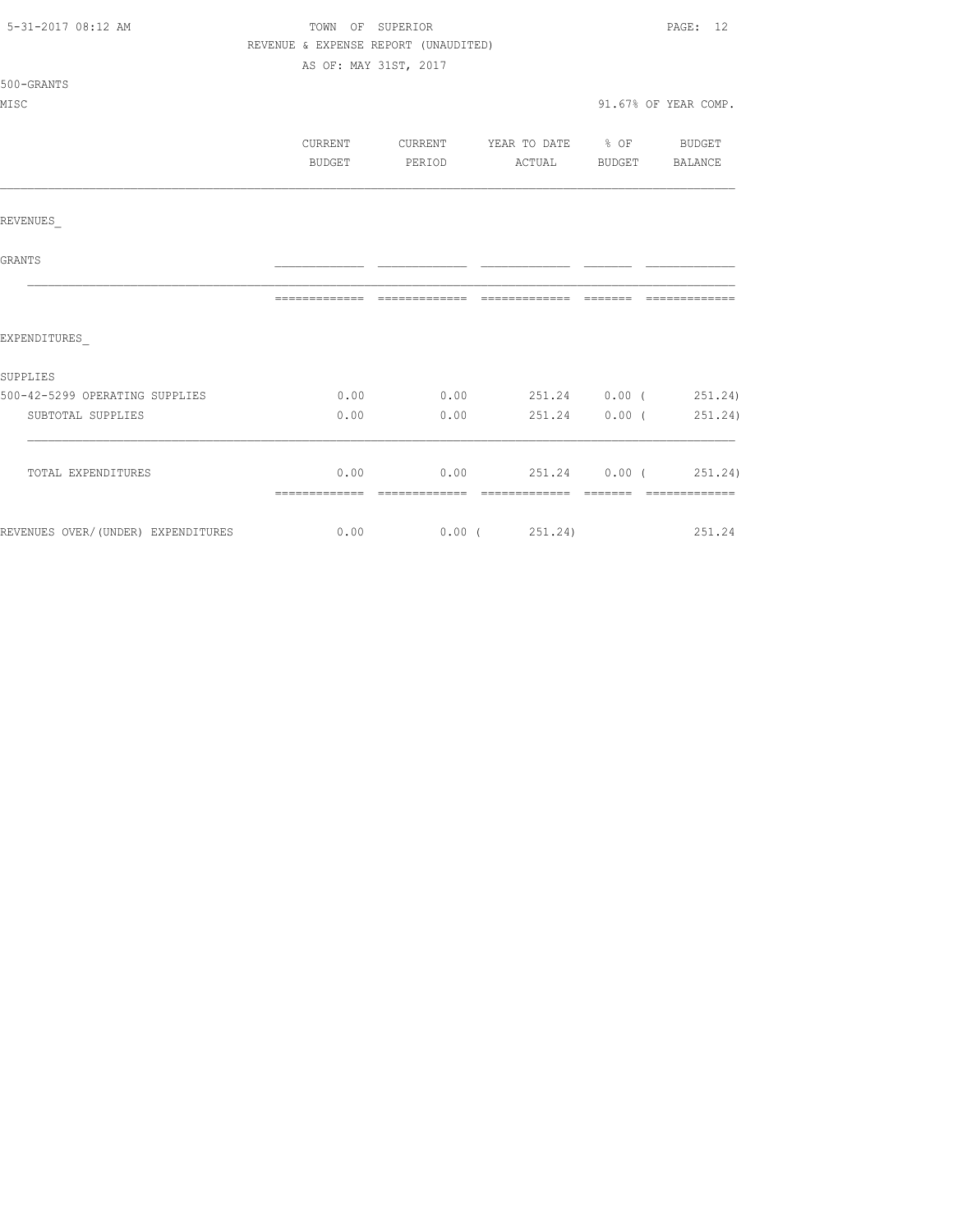| 5-31-2017 08:12 AM                                    | REVENUE & EXPENSE REPORT (UNAUDITED) | TOWN OF SUPERIOR<br>AS OF: MAY 31ST, 2017 |               | PAGE: 12             |
|-------------------------------------------------------|--------------------------------------|-------------------------------------------|---------------|----------------------|
| 500-GRANTS<br>MISC                                    |                                      |                                           |               | 91.67% OF YEAR COMP. |
|                                                       | BUDGET                               | CURRENT CURRENT YEAR TO DATE % OF BUDGET  |               |                      |
| REVENUES                                              |                                      |                                           |               |                      |
| <b>GRANTS</b>                                         |                                      |                                           |               |                      |
|                                                       |                                      |                                           |               |                      |
| EXPENDITURES                                          |                                      |                                           |               |                      |
| SUPPLIES                                              |                                      |                                           |               |                      |
| 500-42-5299 OPERATING SUPPLIES                        |                                      | $0.00$ $0.00$ $251.24$ $0.00$ $251.24$    |               |                      |
| SUBTOTAL SUPPLIES                                     | 0.00                                 | 0.00                                      | 251.24 0.00 ( | 251.24)              |
| TOTAL EXPENDITURES                                    |                                      | $0.00$ 0.00 251.24 0.00 (251.24)          |               |                      |
| REVENUES OVER/(UNDER) EXPENDITURES 6.00 0.00 (251.24) |                                      |                                           |               | 251.24               |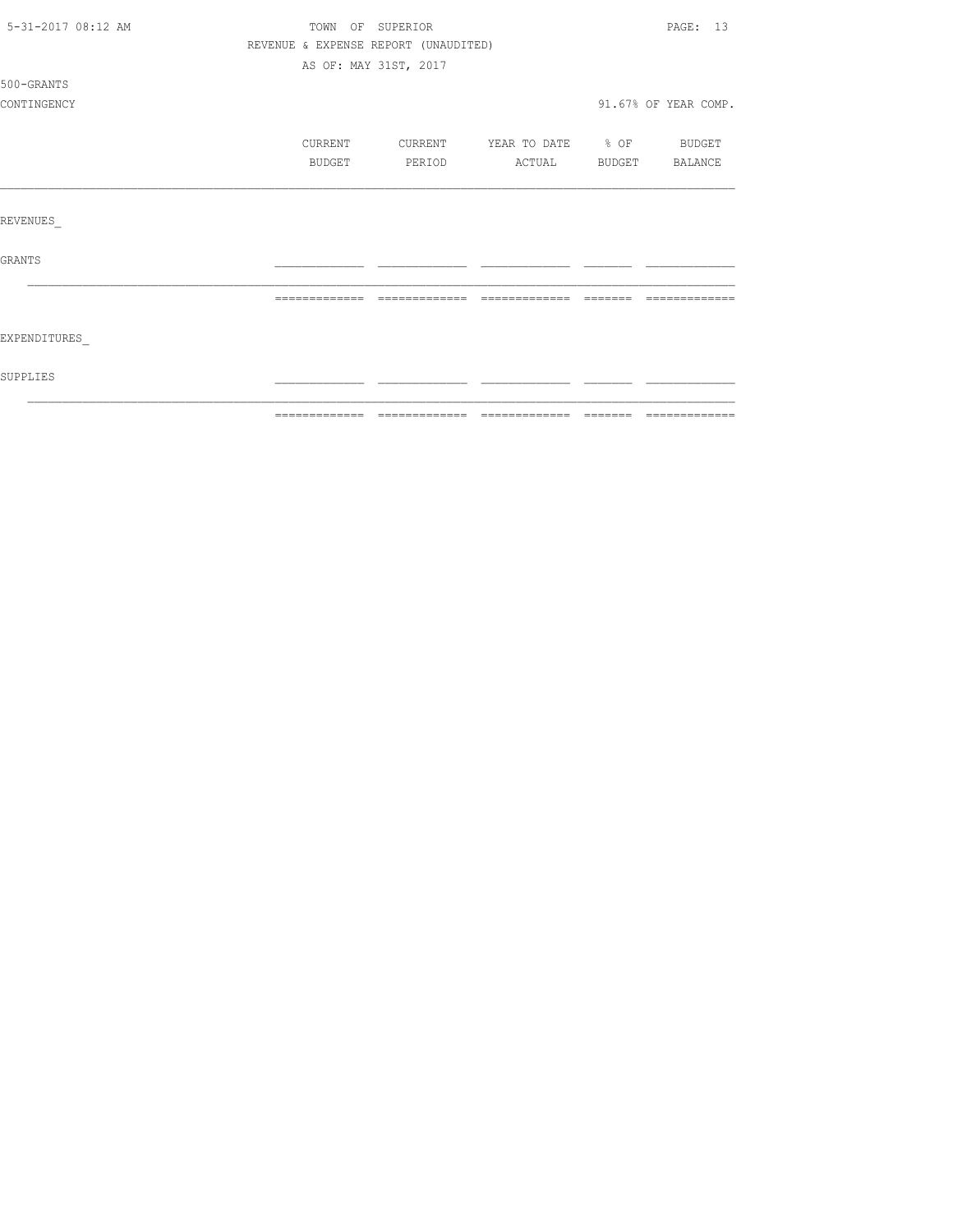| 5-31-2017 08:12 AM |                                      | TOWN OF SUPERIOR      |                          |         | PAGE: 13             |
|--------------------|--------------------------------------|-----------------------|--------------------------|---------|----------------------|
|                    | REVENUE & EXPENSE REPORT (UNAUDITED) |                       |                          |         |                      |
|                    |                                      | AS OF: MAY 31ST, 2017 |                          |         |                      |
| 500-GRANTS         |                                      |                       |                          |         |                      |
| CONTINGENCY        |                                      |                       |                          |         | 91.67% OF YEAR COMP. |
|                    | CURRENT                              | CURRENT               | YEAR TO DATE % OF BUDGET |         |                      |
|                    | BUDGET                               | PERIOD                | ACTUAL                   |         | BUDGET BALANCE       |
|                    |                                      |                       |                          |         |                      |
| <b>REVENUES</b>    |                                      |                       |                          |         |                      |
| <b>GRANTS</b>      |                                      |                       |                          |         |                      |
|                    | --------------                       | --------------        | --------------           | ======= |                      |
| EXPENDITURES       |                                      |                       |                          |         |                      |
| SUPPLIES           |                                      |                       |                          |         |                      |
|                    |                                      |                       |                          |         |                      |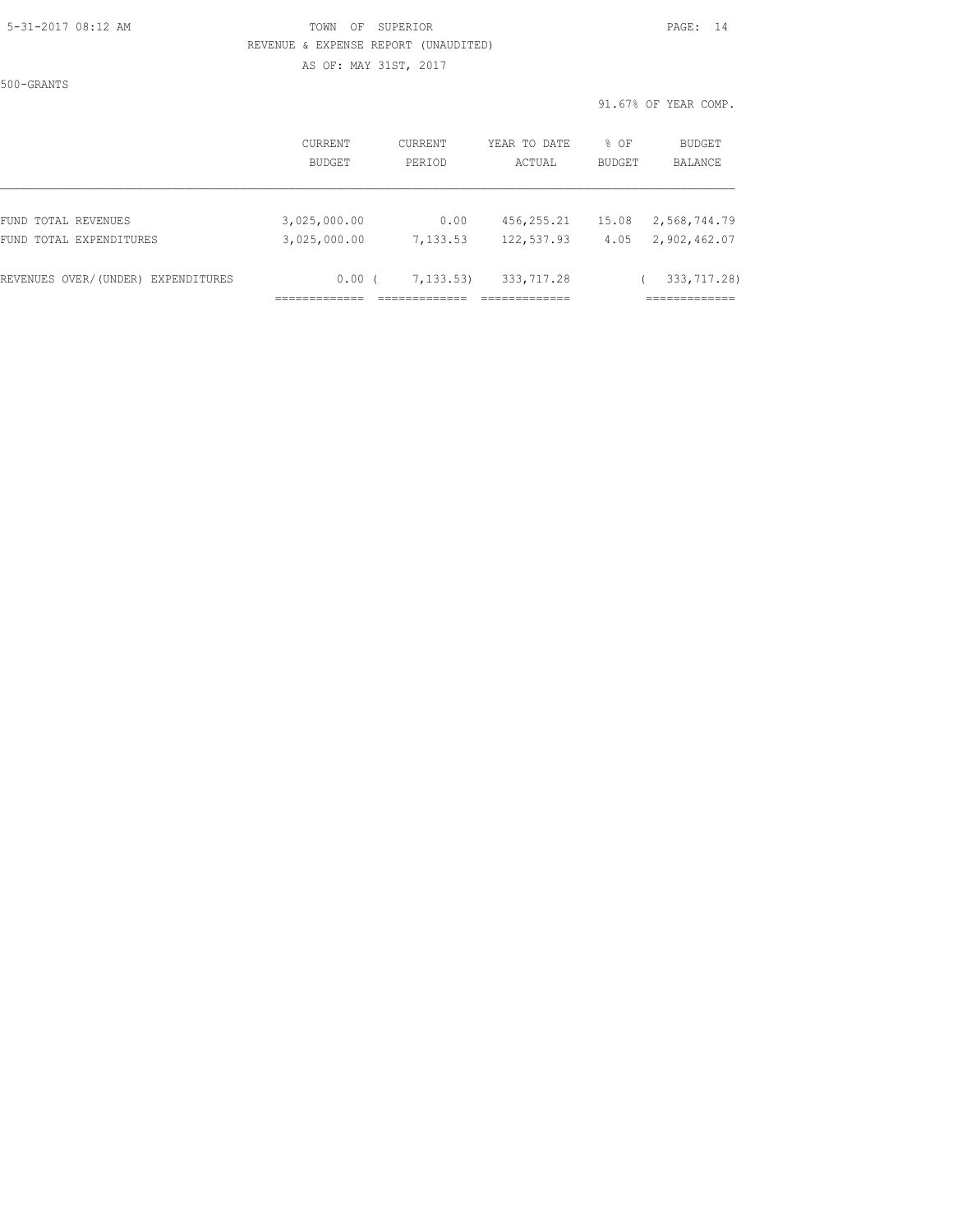### 5-31-2017 08:12 AM TOWN OF SUPERIOR PAGE: 14 REVENUE & EXPENSE REPORT (UNAUDITED) AS OF: MAY 31ST, 2017

500-GRANTS

|                                    | CURRENT       | CURRENT   | YEAR TO DATE | % OF          | BUDGET       |
|------------------------------------|---------------|-----------|--------------|---------------|--------------|
|                                    | <b>BUDGET</b> | PERIOD    | ACTUAL       | <b>BUDGET</b> | BALANCE      |
| FUND TOTAL REVENUES                | 3,025,000.00  | 0.00      | 456,255.21   | 15.08         | 2,568,744.79 |
| FUND TOTAL EXPENDITURES            | 3,025,000.00  | 7,133.53  | 122,537.93   | 4.05          | 2,902,462.07 |
| REVENUES OVER/(UNDER) EXPENDITURES | 0.00          | 7,133.53) | 333,717.28   |               | 333,717.28)  |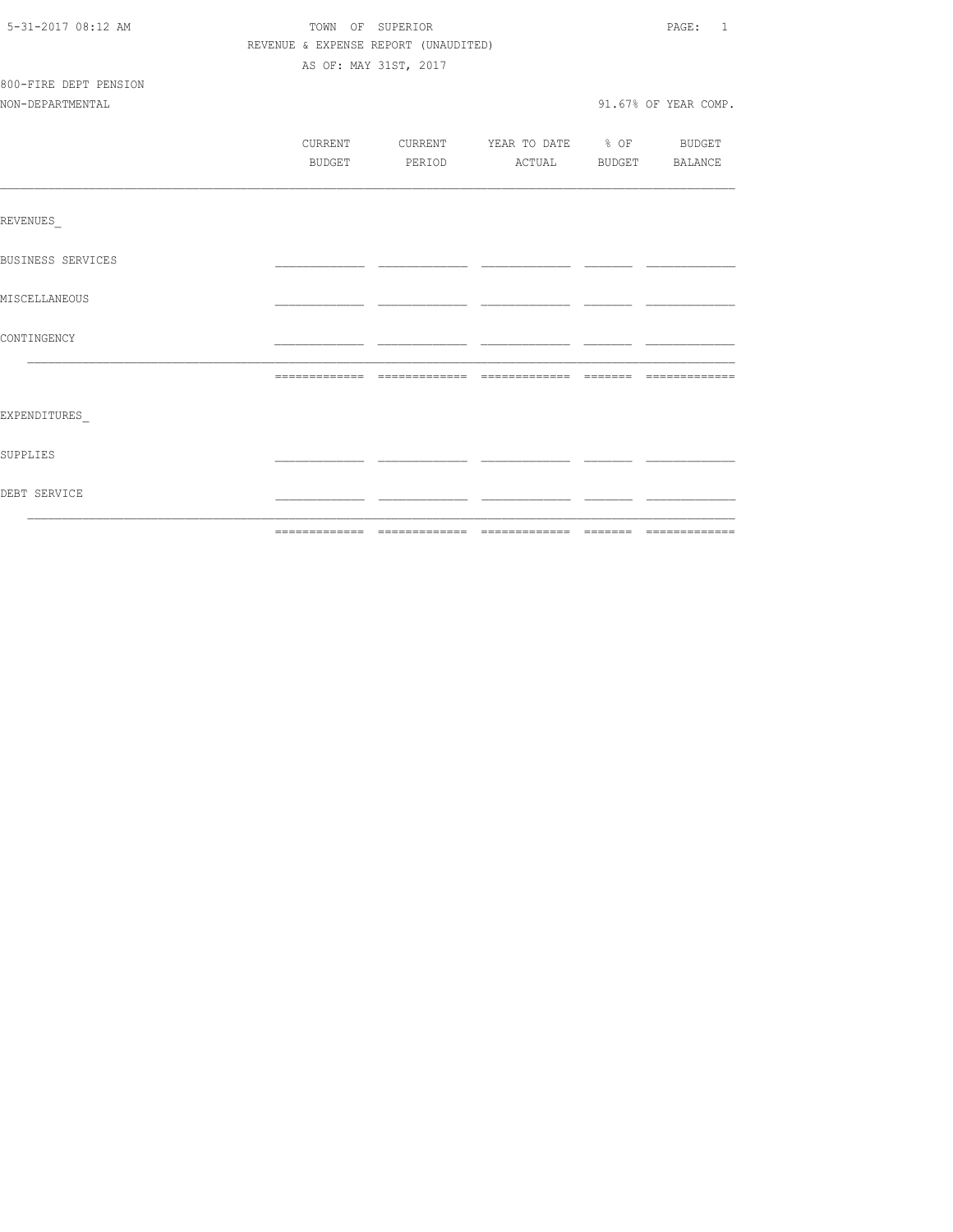| 5-31-2017 08:12 AM       | TOWN OF SUPERIOR |                                      |                                          | PAGE: 1              |
|--------------------------|------------------|--------------------------------------|------------------------------------------|----------------------|
|                          |                  | REVENUE & EXPENSE REPORT (UNAUDITED) |                                          |                      |
|                          |                  | AS OF: MAY 31ST, 2017                |                                          |                      |
| 800-FIRE DEPT PENSION    |                  |                                      |                                          |                      |
| NON-DEPARTMENTAL         |                  |                                      |                                          | 91.67% OF YEAR COMP. |
|                          |                  |                                      |                                          |                      |
|                          |                  |                                      | CURRENT CURRENT YEAR TO DATE % OF BUDGET |                      |
|                          |                  |                                      | BUDGET PERIOD ACTUAL BUDGET BALANCE      |                      |
|                          |                  |                                      |                                          |                      |
| <b>REVENUES</b>          |                  |                                      |                                          |                      |
| <b>BUSINESS SERVICES</b> |                  |                                      |                                          |                      |
| MISCELLANEOUS            |                  |                                      |                                          |                      |
| CONTINGENCY              |                  |                                      |                                          |                      |
|                          |                  |                                      |                                          |                      |
| EXPENDITURES             |                  |                                      |                                          |                      |
| <b>SUPPLIES</b>          |                  |                                      |                                          |                      |
| DEBT SERVICE             |                  |                                      |                                          |                      |
|                          |                  |                                      |                                          |                      |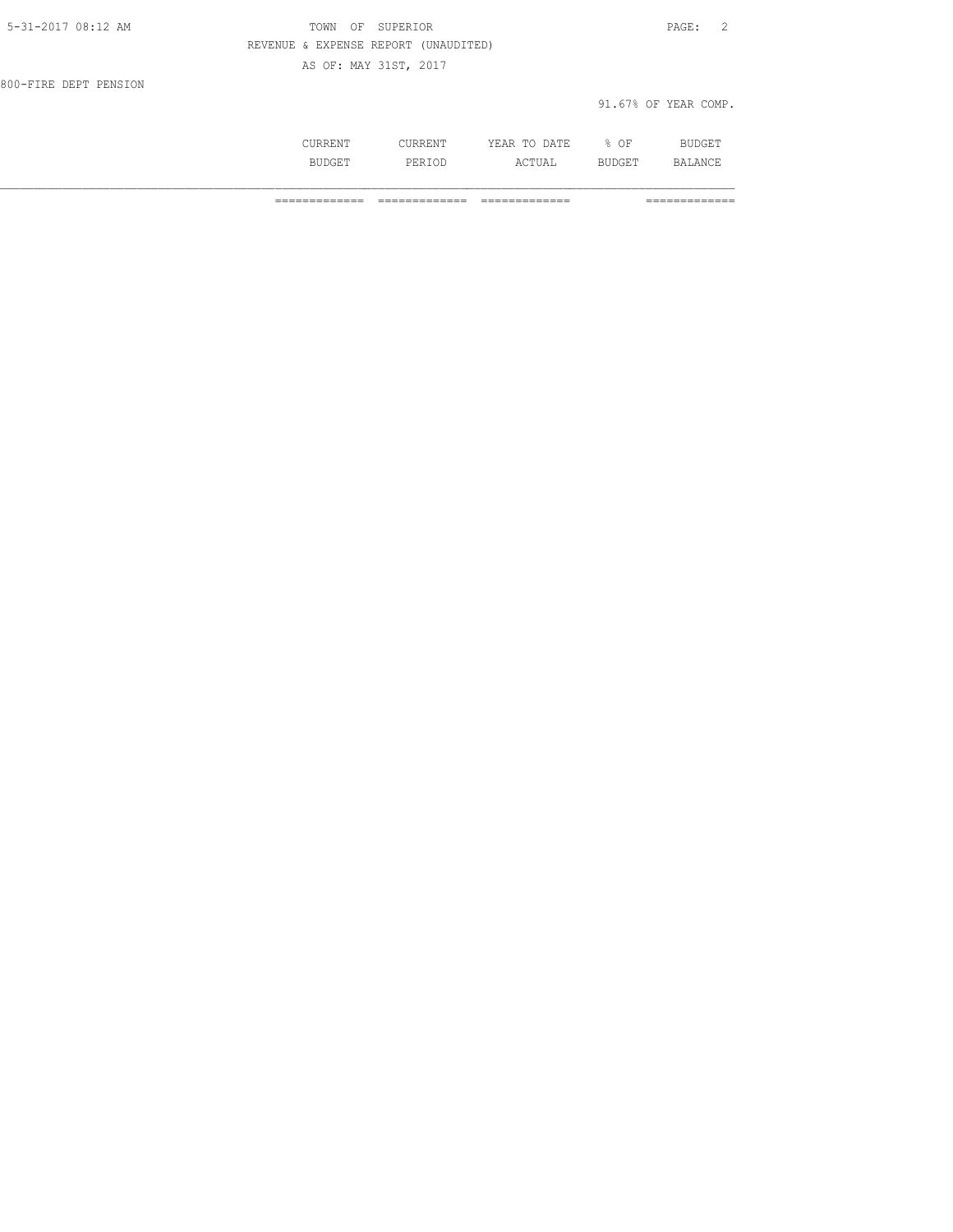| 5-31-2017 08:12 AM    | OF SUPERIOR<br>TOWN                  | PAGE: 2              |  |
|-----------------------|--------------------------------------|----------------------|--|
|                       | REVENUE & EXPENSE REPORT (UNAUDITED) |                      |  |
|                       | AS OF: MAY 31ST, 2017                |                      |  |
| 800-FIRE DEPT PENSION |                                      |                      |  |
|                       |                                      | 91.67% OF YEAR COMP. |  |
|                       |                                      |                      |  |

 CURRENT CURRENT YEAR TO DATE % OF BUDGET BUDGET PERIOD ACTUAL BUDGET BALANCE

============= ============= ============= =============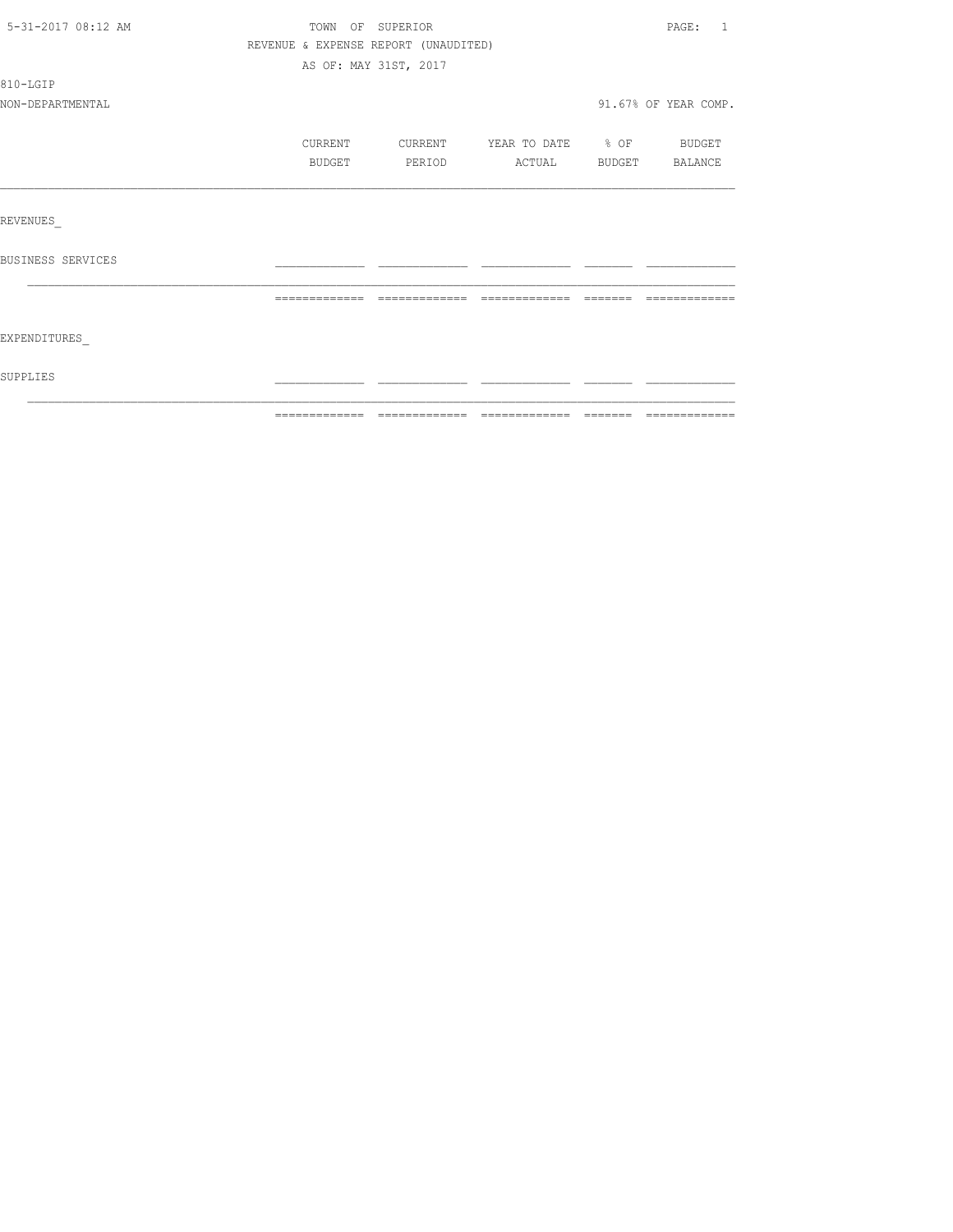| 5-31-2017 08:12 AM |                                      | TOWN OF SUPERIOR      |                          |           | PAGE: 1              |
|--------------------|--------------------------------------|-----------------------|--------------------------|-----------|----------------------|
|                    | REVENUE & EXPENSE REPORT (UNAUDITED) |                       |                          |           |                      |
|                    |                                      | AS OF: MAY 31ST, 2017 |                          |           |                      |
| 810-LGIP           |                                      |                       |                          |           |                      |
| NON-DEPARTMENTAL   |                                      |                       |                          |           | 91.67% OF YEAR COMP. |
|                    | CURRENT                              | <b>CURRENT</b>        | YEAR TO DATE % OF BUDGET |           |                      |
|                    | BUDGET                               | PERIOD                | ACTUAL BUDGET BALANCE    |           |                      |
|                    |                                      |                       |                          |           |                      |
| REVENUES           |                                      |                       |                          |           |                      |
| BUSINESS SERVICES  |                                      |                       |                          |           |                      |
|                    | =============                        | - =============       | - =============          | - ======= |                      |
| EXPENDITURES       |                                      |                       |                          |           |                      |
| SUPPLIES           |                                      |                       |                          |           |                      |
|                    |                                      |                       |                          |           |                      |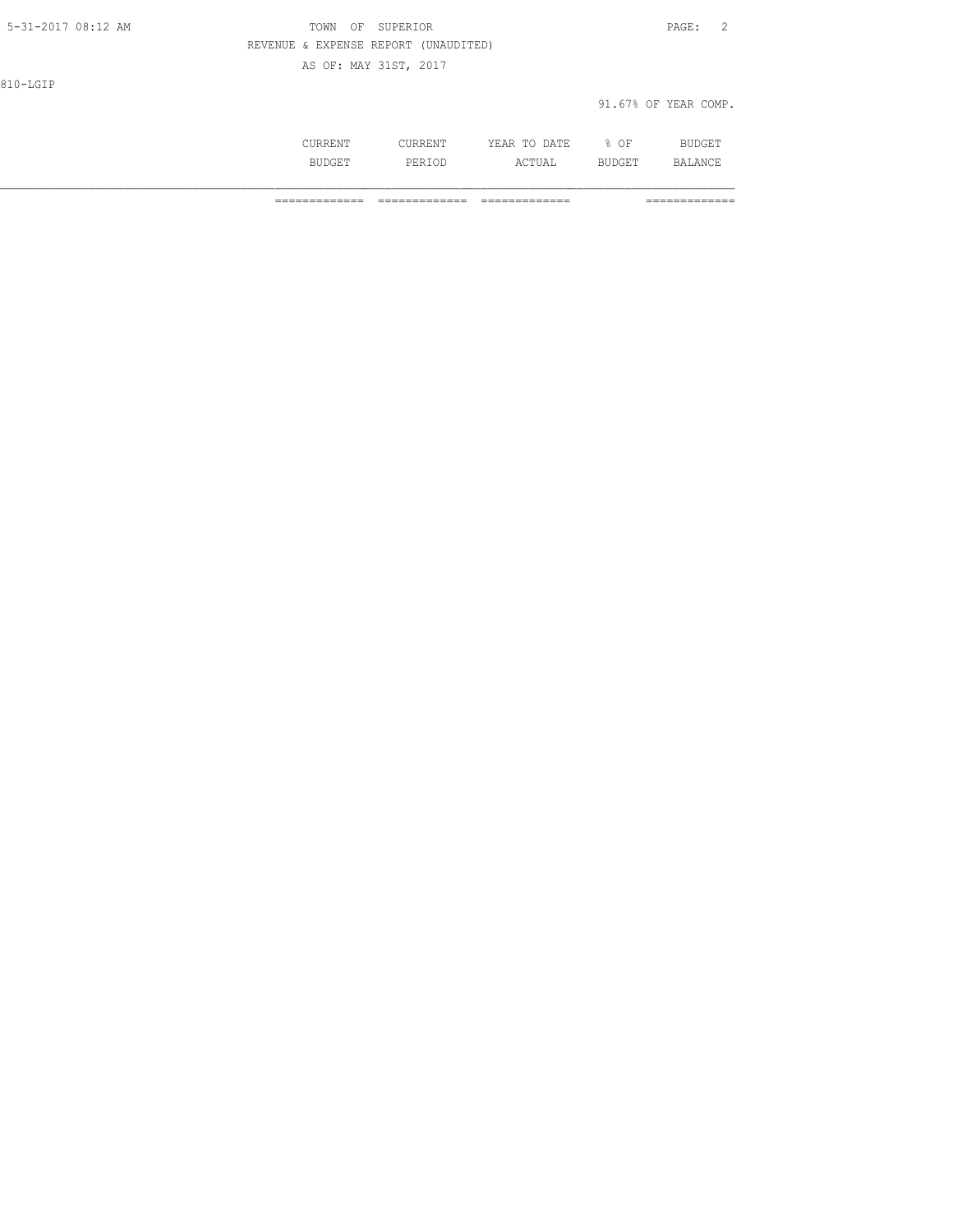| 5-31-2017 08:12 AM | TOWN<br>OF SUPERIOR                  | PAGE:<br>$\overline{2}$ |
|--------------------|--------------------------------------|-------------------------|
|                    | REVENUE & EXPENSE REPORT (UNAUDITED) |                         |
|                    | AS OF: MAY 31ST, 2017                |                         |
| 810-LGIP           |                                      |                         |
|                    |                                      | 91.67% OF YEAR COMP.    |
|                    |                                      |                         |

 CURRENT CURRENT YEAR TO DATE % OF BUDGET BUDGET PERIOD ACTUAL BUDGET BALANCE

============= ============= ============= =============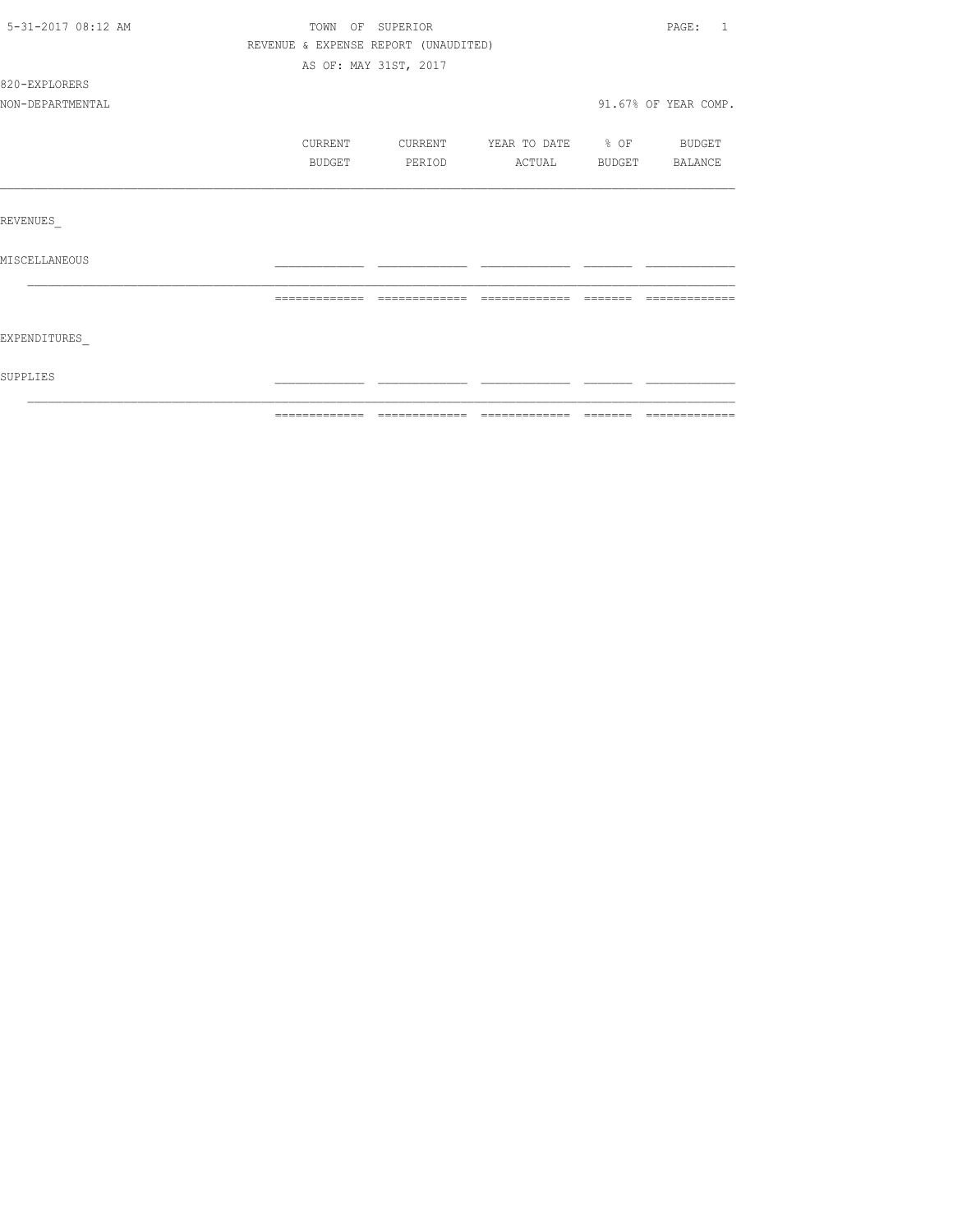| 5-31-2017 08:12 AM |                                      | TOWN OF SUPERIOR      |                                  |          | PAGE: 1              |
|--------------------|--------------------------------------|-----------------------|----------------------------------|----------|----------------------|
|                    | REVENUE & EXPENSE REPORT (UNAUDITED) |                       |                                  |          |                      |
|                    |                                      | AS OF: MAY 31ST, 2017 |                                  |          |                      |
| 820-EXPLORERS      |                                      |                       |                                  |          |                      |
| NON-DEPARTMENTAL   |                                      |                       |                                  |          | 91.67% OF YEAR COMP. |
|                    | CURRENT                              |                       | CURRENT YEAR TO DATE % OF BUDGET |          |                      |
|                    | BUDGET                               | PERIOD                | ACTUAL BUDGET BALANCE            |          |                      |
|                    |                                      |                       |                                  |          |                      |
| REVENUES           |                                      |                       |                                  |          |                      |
| MISCELLANEOUS      |                                      |                       |                                  |          |                      |
|                    | =============                        |                       | --------------                   | -------- |                      |
| EXPENDITURES       |                                      |                       |                                  |          |                      |
| SUPPLIES           |                                      |                       |                                  |          |                      |
|                    |                                      |                       |                                  |          |                      |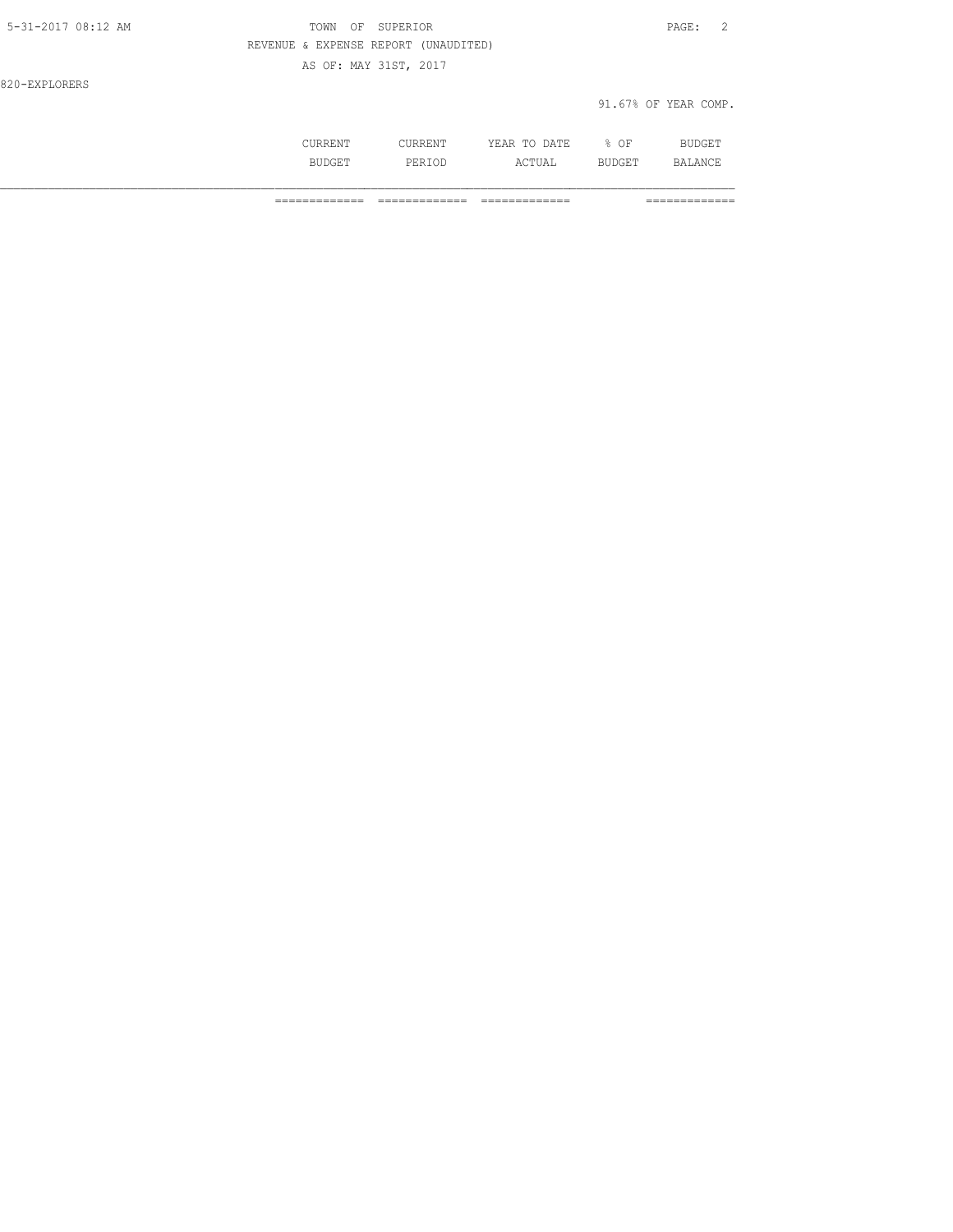| $5 - 31 - 2017$ 08:12 AM | OF SUPERIOR<br>TOWN                  |                      | PAGE: | 2 |
|--------------------------|--------------------------------------|----------------------|-------|---|
|                          | REVENUE & EXPENSE REPORT (UNAUDITED) |                      |       |   |
|                          | AS OF: MAY 31ST, 2017                |                      |       |   |
| 820-EXPLORERS            |                                      |                      |       |   |
|                          |                                      | 91.67% OF YEAR COMP. |       |   |

|           | ነ∆ ጥד<br><br>----<br>- - | ΩF<br>u.,<br>- - |  |
|-----------|--------------------------|------------------|--|
| بياني و د | .                        |                  |  |

============= ============= ============= =============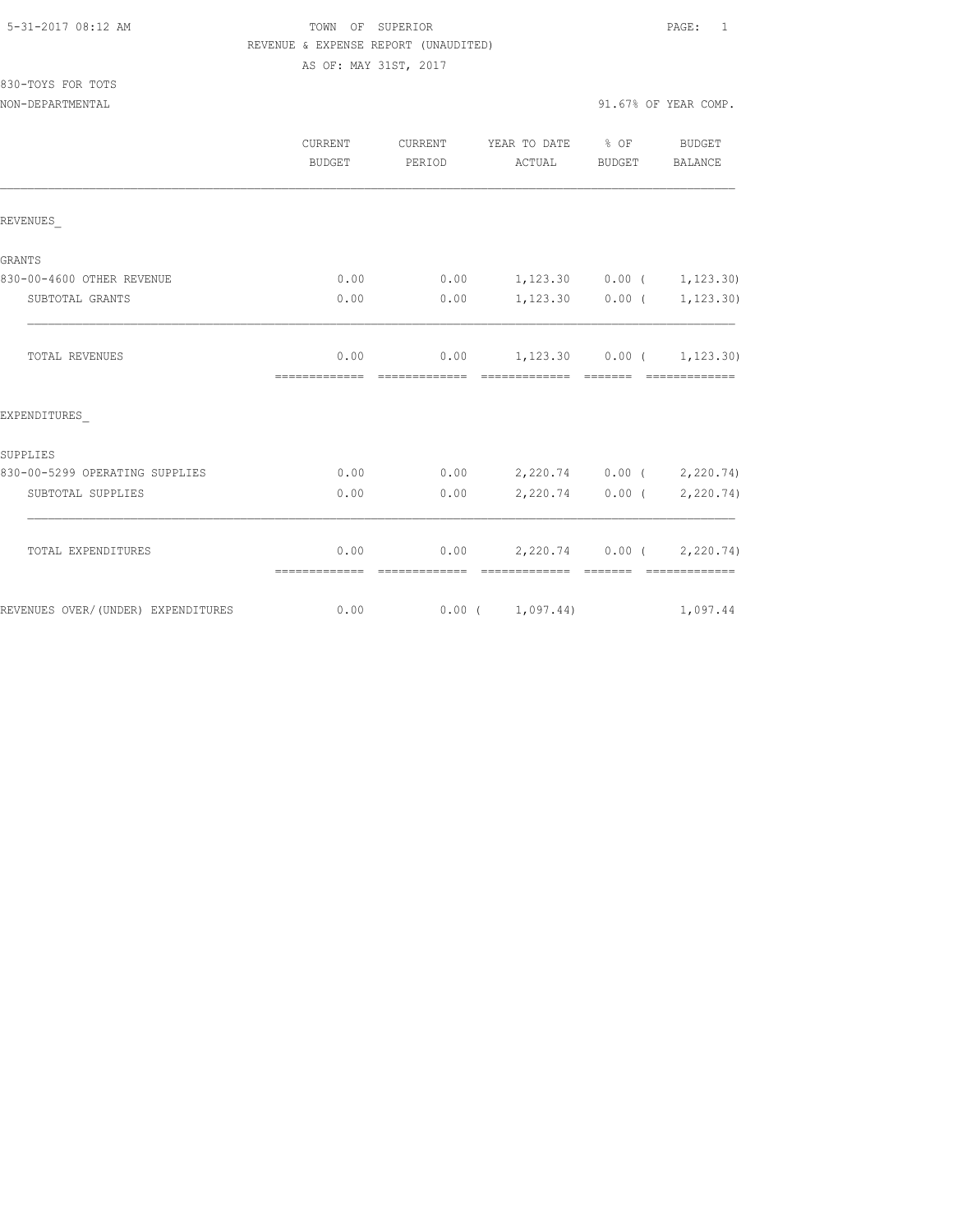## TOWN OF SUPERIOR **Example 2018** PAGE: 1 REVENUE & EXPENSE REPORT (UNAUDITED)

AS OF: MAY 31ST, 2017

| 830-TOYS FOR TOTS |  |  |
|-------------------|--|--|
|                   |  |  |

|                                    | CURRENT<br><b>BUDGET</b> | CURRENT<br>PERIOD | YEAR TO DATE % OF<br>ACTUAL                        | BUDGET            | BUDGET<br>BALANCE |
|------------------------------------|--------------------------|-------------------|----------------------------------------------------|-------------------|-------------------|
| REVENUES                           |                          |                   |                                                    |                   |                   |
| <b>GRANTS</b>                      |                          |                   |                                                    |                   |                   |
| 830-00-4600 OTHER REVENUE          | 0.00                     | 0.00              | $1,123.30$ 0.00 ( 1,123.30)                        |                   |                   |
| SUBTOTAL GRANTS                    | 0.00                     | 0.00              | $1,123.30$ 0.00 (                                  |                   | 1,123.30)         |
| <b>TOTAL REVENUES</b>              | 0.00<br>--------------   | --------------    | $0.00$ 1,123.30 0.00 ( 1,123.30)<br>=============  | $---------$       |                   |
| EXPENDITURES                       |                          |                   |                                                    |                   |                   |
| SUPPLIES                           |                          |                   |                                                    |                   |                   |
| 830-00-5299 OPERATING SUPPLIES     | 0.00                     | 0.00              | 2,220.74 0.00 ( 2,220.74)                          |                   |                   |
| SUBTOTAL SUPPLIES                  | 0.00                     | 0.00              |                                                    | $2,220.74$ 0.00 ( | 2,220.74)         |
| TOTAL EXPENDITURES                 | 0.00<br>=============    | --------------    | $0.00$ 2,220.74 0.00 ( 2,220.74)<br>-------------- | --------          | - =============   |
| REVENUES OVER/(UNDER) EXPENDITURES | 0.00                     |                   | 0.00(1,097.44)                                     |                   | 1,097.44          |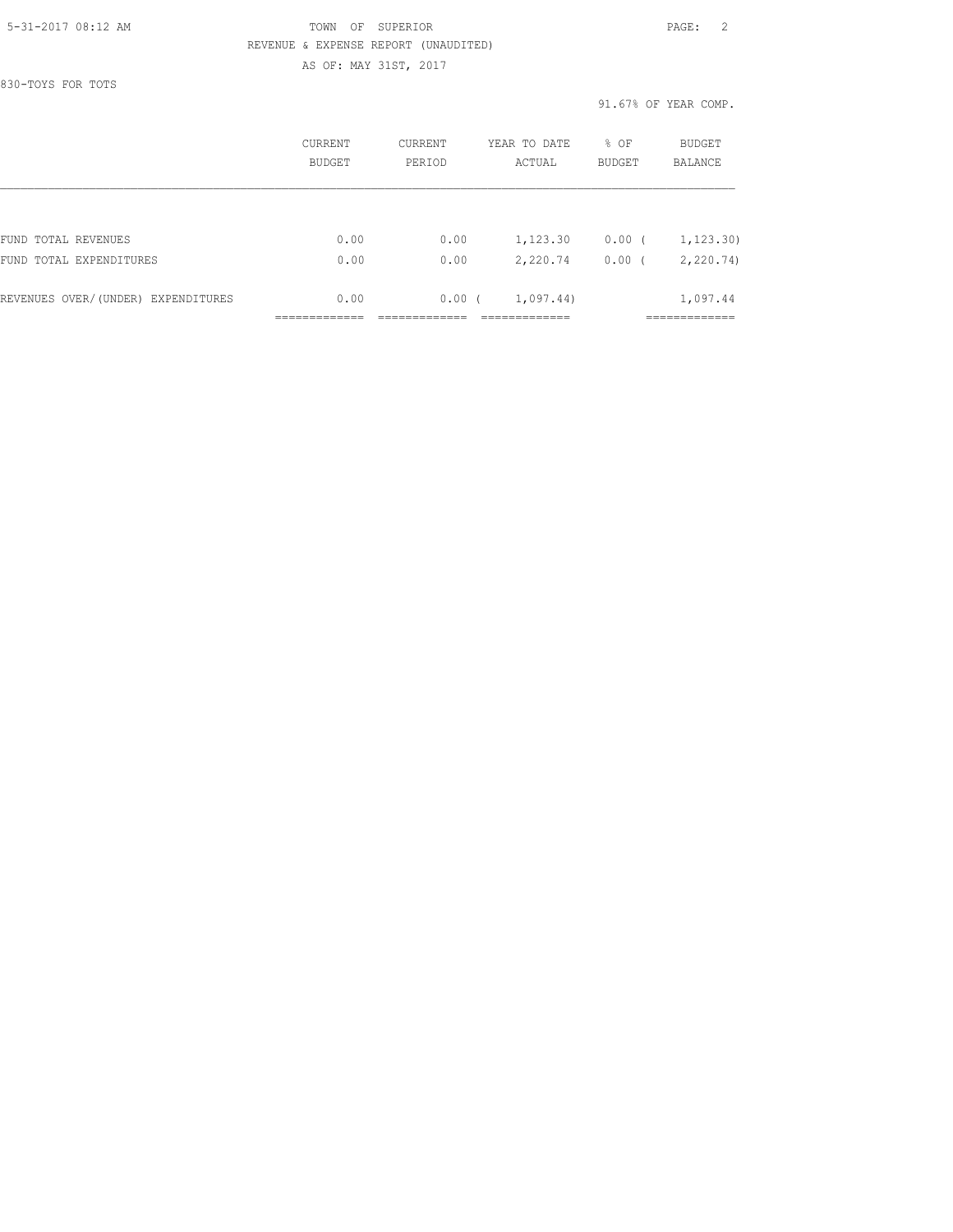## 5-31-2017 08:12 AM TOWN OF SUPERIOR PAGE: 2 REVENUE & EXPENSE REPORT (UNAUDITED)

AS OF: MAY 31ST, 2017

830-TOYS FOR TOTS

91.67% OF YEAR COMP.

|                                    | CURRENT<br><b>BUDGET</b> | <b>CURRENT</b><br>PERIOD | YEAR TO DATE<br>ACTUAL | % OF<br><b>BUDGET</b> | BUDGET<br>BALANCE |
|------------------------------------|--------------------------|--------------------------|------------------------|-----------------------|-------------------|
|                                    |                          |                          |                        |                       |                   |
| FUND TOTAL REVENUES                | 0.00                     | 0.00                     | 1,123.30               | $0.00$ (              | 1, 123, 30)       |
| FUND TOTAL EXPENDITURES            | 0.00                     | 0.00                     | 2,220.74               | $0.00$ (              | 2,220.74)         |
| REVENUES OVER/(UNDER) EXPENDITURES | 0.00                     | 0.00(                    | 1,097.44)              |                       | 1,097.44          |
|                                    |                          |                          |                        |                       |                   |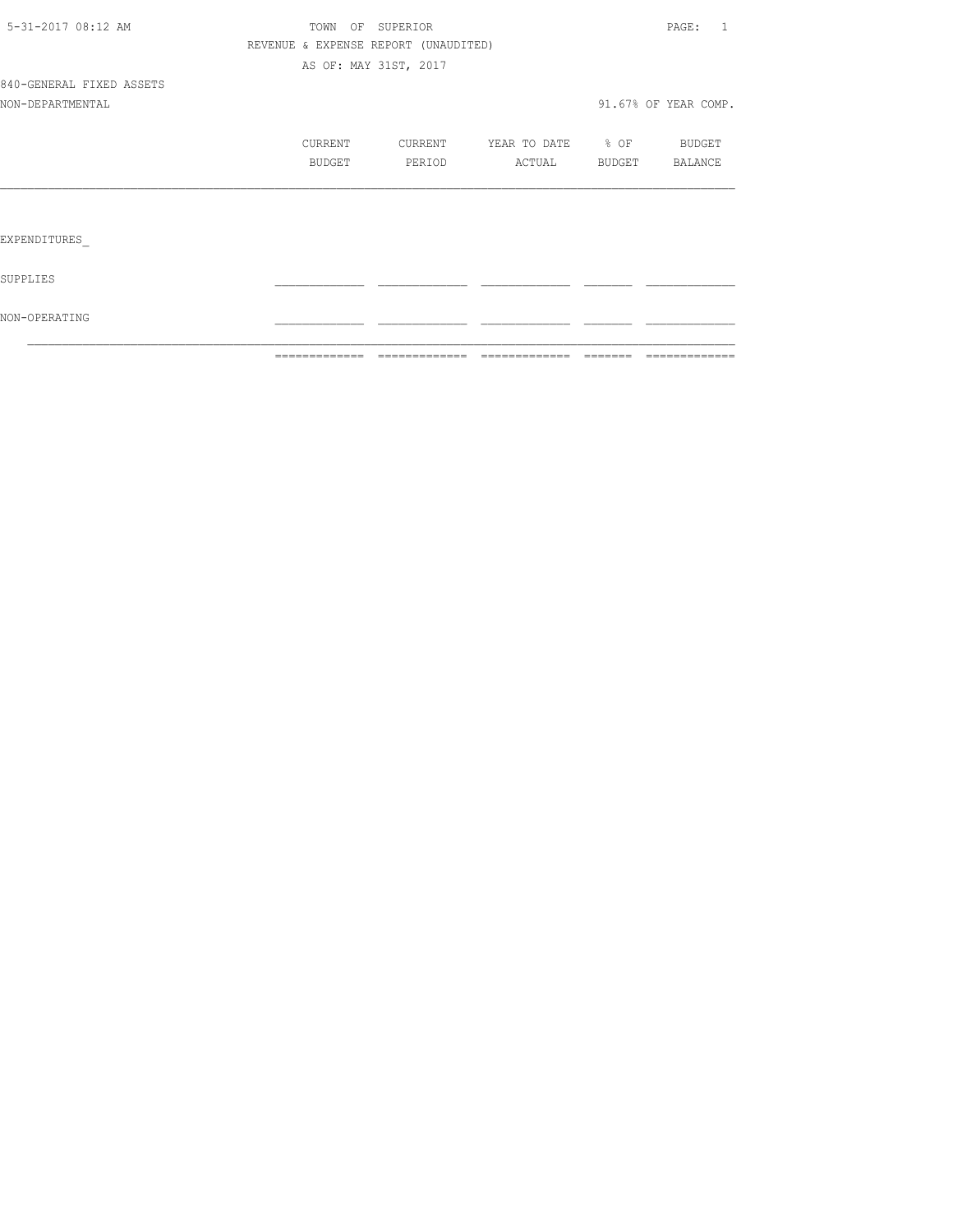|                          | =============                        | -------------         | =============     | -------- | =============        |
|--------------------------|--------------------------------------|-----------------------|-------------------|----------|----------------------|
| NON-OPERATING            |                                      |                       |                   |          |                      |
| SUPPLIES                 |                                      |                       |                   |          |                      |
| EXPENDITURES             |                                      |                       |                   |          |                      |
|                          |                                      |                       |                   |          |                      |
|                          | BUDGET                               | PERIOD                | ACTUAL            | BUDGET   | BALANCE              |
|                          | CURRENT                              | CURRENT               | YEAR TO DATE % OF |          | BUDGET               |
| NON-DEPARTMENTAL         |                                      |                       |                   |          | 91.67% OF YEAR COMP. |
| 840-GENERAL FIXED ASSETS |                                      |                       |                   |          |                      |
|                          |                                      | AS OF: MAY 31ST, 2017 |                   |          |                      |
|                          | REVENUE & EXPENSE REPORT (UNAUDITED) |                       |                   |          |                      |
| 5-31-2017 08:12 AM       |                                      | TOWN OF SUPERIOR      |                   |          | PAGE: 1              |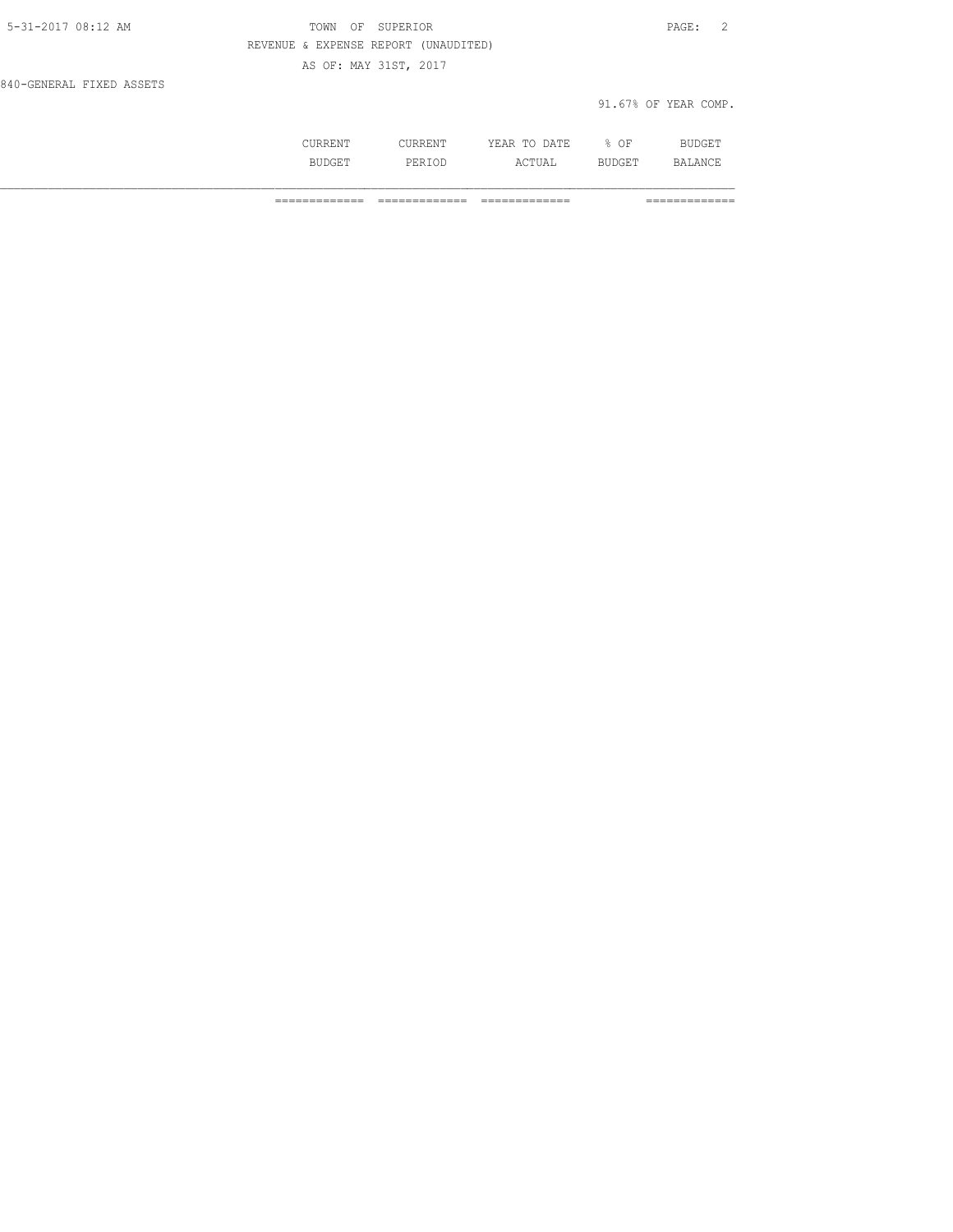| 5-31-2017 08:12 AM       | OF SUPERIOR<br>TOWN                  | PAGE:                |
|--------------------------|--------------------------------------|----------------------|
|                          | REVENUE & EXPENSE REPORT (UNAUDITED) |                      |
|                          | AS OF: MAY 31ST, 2017                |                      |
| 840-GENERAL FIXED ASSETS |                                      |                      |
|                          |                                      | 91.67% OF YEAR COMP. |

|           | .           | יידים בון .<br>ш.<br>----<br>----- | ΟF  | ום |
|-----------|-------------|------------------------------------|-----|----|
| $\cdot$ . | DΕ<br>- - - | ---                                | --- | ັ  |

============= ============= ============= =============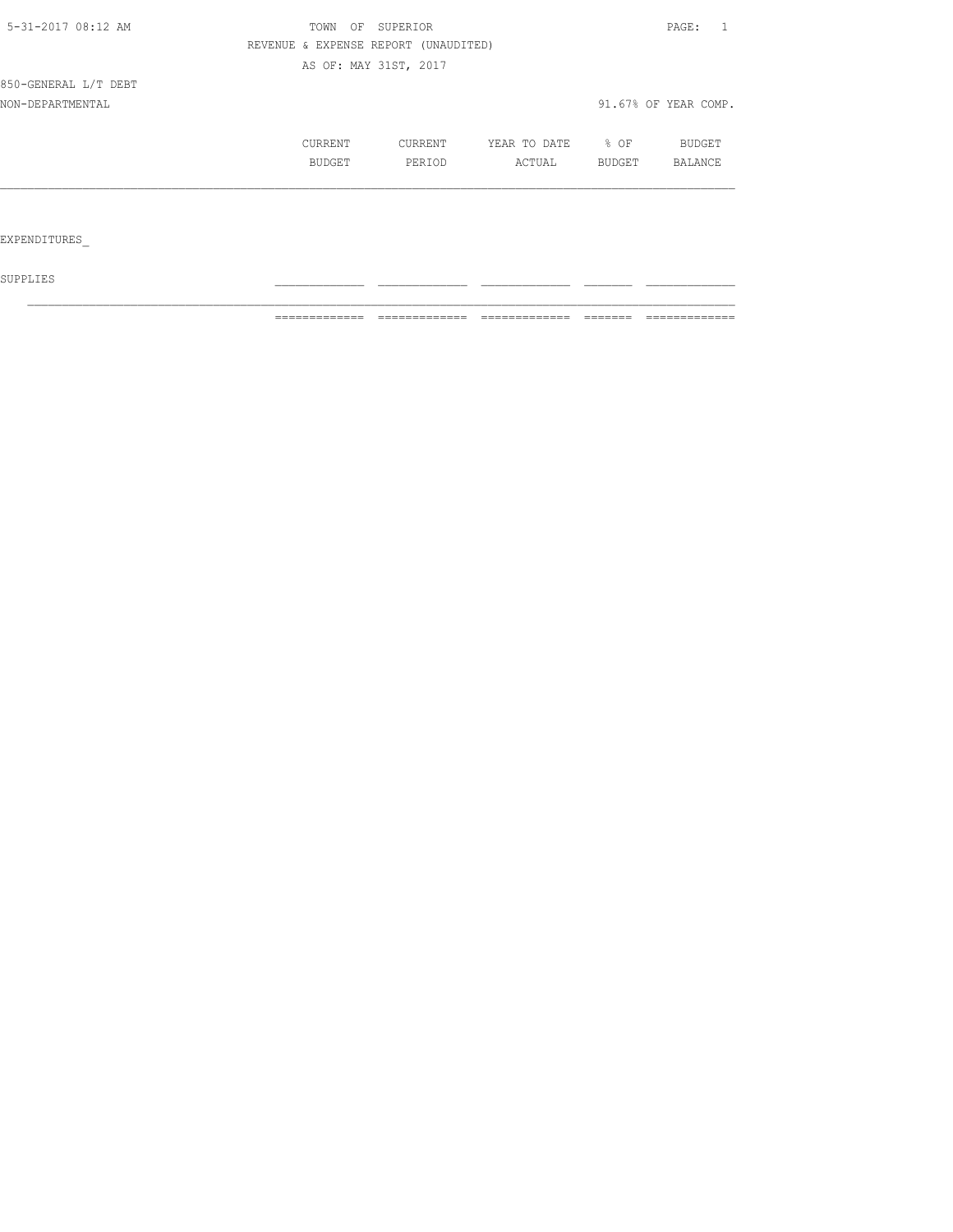| 5-31-2017 08:12 AM   |         | TOWN OF SUPERIOR                     |              |        | PAGE:<br>$\overline{1}$ |
|----------------------|---------|--------------------------------------|--------------|--------|-------------------------|
|                      |         | REVENUE & EXPENSE REPORT (UNAUDITED) |              |        |                         |
|                      |         | AS OF: MAY 31ST, 2017                |              |        |                         |
| 850-GENERAL L/T DEBT |         |                                      |              |        |                         |
| NON-DEPARTMENTAL     |         |                                      |              |        | 91.67% OF YEAR COMP.    |
|                      | CURRENT | CURRENT                              | YEAR TO DATE | % OF   | BUDGET                  |
|                      | BUDGET  | PERIOD                               | ACTUAL       | BUDGET | <b>BALANCE</b>          |
|                      |         |                                      |              |        |                         |
|                      |         |                                      |              |        |                         |
| EXPENDITURES         |         |                                      |              |        |                         |

 ${\tt SUPPLIES}$ 

============= ============= ============= ======= =============